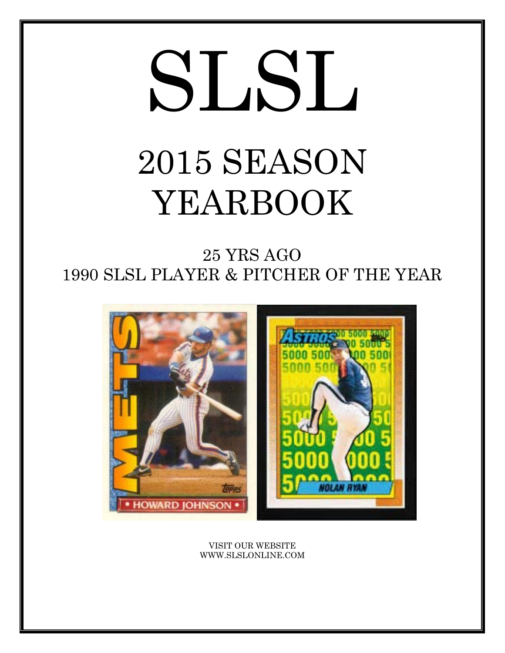# SLSL 2015 SEASON YEARBOOK

25 YRS AGO 1990 SLSL PLAYER & PITCHER OF THE YEAR



VISIT OUR WEBSITE WWW.SLSLONLINE.COM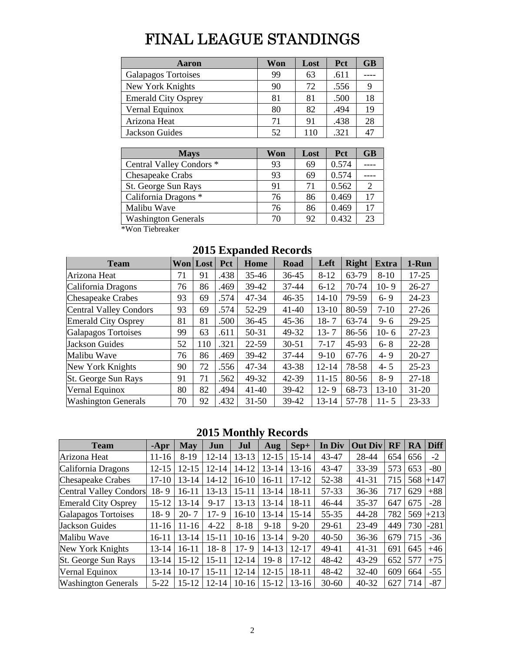# FINAL LEAGUE STANDINGS

| Aaron                      | Won | Lost | <b>Pct</b> | <b>GB</b> |
|----------------------------|-----|------|------------|-----------|
| <b>Galapagos Tortoises</b> | 99  | 63   | .611       |           |
| New York Knights           | 90  | 72   | .556       |           |
| <b>Emerald City Osprey</b> | 81  | 81   | .500       | 18        |
| Vernal Equinox             | 80  | 82   | .494       | 19        |
| Arizona Heat               | 71  | 91   | .438       | 28        |
| Jackson Guides             | 52  | 110  | .321       |           |

| <b>Mays</b>                | Won | Lost | <b>Pct</b> | <b>GB</b> |
|----------------------------|-----|------|------------|-----------|
| Central Valley Condors *   | 93  | 69   | 0.574      |           |
| Chesapeake Crabs           | 93  | 69   | 0.574      |           |
| St. George Sun Rays        | 91  | 71   | 0.562      | ာ         |
| California Dragons *       | 76  | 86   | 0.469      | 17        |
| Malibu Wave                | 76  | 86   | 0.469      | 17        |
| <b>Washington Generals</b> | 70  | 92   | 0.432      | 23        |

\*Won Tiebreaker

| <b>Team</b>                   |    | <b>Won</b> Lost | <b>Pct</b> | <b>Home</b> | <b>Road</b> | Left      | <b>Right</b> | <b>Extra</b> | 1-Run     |
|-------------------------------|----|-----------------|------------|-------------|-------------|-----------|--------------|--------------|-----------|
| Arizona Heat                  | 71 | 91              | .438       | $35 - 46$   | $36 - 45$   | $8 - 12$  | 63-79        | $8 - 10$     | $17 - 25$ |
| California Dragons            | 76 | 86              | .469       | 39-42       | $37 - 44$   | $6 - 12$  | 70-74        | $10-9$       | $26 - 27$ |
| <b>Chesapeake Crabes</b>      | 93 | 69              | .574       | 47-34       | $46 - 35$   | $14 - 10$ | 79-59        | $6 - 9$      | 24-23     |
| <b>Central Valley Condors</b> | 93 | 69              | .574       | 52-29       | $41 - 40$   | $13 - 10$ | 80-59        | $7 - 10$     | $27 - 26$ |
| <b>Emerald City Osprey</b>    | 81 | 81              | .500       | 36-45       | $45 - 36$   | $18 - 7$  | 63-74        | $9 - 6$      | $29 - 25$ |
| Galapagos Tortoises           | 99 | 63              | .611       | 50-31       | 49-32       | $13 - 7$  | 86-56        | $10-6$       | $27 - 23$ |
| <b>Jackson Guides</b>         | 52 | 110             | .321       | $22 - 59$   | $30 - 51$   | $7 - 17$  | 45-93        | $6 - 8$      | $22 - 28$ |
| Malibu Wave                   | 76 | 86              | .469       | 39-42       | $37 - 44$   | $9-10$    | 67-76        | $4 - 9$      | $20 - 27$ |
| New York Knights              | 90 | 72              | .556       | 47-34       | 43-38       | $12 - 14$ | 78-58        | $4 - 5$      | $25 - 23$ |
| St. George Sun Rays           | 91 | 71              | .562       | 49-32       | 42-39       | $11 - 15$ | 80-56        | $8 - 9$      | $27 - 18$ |
| Vernal Equinox                | 80 | 82              | .494       | $41 - 40$   | 39-42       | $12 - 9$  | 68-73        | $13 - 10$    | $31 - 20$ |
| <b>Washington Generals</b>    | 70 | 92              | .432       | $31 - 50$   | 39-42       | 13-14     | 57-78        | $11 - 5$     | $23 - 33$ |

# **2015 Expanded Records**

### **2015 Monthly Records**

| <b>Team</b>                   | $-Apr$    | <b>May</b> | Jun       | Jul       | Aug       | Sep+      | In Div    | <b>Out Div</b> | <b>RF</b> | RA  | <b>Diff</b> |
|-------------------------------|-----------|------------|-----------|-----------|-----------|-----------|-----------|----------------|-----------|-----|-------------|
| Arizona Heat                  | $11 - 16$ | $8-19$     | $12 - 14$ | $13 - 13$ | $12 - 15$ | $15 - 14$ | 43-47     | 28-44          | 654       | 656 | $-2$        |
| California Dragons            | $12 - 15$ | $12 - 15$  | $12 - 14$ | $14 - 12$ | $13 - 14$ | $13 - 16$ | 43-47     | 33-39          | 573       | 653 | $-80$       |
| <b>Chesapeake Crabes</b>      | $17-10$   | $13 - 14$  | 14-12     | $16-10$   | 16-11     | $17 - 12$ | 52-38     | 41-31          | 715       | 568 | $+147$      |
| <b>Central Valley Condors</b> | $18-9$    | $16 - 11$  | $13 - 13$ | $15 - 11$ | $13 - 14$ | $18 - 11$ | 57-33     | $36 - 36$      | 717       | 629 | $+88$       |
| <b>Emerald City Osprey</b>    | $15 - 12$ | $13 - 14$  | $9 - 17$  | $13-13$   | $13 - 14$ | $18 - 11$ | 46-44     | 35-37          | 647       | 675 | $-28$       |
| Galapagos Tortoises           | $18-9$    | $20 - 7$   | $17 - 9$  | $16-10$   | $13 - 14$ | $15 - 14$ | 55-35     | 44-28          | 782       | 569 | $+213$      |
| <b>Jackson Guides</b>         | $11 - 16$ | $11 - 16$  | $4 - 22$  | $8 - 18$  | $9-18$    | $9 - 20$  | 29-61     | 23-49          | 449       | 730 | $-281$      |
| Malibu Wave                   | $16 - 11$ | $13 - 14$  | $15 - 11$ | $10-16$   | $13 - 14$ | $9 - 20$  | $40 - 50$ | $36 - 36$      | 679       | 715 | $-36$       |
| New York Knights              | $13 - 14$ | $16 - 11$  | $18 - 8$  | $17 - 9$  | 14-13     | $12 - 17$ | 49-41     | $41 - 31$      | 691       | 645 | $+46$       |
| St. George Sun Rays           | $13 - 14$ | $15 - 12$  | $15 - 11$ | $12 - 14$ | $19 - 8$  | $17 - 12$ | 48-42     | $43 - 29$      | 652       | 577 | $+75$       |
| Vernal Equinox                | $13 - 14$ | $10-17$    | $15 - 11$ | $12 - 14$ | $12 - 15$ | $18 - 11$ | 48-42     | $32 - 40$      | 609       | 664 | $-55$       |
| <b>Washington Generals</b>    | $5 - 22$  | $15 - 12$  | $12 - 14$ | $10-16$   | 15-12     | $13-16$   | $30 - 60$ | $40 - 32$      | 627       | 714 | $-87$       |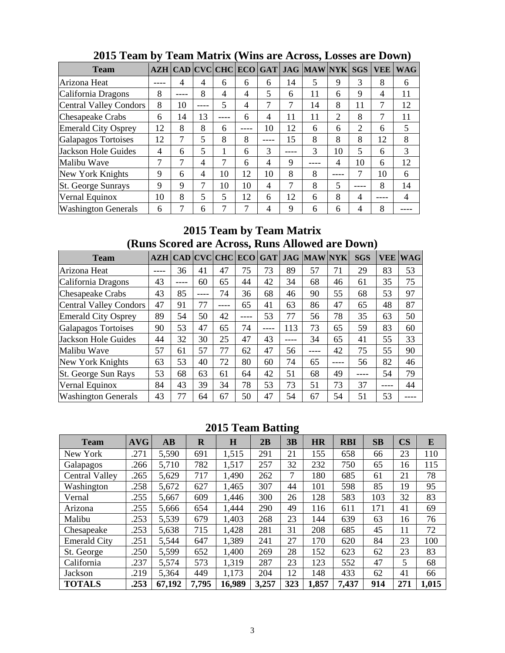| <b>Team</b>                   |    |        |      |    |    |    |      | AZH   CAD   CVC   CHC   ECO   GAT   JAG   MAW   NYK |      | <b>SGS</b> | <b>VEE</b> | <b>WAG</b> |
|-------------------------------|----|--------|------|----|----|----|------|-----------------------------------------------------|------|------------|------------|------------|
| Arizona Heat                  |    | 4      | 4    | 6  | 6  | 6  | 14   | 5                                                   | 9    | 3          | 8          | 6          |
| California Dragons            | 8  | ----   | 8    | 4  | 4  | 5  | 6    | 11                                                  | 6    | 9          | 4          | 11         |
| <b>Central Valley Condors</b> | 8  | 10     | ---- | 5  | 4  | 7  | 7    | 14                                                  | 8    | 11         | 7          | 12         |
| Chesapeake Crabs              | 6  | 14     | 13   |    | 6  | 4  | 11   | 11                                                  | 2    | 8          | 7          | 11         |
| <b>Emerald City Osprey</b>    | 12 | 8      | 8    | 6  |    | 10 | 12   | 6                                                   | 6    | 2          | 6          | 5          |
| <b>Galapagos Tortoises</b>    | 12 | 7      | 5    | 8  | 8  |    | 15   | 8                                                   | 8    | 8          | 12         | 8          |
| Jackson Hole Guides           | 4  | 6      | 5    |    | 6  | 3  | ---- | 3                                                   | 10   | 5          | 6          | 3          |
| Malibu Wave                   | ⇁  | $\tau$ | 4    | 7  | 6  | 4  | 9    |                                                     | 4    | 10         | 6          | 12         |
| New York Knights              | 9  | 6      | 4    | 10 | 12 | 10 | 8    | 8                                                   | ---- | 7          | 10         | 6          |
| <b>St. George Sunrays</b>     | 9  | 9      | 7    | 10 | 10 | 4  | 7    | 8                                                   | 5    |            | 8          | 14         |
| Vernal Equinox                | 10 | 8      | 5    | 5  | 12 | 6  | 12   | 6                                                   | 8    | 4          |            | 4          |
| <b>Washington Generals</b>    | 6  | 7      | 6    |    |    | 4  | 9    | h                                                   | 6    | 4          | 8          |            |

# **2015 Team by Team Matrix (Wins are Across, Losses are Down)**

### **2015 Team by Team Matrix (Runs Scored are Across, Runs Allowed are Down)**

| <b>Team</b>                |    | <b>AZH   CAD   CVC   CHC  </b> |    |           | ECO  | GAT |      | <b>JAG MAWNYK</b> |      | <b>SGS</b> | <b>VEE</b> | <b>WAG</b> |
|----------------------------|----|--------------------------------|----|-----------|------|-----|------|-------------------|------|------------|------------|------------|
| Arizona Heat               |    | 36                             | 41 | 47        | 75   | 73  | 89   | 57                | 71   | 29         | 83         | 53         |
| California Dragons         | 43 |                                | 60 | 65        | 44   | 42  | 34   | 68                | 46   | 61         | 35         | 75         |
| <b>Chesapeake Crabs</b>    | 43 | 85                             |    | 74        | 36   | 68  | 46   | 90                | 55   | 68         | 53         | 97         |
| Central Valley Condors     | 47 | 91                             | 77 | $- - - -$ | 65   | 41  | 63   | 86                | 47   | 65         | 48         | 87         |
| <b>Emerald City Osprey</b> | 89 | 54                             | 50 | 42        | ---- | 53  | 77   | 56                | 78   | 35         | 63         | 50         |
| Galapagos Tortoises        | 90 | 53                             | 47 | 65        | 74   |     | 113  | 73                | 65   | 59         | 83         | 60         |
| Jackson Hole Guides        | 44 | 32                             | 30 | 25        | 47   | 43  | ---- | 34                | 65   | 41         | 55         | 33         |
| Malibu Wave                | 57 | 61                             | 57 | 77        | 62   | 47  | 56   |                   | 42   | 75         | 55         | 90         |
| New York Knights           | 63 | 53                             | 40 | 72        | 80   | 60  | 74   | 65                | ---- | 56         | 82         | 46         |
| St. George Sun Rays        | 53 | 68                             | 63 | 61        | 64   | 42  | 51   | 68                | 49   | ----       | 54         | 79         |
| Vernal Equinox             | 84 | 43                             | 39 | 34        | 78   | 53  | 73   | 51                | 73   | 37         |            | 44         |
| <b>Washington Generals</b> | 43 | 77                             | 64 | 67        | 50   | 47  | 54   | 67                | 54   | 51         | 53         |            |

# **2015 Team Batting**

| <b>Team</b>           | <b>AVG</b> | $\mathbf{A}\mathbf{B}$ | $\bf{R}$ | $\mathbf H$ | 2B    | 3B  | <b>HR</b> | <b>RBI</b> | SB  | $\overline{\text{CS}}$ | E     |
|-----------------------|------------|------------------------|----------|-------------|-------|-----|-----------|------------|-----|------------------------|-------|
| New York              | .271       | 5,590                  | 691      | 1,515       | 291   | 21  | 155       | 658        | 66  | 23                     | 110   |
| Galapagos             | .266       | 5,710                  | 782      | 1,517       | 257   | 32  | 232       | 750        | 65  | 16                     | 115   |
| <b>Central Valley</b> | .265       | 5,629                  | 717      | 1,490       | 262   | 7   | 180       | 685        | 61  | 21                     | 78    |
| Washington            | .258       | 5,672                  | 627      | 1,465       | 307   | 44  | 101       | 598        | 85  | 19                     | 95    |
| Vernal                | .255       | 5,667                  | 609      | 1,446       | 300   | 26  | 128       | 583        | 103 | 32                     | 83    |
| Arizona               | .255       | 5,666                  | 654      | 1,444       | 290   | 49  | 116       | 611        | 171 | 41                     | 69    |
| Malibu                | .253       | 5,539                  | 679      | 1,403       | 268   | 23  | 144       | 639        | 63  | 16                     | 76    |
| Chesapeake            | .253       | 5,638                  | 715      | 1,428       | 281   | 31  | 208       | 685        | 45  | 11                     | 72    |
| <b>Emerald City</b>   | .251       | 5,544                  | 647      | 1,389       | 241   | 27  | 170       | 620        | 84  | 23                     | 100   |
| St. George            | .250       | 5,599                  | 652      | 1,400       | 269   | 28  | 152       | 623        | 62  | 23                     | 83    |
| California            | .237       | 5,574                  | 573      | 1,319       | 287   | 23  | 123       | 552        | 47  | 5                      | 68    |
| Jackson               | .219       | 5,364                  | 449      | 1,173       | 204   | 12  | 148       | 433        | 62  | 41                     | 66    |
| <b>TOTALS</b>         | .253       | 67,192                 | 7,795    | 16,989      | 3,257 | 323 | 1,857     | 7,437      | 914 | 271                    | 1,015 |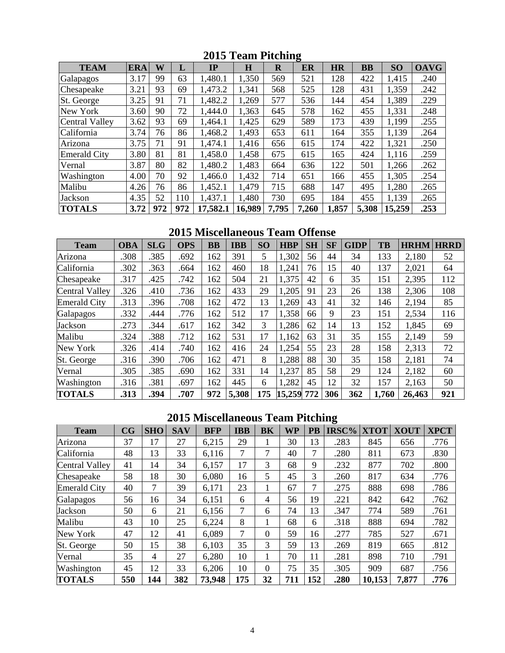| <b>TEAM</b>           | <b>ERA</b> | W   | L   | IP       | $\bf H$ | $\mathbf R$ | ັ<br>ER | <b>HR</b> | <b>BB</b> | SO     | <b>OAVG</b> |
|-----------------------|------------|-----|-----|----------|---------|-------------|---------|-----------|-----------|--------|-------------|
| Galapagos             | 3.17       | 99  | 63  | 1,480.1  | 1,350   | 569         | 521     | 128       | 422       | 1,415  | .240        |
| Chesapeake            | 3.21       | 93  | 69  | 1,473.2  | 1,341   | 568         | 525     | 128       | 431       | 1,359  | .242        |
| St. George            | 3.25       | 91  | 71  | 1,482.2  | 1,269   | 577         | 536     | 144       | 454       | 1,389  | .229        |
| New York              | 3.60       | 90  | 72  | 1,444.0  | 1,363   | 645         | 578     | 162       | 455       | 1,331  | .248        |
| <b>Central Valley</b> | 3.62       | 93  | 69  | 1,464.1  | 1,425   | 629         | 589     | 173       | 439       | 1,199  | .255        |
| California            | 3.74       | 76  | 86  | 1,468.2  | 1,493   | 653         | 611     | 164       | 355       | 1,139  | .264        |
| Arizona               | 3.75       | 71  | 91  | 1,474.1  | 1,416   | 656         | 615     | 174       | 422       | 1,321  | .250        |
| <b>Emerald City</b>   | 3.80       | 81  | 81  | 1,458.0  | 1,458   | 675         | 615     | 165       | 424       | 1,116  | .259        |
| Vernal                | 3.87       | 80  | 82  | 1,480.2  | 1,483   | 664         | 636     | 122       | 501       | 1,266  | .262        |
| Washington            | 4.00       | 70  | 92  | 1,466.0  | 1,432   | 714         | 651     | 166       | 455       | 1,305  | .254        |
| Malibu                | 4.26       | 76  | 86  | 1,452.1  | 1,479   | 715         | 688     | 147       | 495       | 1,280  | .265        |
| Jackson               | 4.35       | 52  | 110 | 1,437.1  | 1,480   | 730         | 695     | 184       | 455       | 1,139  | .265        |
| <b>TOTALS</b>         | 3.72       | 972 | 972 | 17,582.1 | 16,989  | 7,795       | 7,260   | 1,857     | 5,308     | 15,259 | .253        |

**2015 Team Pitching** 

**2015 Miscellaneous Team Offense** 

| <b>Team</b>           | <b>OBA</b> | <b>SLG</b> | <b>OPS</b> | $\bf BB$ | <b>IBB</b> | <b>SO</b> | <b>HBP</b> | <b>SH</b> | <b>SF</b> | <b>GIDP</b> | TB    | <b>HRHM</b> | <b>HRRD</b> |
|-----------------------|------------|------------|------------|----------|------------|-----------|------------|-----------|-----------|-------------|-------|-------------|-------------|
| Arizona               | .308       | .385       | .692       | 162      | 391        | 5         | 1,302      | 56        | 44        | 34          | 133   | 2,180       | 52          |
| California            | .302       | .363       | .664       | 162      | 460        | 18        | 1,241      | 76        | 15        | 40          | 137   | 2,021       | 64          |
| Chesapeake            | .317       | .425       | .742       | 162      | 504        | 21        | 1,375      | 42        | 6         | 35          | 151   | 2,395       | 112         |
| <b>Central Valley</b> | .326       | .410       | .736       | 162      | 433        | 29        | .205       | 91        | 23        | 26          | 138   | 2,306       | 108         |
| <b>Emerald City</b>   | .313       | .396       | .708       | 162      | 472        | 13        | 1,269      | 43        | 41        | 32          | 146   | 2,194       | 85          |
| Galapagos             | .332       | .444       | .776       | 162      | 512        | 17        | 1,358      | 66        | 9         | 23          | 151   | 2,534       | 116         |
| Jackson               | .273       | .344       | .617       | 162      | 342        | 3         | 1,286      | 62        | 14        | 13          | 152   | 1,845       | 69          |
| Malibu                | .324       | .388       | .712       | 162      | 531        | 17        | 1,162      | 63        | 31        | 35          | 155   | 2,149       | 59          |
| New York              | .326       | .414       | .740       | 162      | 416        | 24        | 1,254      | 55        | 23        | 28          | 158   | 2,313       | 72          |
| St. George            | .316       | .390       | .706       | 162      | 471        | 8         | .288       | 88        | 30        | 35          | 158   | 2,181       | 74          |
| Vernal                | .305       | .385       | .690       | 162      | 331        | 14        | 1,237      | 85        | 58        | 29          | 124   | 2,182       | 60          |
| Washington            | .316       | .381       | .697       | 162      | 445        | 6         | 1,282      | 45        | 12        | 32          | 157   | 2,163       | 50          |
| <b>TOTALS</b>         | .313       | .394       | .707       | 972      | 5,308      | 175       | 15,259     | 772       | 306       | 362         | 1,760 | 26,463      | 921         |

# **2015 Miscellaneous Team Pitching**

| <b>Team</b>           | CG  | <b>SHO</b> | <b>SAV</b> | <b>BFP</b> | <b>IBB</b> | <b>BK</b> | <b>WP</b> | PB  | IRSC% | <b>XTOT</b> | <b>XOUT</b> | <b>XPCT</b> |
|-----------------------|-----|------------|------------|------------|------------|-----------|-----------|-----|-------|-------------|-------------|-------------|
| Arizona               | 37  | 17         | 27         | 6,215      | 29         |           | 30        | 13  | .283  | 845         | 656         | .776        |
| California            | 48  | 13         | 33         | 6,116      | 7          | 7         | 40        | 7   | .280  | 811         | 673         | .830        |
| <b>Central Valley</b> | 41  | 14         | 34         | 6,157      | 17         | 3         | 68        | 9   | .232  | 877         | 702         | .800        |
| Chesapeake            | 58  | 18         | 30         | 6,080      | 16         | 5         | 45        | 3   | .260  | 817         | 634         | .776        |
| <b>Emerald City</b>   | 40  | 7          | 39         | 6,171      | 23         | I         | 67        | 7   | .275  | 888         | 698         | .786        |
| Galapagos             | 56  | 16         | 34         | 6,151      | 6          | 4         | 56        | 19  | .221  | 842         | 642         | .762        |
| Jackson               | 50  | 6          | 21         | 6,156      | 7          | 6         | 74        | 13  | .347  | 774         | 589         | .761        |
| Malibu                | 43  | 10         | 25         | 6,224      | 8          |           | 68        | 6   | .318  | 888         | 694         | .782        |
| New York              | 47  | 12         | 41         | 6,089      | 7          | $\Omega$  | 59        | 16  | .277  | 785         | 527         | .671        |
| St. George            | 50  | 15         | 38         | 6,103      | 35         | 3         | 59        | 13  | .269  | 819         | 665         | .812        |
| Vernal                | 35  | 4          | 27         | 6,280      | 10         | 1         | 70        | 11  | .281  | 898         | 710         | .791        |
| Washington            | 45  | 12         | 33         | 6,206      | 10         | $\Omega$  | 75        | 35  | .305  | 909         | 687         | .756        |
| <b>TOTALS</b>         | 550 | 144        | 382        | 73,948     | 175        | 32        | 711       | 152 | .280  | 10,153      | 7,877       | .776        |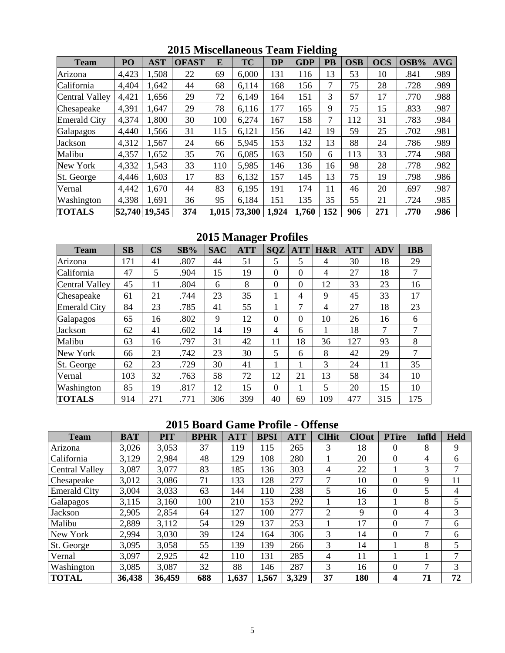| <b>Team</b>         | PO    | <b>AST</b>    | <b>OFAST</b> | E     | <b>TC</b> | <b>DP</b> | <b>GDP</b> | o<br><b>PB</b> | <b>OSB</b> | <b>OCS</b> | OSB% | <b>AVG</b> |
|---------------------|-------|---------------|--------------|-------|-----------|-----------|------------|----------------|------------|------------|------|------------|
| Arizona             | 4,423 | 1,508         | 22           | 69    | 6,000     | 131       | 116        | 13             | 53         | 10         | .841 | .989       |
| California          | 4,404 | 1,642         | 44           | 68    | 6,114     | 168       | 156        | 7              | 75         | 28         | .728 | .989       |
| Central Valley      | 4,421 | 1,656         | 29           | 72    | 6,149     | 164       | 151        | 3              | 57         | 17         | .770 | .988       |
| Chesapeake          | 4,391 | 1,647         | 29           | 78    | 6,116     | 177       | 165        | 9              | 75         | 15         | .833 | .987       |
| <b>Emerald City</b> | 4,374 | 1,800         | 30           | 100   | 6,274     | 167       | 158        | 7              | 112        | 31         | .783 | .984       |
| Galapagos           | 4,440 | 1,566         | 31           | 115   | 6,121     | 156       | 142        | 19             | 59         | 25         | .702 | .981       |
| Jackson             | 4,312 | 1,567         | 24           | 66    | 5,945     | 153       | 132        | 13             | 88         | 24         | .786 | .989       |
| Malibu              | 4,357 | 1,652         | 35           | 76    | 6,085     | 163       | 150        | 6              | 113        | 33         | .774 | .988       |
| New York            | 4,332 | 1,543         | 33           | 110   | 5,985     | 146       | 136        | 16             | 98         | 28         | .778 | .982       |
| St. George          | 4,446 | 1,603         | 17           | 83    | 6,132     | 157       | 145        | 13             | 75         | 19         | .798 | .986       |
| Vernal              | 4,442 | 1,670         | 44           | 83    | 6,195     | 191       | 174        | 11             | 46         | 20         | .697 | .987       |
| Washington          | 4,398 | 1,691         | 36           | 95    | 6,184     | 151       | 135        | 35             | 55         | 21         | .724 | .985       |
| <b>TOTALS</b>       |       | 52,740 19,545 | 374          | 1,015 | 73,300    | 1,924     | 1.760      | 152            | 906        | 271        | .770 | .986       |

**2015 Miscellaneous Team Fielding** 

**2015 Manager Profiles** 

| <b>Team</b>           | SB  | $\overline{\text{CS}}$ | SB%  | <b>SAC</b> | <b>ATT</b> | <b>SQZ</b> | <b>ATT</b>     | H&R | <b>ATT</b> | <b>ADV</b> | <b>IBB</b> |
|-----------------------|-----|------------------------|------|------------|------------|------------|----------------|-----|------------|------------|------------|
| Arizona               | 171 | 41                     | .807 | 44         | 51         | 5          | 5              | 4   | 30         | 18         | 29         |
| California            | 47  | 5                      | .904 | 15         | 19         | $\theta$   | $\overline{0}$ | 4   | 27         | 18         | 7          |
| <b>Central Valley</b> | 45  | 11                     | .804 | 6          | 8          | $\theta$   | $\theta$       | 12  | 33         | 23         | 16         |
| Chesapeake            | 61  | 21                     | .744 | 23         | 35         |            | $\overline{4}$ | 9   | 45         | 33         | 17         |
| <b>Emerald City</b>   | 84  | 23                     | .785 | 41         | 55         |            | 7              | 4   | 27         | 18         | 23         |
| Galapagos             | 65  | 16                     | .802 | 9          | 12         | $\theta$   | $\theta$       | 10  | 26         | 16         | 6          |
| Jackson               | 62  | 41                     | .602 | 14         | 19         | 4          | 6              |     | 18         | 7          | 7          |
| Malibu                | 63  | 16                     | .797 | 31         | 42         | 11         | 18             | 36  | 127        | 93         | 8          |
| New York              | 66  | 23                     | .742 | 23         | 30         | 5          | 6              | 8   | 42         | 29         | 7          |
| St. George            | 62  | 23                     | .729 | 30         | 41         |            |                | 3   | 24         | 11         | 35         |
| Vernal                | 103 | 32                     | .763 | 58         | 72         | 12         | 21             | 13  | 58         | 34         | 10         |
| Washington            | 85  | 19                     | .817 | 12         | 15         | $\theta$   |                | 5   | 20         | 15         | 10         |
| <b>TOTALS</b>         | 914 | 271                    | .771 | 306        | 399        | 40         | 69             | 109 | 477        | 315        | 175        |

# **2015 Board Game Profile - Offense**

| <b>Team</b>           | <b>BAT</b> | <b>PIT</b> | <b>BPHR</b> | <b>ATT</b> | <b>BPSI</b> | <b>ATT</b> | <b>ClHit</b>                | <b>ClOut</b> | <b>PTire</b>   | Infld | <b>Held</b>    |
|-----------------------|------------|------------|-------------|------------|-------------|------------|-----------------------------|--------------|----------------|-------|----------------|
| Arizona               | 3,026      | 3,053      | 37          | 119        | 115         | 265        | 3                           | 18           | 0              | 8     | 9              |
| California            | 3,129      | 2,984      | 48          | 129        | 108         | 280        |                             | 20           | $\Omega$       | 4     | 6              |
| <b>Central Valley</b> | 3,087      | 3,077      | 83          | 185        | 136         | 303        | 4                           | 22           |                | 3     | 7              |
| Chesapeake            | 3,012      | 3,086      | 71          | 133        | 128         | 277        | 7                           | 10           | 0              | 9     | 11             |
| <b>Emerald City</b>   | 3,004      | 3,033      | 63          | 144        | 110         | 238        | 5                           | 16           | $\Omega$       | 5     | $\overline{4}$ |
| Galapagos             | 3,115      | 3,160      | 100         | 210        | 153         | 292        |                             | 13           |                | 8     | 5              |
| Jackson               | 2,905      | 2,854      | 64          | 127        | 100         | 277        | $\mathcal{D}_{\mathcal{A}}$ | 9            | 0              | 4     | 3              |
| Malibu                | 2,889      | 3,112      | 54          | 129        | 137         | 253        |                             | 17           | $\Omega$       | 7     | 6              |
| New York              | 2,994      | 3,030      | 39          | 124        | 164         | 306        | 3                           | 14           | $\overline{0}$ | 7     | 6              |
| St. George            | 3,095      | 3,058      | 55          | 139        | 139         | 266        | 3                           | 14           |                | 8     | 5              |
| Vernal                | 3,097      | 2,925      | 42          | 110        | 131         | 285        | 4                           | 11           |                |       | 7              |
| Washington            | 3,085      | 3,087      | 32          | 88         | 146         | 287        | 3                           | 16           | 0              | 7     | 3              |
| <b>TOTAL</b>          | 36,438     | 36,459     | 688         | 1,637      | 1,567       | 3,329      | 37                          | 180          | 4              | 71    | 72             |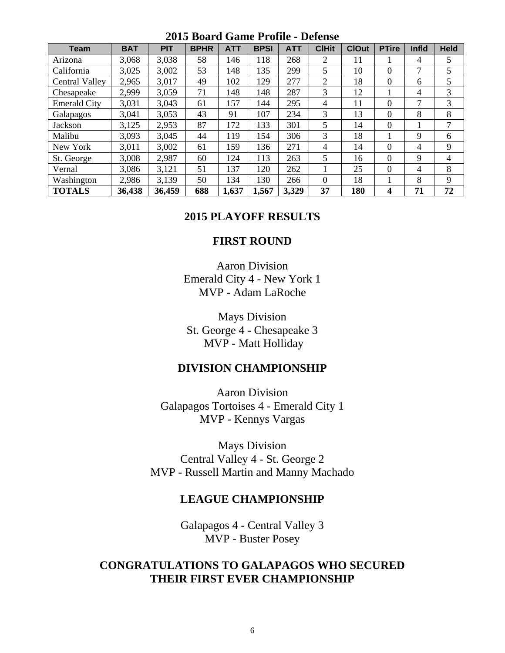| 2019 Doaru Game Frome<br>DUUR |            |            |             |            |             |            |                |              |                |                |             |
|-------------------------------|------------|------------|-------------|------------|-------------|------------|----------------|--------------|----------------|----------------|-------------|
| <b>Team</b>                   | <b>BAT</b> | <b>PIT</b> | <b>BPHR</b> | <b>ATT</b> | <b>BPSI</b> | <b>ATT</b> | <b>CIHit</b>   | <b>ClOut</b> | <b>PTire</b>   | Infld          | <b>Held</b> |
| Arizona                       | 3,068      | 3,038      | 58          | 146        | 118         | 268        | 2              | 11           |                | $\overline{4}$ | 5           |
| California                    | 3,025      | 3,002      | 53          | 148        | 135         | 299        | 5              | 10           | $\overline{0}$ | $\mathcal{I}$  | 5           |
| <b>Central Valley</b>         | 2,965      | 3,017      | 49          | 102        | 129         | 277        | $\overline{2}$ | 18           | $\Omega$       | 6              | 5           |
| Chesapeake                    | 2,999      | 3,059      | 71          | 148        | 148         | 287        | 3              | 12           | 1              | $\overline{4}$ | 3           |
| <b>Emerald City</b>           | 3,031      | 3,043      | 61          | 157        | 144         | 295        | 4              | 11           | $\Omega$       | 7              | 3           |
| Galapagos                     | 3,041      | 3,053      | 43          | 91         | 107         | 234        | 3              | 13           | $\Omega$       | 8              | 8           |
| Jackson                       | 3,125      | 2,953      | 87          | 172        | 133         | 301        | 5              | 14           | $\Omega$       |                | 7           |
| Malibu                        | 3,093      | 3,045      | 44          | 119        | 154         | 306        | 3              | 18           |                | 9              | 6           |
| New York                      | 3,011      | 3,002      | 61          | 159        | 136         | 271        | 4              | 14           | $\Omega$       | $\overline{4}$ | 9           |
| St. George                    | 3,008      | 2,987      | 60          | 124        | 113         | 263        | 5              | 16           | $\overline{0}$ | 9              | 4           |
| Vernal                        | 3,086      | 3,121      | 51          | 137        | 120         | 262        |                | 25           | $\Omega$       | $\overline{4}$ | 8           |
| Washington                    | 2,986      | 3,139      | 50          | 134        | 130         | 266        | $\theta$       | 18           | 1              | 8              | 9           |
| <b>TOTALS</b>                 | 36,438     | 36,459     | 688         | 1,637      | 1,567       | 3,329      | 37             | 180          | 4              | 71             | 72          |

### **2015 Board Game Profile - Defense**

### **2015 PLAYOFF RESULTS**

### **FIRST ROUND**

Aaron Division Emerald City 4 - New York 1 MVP - Adam LaRoche

Mays Division St. George 4 - Chesapeake 3 MVP - Matt Holliday

### **DIVISION CHAMPIONSHIP**

Aaron Division Galapagos Tortoises 4 - Emerald City 1 MVP - Kennys Vargas

Mays Division Central Valley 4 - St. George 2 MVP - Russell Martin and Manny Machado

### **LEAGUE CHAMPIONSHIP**

Galapagos 4 - Central Valley 3 MVP - Buster Posey

### **CONGRATULATIONS TO GALAPAGOS WHO SECURED THEIR FIRST EVER CHAMPIONSHIP**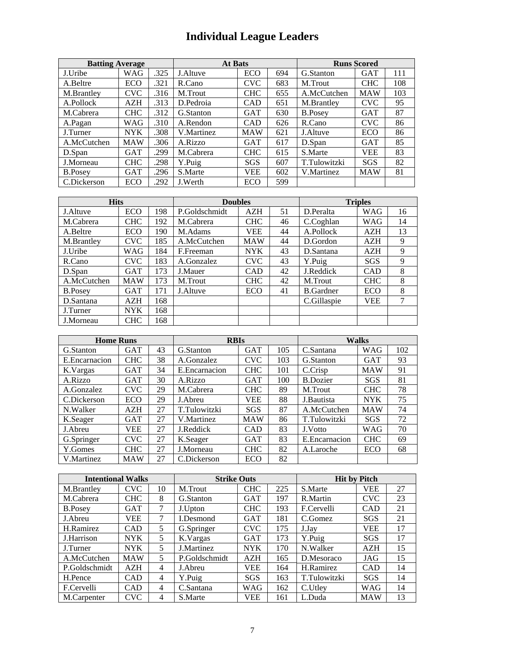# **Individual League Leaders**

| <b>Batting Average</b> |            |      | <b>At Bats</b> | <b>Runs Scored</b> |     |                |            |     |
|------------------------|------------|------|----------------|--------------------|-----|----------------|------------|-----|
| J.Uribe                | <b>WAG</b> | .325 | J.Altuve       | ECO                | 694 | G.Stanton      | <b>GAT</b> | 111 |
| A.Beltre               | ECO        | .321 | R.Cano         | <b>CVC</b>         | 683 | M.Trout        | <b>CHC</b> | 108 |
| M.Brantley             | <b>CVC</b> | .316 | M.Trout        | <b>CHC</b>         | 655 | A.McCutchen    | <b>MAW</b> | 103 |
| A.Pollock              | AZH        | .313 | D.Pedroia      | <b>CAD</b>         | 651 | M.Brantley     | <b>CVC</b> | 95  |
| M.Cabrera              | <b>CHC</b> | .312 | G.Stanton      | <b>GAT</b>         | 630 | <b>B.Posey</b> | <b>GAT</b> | 87  |
| A.Pagan                | WAG        | .310 | A.Rendon       | <b>CAD</b>         | 626 | R.Cano         | <b>CVC</b> | 86  |
| J.Turner               | <b>NYK</b> | .308 | V.Martinez     | <b>MAW</b>         | 621 | J.Altuve       | ECO        | 86  |
| A.McCutchen            | <b>MAW</b> | .306 | A.Rizzo        | <b>GAT</b>         | 617 | D.Span         | <b>GAT</b> | 85  |
| D.Span                 | <b>GAT</b> | .299 | M.Cabrera      | <b>CHC</b>         | 615 | S.Marte        | VEE        | 83  |
| J.Morneau              | <b>CHC</b> | .298 | Y.Puig         | SGS                | 607 | T.Tulowitzki   | SGS        | 82  |
| <b>B.Posey</b>         | <b>GAT</b> | .296 | S.Marte        | <b>VEE</b>         | 602 | V.Martinez     | <b>MAW</b> | 81  |
| C.Dickerson            | ECO        | .292 | J.Werth        | ECO                | 599 |                |            |     |

| <b>Hits</b>    |            |     | <b>Doubles</b> | <b>Triples</b> |    |                  |            |    |
|----------------|------------|-----|----------------|----------------|----|------------------|------------|----|
| J. Altuve      | ECO        | 198 | P.Goldschmidt  | AZH            | 51 | D.Peralta        | WAG        | 16 |
| M.Cabrera      | <b>CHC</b> | 192 | M.Cabrera      | <b>CHC</b>     | 46 | C.Coghlan        | <b>WAG</b> | 14 |
| A.Beltre       | <b>ECO</b> | 190 | M.Adams        | <b>VEE</b>     | 44 | A.Pollock        | <b>AZH</b> | 13 |
| M.Brantley     | <b>CVC</b> | 185 | A.McCutchen    | <b>MAW</b>     | 44 | D.Gordon         | AZH        | 9  |
| J.Uribe        | WAG        | 184 | F.Freeman      | <b>NYK</b>     | 43 | D.Santana        | <b>AZH</b> | 9  |
| R.Cano         | <b>CVC</b> | 183 | A.Gonzalez     | <b>CVC</b>     | 43 | Y.Puig           | <b>SGS</b> | 9  |
| D.Span         | <b>GAT</b> | 173 | J.Mauer        | <b>CAD</b>     | 42 | J.Reddick        | <b>CAD</b> | 8  |
| A.McCutchen    | <b>MAW</b> | 173 | M.Trout        | <b>CHC</b>     | 42 | M.Trout          | <b>CHC</b> | 8  |
| <b>B.Posey</b> | <b>GAT</b> | 171 | J.Altuve       | ECO            | 41 | <b>B.Gardner</b> | ECO        | 8  |
| D.Santana      | <b>AZH</b> | 168 |                |                |    | C.Gillaspie      | VEE        | 7  |
| J.Turner       | <b>NYK</b> | 168 |                |                |    |                  |            |    |
| J.Morneau      | <b>CHC</b> | 168 |                |                |    |                  |            |    |

| <b>Home Runs</b> |            |    | <b>RBIs</b>   |            | <b>Walks</b> |                 |            |     |
|------------------|------------|----|---------------|------------|--------------|-----------------|------------|-----|
| G.Stanton        | <b>GAT</b> | 43 | G.Stanton     | <b>GAT</b> | 105          | C.Santana       | WAG        | 102 |
| E.Encarnacion    | <b>CHC</b> | 38 | A.Gonzalez    | <b>CVC</b> | 103          | G.Stanton       | <b>GAT</b> | 93  |
| K. Vargas        | <b>GAT</b> | 34 | E.Encarnacion | <b>CHC</b> | 101          | C.Crisp         | <b>MAW</b> | 91  |
| A.Rizzo          | <b>GAT</b> | 30 | A.Rizzo       | <b>GAT</b> | 100          | <b>B.Dozier</b> | SGS        | 81  |
| A.Gonzalez       | <b>CVC</b> | 29 | M.Cabrera     | <b>CHC</b> | 89           | M.Trout         | <b>CHC</b> | 78  |
| C.Dickerson      | <b>ECO</b> | 29 | J.Abreu       | <b>VEE</b> | 88           | J.Bautista      | <b>NYK</b> | 75  |
| N.Walker         | AZH        | 27 | T.Tulowitzki  | <b>SGS</b> | 87           | A.McCutchen     | <b>MAW</b> | 74  |
| K.Seager         | <b>GAT</b> | 27 | V.Martinez    | <b>MAW</b> | 86           | T.Tulowitzki    | SGS        | 72  |
| J.Abreu          | <b>VEE</b> | 27 | J.Reddick     | <b>CAD</b> | 83           | J.Votto         | WAG        | 70  |
| G.Springer       | <b>CVC</b> | 27 | K.Seager      | <b>GAT</b> | 83           | E. Encarnacion  | <b>CHC</b> | 69  |
| Y.Gomes          | <b>CHC</b> | 27 | J.Morneau     | <b>CHC</b> | 82           | A.Laroche       | ECO        | 68  |
| V.Martinez       | <b>MAW</b> | 27 | C.Dickerson   | ECO        | 82           |                 |            |     |

| <b>Intentional Walks</b> |            |                | <b>Strike Outs</b> |            |     | <b>Hit by Pitch</b> |            |    |  |
|--------------------------|------------|----------------|--------------------|------------|-----|---------------------|------------|----|--|
| M.Brantley               | <b>CVC</b> | 10             | M.Trout            | <b>CHC</b> | 225 | S.Marte             | VEE        | 27 |  |
| M.Cabrera                | <b>CHC</b> | 8              | G.Stanton          | <b>GAT</b> | 197 | R.Martin            | <b>CVC</b> | 23 |  |
| <b>B.Posev</b>           | GAT        | 7              | J.Upton            | <b>CHC</b> | 193 | F.Cervelli          | <b>CAD</b> | 21 |  |
| J.Abreu                  | <b>VEE</b> | 7              | LDesmond           | <b>GAT</b> | 181 | C.Gomez             | SGS        | 21 |  |
| H.Ramirez                | CAD        | 5              | G.Springer         | <b>CVC</b> | 175 | J.Jav               | VEE        | 17 |  |
| J.Harrison               | <b>NYK</b> | 5              | K.Vargas           | <b>GAT</b> | 173 | Y.Puig              | SGS        | 17 |  |
| J.Turner                 | <b>NYK</b> | 5              | J.Martinez         | <b>NYK</b> | 170 | N.Walker            | <b>AZH</b> | 15 |  |
| A.McCutchen              | <b>MAW</b> | 5              | P.Goldschmidt      | AZH        | 165 | D.Mesoraco          | JAG        | 15 |  |
| P.Goldschmidt            | AZH        | $\overline{4}$ | J.Abreu            | <b>VEE</b> | 164 | H.Ramirez           | <b>CAD</b> | 14 |  |
| H.Pence                  | <b>CAD</b> | $\overline{4}$ | Y.Puig             | <b>SGS</b> | 163 | T.Tulowitzki        | <b>SGS</b> | 14 |  |
| F.Cervelli               | CAD        | $\overline{4}$ | C.Santana          | <b>WAG</b> | 162 | C.Utlev             | WAG        | 14 |  |
| M.Carpenter              | CVC        | 4              | S.Marte            | <b>VEE</b> | 161 | L.Duda              | <b>MAW</b> | 13 |  |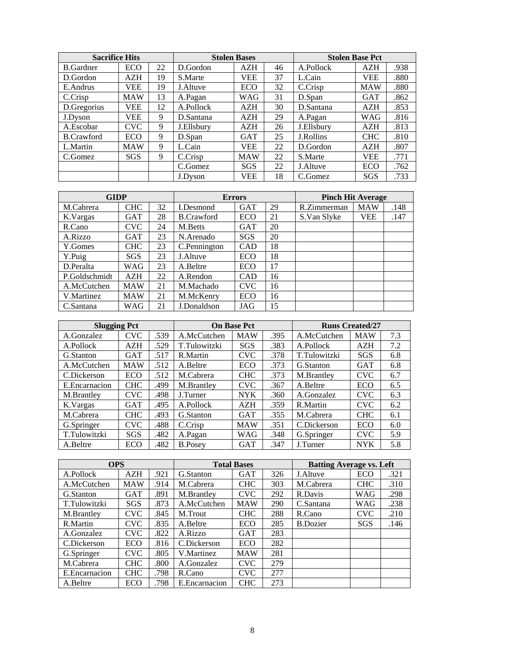| <b>Sacrifice Hits</b> |            |    | <b>Stolen Bases</b> |            |    | <b>Stolen Base Pct</b> |            |      |
|-----------------------|------------|----|---------------------|------------|----|------------------------|------------|------|
| <b>B.Gardner</b>      | ECO        | 22 | D.Gordon            | <b>AZH</b> | 46 | A.Pollock              | AZH        | .938 |
| D.Gordon              | AZH        | 19 | S.Marte             | <b>VEE</b> | 37 | L.Cain                 | VEE        | .880 |
| E.Andrus              | <b>VEE</b> | 19 | J.Altuve            | ECO        | 32 | C.Crisp                | <b>MAW</b> | .880 |
| C.Crisp               | <b>MAW</b> | 13 | A.Pagan             | WAG        | 31 | D.Span                 | <b>GAT</b> | .862 |
| D.Gregorius           | VEE        | 12 | A.Pollock           | AZH        | 30 | D.Santana              | <b>AZH</b> | .853 |
| J.Dyson               | VEE        | 9  | D.Santana           | <b>AZH</b> | 29 | A.Pagan                | <b>WAG</b> | .816 |
| A.Escobar             | <b>CVC</b> | 9  | J.Ellsbury          | AZH        | 26 | J.Ellsbury             | <b>AZH</b> | .813 |
| <b>B.Crawford</b>     | <b>ECO</b> | 9  | D.Span              | <b>GAT</b> | 25 | J.Rollins              | <b>CHC</b> | .810 |
| L.Martin              | <b>MAW</b> | 9  | L.Cain              | VEE        | 22 | D.Gordon               | AZH        | .807 |
| C.Gomez               | <b>SGS</b> | 9  | C.Crisp             | <b>MAW</b> | 22 | S.Marte                | VEE        | .771 |
|                       |            |    | C.Gomez             | SGS        | 22 | J.Altuve               | <b>ECO</b> | .762 |
|                       |            |    | J.Dyson             | VEE        | 18 | C.Gomez                | SGS        | .733 |

| <b>GIDP</b>   |            |    | <b>Errors</b>     |            |    | <b>Pinch Hit Average</b> |            |      |  |
|---------------|------------|----|-------------------|------------|----|--------------------------|------------|------|--|
| M.Cabrera     | <b>CHC</b> | 32 | I.Desmond         | <b>GAT</b> | 29 | R.Zimmerman              | <b>MAW</b> | .148 |  |
| K.Vargas      | <b>GAT</b> | 28 | <b>B.Crawford</b> | ECO        | 21 | S.Van Slyke              | VEE        | .147 |  |
| R.Cano        | <b>CVC</b> | 24 | M.Betts           | <b>GAT</b> | 20 |                          |            |      |  |
| A.Rizzo       | <b>GAT</b> | 23 | N.Arenado         | SGS        | 20 |                          |            |      |  |
| Y.Gomes       | <b>CHC</b> | 23 | C.Pennington      | <b>CAD</b> | 18 |                          |            |      |  |
| Y.Puig        | <b>SGS</b> | 23 | J.Altuve          | ECO        | 18 |                          |            |      |  |
| D.Peralta     | WAG        | 23 | A.Beltre          | ECO        | 17 |                          |            |      |  |
| P.Goldschmidt | <b>AZH</b> | 22 | A.Rendon          | <b>CAD</b> | 16 |                          |            |      |  |
| A.McCutchen   | <b>MAW</b> | 21 | M.Machado         | <b>CVC</b> | 16 |                          |            |      |  |
| V.Martinez    | <b>MAW</b> | 21 | M.McKenry         | ECO        | 16 |                          |            |      |  |
| C.Santana     | WAG        | 21 | J.Donaldson       | JAG        | 15 |                          |            |      |  |

| <b>Slugging Pct</b> |            |      |                | <b>On Base Pct</b> |      | <b>Runs Created/27</b> |            |     |  |
|---------------------|------------|------|----------------|--------------------|------|------------------------|------------|-----|--|
| A.Gonzalez          | CVC        | .539 | A.McCutchen    | <b>MAW</b>         | .395 | A.McCutchen            | <b>MAW</b> | 7.3 |  |
| A.Pollock           | AZH        | .529 | T.Tulowitzki   | SGS                | .383 | A.Pollock              | AZH        | 7.2 |  |
| G.Stanton           | <b>GAT</b> | .517 | R.Martin       | <b>CVC</b>         | .378 | T.Tulowitzki           | SGS        | 6.8 |  |
| A.McCutchen         | <b>MAW</b> | .512 | A.Beltre       | ECO                | .373 | G.Stanton              | <b>GAT</b> | 6.8 |  |
| C.Dickerson         | ECO        | .512 | M.Cabrera      | <b>CHC</b>         | .373 | M.Brantley             | <b>CVC</b> | 6.7 |  |
| E. Encarnacion      | <b>CHC</b> | .499 | M.Brantley     | <b>CVC</b>         | .367 | A.Beltre               | ECO        | 6.5 |  |
| M.Brantley          | <b>CVC</b> | .498 | J.Turner       | <b>NYK</b>         | .360 | A.Gonzalez             | <b>CVC</b> | 6.3 |  |
| K.Vargas            | <b>GAT</b> | .495 | A.Pollock      | AZH                | .359 | R.Martin               | <b>CVC</b> | 6.2 |  |
| M.Cabrera           | <b>CHC</b> | .493 | G.Stanton      | <b>GAT</b>         | .355 | M.Cabrera              | <b>CHC</b> | 6.1 |  |
| G.Springer          | <b>CVC</b> | .488 | C.Crisp        | <b>MAW</b>         | .351 | C.Dickerson            | ECO        | 6.0 |  |
| T.Tulowitzki        | SGS        | .482 | A.Pagan        | WAG                | .348 | G.Springer             | <b>CVC</b> | 5.9 |  |
| A.Beltre            | ECO        | .482 | <b>B.Posev</b> | <b>GAT</b>         | .347 | J.Turner               | <b>NYK</b> | 5.8 |  |

| <b>OPS</b>    |            |      |               | <b>Total Bases</b> |     | <b>Batting Average vs. Left</b> |            |      |  |
|---------------|------------|------|---------------|--------------------|-----|---------------------------------|------------|------|--|
| A.Pollock     | <b>AZH</b> | .921 | G.Stanton     | GAT                | 326 | J.Altuve                        | ECO        | .321 |  |
| A.McCutchen   | <b>MAW</b> | .914 | M.Cabrera     | <b>CHC</b>         | 303 | M.Cabrera                       | <b>CHC</b> | .310 |  |
| G.Stanton     | <b>GAT</b> | .891 | M.Brantley    | <b>CVC</b>         | 292 | R.Davis                         | WAG        | .298 |  |
| T.Tulowitzki  | SGS        | .873 | A.McCutchen   | <b>MAW</b>         | 290 | C.Santana                       | <b>WAG</b> | .238 |  |
| M.Brantley    | <b>CVC</b> | .845 | M.Trout       | <b>CHC</b>         | 288 | R.Cano                          | <b>CVC</b> | .210 |  |
| R.Martin      | <b>CVC</b> | .835 | A.Beltre      | ECO                | 285 | <b>B.Dozier</b>                 | SGS        | .146 |  |
| A.Gonzalez    | <b>CVC</b> | .822 | A.Rizzo       | <b>GAT</b>         | 283 |                                 |            |      |  |
| C.Dickerson   | ECO        | .816 | C.Dickerson   | ECO                | 282 |                                 |            |      |  |
| G.Springer    | <b>CVC</b> | .805 | V.Martinez    | <b>MAW</b>         | 281 |                                 |            |      |  |
| M.Cabrera     | <b>CHC</b> | .800 | A.Gonzalez    | CVC                | 279 |                                 |            |      |  |
| E.Encarnacion | <b>CHC</b> | .798 | R.Cano        | <b>CVC</b>         | 277 |                                 |            |      |  |
| A.Beltre      | ECO        | .798 | E.Encarnacion | CHC                | 273 |                                 |            |      |  |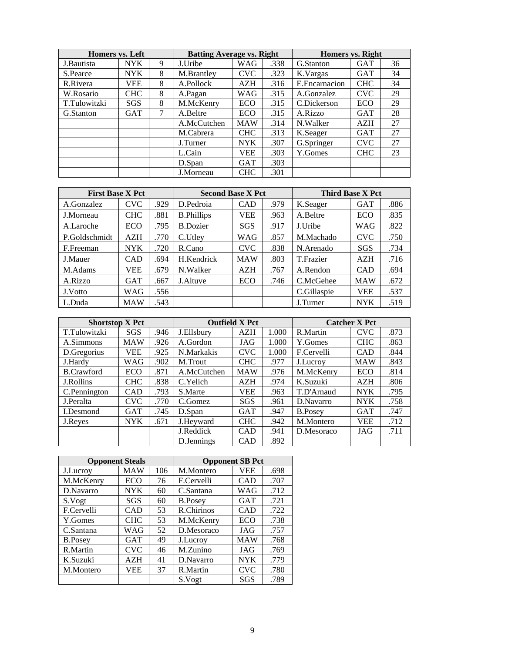| Homers vs. Left |            |   | <b>Batting Average vs. Right</b> |            |      | <b>Homers vs. Right</b> |            |    |  |
|-----------------|------------|---|----------------------------------|------------|------|-------------------------|------------|----|--|
| J. Bautista     | <b>NYK</b> | 9 | J.Uribe                          | WAG        | .338 | G.Stanton               | <b>GAT</b> | 36 |  |
| S.Pearce        | <b>NYK</b> | 8 | M.Brantley                       | <b>CVC</b> | .323 | K.Vargas                | GAT        | 34 |  |
| R.Rivera        | VEE        | 8 | A.Pollock                        | AZH        | .316 | E.Encarnacion           | <b>CHC</b> | 34 |  |
| W.Rosario       | <b>CHC</b> | 8 | A.Pagan                          | WAG        | .315 | A.Gonzalez              | <b>CVC</b> | 29 |  |
| T.Tulowitzki    | <b>SGS</b> | 8 | M.McKenry                        | ECO        | .315 | C.Dickerson             | ECO        | 29 |  |
| G.Stanton       | <b>GAT</b> | 7 | A.Beltre                         | ECO        | .315 | A.Rizzo                 | <b>GAT</b> | 28 |  |
|                 |            |   | A.McCutchen                      | <b>MAW</b> | .314 | N.Walker                | <b>AZH</b> | 27 |  |
|                 |            |   | M.Cabrera                        | <b>CHC</b> | .313 | K.Seager                | <b>GAT</b> | 27 |  |
|                 |            |   | J.Turner                         | <b>NYK</b> | .307 | G.Springer              | <b>CVC</b> | 27 |  |
|                 |            |   | L.Cain                           | <b>VEE</b> | .303 | Y.Gomes                 | <b>CHC</b> | 23 |  |
|                 |            |   | D.Span                           | <b>GAT</b> | .303 |                         |            |    |  |
|                 |            |   | J.Morneau                        | <b>CHC</b> | .301 |                         |            |    |  |

| <b>First Base X Pct</b> |            |      | <b>Second Base X Pct</b> |            |      | <b>Third Base X Pct</b> |            |      |  |
|-------------------------|------------|------|--------------------------|------------|------|-------------------------|------------|------|--|
| A.Gonzalez              | <b>CVC</b> | .929 | D.Pedroia                | <b>CAD</b> | .979 | K.Seager                | <b>GAT</b> | .886 |  |
| J.Morneau               | <b>CHC</b> | .881 | <b>B.Phillips</b>        | VEE        | .963 | A.Beltre                | ECO        | .835 |  |
| A.Laroche               | ECO        | .795 | <b>B.Dozier</b>          | <b>SGS</b> | .917 | J.Uribe                 | WAG        | .822 |  |
| P.Goldschmidt           | <b>AZH</b> | .770 | C.Utley                  | WAG        | .857 | M.Machado               | <b>CVC</b> | .750 |  |
| F.Freeman               | <b>NYK</b> | .720 | R.Cano                   | <b>CVC</b> | .838 | N.Arenado               | <b>SGS</b> | .734 |  |
| J.Mauer                 | <b>CAD</b> | .694 | H.Kendrick               | <b>MAW</b> | .803 | T.Frazier               | <b>AZH</b> | .716 |  |
| M.Adams                 | VEE        | .679 | N.Walker                 | <b>AZH</b> | .767 | A.Rendon                | <b>CAD</b> | .694 |  |
| A.Rizzo                 | <b>GAT</b> | .667 | J.Altuve                 | ECO        | .746 | C.McGehee               | <b>MAW</b> | .672 |  |
| J.Votto                 | WAG        | .556 |                          |            |      | C.Gillaspie             | VEE        | .537 |  |
| L.Duda                  | <b>MAW</b> | .543 |                          |            |      | J.Turner                | <b>NYK</b> | .519 |  |

| <b>Shortstop X Pct</b> |            |      |             | <b>Outfield X Pct</b> |       |                | <b>Catcher X Pct</b> |      |
|------------------------|------------|------|-------------|-----------------------|-------|----------------|----------------------|------|
| T.Tulowitzki           | <b>SGS</b> | .946 | J.Ellsbury  | <b>AZH</b>            | 1.000 | R.Martin       | <b>CVC</b>           | .873 |
| A.Simmons              | <b>MAW</b> | .926 | A.Gordon    | JAG                   | 1.000 | Y.Gomes        | <b>CHC</b>           | .863 |
| D.Gregorius            | VEE        | .925 | N.Markakis  | <b>CVC</b>            | 1.000 | F.Cervelli     | CAD                  | .844 |
| J.Hardy                | WAG        | .902 | M.Trout     | <b>CHC</b>            | .977  | J.Lucroy       | <b>MAW</b>           | .843 |
| <b>B.Crawford</b>      | ECO        | .871 | A.McCutchen | <b>MAW</b>            | .976  | M.McKenry      | ECO                  | .814 |
| J.Rollins              | <b>CHC</b> | .838 | C.Yelich    | <b>AZH</b>            | .974  | K.Suzuki       | <b>AZH</b>           | .806 |
| C.Pennington           | <b>CAD</b> | .793 | S.Marte     | VEE                   | .963  | T.D'Arnaud     | <b>NYK</b>           | .795 |
| J.Peralta              | <b>CVC</b> | .770 | C.Gomez     | <b>SGS</b>            | .961  | D.Navarro      | <b>NYK</b>           | .758 |
| I.Desmond              | <b>GAT</b> | .745 | D.Span      | <b>GAT</b>            | .947  | <b>B.Posev</b> | <b>GAT</b>           | .747 |
| J.Reyes                | <b>NYK</b> | .671 | J.Heyward   | <b>CHC</b>            | .942  | M.Montero      | <b>VEE</b>           | .712 |
|                        |            |      | J.Reddick   | <b>CAD</b>            | .941  | D.Mesoraco     | JAG                  | .711 |
|                        |            |      | D. Jennings | <b>CAD</b>            | .892  |                |                      |      |

| <b>Opponent Steals</b> |            |     |                | <b>Opponent SB Pct</b> |      |
|------------------------|------------|-----|----------------|------------------------|------|
| J.Lucroy               | MAW        | 106 | M.Montero      | <b>VEE</b>             | .698 |
| M.McKenry              | ECO        | 76  | F.Cervelli     | <b>CAD</b>             | .707 |
| D.Navarro              | <b>NYK</b> | 60  | C.Santana      | WAG                    | .712 |
| S.Vogt                 | SGS        | 60  | <b>B.Posey</b> | <b>GAT</b>             | .721 |
| F.Cervelli             | CAD        | 53  | R.Chirinos     | <b>CAD</b>             | .722 |
| Y.Gomes                | <b>CHC</b> | 53  | M.McKenry      | ECO                    | .738 |
| C.Santana              | WAG        | 52  | D.Mesoraco     | JAG                    | .757 |
| <b>B.Posey</b>         | <b>GAT</b> | 49  | J.Lucroy       | <b>MAW</b>             | .768 |
| R.Martin               | <b>CVC</b> | 46  | M.Zunino       | JAG                    | .769 |
| K.Suzuki               | AZH        | 41  | D.Navarro      | <b>NYK</b>             | .779 |
| M.Montero              | VEE        | 37  | R.Martin       | <b>CVC</b>             | .780 |
|                        |            |     | S.Vogt         | SGS                    | .789 |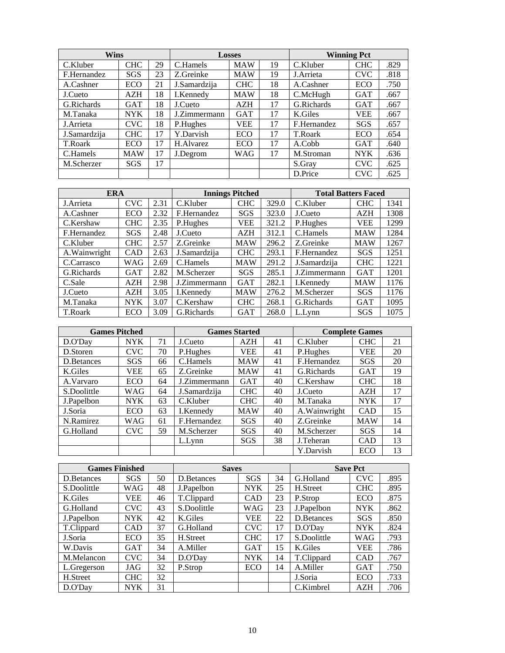| <b>Wins</b>  |            |    |              | <b>Losses</b> |    |             | <b>Winning Pct</b> |      |
|--------------|------------|----|--------------|---------------|----|-------------|--------------------|------|
| C.Kluber     | <b>CHC</b> | 29 | C.Hamels     | <b>MAW</b>    | 19 | C.Kluber    | <b>CHC</b>         | .829 |
| F.Hernandez  | <b>SGS</b> | 23 | Z.Greinke    | <b>MAW</b>    | 19 | J.Arrieta   | <b>CVC</b>         | .818 |
| A.Cashner    | ECO        | 21 | J.Samardzija | <b>CHC</b>    | 18 | A.Cashner   | ECO                | .750 |
| J.Cueto      | AZH        | 18 | I.Kennedy    | <b>MAW</b>    | 18 | C.McHugh    | <b>GAT</b>         | .667 |
| G.Richards   | <b>GAT</b> | 18 | J.Cueto      | AZH           | 17 | G.Richards  | <b>GAT</b>         | .667 |
| M.Tanaka     | <b>NYK</b> | 18 | J.Zimmermann | <b>GAT</b>    | 17 | K.Giles     | VEE                | .667 |
| J. Arrieta   | <b>CVC</b> | 18 | P.Hughes     | <b>VEE</b>    | 17 | F.Hernandez | SGS                | .657 |
| J.Samardzija | <b>CHC</b> | 17 | Y.Darvish    | ECO           | 17 | T.Roark     | ECO                | .654 |
| T.Roark      | ECO        | 17 | H.Alvarez    | ECO           | 17 | A.Cobb      | <b>GAT</b>         | .640 |
| C.Hamels     | <b>MAW</b> | 17 | J.Degrom     | <b>WAG</b>    | 17 | M.Stroman   | <b>NYK</b>         | .636 |
| M.Scherzer   | <b>SGS</b> | 17 |              |               |    | S.Gray      | <b>CVC</b>         | .625 |
|              |            |    |              |               |    | D.Price     | <b>CVC</b>         | .625 |

| <b>ERA</b>    |            |      |              | <b>Innings Pitched</b> |       | <b>Total Batters Faced</b> |            |      |
|---------------|------------|------|--------------|------------------------|-------|----------------------------|------------|------|
| J.Arrieta     | <b>CVC</b> | 2.31 | C.Kluber     | <b>CHC</b>             | 329.0 | C.Kluber                   | <b>CHC</b> | 1341 |
| A.Cashner     | ECO        | 2.32 | F.Hernandez  | SGS                    | 323.0 | J.Cueto                    | AZH        | 1308 |
| C.Kershaw     | <b>CHC</b> | 2.35 | P.Hughes     | VEE                    | 321.2 | P.Hughes                   | VEE        | 1299 |
| F.Hernandez   | SGS        | 2.48 | J.Cueto      | AZH                    | 312.1 | C.Hamels                   | <b>MAW</b> | 1284 |
| C.Kluber      | <b>CHC</b> | 2.57 | Z.Greinke    | <b>MAW</b>             | 296.2 | Z.Greinke                  | <b>MAW</b> | 1267 |
| A. Wainwright | CAD        | 2.63 | J.Samardzija | <b>CHC</b>             | 293.1 | F.Hernandez                | SGS        | 1251 |
| C.Carrasco    | WAG        | 2.69 | C.Hamels     | <b>MAW</b>             | 291.2 | J.Samardzija               | <b>CHC</b> | 1221 |
| G.Richards    | <b>GAT</b> | 2.82 | M.Scherzer   | <b>SGS</b>             | 285.1 | J.Zimmermann               | <b>GAT</b> | 1201 |
| C.Sale        | <b>AZH</b> | 2.98 | J.Zimmermann | <b>GAT</b>             | 282.1 | I.Kennedy                  | <b>MAW</b> | 1176 |
| J.Cueto       | AZH        | 3.05 | I.Kennedy    | <b>MAW</b>             | 276.2 | M.Scherzer                 | SGS        | 1176 |
| M.Tanaka      | <b>NYK</b> | 3.07 | C.Kershaw    | <b>CHC</b>             | 268.1 | G.Richards                 | <b>GAT</b> | 1095 |
| T.Roark       | ECO        | 3.09 | G.Richards   | <b>GAT</b>             | 268.0 | L.Lvnn                     | SGS        | 1075 |

| <b>Games Pitched</b> |            |    |              | <b>Games Started</b> |    |               | <b>Complete Games</b> |    |
|----------------------|------------|----|--------------|----------------------|----|---------------|-----------------------|----|
| D.O'Day              | <b>NYK</b> | 71 | J.Cueto      | AZH                  | 41 | C.Kluber      | <b>CHC</b>            | 21 |
| D.Storen             | <b>CVC</b> | 70 | P.Hughes     | VEE                  | 41 | P.Hughes      | VEE                   | 20 |
| D. Betances          | <b>SGS</b> | 66 | C.Hamels     | <b>MAW</b>           | 41 | F.Hernandez   | <b>SGS</b>            | 20 |
| K.Giles              | <b>VEE</b> | 65 | Z.Greinke    | <b>MAW</b>           | 41 | G.Richards    | <b>GAT</b>            | 19 |
| A.Varvaro            | <b>ECO</b> | 64 | J.Zimmermann | <b>GAT</b>           | 40 | C.Kershaw     | <b>CHC</b>            | 18 |
| S.Doolittle          | WAG        | 64 | J.Samardzija | <b>CHC</b>           | 40 | J.Cueto       | <b>AZH</b>            | 17 |
| J.Papelbon           | <b>NYK</b> | 63 | C.Kluber     | CHC                  | 40 | M.Tanaka      | <b>NYK</b>            | 17 |
| J.Soria              | <b>ECO</b> | 63 | I.Kennedy    | <b>MAW</b>           | 40 | A. Wainwright | CAD                   | 15 |
| N.Ramirez            | WAG        | 61 | F.Hernandez  | <b>SGS</b>           | 40 | Z.Greinke     | <b>MAW</b>            | 14 |
| G.Holland            | <b>CVC</b> | 59 | M.Scherzer   | SGS                  | 40 | M.Scherzer    | SGS                   | 14 |
|                      |            |    | L.Lynn       | SGS                  | 38 | J.Teheran     | <b>CAD</b>            | 13 |
|                      |            |    |              |                      |    | Y.Darvish     | ECO                   | 13 |

| <b>Games Finished</b> |            |    | <b>Saves</b> |            |    |             | <b>Save Pct</b> |      |
|-----------------------|------------|----|--------------|------------|----|-------------|-----------------|------|
| D.Betances            | SGS        | 50 | D.Betances   | SGS        | 34 | G.Holland   | <b>CVC</b>      | .895 |
| S.Doolittle           | WAG        | 48 | J.Papelbon   | <b>NYK</b> | 25 | H.Street    | <b>CHC</b>      | .895 |
| K.Giles               | VEE        | 46 | T.Clippard   | <b>CAD</b> | 23 | P.Strop     | ECO             | .875 |
| G.Holland             | <b>CVC</b> | 43 | S.Doolittle  | WAG        | 23 | J.Papelbon  | <b>NYK</b>      | .862 |
| J.Papelbon            | <b>NYK</b> | 42 | K.Giles      | <b>VEE</b> | 22 | D.Betances  | <b>SGS</b>      | .850 |
| T.Clippard            | CAD        | 37 | G.Holland    | <b>CVC</b> | 17 | D.O'Day     | <b>NYK</b>      | .824 |
| J.Soria               | <b>ECO</b> | 35 | H.Street     | <b>CHC</b> | 17 | S.Doolittle | <b>WAG</b>      | .793 |
| W.Davis               | <b>GAT</b> | 34 | A.Miller     | <b>GAT</b> | 15 | K.Giles     | <b>VEE</b>      | .786 |
| M.Melancon            | <b>CVC</b> | 34 | D.O'Day      | <b>NYK</b> | 14 | T.Clippard  | CAD             | .767 |
| L.Gregerson           | JAG        | 32 | P.Strop      | ECO        | 14 | A.Miller    | <b>GAT</b>      | .750 |
| H.Street              | <b>CHC</b> | 32 |              |            |    | J.Soria     | <b>ECO</b>      | .733 |
| D.O'Day               | <b>NYK</b> | 31 |              |            |    | C.Kimbrel   | AZH             | .706 |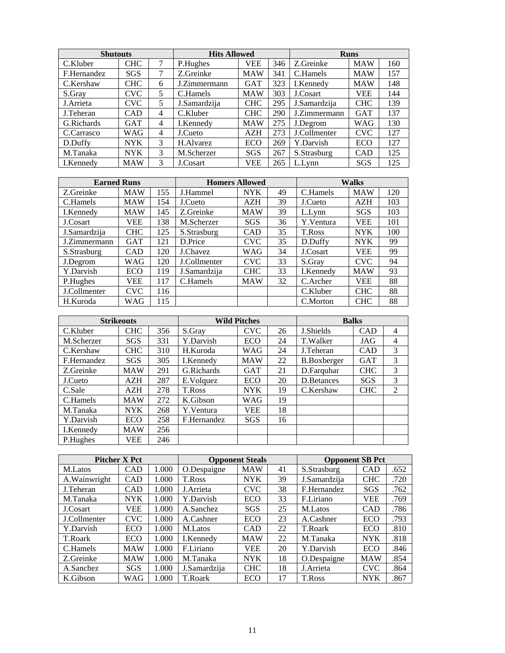| <b>Shutouts</b> |            |                | <b>Hits Allowed</b> |            |     |              | <b>Runs</b> |     |
|-----------------|------------|----------------|---------------------|------------|-----|--------------|-------------|-----|
| C.Kluber        | <b>CHC</b> | 7              | P.Hughes            | VEE        | 346 | Z.Greinke    | <b>MAW</b>  | 160 |
| F.Hernandez     | SGS        | 7              | Z.Greinke           | <b>MAW</b> | 341 | C.Hamels     | <b>MAW</b>  | 157 |
| C.Kershaw       | <b>CHC</b> | 6              | J.Zimmermann        | <b>GAT</b> | 323 | I.Kennedy    | <b>MAW</b>  | 148 |
| S.Gray          | CVC        | 5              | C.Hamels            | <b>MAW</b> | 303 | J.Cosart     | <b>VEE</b>  | 144 |
| J.Arrieta       | CVC.       | 5              | J.Samardzija        | <b>CHC</b> | 295 | J.Samardzija | <b>CHC</b>  | 139 |
| J.Teheran       | CAD        | 4              | C.Kluber            | <b>CHC</b> | 290 | J.Zimmermann | <b>GAT</b>  | 137 |
| G.Richards      | <b>GAT</b> | 4              | I.Kennedy           | <b>MAW</b> | 275 | J.Degrom     | <b>WAG</b>  | 130 |
| C.Carrasco      | WAG        | $\overline{4}$ | J.Cueto             | AZH        | 273 | J.Collmenter | <b>CVC</b>  | 127 |
| D.Duffy         | <b>NYK</b> | 3              | H.Alvarez           | <b>ECO</b> | 269 | Y.Darvish    | ECO         | 127 |
| M.Tanaka        | <b>NYK</b> | 3              | M.Scherzer          | <b>SGS</b> | 267 | S.Strasburg  | <b>CAD</b>  | 125 |
| I.Kennedy       | <b>MAW</b> | 3              | J.Cosart            | VEE        | 265 | L.Lynn       | <b>SGS</b>  | 125 |

| <b>Earned Runs</b>  |            |     | <b>Homers Allowed</b> |            |    |           | <b>Walks</b> |     |
|---------------------|------------|-----|-----------------------|------------|----|-----------|--------------|-----|
| Z.Greinke           | <b>MAW</b> | 155 | J.Hammel              | <b>NYK</b> | 49 | C.Hamels  | <b>MAW</b>   | 120 |
| C.Hamels            | <b>MAW</b> | 154 | J.Cueto               | AZH        | 39 | J.Cueto   | AZH          | 103 |
| I.Kennedy           | <b>MAW</b> | 145 | Z.Greinke             | <b>MAW</b> | 39 | L.Lynn    | <b>SGS</b>   | 103 |
| J.Cosart            | <b>VEE</b> | 138 | M.Scherzer            | SGS        | 36 | Y.Ventura | <b>VEE</b>   | 101 |
| J.Samardzija        | <b>CHC</b> | 125 | S.Strasburg           | <b>CAD</b> | 35 | T.Ross    | <b>NYK</b>   | 100 |
| J.Zimmermann        | <b>GAT</b> | 121 | D.Price               | <b>CVC</b> | 35 | D.Duffy   | <b>NYK</b>   | 99  |
| S.Strasburg         | <b>CAD</b> | 120 | J.Chavez              | WAG        | 34 | J.Cosart  | <b>VEE</b>   | 99  |
| J.Degrom            | WAG        | 120 | J.Collmenter          | <b>CVC</b> | 33 | S.Gray    | <b>CVC</b>   | 94  |
| Y.Darvish           | ECO        | 119 | J.Samardzija          | <b>CHC</b> | 33 | I.Kennedy | <b>MAW</b>   | 93  |
| P.Hughes            | <b>VEE</b> | 117 | C.Hamels              | <b>MAW</b> | 32 | C.Archer  | <b>VEE</b>   | 88  |
| <b>J.Collmenter</b> | <b>CVC</b> | 116 |                       |            |    | C.Kluber  | <b>CHC</b>   | 88  |
| H.Kuroda            | WAG        | 115 |                       |            |    | C.Morton  | <b>CHC</b>   | 88  |

|             | <b>Strikeouts</b> |     |             | <b>Wild Pitches</b> |    | <b>Balks</b>       |            |                |
|-------------|-------------------|-----|-------------|---------------------|----|--------------------|------------|----------------|
| C.Kluber    | <b>CHC</b>        | 356 | S.Grav      | <b>CVC</b>          | 26 | J.Shields          | <b>CAD</b> | $\overline{4}$ |
| M.Scherzer  | SGS               | 331 | Y.Darvish   | ECO                 | 24 | T.Walker           | JAG        | $\overline{4}$ |
| C.Kershaw   | <b>CHC</b>        | 310 | H.Kuroda    | WAG                 | 24 | J.Teheran          | <b>CAD</b> | 3              |
| F.Hernandez | SGS               | 305 | I.Kennedy   | <b>MAW</b>          | 22 | <b>B.Boxberger</b> | <b>GAT</b> | 3              |
| Z.Greinke   | <b>MAW</b>        | 291 | G.Richards  | <b>GAT</b>          | 21 | D.Farquhar         | <b>CHC</b> | 3              |
| J.Cueto     | AZH               | 287 | E.Volquez   | ECO                 | 20 | D.Betances         | <b>SGS</b> | 3              |
| C.Sale      | AZH               | 278 | T.Ross      | <b>NYK</b>          | 19 | C.Kershaw          | <b>CHC</b> | 2              |
| C.Hamels    | <b>MAW</b>        | 272 | K.Gibson    | WAG                 | 19 |                    |            |                |
| M.Tanaka    | <b>NYK</b>        | 268 | Y.Ventura   | VEE                 | 18 |                    |            |                |
| Y.Darvish   | <b>ECO</b>        | 258 | F.Hernandez | SGS                 | 16 |                    |            |                |
| I.Kennedy   | <b>MAW</b>        | 256 |             |                     |    |                    |            |                |
| P.Hughes    | VEE               | 246 |             |                     |    |                    |            |                |

|               | <b>Pitcher X Pct</b> |       |              | <b>Opponent Steals</b> |    | <b>Opponent SB Pct</b> |            |      |
|---------------|----------------------|-------|--------------|------------------------|----|------------------------|------------|------|
| M.Latos       | CAD                  | 1.000 | O.Despaigne  | <b>MAW</b>             | 41 | S.Strasburg            | <b>CAD</b> | .652 |
| A. Wainwright | <b>CAD</b>           | 1.000 | T.Ross       | <b>NYK</b>             | 39 | J.Samardzija           | <b>CHC</b> | .720 |
| J.Teheran     | <b>CAD</b>           | 1.000 | J. Arrieta   | <b>CVC</b>             | 38 | F.Hernandez            | <b>SGS</b> | .762 |
| M.Tanaka      | <b>NYK</b>           | 1.000 | Y.Darvish    | ECO                    | 33 | F.Liriano              | <b>VEE</b> | .769 |
| J.Cosart      | VEE                  | 1.000 | A.Sanchez    | SGS                    | 25 | M.Latos                | <b>CAD</b> | .786 |
| J.Collmenter  | <b>CVC</b>           | 1.000 | A.Cashner    | <b>ECO</b>             | 23 | A.Cashner              | ECO        | .793 |
| Y.Darvish     | ECO                  | 1.000 | M.Latos      | <b>CAD</b>             | 22 | T.Roark                | ECO        | .810 |
| T.Roark       | ECO                  | 1.000 | I.Kennedy    | <b>MAW</b>             | 22 | M.Tanaka               | <b>NYK</b> | .818 |
| C.Hamels      | <b>MAW</b>           | 1.000 | F.Liriano    | <b>VEE</b>             | 20 | Y.Darvish              | ECO        | .846 |
| Z.Greinke     | <b>MAW</b>           | 1.000 | M.Tanaka     | <b>NYK</b>             | 18 | O.Despaigne            | <b>MAW</b> | .854 |
| A.Sanchez     | SGS                  | 1.000 | J.Samardzija | <b>CHC</b>             | 18 | J.Arrieta              | <b>CVC</b> | .864 |
| K.Gibson      | WAG                  | 1.000 | T.Roark      | ECO                    | 17 | T.Ross                 | <b>NYK</b> | .867 |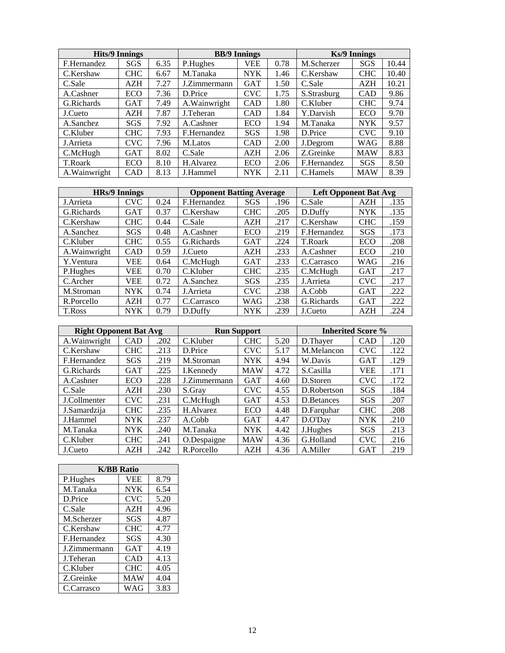|               | <b>Hits/9 Innings</b> |      |               | <b>BB/9 Innings</b> |      |             | <b>Ks/9 Innings</b> |       |
|---------------|-----------------------|------|---------------|---------------------|------|-------------|---------------------|-------|
| F.Hernandez   | SGS                   | 6.35 | P.Hughes      | VEE                 | 0.78 | M.Scherzer  | SGS                 | 10.44 |
| C.Kershaw     | <b>CHC</b>            | 6.67 | M.Tanaka      | <b>NYK</b>          | 1.46 | C.Kershaw   | <b>CHC</b>          | 10.40 |
| C.Sale        | AZH                   | 7.27 | J.Zimmermann  | <b>GAT</b>          | 1.50 | C.Sale      | <b>AZH</b>          | 10.21 |
| A.Cashner     | ECO                   | 7.36 | D.Price       | <b>CVC</b>          | 1.75 | S.Strasburg | CAD                 | 9.86  |
| G.Richards    | <b>GAT</b>            | 7.49 | A. Wainwright | <b>CAD</b>          | 1.80 | C.Kluber    | <b>CHC</b>          | 9.74  |
| J.Cueto       | AZH                   | 7.87 | J.Teheran     | <b>CAD</b>          | 1.84 | Y.Darvish   | ECO                 | 9.70  |
| A.Sanchez     | <b>SGS</b>            | 7.92 | A.Cashner     | ECO                 | 1.94 | M.Tanaka    | <b>NYK</b>          | 9.57  |
| C.Kluber      | <b>CHC</b>            | 7.93 | F.Hernandez   | <b>SGS</b>          | 1.98 | D.Price     | <b>CVC</b>          | 9.10  |
| J.Arrieta     | CVC.                  | 7.96 | M.Latos       | <b>CAD</b>          | 2.00 | J.Degrom    | <b>WAG</b>          | 8.88  |
| C.McHugh      | <b>GAT</b>            | 8.02 | C.Sale        | AZH                 | 2.06 | Z.Greinke   | <b>MAW</b>          | 8.83  |
| T.Roark       | ECO                   | 8.10 | H.Alvarez     | ECO                 | 2.06 | F.Hernandez | SGS                 | 8.50  |
| A. Wainwright | <b>CAD</b>            | 8.13 | J.Hammel      | <b>NYK</b>          | 2.11 | C.Hamels    | <b>MAW</b>          | 8.39  |

| <b>HRs/9 Innings</b> |            |      | <b>Opponent Batting Average</b> |            |      | <b>Left Opponent Bat Avg</b> |            |      |
|----------------------|------------|------|---------------------------------|------------|------|------------------------------|------------|------|
| J.Arrieta            | <b>CVC</b> | 0.24 | F.Hernandez                     | SGS        | .196 | C.Sale                       | AZH        | .135 |
| G.Richards           | <b>GAT</b> | 0.37 | C.Kershaw                       | <b>CHC</b> | .205 | D.Duffy                      | <b>NYK</b> | .135 |
| C.Kershaw            | <b>CHC</b> | 0.44 | C.Sale                          | <b>AZH</b> | .217 | C.Kershaw                    | <b>CHC</b> | .159 |
| A.Sanchez            | SGS        | 0.48 | A.Cashner                       | ECO        | .219 | F.Hernandez                  | SGS        | .173 |
| C.Kluber             | <b>CHC</b> | 0.55 | G.Richards                      | <b>GAT</b> | .224 | T.Roark                      | ECO        | .208 |
| A. Wainwright        | CAD        | 0.59 | J.Cueto                         | AZH        | .233 | A.Cashner                    | ECO        | .210 |
| Y.Ventura            | <b>VEE</b> | 0.64 | C.McHugh                        | <b>GAT</b> | .233 | C.Carrasco                   | <b>WAG</b> | .216 |
| P.Hughes             | VEE        | 0.70 | C.Kluber                        | <b>CHC</b> | .235 | C.McHugh                     | <b>GAT</b> | .217 |
| C.Archer             | <b>VEE</b> | 0.72 | A.Sanchez                       | <b>SGS</b> | .235 | J. Arrieta                   | <b>CVC</b> | .217 |
| M.Stroman            | <b>NYK</b> | 0.74 | J.Arrieta                       | <b>CVC</b> | .238 | A.Cobb                       | <b>GAT</b> | .222 |
| R.Porcello           | AZH        | 0.77 | C.Carrasco                      | WAG        | .238 | G.Richards                   | <b>GAT</b> | .222 |
| T.Ross               | <b>NYK</b> | 0.79 | D.Duffy                         | <b>NYK</b> | .239 | J.Cueto                      | AZH        | .224 |

| <b>Right Opponent Bat Avg</b> |            |      |              | <b>Run Support</b> |      | <b>Inherited Score %</b> |            |      |
|-------------------------------|------------|------|--------------|--------------------|------|--------------------------|------------|------|
| A. Wainwright                 | CAD        | .202 | C.Kluber     | <b>CHC</b>         | 5.20 | D.Thayer                 | <b>CAD</b> | .120 |
| C.Kershaw                     | <b>CHC</b> | .213 | D.Price      | <b>CVC</b>         | 5.17 | M.Melancon               | <b>CVC</b> | .122 |
| F.Hernandez                   | <b>SGS</b> | .219 | M.Stroman    | <b>NYK</b>         | 4.94 | W.Davis                  | <b>GAT</b> | .129 |
| G.Richards                    | <b>GAT</b> | .225 | I.Kennedy    | <b>MAW</b>         | 4.72 | S.Casilla                | VEE        | .171 |
| A.Cashner                     | ECO        | .228 | J.Zimmermann | <b>GAT</b>         | 4.60 | D.Storen                 | <b>CVC</b> | .172 |
| C.Sale                        | AZH        | .230 | S.Grav       | <b>CVC</b>         | 4.55 | D.Robertson              | SGS        | .184 |
| J.Collmenter                  | <b>CVC</b> | .231 | C.McHugh     | <b>GAT</b>         | 4.53 | D. Betances              | <b>SGS</b> | .207 |
| J.Samardzija                  | <b>CHC</b> | .235 | H.Alvarez    | ECO                | 4.48 | D.Farquhar               | <b>CHC</b> | .208 |
| J.Hammel                      | <b>NYK</b> | .237 | A.Cobb       | <b>GAT</b>         | 4.47 | D.O'Dav                  | <b>NYK</b> | .210 |
| M.Tanaka                      | <b>NYK</b> | .240 | M.Tanaka     | <b>NYK</b>         | 4.42 | J.Hughes                 | SGS        | .213 |
| C.Kluber                      | <b>CHC</b> | .241 | O.Despaigne  | <b>MAW</b>         | 4.36 | G.Holland                | <b>CVC</b> | .216 |
| J.Cueto                       | AZH        | .242 | R.Porcello   | <b>AZH</b>         | 4.36 | A.Miller                 | <b>GAT</b> | .219 |

|              | <b>K/BB Ratio</b> |      |  |  |  |  |  |  |  |
|--------------|-------------------|------|--|--|--|--|--|--|--|
| P.Hughes     | <b>VEE</b>        | 8.79 |  |  |  |  |  |  |  |
| M.Tanaka     | <b>NYK</b>        | 6.54 |  |  |  |  |  |  |  |
| D.Price      | <b>CVC</b>        | 5.20 |  |  |  |  |  |  |  |
| C.Sale       | AZH               | 4.96 |  |  |  |  |  |  |  |
| M.Scherzer   | SGS               | 4.87 |  |  |  |  |  |  |  |
| C.Kershaw    | <b>CHC</b>        | 4.77 |  |  |  |  |  |  |  |
| F.Hernandez  | SGS               | 4.30 |  |  |  |  |  |  |  |
| J.Zimmermann | GAT               | 4.19 |  |  |  |  |  |  |  |
| J.Teheran    | CAD               | 4.13 |  |  |  |  |  |  |  |
| C.Kluber     | <b>CHC</b>        | 4.05 |  |  |  |  |  |  |  |
| Z.Greinke    | <b>MAW</b>        | 4.04 |  |  |  |  |  |  |  |
| C.Carrasco   | WAG               | 3.83 |  |  |  |  |  |  |  |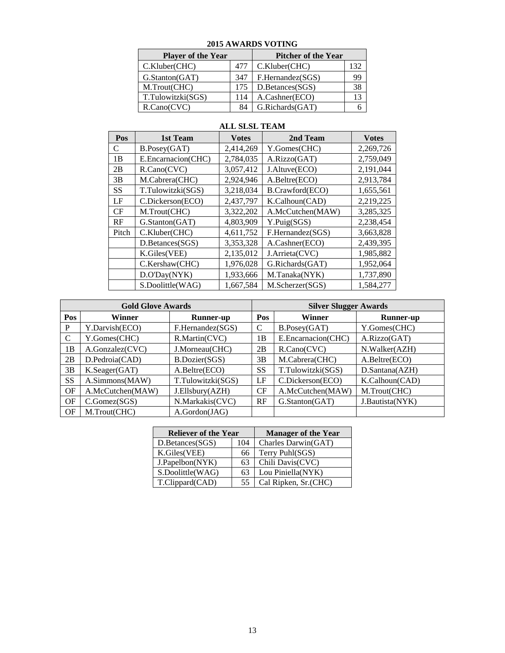| $\sim$                    |     |                            |     |  |  |  |  |
|---------------------------|-----|----------------------------|-----|--|--|--|--|
| <b>Player of the Year</b> |     | <b>Pitcher of the Year</b> |     |  |  |  |  |
| C.Kluber(CHC)<br>477      |     | C.Kluber(CHC)              | 132 |  |  |  |  |
| G.Stanton(GAT)            | 347 | F.Hernandez(SGS)           | 99  |  |  |  |  |
| M.Trout(CHC)              | 175 | D.Betances(SGS)            | 38  |  |  |  |  |
| T.Tulowitzki(SGS)         | 114 | A.Cashner(ECO)             | 13  |  |  |  |  |
| R.Cano(CVC)               | 84  | G.Richards(GAT)            |     |  |  |  |  |

### **2015 AWARDS VOTING**

### **ALL SLSL TEAM**

 $\overline{a}$ 

| Pos                            | 1st Team           | <b>Votes</b> | 2nd Team         | <b>Votes</b> |
|--------------------------------|--------------------|--------------|------------------|--------------|
| C                              | B.Posey(GAT)       | 2,414,269    | Y.Gomes(CHC)     | 2,269,726    |
| 1B                             | E.Encarnacion(CHC) | 2,784,035    | A.Rizzo(GAT)     | 2,759,049    |
| 2B                             | R.Cano(CVC)        | 3,057,412    | J.Altuve(ECO)    | 2,191,044    |
| 3B                             | M.Cabrera(CHC)     | 2,924,946    | A.Beltre(ECO)    | 2,913,784    |
| <b>SS</b><br>T.Tulowitzki(SGS) |                    | 3,218,034    | B.Crawford(ECO)  | 1,655,561    |
| LF                             | C.Dickerson(ECO)   |              | K.Calhoun(CAD)   | 2,219,225    |
| CF                             | M.Trout(CHC)       | 3,322,202    | A.McCutchen(MAW) | 3,285,325    |
| RF                             | G.Stanton(GAT)     | 4,803,909    | Y.Puig(SGS)      | 2,238,454    |
| Pitch                          | C.Kluber(CHC)      | 4,611,752    | F.Hernandez(SGS) | 3,663,828    |
|                                | D.Betances(SGS)    | 3,353,328    | A.Cashner(ECO)   | 2,439,395    |
|                                | K.Giles(VEE)       | 2,135,012    | J.Arrieta(CVC)   | 1,985,882    |
|                                | C.Kershaw(CHC)     | 1,976,028    | G.Richards(GAT)  | 1,952,064    |
|                                | D.O'Day(NYK)       | 1,933,666    | M.Tanaka(NYK)    | 1,737,890    |
|                                | S.Doolittle(WAG)   | 1,667,584    | M.Scherzer(SGS)  | 1,584,277    |

|               | <b>Gold Glove Awards</b> |                   | <b>Silver Slugger Awards</b> |                    |                  |  |  |
|---------------|--------------------------|-------------------|------------------------------|--------------------|------------------|--|--|
| Pos<br>Winner |                          | <b>Runner-up</b>  | <b>Pos</b>                   | Winner             | <b>Runner-up</b> |  |  |
| P             | Y.Darvish(ECO)           | F.Hernandez(SGS)  | C                            | B.Posey(GAT)       | Y.Gomes(CHC)     |  |  |
| $\mathcal{C}$ | Y.Gomes(CHC)             | R.Martin(CVC)     | 1B                           | E.Encarnacion(CHC) | A.Rizzo(GAT)     |  |  |
| 1B            | A.Gonzalez(CVC)          | J.Morneau(CHC)    | 2B                           | R.Cano(CVC)        | N.Walker(AZH)    |  |  |
| 2B            | D.Pedroia(CAD)           | B.Dozier(SGS)     | 3B                           | M.Cabrera(CHC)     | A.Beltre(ECO)    |  |  |
| 3B            | K.Seager(GAT)            | A.Beltre(ECO)     | <b>SS</b>                    | T.Tulowitzki(SGS)  | D.Santana(AZH)   |  |  |
| <b>SS</b>     | A.Simmons(MAW)           | T.Tulowitzki(SGS) | LF                           | C.Dickerson(ECO)   | K.Calhoun(CAD)   |  |  |
| OF            | A.McCutchen(MAW)         | J.Ellsbury(AZH)   | CF                           | A.McCutchen(MAW)   | M.Trout(CHC)     |  |  |
| OF            | C.Gomez(SGS)             | N.Markakis(CVC)   | RF                           | G.Stanton(GAT)     | J.Bautista(NYK)  |  |  |
| OF            | M.Trout(CHC)             | A.Gordon(JAG)     |                              |                    |                  |  |  |

| <b>Reliever of the Year</b> | <b>Manager of the Year</b> |                       |
|-----------------------------|----------------------------|-----------------------|
| D.Betances(SGS)             | 104                        | Charles Darwin(GAT)   |
| K.Giles(VEE)                | 66                         | Terry Puhl(SGS)       |
| J.Papelbon(NYK)             | 63                         | Chili Davis(CVC)      |
| S.Doolittle(WAG)            | 63                         | Lou Piniella(NYK)     |
| T.Clippard(CAD)             | 55                         | Cal Ripken, Sr. (CHC) |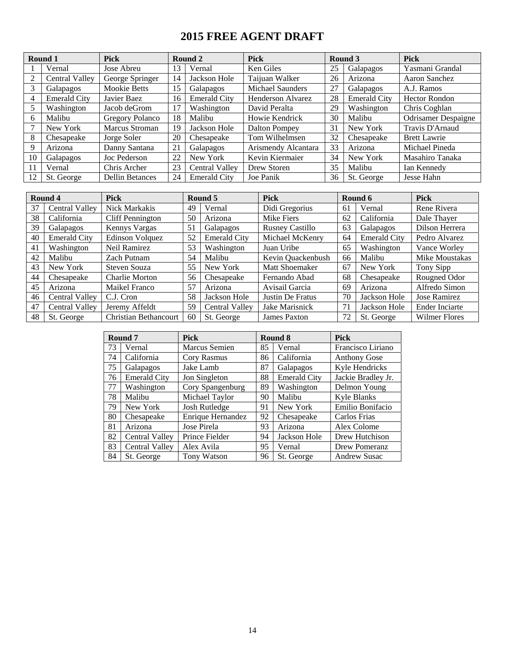## **2015 FREE AGENT DRAFT**

| Round 1 |                       | <b>Pick</b>            |    | Round 2               | <b>Pick</b>             |    | Round 3             | <b>Pick</b>                |
|---------|-----------------------|------------------------|----|-----------------------|-------------------------|----|---------------------|----------------------------|
|         | Vernal                | Jose Abreu             | 13 | Vernal                | Ken Giles               | 25 | Galapagos           | Yasmani Grandal            |
|         | <b>Central Valley</b> | George Springer        | 14 | Jackson Hole          | Taijuan Walker          | 26 | Arizona             | Aaron Sanchez              |
|         | Galapagos             | Mookie Betts           | 15 | Galapagos             | <b>Michael Saunders</b> | 27 | Galapagos           | A.J. Ramos                 |
| 4       | <b>Emerald City</b>   | Javier Baez            | 16 | <b>Emerald City</b>   | Henderson Alvarez       | 28 | <b>Emerald City</b> | <b>Hector Rondon</b>       |
| 5       | Washington            | Jacob deGrom           | 17 | Washington            | David Peralta           | 29 | Washington          | Chris Coghlan              |
| 6       | Malibu                | Gregory Polanco        | 18 | Malibu                | Howie Kendrick          | 30 | Malibu              | <b>Odrisamer</b> Despaigne |
|         | New York              | Marcus Stroman         | 19 | Jackson Hole          | Dalton Pompey           | 31 | New York            | Travis D'Arnaud            |
| 8       | Chesapeake            | Jorge Soler            | 20 | Chesapeake            | Tom Wilhelmsen          | 32 | Chesapeake          | <b>Brett Lawrie</b>        |
| 9       | Arizona               | Danny Santana          | 21 | Galapagos             | Arismendy Alcantara     | 33 | Arizona             | Michael Pineda             |
| 10      | Galapagos             | Joc Pederson           | 22 | New York              | Kevin Kiermaier         | 34 | New York            | Masahiro Tanaka            |
| 11      | Vernal                | Chris Archer           | 23 | <b>Central Valley</b> | Drew Storen             | 35 | Malibu              | Ian Kennedy                |
| 12      | St. George            | <b>Dellin Betances</b> | 24 | <b>Emerald City</b>   | Joe Panik               | 36 | St. George          | Jesse Hahn                 |

|    | Round 4               | <b>Pick</b>                  |    | Round 5               | <b>Pick</b>            |    | Round 6             | <b>Pick</b>           |
|----|-----------------------|------------------------------|----|-----------------------|------------------------|----|---------------------|-----------------------|
| 37 | Central Valley        | Nick Markakis                | 49 | Vernal                | Didi Gregorius         | 61 | Vernal              | Rene Rivera           |
| 38 | California            | <b>Cliff Pennington</b>      | 50 | Arizona               | Mike Fiers             | 62 | California          | Dale Thayer           |
| 39 | Galapagos             | Kennys Vargas                | 51 | Galapagos             | <b>Rusney Castillo</b> | 63 | Galapagos           | Dilson Herrera        |
| 40 | <b>Emerald City</b>   | Edinson Volquez              | 52 | <b>Emerald City</b>   | Michael McKenry        | 64 | <b>Emerald City</b> | Pedro Alvarez         |
| 41 | Washington            | Neil Ramirez                 | 53 | Washington            | Juan Uribe             | 65 | Washington          | Vance Worley          |
| 42 | Malibu                | Zach Putnam                  | 54 | Malibu                | Kevin Quackenbush      | 66 | Malibu              | Mike Moustakas        |
| 43 | New York              | Steven Souza                 | 55 | New York              | Matt Shoemaker         | 67 | New York            | Tony Sipp             |
| 44 | Chesapeake            | <b>Charlie Morton</b>        | 56 | Chesapeake            | Fernando Abad          | 68 | Chesapeake          | Rougned Odor          |
| 45 | Arizona               | Maikel Franco                | 57 | Arizona               | Avisail Garcia         | 69 | Arizona             | Alfredo Simon         |
| 46 | Central Valley        | C.J. Cron                    | 58 | Jackson Hole          | Justin De Fratus       | 70 | Jackson Hole        | Jose Ramirez          |
| 47 | <b>Central Valley</b> | Jeremy Affeldt               | 59 | <b>Central Valley</b> | Jake Marisnick         | 71 | Jackson Hole        | <b>Ender Inciarte</b> |
| 48 | St. George            | <b>Christian Bethancourt</b> | 60 | St. George            | James Paxton           | 72 | St. George          | <b>Wilmer Flores</b>  |

|    | Round 7                              | <b>Pick</b>          |    | Round 8             | <b>Pick</b>         |  |
|----|--------------------------------------|----------------------|----|---------------------|---------------------|--|
| 73 | Vernal                               | <b>Marcus Semien</b> | 85 | Vernal              | Francisco Liriano   |  |
| 74 | California                           | Cory Rasmus          | 86 | California          | <b>Anthony Gose</b> |  |
| 75 | Galapagos                            | Jake Lamb            | 87 | Galapagos           | Kyle Hendricks      |  |
| 76 | <b>Emerald City</b><br>Jon Singleton |                      | 88 | <b>Emerald City</b> | Jackie Bradley Jr.  |  |
| 77 | Washington<br>Cory Spangenburg       |                      | 89 | Washington          | Delmon Young        |  |
| 78 | Malibu                               | Michael Taylor       | 90 | Malibu              | Kyle Blanks         |  |
| 79 | New York                             | Josh Rutledge        | 91 | New York            | Emilio Bonifacio    |  |
| 80 | Chesapeake                           | Enrique Hernandez    | 92 | Chesapeake          | Carlos Frias        |  |
| 81 | Arizona                              | Jose Pirela          | 93 | Arizona             | Alex Colome         |  |
| 82 | Central Valley                       | Prince Fielder       | 94 | Jackson Hole        | Drew Hutchison      |  |
| 83 | Central Valley                       | Alex Avila           | 95 | Vernal              | Drew Pomeranz       |  |
| 84 | St. George                           | <b>Tony Watson</b>   | 96 | St. George          | <b>Andrew Susac</b> |  |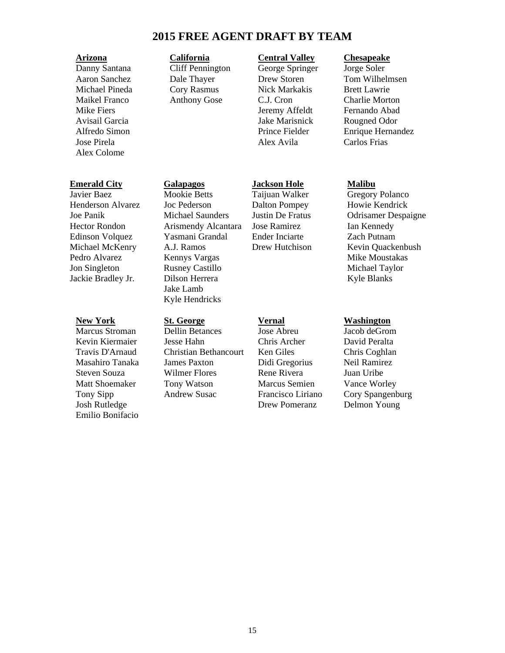### **2015 FREE AGENT DRAFT BY TEAM**

Danny Santana Cliff Pennington George Springer Jorge Soler Alex Colome

### **Emerald City Galapagos Jackson Hole Malibu**

Javier Baez Mookie Betts Taijuan Walker Gregory Polanco Henderson Alvarez Joc Pederson Dalton Pompey Howie Kendrick Hector Rondon Arismendy Alcantara Jose Ramirez Ian Kennedy Edinson Volquez Yasmani Grandal Ender Inciarte Zach Putnam Pedro Alvarez Kennys Vargas Mike Moustakas Mike Moustakas Jon Singleton Rusney Castillo Michael Taylor Jackie Bradley Jr. Dilson Herrera Kyle Blanks

Kevin Kiermaier 1985 - Jesse Hahn 1986 - Chris Archer 1986 - David Peralta<br>Travis D'Arnaud 1986 - Christian Bethancourt 1986 - Ken Giles 1986 - Chris Coghlan Travis D'Arnaud Christian Bethancourt Ken Giles Chris Coghlan Masahiro Tanaka James Paxton Didi Gregorius Neil Ramirez Steven Souza Wilmer Flores Rene Rivera Juan Uribe Matt Shoemaker Tony Watson Marcus Semien Vance Worley Tony Sipp Andrew Susac Francisco Liriano Cory Spangenburg Josh Rutledge Drew Pomeranz Delmon Young Emilio Bonifacio

 Jake Lamb Kyle Hendricks

### **Arizona California Central Valley Chesapeake**

Michael Pineda Cory Rasmus Nick Markakis Brett Lawrie Maikel Franco Anthony Gose C.J. Cron Charlie Morton Mike Fiers **Internal Communist Communist Communist Communist Communist Communist Communist Communist Communist Communist Communist Communist Communist Communist Communist Communist Communist Communist Communist Communist C** Avisail Garcia Jake Marisnick Rougned Odor Jose Pirela **Alex Avila** Carlos Frias

**New York 5t. George Vernal Washington**<br>
Marcus Stroman Dellin Betances Jose Abreu Jacob deGron Marcus Stroman Dellin Betances Jose Abreu Jacob deGrom

**Dale Thayer Drew Storen Tom Wilhelmsen** Alfredo Simon Prince Fielder Enrique Hernandez

Joe Panik Michael Saunders Justin De Fratus Odrisamer Despaigne Michael McKenry A.J. Ramos Drew Hutchison Kevin Quackenbush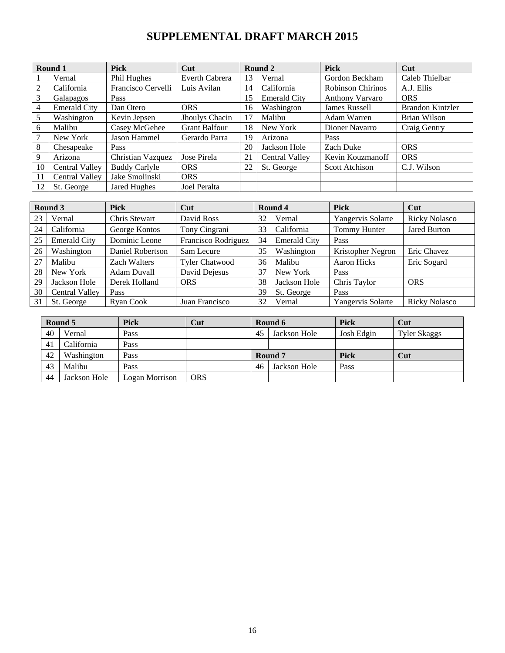### **SUPPLEMENTAL DRAFT MARCH 2015**

| Round 1 |                       | <b>Pick</b>          | Cut                  |    | Round 2             | <b>Pick</b>              | Cut                     |
|---------|-----------------------|----------------------|----------------------|----|---------------------|--------------------------|-------------------------|
|         | Vernal                | Phil Hughes          | Everth Cabrera       | 13 | Vernal              | Gordon Beckham           | Caleb Thielbar          |
| 2       | California            | Francisco Cervelli   | Luis Avilan          | 14 | California          | <b>Robinson Chirinos</b> | A.J. Ellis              |
| 3       | Galapagos             | Pass                 |                      | 15 | <b>Emerald City</b> | <b>Anthony Varvaro</b>   | <b>ORS</b>              |
| 4       | <b>Emerald City</b>   | Dan Otero            | <b>ORS</b>           | 16 | Washington          | <b>James Russell</b>     | <b>Brandon Kintzler</b> |
| 5       | Washington            | Kevin Jepsen         | Jhoulys Chacin       |    | Malibu              | Adam Warren              | <b>Brian Wilson</b>     |
| 6       | Malibu                | Casey McGehee        | <b>Grant Balfour</b> | 18 | New York            | Dioner Navarro           | Craig Gentry            |
| 7       | New York              | Jason Hammel         | Gerardo Parra        | 19 | Arizona             | Pass                     |                         |
| 8       | Chesapeake            | Pass                 |                      | 20 | Jackson Hole        | Zach Duke                | <b>ORS</b>              |
| 9       | Arizona               | Christian Vazquez    | Jose Pirela          | 21 | Central Valley      | Kevin Kouzmanoff         | <b>ORS</b>              |
| 10      | <b>Central Valley</b> | <b>Buddy Carlyle</b> | <b>ORS</b>           | 22 | St. George          | <b>Scott Atchison</b>    | C.J. Wilson             |
| 11      | <b>Central Valley</b> | Jake Smolinski       | <b>ORS</b>           |    |                     |                          |                         |
| 12      | St. George            | Jared Hughes         | Joel Peralta         |    |                     |                          |                         |

| Round 3 |                       | <b>Pick</b>         | Cut                   |    | Round 4             | <b>Pick</b>       | Cut                  |
|---------|-----------------------|---------------------|-----------------------|----|---------------------|-------------------|----------------------|
| 23      | Vernal                | Chris Stewart       | David Ross            | 32 | Vernal              | Yangervis Solarte | <b>Ricky Nolasco</b> |
| 24      | California            | George Kontos       | Tony Cingrani         | 33 | California          | Tommy Hunter      | <b>Jared Burton</b>  |
| 25      | <b>Emerald City</b>   | Dominic Leone       | Francisco Rodriguez   | 34 | <b>Emerald City</b> | Pass              |                      |
| 26      | Washington            | Daniel Robertson    | Sam Lecure            | 35 | Washington          | Kristopher Negron | Eric Chavez          |
| 27      | Malibu                | <b>Zach Walters</b> | <b>Tyler Chatwood</b> | 36 | Malibu              | Aaron Hicks       | Eric Sogard          |
| 28      | New York              | Adam Duvall         | David Dejesus         | 37 | New York            | Pass              |                      |
| 29      | Jackson Hole          | Derek Holland       | <b>ORS</b>            | 38 | Jackson Hole        | Chris Taylor      | <b>ORS</b>           |
| 30      | <b>Central Valley</b> | Pass                |                       | 39 | St. George          | Pass              |                      |
| 31      | St. George            | Ryan Cook           | Juan Francisco        | 32 | Vernal              | Yangervis Solarte | <b>Ricky Nolasco</b> |

| Round 5 |              | <b>Pick</b>    | Cut | Round 6            |              | Pick       | Cut                 |
|---------|--------------|----------------|-----|--------------------|--------------|------------|---------------------|
| 40      | Vernal       | Pass           |     | Jackson Hole<br>45 |              | Josh Edgin | <b>Tyler Skaggs</b> |
| 41      | California   | Pass           |     |                    |              |            |                     |
| 42      | Washington   | Pass           |     |                    | Round 7      | Pick       | Cut                 |
| 43      | Malibu       | Pass           |     | 46                 | Jackson Hole | Pass       |                     |
| 44      | Jackson Hole | Logan Morrison | ORS |                    |              |            |                     |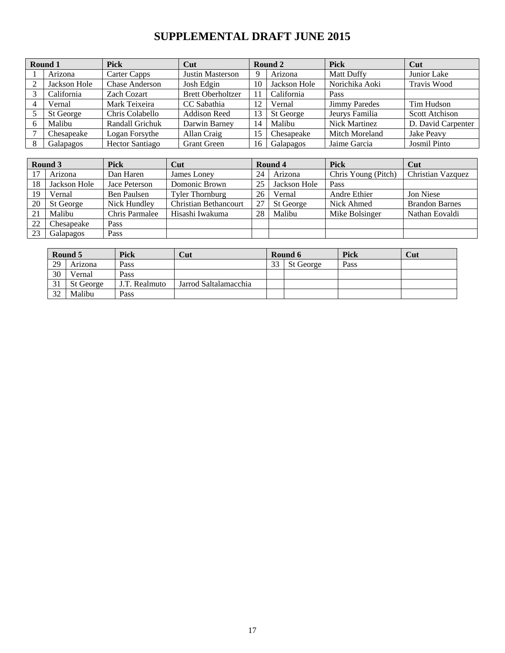# **SUPPLEMENTAL DRAFT JUNE 2015**

|                | Round 1      | <b>Pick</b>            | Cut                      |    | Round 2      | <b>Pick</b>          | Cut                   |
|----------------|--------------|------------------------|--------------------------|----|--------------|----------------------|-----------------------|
|                | Arizona      | Carter Capps           | Justin Masterson         | 9  | Arizona      | <b>Matt Duffy</b>    | Junior Lake           |
| 2              | Jackson Hole | <b>Chase Anderson</b>  | Josh Edgin               | 10 | Jackson Hole | Norichika Aoki       | Travis Wood           |
| 3              | California   | <b>Zach Cozart</b>     | <b>Brett Oberholtzer</b> | 11 | California   | Pass                 |                       |
| $\overline{4}$ | Vernal       | Mark Teixeira          | CC Sabathia              | 12 | Vernal       | <b>Jimmy Paredes</b> | Tim Hudson            |
|                | St George    | Chris Colabello        | <b>Addison Reed</b>      | 13 | St George    | Jeurys Familia       | <b>Scott Atchison</b> |
| 6              | Malibu       | Randall Grichuk        | Darwin Barney            | 14 | Malibu       | Nick Martinez        | D. David Carpenter    |
|                | Chesapeake   | Logan Forsythe         | Allan Craig              | 15 | Chesapeake   | Mitch Moreland       | Jake Peavy            |
| 8              | Galapagos    | <b>Hector Santiago</b> | <b>Grant Green</b>       | 16 | Galapagos    | Jaime Garcia         | <b>Josmil Pinto</b>   |

|    | Round 3                   | <b>Pick</b>    | Cut                          |     | Round 4      | <b>Pick</b>         | Cut                   |
|----|---------------------------|----------------|------------------------------|-----|--------------|---------------------|-----------------------|
|    | Arizona                   | Dan Haren      | James Loney                  | 24  | Arizona      | Chris Young (Pitch) | Christian Vazquez     |
| 18 | Jackson Hole              | Jace Peterson  | Domonic Brown                | 25  | Jackson Hole | Pass                |                       |
| 19 | Vernal<br>Ben Paulsen     |                | <b>Tyler Thornburg</b>       | 26  | Vernal       | Andre Ethier        | Jon Niese             |
| 20 | Nick Hundley<br>St George |                | <b>Christian Bethancourt</b> | -27 | St George    | Nick Ahmed          | <b>Brandon Barnes</b> |
| 21 | Malibu                    | Chris Parmalee | Hisashi Iwakuma              | 28  | Malibu       | Mike Bolsinger      | Nathan Eovaldi        |
| 22 | Chesapeake                | Pass           |                              |     |              |                     |                       |
| 23 | Galapagos<br>Pass         |                |                              |     |              |                     |                       |

|    | Round 5   | <b>Pick</b>   | Cut                   |    | Round 6   | Pick | Cut |
|----|-----------|---------------|-----------------------|----|-----------|------|-----|
| 29 | Arizona   | Pass          |                       | 33 | St George | Pass |     |
| 30 | Vernal    | Pass          |                       |    |           |      |     |
| 31 | St George | J.T. Realmuto | Jarrod Saltalamacchia |    |           |      |     |
| 32 | Malibu    | Pass          |                       |    |           |      |     |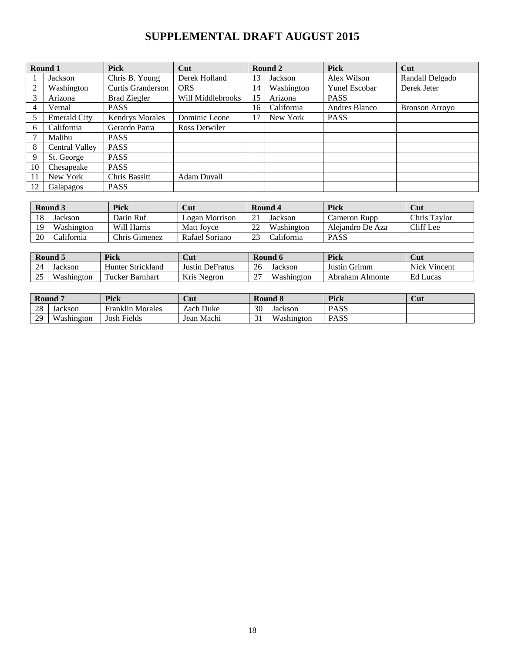### **SUPPLEMENTAL DRAFT AUGUST 2015**

|    | Round 1                  | <b>Pick</b>            | Cut               |    | Round 2    | <b>Pick</b>   | Cut                   |
|----|--------------------------|------------------------|-------------------|----|------------|---------------|-----------------------|
|    | Jackson                  | Chris B. Young         | Derek Holland     | 13 | Jackson    | Alex Wilson   | Randall Delgado       |
| 2  | Washington               | Curtis Granderson      | <b>ORS</b>        | 14 | Washington | Yunel Escobar | Derek Jeter           |
| 3  | Arizona                  | <b>Brad Ziegler</b>    | Will Middlebrooks | 15 | Arizona    | <b>PASS</b>   |                       |
| 4  | Vernal                   | <b>PASS</b>            |                   | 16 | California | Andres Blanco | <b>Bronson Arroyo</b> |
| 5  | <b>Emerald City</b>      | <b>Kendrys Morales</b> | Dominic Leone     | 17 | New York   | <b>PASS</b>   |                       |
| 6  | California               | Gerardo Parra          | Ross Detwiler     |    |            |               |                       |
|    | Malibu                   | <b>PASS</b>            |                   |    |            |               |                       |
| 8  | Central Valley           | <b>PASS</b>            |                   |    |            |               |                       |
| 9  | St. George               | <b>PASS</b>            |                   |    |            |               |                       |
| 10 | Chesapeake               | <b>PASS</b>            |                   |    |            |               |                       |
| 11 | New York                 | Chris Bassitt          | Adam Duvall       |    |            |               |                       |
| 12 | <b>PASS</b><br>Galapagos |                        |                   |    |            |               |                       |

|    | Round 3    | <b>Pick</b>   | Cut            |                | Round 4    | Pick             | Cut          |
|----|------------|---------------|----------------|----------------|------------|------------------|--------------|
| 18 | Jackson    | Darin Ruf     | Logan Morrison |                | Jackson    | Cameron Rupp     | Chris Taylor |
|    | Washington | Will Harris   | Matt Joyce     | າາ             | Washington | Aleiandro De Aza | Cliff Lee    |
| 20 | California | Chris Gimenez | Rafael Soriano | 2 <sup>2</sup> | California | <b>PASS</b>      |              |

|                     | Round 5    | Pick                   | Cut                    |             | Round 6    | <b>Pick</b>     | <b>Cut</b>          |
|---------------------|------------|------------------------|------------------------|-------------|------------|-----------------|---------------------|
| 24                  | Jackson    | Hunter Strickland      | <b>Justin DeFratus</b> | 26          | Jackson    | Justin Grimm    | <b>Nick Vincent</b> |
| $\cap \subset$<br>ت | Washington | <b>Tucker Barnhart</b> | Kris Negron            | $\sim$<br>∼ | Washington | Abraham Almonte | Ed Lucas            |

|    | Round 7                  | <b>Pick</b>              | Cut            |                    | Round 8                  | Pick        | Cut |
|----|--------------------------|--------------------------|----------------|--------------------|--------------------------|-------------|-----|
| 28 | Jackson                  | Ē<br>Franklin<br>Morales | ı Duke<br>Zach | 30                 | Jackson                  | <b>PASS</b> |     |
| 29 | <b>TTT</b><br>√ashington | Fields<br>Josh           | Machi<br>Jean  | $\bigcap$ 1<br>0 l | <b>TTT</b><br>/ashington | <b>PASS</b> |     |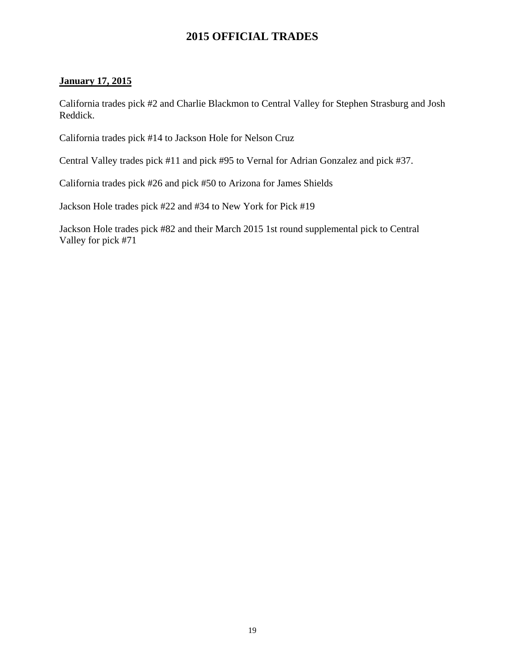### **2015 OFFICIAL TRADES**

### **January 17, 2015**

California trades pick #2 and Charlie Blackmon to Central Valley for Stephen Strasburg and Josh Reddick.

California trades pick #14 to Jackson Hole for Nelson Cruz

Central Valley trades pick #11 and pick #95 to Vernal for Adrian Gonzalez and pick #37.

California trades pick #26 and pick #50 to Arizona for James Shields

Jackson Hole trades pick #22 and #34 to New York for Pick #19

Jackson Hole trades pick #82 and their March 2015 1st round supplemental pick to Central Valley for pick #71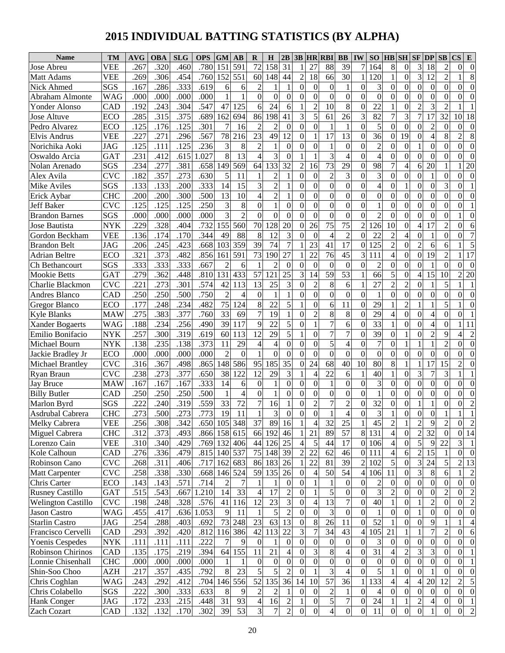# **2015 INDIVIDUAL BATTING STATISTICS (BY ALPHA)**

| SO<br><b>AVG</b><br><b>GM</b><br>$\overline{31}$<br>591<br>72<br>158<br>27<br>39<br>3<br>267<br>.320<br>.780<br>151<br>88<br>164<br>8<br>18<br>$\overline{2}$<br>VEE<br>.460<br>$\theta$<br>Jose Abreu<br>3<br>551<br>30<br>$\mathbf{0}$<br>.306<br>.760<br>152<br>44<br>120<br>12                                       | <b>CS</b><br>$\theta$<br>$\Omega$<br>8 |
|--------------------------------------------------------------------------------------------------------------------------------------------------------------------------------------------------------------------------------------------------------------------------------------------------------------------------|----------------------------------------|
|                                                                                                                                                                                                                                                                                                                          |                                        |
| .269<br>.454<br>$\overline{c}$<br>18<br>$\overline{2}$<br>VEE<br>60<br>148<br>66<br><b>Matt Adams</b><br>1                                                                                                                                                                                                               |                                        |
| $\overline{c}$<br>SGS<br>.167<br>.286<br>.333<br>.619<br>3<br>$\boldsymbol{0}$<br>$\mathbf{0}$<br>$\Omega$<br>$\Omega$<br>Nick Ahmed<br>$\Omega$<br>$\theta$<br>$\theta$<br>1<br>$\Omega$<br>6<br>6<br>1<br>$\Omega$                                                                                                     | $\theta$<br>$\theta$                   |
| $\overline{0}$<br>.000<br>.000<br>.000<br>$\boldsymbol{0}$<br>$\theta$<br>$\Omega$<br>$\mathbf{0}$<br>$\Omega$<br>$\boldsymbol{0}$<br>$\boldsymbol{0}$<br>$\mathbf{0}$<br><b>WAG</b><br>.000<br>$\Omega$<br>$\Omega$<br>$\Omega$<br>$\theta$<br>$\Omega$<br>Abraham Almonte                                              | $\theta$<br>$\Omega$                   |
| .547<br>$\overline{2}$<br>8<br>3<br>.192<br>.243<br>.304<br>47<br>125<br>6<br>24<br>$\overline{2}$<br>10<br>22<br>$\boldsymbol{0}$<br>Yonder Alonso<br>CAD<br>6<br>$\Omega$<br>$\overline{2}$                                                                                                                            |                                        |
| $\overline{\mathbf{3}}$<br>$\overline{7}$<br>285<br>$\overline{.}315$<br>.375<br>3<br>5<br>82<br>17<br>32<br>.689<br>162<br>694<br>86<br>198<br>41<br>61<br>26<br>3<br>7<br>Jose Altuve<br><b>ECO</b>                                                                                                                    | 18<br>10                               |
| $\overline{2}$<br>5<br>$\overline{0}$<br>$\overline{c}$<br>.125<br>.176<br>.125<br>.301<br>$\overline{2}$<br>$\theta$<br>$\Omega$<br>$\mathbf{0}$<br>$\theta$<br>Pedro Alvarez<br>ECO<br>7<br>16<br>$\theta$<br>$\Omega$<br>$\Omega$<br>1<br>1                                                                           | $\theta$<br>$\theta$                   |
| .567<br>$\overline{23}$<br>$\overline{13}$<br>.227<br>78<br>12<br>17<br>36<br>19<br>8<br><b>VEE</b><br>.271<br>.296<br>216<br>49<br>$\Omega$<br>$\mathbf{0}$<br>$\overline{4}$<br><b>Elvis Andrus</b><br>$\Omega$<br>$\Omega$                                                                                            | 8<br>$\overline{2}$                    |
| .125<br>.236<br>$\overline{2}$<br>Norichika Aoki<br>.125<br>3<br>8<br>$\theta$<br>$\theta$<br>$\overline{c}$<br>$\Omega$<br>$\boldsymbol{0}$<br>$\theta$<br>$\Omega$<br><b>JAG</b><br>.111<br>1<br>$\theta$<br>$\theta$<br>$\Omega$<br>1<br>1                                                                            | $\theta$<br>$\theta$                   |
| 8<br>3<br>3<br>.615<br>.027<br><b>GAT</b><br>231<br>.412<br>13<br>$\overline{4}$<br>$\theta$<br>$\overline{4}$<br>$\overline{4}$<br>$\Omega$<br>$\boldsymbol{0}$<br>$\theta$<br>$\theta$<br>$\Omega$<br>Oswaldo Arcia<br>$\Omega$                                                                                        | $\Omega$<br>$\Omega$                   |
| $\overline{73}$<br>.234<br>.658<br>133<br>32<br>29<br>98<br>SGS<br>.277<br>.381<br>149<br>569<br>64<br>$\overline{c}$<br>7<br>4<br>20<br>Nolan Arenado<br>16<br>$\Omega$<br>6                                                                                                                                            | 20                                     |
| .357<br>5<br>$\overline{2}$<br>3<br>3<br><b>CVC</b><br>.182<br>.273<br>.630<br>11<br>$\overline{c}$<br>$\boldsymbol{0}$<br>$\mathbf{0}$<br>$\mathbf{1}$<br>$\theta$<br>Alex Avila<br>$\mathbf{1}$<br>1<br>0<br>$\theta$<br>$\Omega$<br>$\Omega$                                                                          | $\theta$<br>$\theta$                   |
| 333<br>3<br>15<br>$\overline{c}$<br>$\overline{0}$<br>$\overline{0}$<br>3<br>SGS<br>.133<br>.133<br>.200<br>14<br>$\Omega$<br>$\overline{4}$<br>$\boldsymbol{0}$<br>$\mathbf{0}$<br>$\Omega$<br><b>Mike Aviles</b><br>$\Omega$<br>$\Omega$<br>1                                                                          | $\theta$                               |
| .300<br>.500<br>13<br>$\overline{c}$<br>.200<br>.200<br>10<br>$\overline{4}$<br>$\Omega$<br>$\mathbf{0}$<br>$\theta$<br>$\mathbf{0}$<br>$\boldsymbol{0}$<br>$\mathbf{0}$<br>$\theta$<br>$\theta$<br>Erick Aybar<br><b>CHC</b><br>$\Omega$<br>$\Omega$<br>$\Omega$<br>1                                                   | $\theta$<br>$\theta$                   |
| .250<br>.125<br>.125<br>3<br>$\overline{0}$<br>$\mathbf{1}$<br><b>CVC</b><br>.125<br>8<br>1<br>$\Omega$<br>$\mathbf{0}$<br>$\theta$<br>$\boldsymbol{0}$<br>$\mathbf{0}$<br>$\theta$<br><b>Jeff Baker</b><br>$\theta$<br>$\Omega$<br>$\Omega$<br>$\Omega$<br>$\Omega$                                                     | $\theta$                               |
| $\overline{3}$<br>.000<br>$\overline{2}$<br>SGS<br>.000<br>.000<br>.000<br>$\Omega$<br>$\Omega$<br>$\theta$<br>$\Omega$<br>$\theta$<br>$\theta$<br>$\boldsymbol{0}$<br>$\mathbf{0}$<br>$\theta$<br>$\theta$<br><b>Brandon Barnes</b><br>2<br>$\Omega$<br>$\Omega$<br>$\mathbf{0}$                                        | $\theta$                               |
| .732<br>$\overline{75}$<br>.229<br>.328<br>70<br>20<br>75<br>$\mathbf{0}$<br>17<br><b>NYK</b><br>.404<br>155<br>128<br>26<br>2<br>126<br>10<br>$\overline{4}$<br>$\overline{2}$<br>Jose Bautista<br>560<br>$\theta$                                                                                                      | $\theta$<br>6                          |
| .170<br>344<br>88<br>8<br>3<br>$\overline{2}$<br>.136<br>.174<br>49<br>12<br>22<br>$\overline{2}$<br>4<br>$\mathbf{0}$<br>$\Omega$<br>Gordon Beckham<br><b>VEE</b><br>$\Omega$<br>$\Omega$<br>$\overline{4}$<br>$\Omega$<br>1                                                                                            | $\theta$<br>7                          |
| $\overline{17}$<br>$\overline{2}$<br>39<br>74<br>$\overline{7}$<br>125<br>$\mathbf{0}$<br><b>JAG</b><br>.206<br>.245<br>.423<br>.668<br>103<br>359<br>23<br>41<br>$\overline{2}$<br><b>Brandon Belt</b><br>6<br>6<br>$\Omega$                                                                                            | 5                                      |
| .321<br>.373<br>591<br>73<br>27<br>22<br>76<br>45<br>$\mathbf{0}$<br>$\overline{2}$<br><b>Adrian Beltre</b><br>.482<br>.856<br>161<br>190<br>3<br>111<br>$\boldsymbol{0}$<br>19<br>ECO<br>4                                                                                                                              | 17                                     |
| 333<br>.667<br>$\mathbf{0}$<br>$\overline{0}$<br>SGS<br>.333<br>.333<br>$\overline{2}$<br>$\overline{2}$<br>$\mathbf{0}$<br>$\theta$<br>$\Omega$<br>$\overline{c}$<br>$\theta$<br>Ch Bethancourt<br>$\Omega$<br>$\Omega$<br>$\Omega$<br>$\mathbf{0}$<br>1<br>6<br>1                                                      | $\Omega$<br>$\Omega$                   |
| $\overline{53}$<br>.279<br>.810<br>25<br>3<br>59<br>5<br>$\mathbf{0}$<br>15<br><b>Mookie Betts</b><br><b>GAT</b><br>.362<br>.448<br>131<br>433<br>57<br>121<br>66<br>$\overline{4}$<br>10<br>14                                                                                                                          | 20<br>2                                |
| .574<br>$\overline{2}$<br>5<br>.221<br>.273<br>.301<br>13<br>3<br>8<br>27<br><b>CVC</b><br>42<br>113<br>25<br>$\overline{2}$<br>$\mathbf{0}$<br>Charlie Blackmon<br>$\Omega$<br>2<br>6<br>1                                                                                                                              |                                        |
| .750<br>.500<br>$\overline{2}$<br>$\mathbf{0}$<br>CAD<br>.250<br>.250<br>$\mathbf{0}$<br>$\Omega$<br>$\boldsymbol{0}$<br>$\Omega$<br>$\mathbf{0}$<br>$\theta$<br>$\Omega$<br>Andres Blanco<br>1<br>1<br>$\Omega$<br>$\Omega$<br>1<br>$\Omega$<br>4                                                                       | $\theta$<br>$\theta$                   |
| 8<br>5<br>$\overline{c}$<br>.234<br>.482<br>75<br>29<br>5<br>.177<br>.248<br>124<br>22<br>$\overline{0}$<br>6<br>11<br>Gregor Blanco<br>ECO<br>$\Omega$<br>1<br>1                                                                                                                                                        | $\theta$                               |
| .760<br>$\overline{33}$<br>$\overline{7}$<br>8<br>.275<br>.383<br>.377<br>19<br>8<br>29<br>$\mathbf{0}$<br>69<br>$\overline{2}$<br>$\mathbf{0}$<br>$\overline{4}$<br>$\Omega$<br><b>Kyle Blanks</b><br><b>MAW</b><br>1<br>$\Omega$<br>$\Omega$<br>4                                                                      | $\theta$                               |
| 5<br>7<br>$\overline{33}$<br>39<br>9<br>22<br>.188<br>.234<br>.256<br>.490<br>117<br>$\boldsymbol{0}$<br>$\mathbf{0}$<br>$\theta$<br><b>Xander Bogaerts</b><br><b>WAG</b><br>$\Omega$<br>6<br>$\Omega$<br>$\overline{4}$                                                                                                 | 11                                     |
| 5<br>$\overline{7}$<br>.257<br>.319<br>.619<br>12<br>29<br>7<br>39<br>Emilio Bonifacio<br>.300<br>60<br>113<br>$\Omega$<br>$\mathbf{0}$<br>$\overline{2}$<br>9<br><b>NYK</b><br>$\Omega$<br>$\Omega$<br>1                                                                                                                | 4<br>$\overline{c}$                    |
| $\overline{.373}$<br>5<br>.235<br>$.13\overline{8}$<br>29<br>$\overline{7}$<br><b>NYK</b><br>.138<br>$\overline{4}$<br>$\theta$<br>$\Omega$<br>$\overline{4}$<br>$\mathbf{0}$<br>$\overline{c}$<br><b>Michael Bourn</b><br>11<br>4<br>$\Omega$<br>$\Omega$<br>1<br>1                                                     | $\overline{0}$<br>$\theta$             |
| $\overline{2}$<br>$\overline{0}$<br>$\boldsymbol{0}$<br>.000<br>.000<br>.000<br>.000<br>$\Omega$<br>$\mathbf{0}$<br>$\Omega$<br>$\Omega$<br>$\boldsymbol{0}$<br>$\boldsymbol{0}$<br>$\mathbf{0}$<br>$\Omega$<br>$\theta$<br>Jackie Bradley Jr<br>ECO<br>$\Omega$<br>1<br>$\Omega$<br>$\mathbf{0}$                        | $\theta$<br>$\theta$                   |
| .316<br>$\overline{35}$<br>.367<br>.865<br>95<br>185<br>24<br>68<br>80<br>17<br>15<br><b>CVC</b><br>.498<br>148<br>586<br>40<br>10<br>8<br>$\theta$<br>1<br>1<br>Michael Brantley                                                                                                                                        | $\overline{2}$<br>$\Omega$             |
| $\overline{22}$<br>$\overline{7}$<br>.238<br>.377<br>.650<br>38<br>122<br>12<br>3<br>3<br>3<br><b>CVC</b><br>.273<br>29<br>6<br>40<br>$\boldsymbol{0}$<br>Ryan Braun<br>4<br>1                                                                                                                                           |                                        |
| .333<br>3<br>$\mathbf{0}$<br>$\overline{0}$<br>.167<br>.167<br>$\theta$<br>$\theta$<br>$\boldsymbol{0}$<br>$\theta$<br>$\Omega$<br><b>Jay Bruce</b><br><b>MAW</b><br>.167<br>14<br>1<br>$\theta$<br>$\Omega$<br>1<br>$\mathbf{0}$<br>6<br>$\Omega$                                                                       | $\theta$<br>$\theta$                   |
| .500<br>$\overline{0}$<br>$\overline{0}$<br>$\mathbf{1}$<br>$\boldsymbol{0}$<br>$\overline{0}$<br>.250<br>.250<br>.250<br>$\mathbf{0}$<br>$\Omega$<br>$\mathbf{0}$<br>$\theta$<br>$\Omega$<br><b>Billy Butler</b><br>CAD<br>1<br>$\Omega$<br>$\Omega$<br>$\mathbf{0}$<br>4                                               | $\theta$<br>$\theta$                   |
| 7<br>7<br>$\overline{c}$<br>222<br>.319<br>.559<br>33<br>32<br>$\boldsymbol{0}$<br>SGS<br>.240<br>16<br>$\overline{c}$<br>$\theta$<br>Marlon Byrd<br>72<br>$\Omega$<br>$\Omega$<br>$\mathbf{0}$<br>1<br>1                                                                                                                | $\theta$<br>$\overline{c}$             |
| 3<br>3<br>273<br>.500<br>.773<br>19<br>11<br>$\overline{0}$<br>$\overline{0}$<br>$\Omega$<br><b>CHC</b><br>273<br>$\theta$<br>$\overline{4}$<br>$\theta$<br>Asdrubal Cabrera<br>$\Omega$<br>$\Omega$                                                                                                                     |                                        |
| Melky Cabrera<br><b>VEE</b><br>.308<br>.342<br>.650 105 348<br>37<br>89<br>32<br>$25\,$<br>$\overline{c}$<br>$\overline{c}$<br>9<br>$\overline{c}$<br>.256<br>16<br>4<br>45<br>1                                                                                                                                         | $\overline{c}$<br>$\theta$             |
| 89<br>57<br>131<br>$\boldsymbol{0}$<br>$\mathbf{2}$<br>32<br>.373<br>158<br>21<br>8<br>$\Omega$<br><b>CHC</b><br>.312<br>.493<br>.866<br>615<br>66<br>192<br>46<br>$\overline{4}$<br>Miguel Cabrera                                                                                                                      | $\overline{0}$   14                    |
| 5 <sub>l</sub><br>25<br>.769<br>17<br>$\boldsymbol{0}$<br>9<br>22<br><b>VEE</b><br>.310<br>.340<br>.429<br>132<br>406<br>44<br>126<br>$\overline{4}$<br>5<br>44<br>0 10 6<br>Lorenzo Cain<br>$\overline{4}$                                                                                                              | 3                                      |
| 39<br>$\overline{c}$<br>15<br>.276<br>.336<br>.815<br>140 537<br>75<br>22<br>62<br>0 111<br>$\boldsymbol{6}$<br>Kole Calhoun<br>148<br>$\overline{c}$<br>46<br>CAD<br>.479<br>4                                                                                                                                          | $\Omega$<br>$\overline{0}$             |
| 39<br>3<br><b>CVC</b><br>.717<br>183<br>26<br>22<br>81<br>5<br>$\boldsymbol{0}$<br>24<br>5<br>Robinson Cano<br>.268<br>.311<br>.406<br>162<br>683<br>86<br>$\overline{c}$<br>102                                                                                                                                         | 13<br>2                                |
| 3<br><b>CVC</b><br>.338<br>146 524<br>59<br>135<br>26<br>$\boldsymbol{0}$<br>50<br>54<br>$\boldsymbol{0}$<br>$8\phantom{1}$<br>.258<br>.330<br>.668<br>106<br>11<br>6<br><b>Matt Carpenter</b><br>4<br>4                                                                                                                 | $\overline{c}$                         |
| $\boldsymbol{0}$<br>.714<br>$\boldsymbol{0}$<br>Chris Carter<br>ECO<br>.143<br>.143<br>.571<br>$\overline{c}$<br>$\theta$<br>$\mathbf{0}$<br>$\mathbf{0}$<br>$\boldsymbol{0}$<br>$\overline{c}$<br>$\mathbf{0}$<br>$\Omega$<br>7<br>1<br>1<br>$\theta$                                                                   | $\mathbf{0}$<br>$\theta$               |
| 33<br>5<br>3<br>1.210<br>17<br>$\overline{c}$<br>$\boldsymbol{0}$<br>$\mathbf{0}$<br>$\boldsymbol{0}$<br>$\boldsymbol{0}$<br><b>GAT</b><br>.515<br>.543<br>.667<br>14<br>$\overline{4}$<br>$\mathbf{0}$<br>2<br>$\mathbf{0}$<br>2<br><b>Rusney Castillo</b><br>1                                                         | $\boldsymbol{2}$<br>$\theta$           |
| $\overline{13}$<br>23<br>3<br>$\tau$<br>.576<br>12<br>40<br>$\boldsymbol{0}$<br>$\overline{c}$<br><b>Welington Castillo</b><br><b>CVC</b><br>.198<br>.248<br>.328<br>41<br>$\mathbf{0}$<br>$\Omega$<br>116<br>4<br>$\overline{0}$<br>1                                                                                   | $\overline{c}$<br>$\overline{0}$       |
| 5<br>$\overline{c}$<br>$\mathfrak{Z}$<br>.455<br>.636 1.053<br>9<br>$\overline{0}$<br>$\boldsymbol{0}$<br>$\boldsymbol{0}$<br>$\boldsymbol{0}$<br><b>WAG</b><br>.417<br>11<br>$\Omega$<br>$\mathbf{0}$<br>$\mathbf{1}$<br>$\Omega$<br>Jason Castro<br>1<br>$\overline{0}$<br>1                                           | $\boldsymbol{0}$<br>$\mathbf{0}$       |
| 9<br>.288<br>73 248<br>23<br>63<br>13<br>$8\,$<br>26<br>11<br>52<br>$\boldsymbol{0}$<br>$\boldsymbol{0}$<br><b>Starlin Castro</b><br>JAG<br>.254<br>.403<br>.692<br>$\mathbf{0}$<br>$\overline{0}$<br>1                                                                                                                  | 4                                      |
| 22<br>34<br>116 386<br>42<br>113<br>3<br>43<br>105<br>7<br>$\overline{c}$<br>Francisco Cervelli<br>CAD<br>.293<br>.392<br>.420<br>.812<br>7<br>21<br>$\mathbf{1}$<br>$\overline{4}$<br>1                                                                                                                                 | $\overline{0}$<br>6                    |
| .222<br>7<br>$\mathbf{0}$<br>$\mathbf{0}$<br>3<br>$\boldsymbol{0}$<br>$\boldsymbol{0}$<br>$\boldsymbol{0}$<br><b>NYK</b><br>.111<br>.111<br>9<br>$\mathbf{0}$<br>$\theta$<br>$\Omega$<br>$\overline{0}$<br>$\mathbf{0}$<br>$\Omega$<br><b>Yoenis Cespedes</b><br>.111<br>$\overline{0}$                                  | $\boldsymbol{0}$<br>$\boldsymbol{0}$   |
| 8<br>31<br>$\overline{c}$<br>3<br>155<br>11<br>21<br>3<br>$\overline{\mathcal{L}}$<br>3<br>Robinson Chirinos<br><b>CAD</b><br>.135<br>.175<br>.219<br>.394<br>64<br>$\overline{4}$<br>$\Omega$<br>$\mathbf{0}$<br>$\Omega$<br>4                                                                                          | $\boldsymbol{0}$                       |
| $\boldsymbol{0}$<br>$\overline{0}$<br>$\boldsymbol{0}$<br>$\boldsymbol{0}$<br>$\boldsymbol{0}$<br>$\boldsymbol{0}$<br>Lonnie Chisenhall<br><b>CHC</b><br>.000<br>.000<br>.000<br>.000<br>$\boldsymbol{0}$<br>$\theta$<br>$\Omega$<br>$\mathbf{0}$<br>$\boldsymbol{0}$<br>$\mathbf{0}$<br>$\Omega$<br>1<br>$\overline{0}$ | $\boldsymbol{0}$<br>1                  |
| 5<br>5<br>3<br>5<br>.217<br>.357<br>.792<br>8<br>23<br>$\overline{c}$<br>$\boldsymbol{0}$<br>$\boldsymbol{0}$<br>Shin-Soo Choo<br>AZH<br>.435<br>$\Omega$<br>4<br>$\Omega$<br>$\Omega$<br>1<br>1                                                                                                                         | $\theta$<br>$\theta$                   |
| 57<br>36<br>133<br>.292<br>146 556<br>52<br>135<br>36<br>Chris Coghlan<br><b>WAG</b><br>.243<br>.412<br>.704<br>10<br>$\overline{\mathcal{A}}$<br>4<br>20<br>12<br>14<br>4                                                                                                                                               | $\mathfrak s$<br>2                     |
| .222<br>.300<br>.633<br>8<br>$\overline{2}$<br>$\overline{c}$<br>$\overline{c}$<br>$\boldsymbol{0}$<br>Chris Colabello<br>SGS<br>.333<br>$\mathbf{0}$<br>$\mathbf{0}$<br>$\overline{0}$<br>$\mathbf{0}$<br>$\boldsymbol{0}$<br>$\boldsymbol{0}$<br>$\Omega$<br>9<br>1<br>1<br>4                                          | $\boldsymbol{0}$<br>$\mathbf{0}$       |
| $\mathfrak s$<br>$\boldsymbol{7}$<br>$\overline{c}$<br>.233<br>.215<br>31<br>93<br>$\overline{4}$<br>$\overline{c}$<br>$\boldsymbol{0}$<br>24<br><b>Hank Conger</b><br><b>JAG</b><br>.172<br>.448<br>16<br>4<br>$\overline{0}$<br>$\overline{0}$                                                                         | $\theta$                               |
| $\overline{\mathbf{3}}$<br>53<br>$\tau$<br>$\overline{c}$<br>$\overline{\mathbf{4}}$<br>$\overline{0}$<br>11<br>$\overline{0}$<br>.132<br>.302<br>39<br>$\overline{0}$<br>$\boldsymbol{0}$<br>$\overline{0}$<br>.132<br>.170<br>$\overline{0}$<br>$\overline{0}$<br>$\overline{0}$<br>1<br>Zach Cozart<br>CAD            | $\boldsymbol{0}$<br>$\sqrt{2}$         |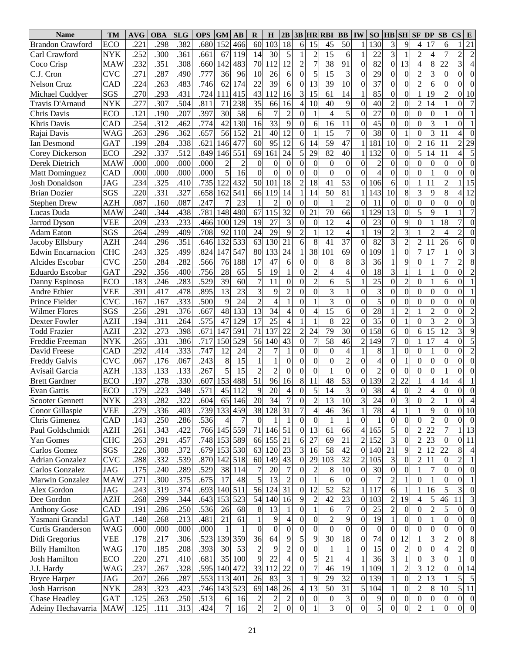| <b>Name</b>              | TM         | <b>AVG</b>        | <b>OBA</b> | <b>SLG</b> | <b>OPS</b> | <b>GM</b>      | AВ              | R                | H                | 2B               | 3B               |                  | <b>HR RBI</b>    | <b>BB</b>                | IW               | SO <sub>1</sub> | <b>HB</b> SH     |                  | $SF$ $DP$        |                  | <b>SB</b>        | CS<br>E                                      |
|--------------------------|------------|-------------------|------------|------------|------------|----------------|-----------------|------------------|------------------|------------------|------------------|------------------|------------------|--------------------------|------------------|-----------------|------------------|------------------|------------------|------------------|------------------|----------------------------------------------|
| <b>Brandon Crawford</b>  | ECO        | .221              | .298       | .382       | .680       | 152            | 466             | 60               | 103              | 18               | 6                | 15               | 45               | 50                       |                  | 130             | $\overline{3}$   | 9                | $\overline{4}$   | 17               | 6                | 21                                           |
| Carl Crawford            | <b>NYK</b> | .252              | .300       | .361       | .661       | 67             | 119             | 14               | 30               | 5                |                  | $\overline{2}$   | 15               | 6                        |                  | 22              | 3                |                  | $\overline{c}$   | $\overline{4}$   | $\overline{7}$   | $\overline{2}$<br>$\overline{c}$             |
| Coco Crisp               | MAW        | .232              | .351       | .308       | .660       | 142            | 483             | 70               | 112              | 12               | $\overline{c}$   | 7                | 38               | 91                       | $\Omega$         | 82              | $\overline{0}$   | 13               | $\overline{4}$   | $8\,$            | 22               | 3                                            |
| C.J. Cron                | CVC        | .271              | .287       | .490       | .777       | 36             | 96              | 10               | 26               | 6                | 0                | 5                | 15               | 3                        | $\mathbf{0}$     | 29              | $\mathbf{0}$     | $\mathbf{0}$     | $\overline{c}$   | 3                | $\theta$         | $\overline{0}$<br>$\theta$                   |
| <b>Nelson Cruz</b>       | CAD        | .224              | .263       | .483       | .746       | 62             | 174             | 22               | 39               | 6                | $\overline{0}$   | 13               | 39               | 10                       | $\mathbf{0}$     | 37              | $\mathbf{0}$     | $\mathbf{0}$     | $\overline{2}$   | 6                | $\Omega$         | $\theta$<br>$\Omega$                         |
| Michael Cuddyer          | SGS        | .270              | .293       | .431       | .724       | 111            | 415             | 43               | 112              | 16               | 3                | 15               | 61               | 14                       |                  | 85              | $\mathbf{0}$     | $\mathbf{0}$     | $\mathbf{1}$     | 19               | $\overline{2}$   | 10<br>0                                      |
| Travis D'Arnaud          | <b>NYK</b> | .277              | .307       | .504       | .811       | 71             | 238             | 35               | 66               | 16               | $\overline{4}$   | 10               | 40               | 9                        | $\Omega$         | 40              | $\overline{c}$   | $\mathbf{0}$     | $\overline{c}$   | 14               |                  | 7<br>$\theta$                                |
| Chris Davis              | <b>ECO</b> | .121              | .190       | .207       | .397       | 30             | 58              | 6                | $\boldsymbol{7}$ | $\overline{2}$   | $\theta$         |                  | $\overline{4}$   | 5                        | $\mathbf{0}$     | 27              | $\mathbf{0}$     | $\mathbf{0}$     | $\overline{0}$   | $\boldsymbol{0}$ |                  | $\theta$                                     |
| Khris Davis              | CAD        | $.25\overline{4}$ | .312       | .462       | .774       | 42             | 130             | 16               | 33               | 9                | 0                | 6                | 16               | 11                       | $\overline{0}$   | 45              | $\mathbf{0}$     | $\mathbf{0}$     | $\overline{0}$   | 3                |                  | $\theta$                                     |
| Rajai Davis              | WAG        | .263              | .296       | .362       | .657       | 56             | 152             | 21               | 40               | 12               | $\overline{0}$   |                  | 15               | $\overline{7}$           | $\mathbf{0}$     | 38              | $\mathbf{0}$     | $\mathbf{1}$     | $\overline{0}$   | 3                | 11               | 4<br>$\Omega$                                |
| Ian Desmond              | <b>GAT</b> | .199              | .284       | .338       | .621       | 146            | 477             | 60               | 95               | 12               | 6                | 14               | 59               | 47                       |                  | 181             | 10               | $\mathbf{0}$     | $\overline{c}$   | 16               | 11               | 29<br>$\overline{c}$                         |
| Corey Dickerson          | <b>ECO</b> | .292              | .337       | .512       | .849       | 146            | 551             | 69               | 161              | 24               | 5                | 29               | 82               | 40                       |                  | 132             | $\mathbf{0}$     | $\mathbf{0}$     | 5                | 14               | 11               | 5<br>4                                       |
| Derek Dietrich           | MAW        | .000              | .000       | .000       | .000       | $\overline{c}$ |                 | $\boldsymbol{0}$ | $\mathbf{0}$     | $\mathbf{0}$     | $\overline{0}$   | $\boldsymbol{0}$ | $\boldsymbol{0}$ | $\overline{0}$           | $\Omega$         | $\overline{c}$  | $\mathbf{0}$     | $\mathbf{0}$     | $\overline{0}$   | $\boldsymbol{0}$ | $\Omega$         | $\overline{0}$<br>$\theta$                   |
| <b>Matt Dominguez</b>    | CAD        | .000              | .000       | .000       | .000       | 5              | 16              | $\overline{0}$   | $\mathbf{0}$     | $\mathbf{0}$     | $\boldsymbol{0}$ | $\overline{0}$   | $\overline{0}$   | $\overline{0}$           | $\Omega$         | $\overline{4}$  | $\mathbf{0}$     | $\mathbf{0}$     | $\overline{0}$   | $\mathbf{1}$     | $\theta$         | $\Omega$<br>$\Omega$                         |
| <b>Josh Donaldson</b>    | JAG        | .234              | .325       | .410       | .735       | 122            | 432             | 50               | 101              | 18               | $\overline{c}$   | 18               | 41               | 53                       | $\overline{0}$   | 106             | 6                | $\mathbf{0}$     | $\mathbf{1}$     | 11               | $\overline{2}$   | 15                                           |
| <b>Brian Dozier</b>      | SGS        | .220              | .331       | .327       | .658       | 162            | 541             | 66               | 119              | 14               |                  | 14               | 50               | 81                       |                  | 143             | 10               | $8\,$            | 3                | 9                | 8                | 12<br>4                                      |
| <b>Stephen Drew</b>      | AZH        | .087              | .160       | .087       | .247       | 7              | 23              |                  | $\overline{2}$   | $\mathbf{0}$     | $\overline{0}$   | $\boldsymbol{0}$ | $\mathbf{1}$     | $\overline{2}$           | $\overline{0}$   | 11              | $\mathbf{0}$     | $\overline{0}$   | $\overline{0}$   | $\overline{0}$   | $\Omega$         | $\theta$<br>$\theta$                         |
| Lucas Duda               | <b>MAW</b> | .240              | .344       | .438       | .781       | 148            | 480             | 67               | 115              | 32               | $\overline{0}$   | 21               | 70               | 66                       |                  | 129             | 13               | $\mathbf{0}$     | 5                | 9                |                  | 7                                            |
| <b>Jarrod Dyson</b>      | VEE        | .209              | .233       | .233       | .466       | 100            | 129             | 19               | 27               | 3                | $\theta$         | $\theta$         | 12               | $\overline{4}$           | $\Omega$         | 23              | $\mathbf{0}$     | 9                | $\overline{0}$   | 1                | 18               | $\Omega$<br>7                                |
| <b>Adam Eaton</b>        | SGS        | .264              | .299       | .409       | .708       | 92             | 110             | 24               | 29               | 9                | $\overline{c}$   |                  | 12               | $\overline{4}$           |                  | 19              | $\overline{c}$   | $\overline{3}$   | $\mathbf{1}$     | $\overline{2}$   | $\overline{4}$   | $\overline{c}$<br>$\theta$                   |
| Jacoby Ellsbury          | <b>AZH</b> | .244              | .296       | .351       | .646       | 132            | 533             | 63               | 130              | 21               | 6                | $8\,$            | 41               | 37                       | $\theta$         | 82              | 3                | $\overline{2}$   | $\overline{c}$   | 11               | 26               | 6<br>$\theta$                                |
| <b>Edwin Encarnacion</b> | <b>CHC</b> | .243              | .325       | .499       | .824       | 147            | 547             | 80               | 133              | 24               | 1                | 38               | 101              | 69                       | $\Omega$         | 109             |                  | $\overline{0}$   | $\overline{7}$   | 17               | $\mathbf{1}$     | $\overline{3}$<br>$\theta$                   |
| Alcides Escobar          | <b>CVC</b> | .250              | .284       | .282       | .566       | 76             | 188             | 17               | 47               | 6                | $\Omega$         | $\Omega$         | 8                | 8                        | 3                | 36              |                  | 9                | $\overline{0}$   | 1                | 7                | 8<br>$\overline{2}$                          |
| Eduardo Escobar          | <b>GAT</b> | .292              | .356       | .400       | .756       | 28             | 65              | 5                | 19               | 1                | $\Omega$         | $\overline{2}$   | $\overline{4}$   | $\overline{4}$           | $\Omega$         | 18              | 3                | $\mathbf{1}$     | $\mathbf{1}$     | 1                | $\theta$         | $\overline{0}$<br>$\overline{c}$             |
| Danny Espinosa           | ECO        | .183              | .246       | .283       | .529       | 39             | $\overline{60}$ | $\overline{7}$   | 11               | $\overline{0}$   | $\theta$         | $\overline{2}$   | 6                | 5                        |                  | 25              | $\mathbf{0}$     | $\overline{2}$   | $\overline{0}$   | 1                | 6                | $\theta$                                     |
| Andre Ethier             | VEE        | .391              | .417       | .478       | .895       | 13             | $\overline{23}$ | 3                | 9                | $\overline{c}$   | $\Omega$         | $\overline{0}$   | $\overline{3}$   | $\mathbf{1}$             | $\Omega$         | 3               | $\mathbf{0}$     | $\overline{0}$   | $\overline{0}$   | $\boldsymbol{0}$ | $\Omega$         | $\theta$                                     |
| Prince Fielder           | <b>CVC</b> | .167              | .167       | .333       | .500       | 9              | 24              | $\overline{2}$   | $\overline{4}$   |                  | $\Omega$         |                  | $\overline{3}$   | $\overline{0}$           | $\Omega$         | 5               | $\Omega$         | $\overline{0}$   | $\overline{0}$   | $\mathbf{0}$     | $\theta$         | $\theta$<br>$\Omega$                         |
| Wilmer Flores            | SGS        | .256              | .291       | .376       | .667       | 48             | 133             | $\overline{13}$  | $\overline{34}$  | $\overline{4}$   | $\theta$         | 4                | $\overline{15}$  | 6                        | $\mathbf{0}$     | 28              |                  | $\overline{2}$   | $\mathbf{1}$     | $\overline{c}$   | $\theta$         | $\overline{2}$<br>$\Omega$                   |
| Dexter Fowler            | AZH        | .194              | .311       | .264       | .575       | 47             | 129             | 17               | 25               | $\overline{4}$   |                  |                  | 8                | 22                       | $\mathbf{0}$     | 35              | $\Omega$         | $\mathbf{1}$     | $\overline{0}$   | 3                | $\overline{2}$   | $\overline{3}$<br>$\theta$                   |
| <b>Todd Frazier</b>      | AZH        | .232              | .273       | .398       | .671       | 147            | 591             | 71               | 137              | 22               | $\overline{2}$   | 24               | 79               | 30                       | $\Omega$         | 158             | 6                | $\overline{0}$   | 6                | $\overline{15}$  | $\overline{12}$  | $\overline{9}$<br>3                          |
| Freddie Freeman          | <b>NYK</b> | .265              | .331       | .386       | .717       | 150            | 529             | 56               | 140              | $\overline{43}$  | $\overline{0}$   | $\overline{7}$   | 58               | 46                       | 2                | 49              | 7                | $\overline{0}$   | $\mathbf{1}$     | 17               | $\overline{4}$   | $\overline{5}$<br>$\overline{0}$             |
| David Freese             | CAD        | .292              | .414       | .333       | .747       | 12             | 24              | $\overline{c}$   | 7                | 1                | $\theta$         | $\theta$         | $\mathbf{0}$     | $\overline{4}$           |                  | 8               |                  | $\mathbf{0}$     | $\mathbf{0}$     | $\mathbf{1}$     | $\theta$         | $\overline{2}$<br>$\theta$                   |
| <b>Freddy Galvis</b>     | CVC        | .067              | .176       | .067       | .243       | 8              | 15              | $\mathbf{1}$     | $\mathbf{1}$     | $\mathbf{0}$     | $\theta$         | $\Omega$         | $\mathbf{0}$     | $\overline{2}$           | $\Omega$         | $\overline{4}$  | $\Omega$         | 1                | $\overline{0}$   | $\boldsymbol{0}$ | $\theta$         | $\Omega$<br>$\theta$                         |
| Avisail Garcia           | AZH        | .133              | .133       | .133       | .267       | $\overline{5}$ | 15              | $\overline{2}$   | $\overline{2}$   | $\boldsymbol{0}$ | $\boldsymbol{0}$ | $\overline{0}$   | $\mathbf{1}$     | $\overline{0}$           | $\boldsymbol{0}$ | $\overline{c}$  | $\boldsymbol{0}$ | $\mathbf{0}$     | $\overline{0}$   | $\overline{0}$   |                  | $\theta$<br>$\theta$                         |
| <b>Brett Gardner</b>     | ECO        | .197              | .278       | .330       | .607       | 153            | 488             | 51               | 96               | 16               | 8                | 11               | 48               | $\overline{53}$          | $\overline{0}$   | 139             | $\overline{2}$   | 22               | $\mathbf{1}$     | $\overline{4}$   | 14               | 4                                            |
| <b>Evan Gattis</b>       | ECO        | .179              | .223       | .348       | .571       | 45             | 112             | 9                | 20               | $\overline{4}$   | $\overline{0}$   | 5                | 14               | 3                        | $\Omega$         | 38              | $\overline{4}$   | $\mathbf{0}$     | $\overline{2}$   | $\overline{4}$   | $\theta$         | $\mathbf{0}$<br>$\theta$                     |
| <b>Scooter Gennett</b>   | NYK        | .233              | .282       | .322       | .604       |                | 65 146          | 20               | 34               |                  | $\overline{0}$   | 2                | 13               | 10                       | 3                | 24              | $\vert 0 \vert$  | 3                | U                | 2                | $\perp$          | $\theta$<br>4                                |
| Conor Gillaspie          | VEE        | .279              | .336       | .403       | .739       |                | 133 459         | 38               | 128              | 31               | 7                | 4                | 46               | 36                       |                  | 78              | 4                |                  | 1                | 9                | 0                | 0 <sub>10</sub>                              |
| Chris Gimenez            | CAD        | .143              | .250       | .286       | .536       | 4              |                 | $\mathbf{0}$     |                  |                  | 0                | $\mathbf{0}$     |                  | 1                        | $\Omega$         | 1               | $\mathbf{0}$     | $\boldsymbol{0}$ | $\mathbf{0}$     | $\overline{2}$   | $\Omega$         | $\theta$<br>$\theta$                         |
| Paul Goldschmidt         | AZH        | .261              | .343       | .422       | .766       |                | 145 559         | 71               | 146              | 51               | $\Omega$         | 13               | 61               | 66                       | 4                | 165             | 5                | $\boldsymbol{0}$ | $\overline{2}$   | 22               |                  | 13                                           |
| Yan Gomes                | <b>CHC</b> | .263              | .291       | .457       | .748       |                | 153 589         | 66               | 155              | 21               | 6                | 27               | 69               | 21                       | 2                | 152             | 3                | $\boldsymbol{0}$ | $\overline{2}$   | 23               | $\Omega$         | 11<br>$\theta$                               |
| Carlos Gomez             | SGS        | .226              | .308       | .372       | .679       |                | 153 530         | 63               | 120              | 23               | 3                | 16               | 58               | 42                       | $\overline{0}$   | 140             | 21               | 9                | $\overline{2}$   | 12               | 22               | 8<br>4                                       |
| <b>Adrian Gonzalez</b>   | <b>CVC</b> | .288              | .332       | .539       | .870       |                | 142 518         | 60               | 149              | 43               | $\theta$         | 29               | 103              | 32                       | 2                | 105             | 3                | $\boldsymbol{0}$ | $\boldsymbol{2}$ | 11               | $\Omega$         | $\overline{2}$                               |
| Carlos Gonzalez          | JAG        | .175              | .240       | .289       | .529       |                | 38 114          | 7                | 20               | 7                | 0                | $\overline{c}$   | 8                | 10                       | $\overline{0}$   | 30              | $\overline{0}$   | $\boldsymbol{0}$ |                  | 7                | $\Omega$         | $\boldsymbol{0}$<br>$\overline{0}$           |
| Marwin Gonzalez          | <b>MAW</b> | .271              | .300       | .375       | .675       | 17             | 48              | 5                | 13               | $\overline{c}$   | $\theta$         |                  | 6                | $\boldsymbol{0}$         | $\Omega$         | $\overline{7}$  | 2                |                  | $\mathbf{0}$     |                  | $\theta$         | $\overline{0}$                               |
| Alex Gordon              | JAG        | .243              | .319       | .374       | .693       |                | 140 511         | 56               | 124              | 31               | $\theta$         | 12               | 52               | 52                       |                  | 117             | 6                |                  |                  | 16               |                  | 3<br>$\mathbf{0}$                            |
| Dee Gordon               | AZH        | .268              | .299       | .344       | .643       | 153            | 523             | 54               | 140              | 16               | 9                | $\overline{c}$   | 42               | 23                       | $\overline{0}$   | 103             | 2                | 19               | $\overline{4}$   | 5                | 46               | 3<br>11                                      |
| <b>Anthony Gose</b>      | CAD        | .191              | .286       | .250       | .536       | 26             | 68              | 8                | 13               |                  | $\theta$         |                  | 6                | $\boldsymbol{7}$         | $\overline{0}$   | 25              | 2                | $\mathbf{0}$     | $\boldsymbol{0}$ | $\overline{2}$   | 5                | $\overline{0}$<br>$\theta$                   |
| Yasmani Grandal          | <b>GAT</b> | .148              | .268       | .213       | .481       | 21             | 61              | $\mathbf{1}$     | 9                | $\overline{4}$   | 0                | $\boldsymbol{0}$ | $\overline{c}$   | 9                        | $\overline{0}$   | 19              |                  | $\boldsymbol{0}$ | $\boldsymbol{0}$ | 1                | $\overline{0}$   | $\mathbf{0}$<br>$\overline{0}$               |
| <b>Curtis Granderson</b> | WAG        | .000              | .000       | .000       | .000       |                |                 | $\boldsymbol{0}$ | $\boldsymbol{0}$ | $\overline{0}$   | 0                | $\boldsymbol{0}$ | $\mathbf{0}$     | $\mathbf{0}$             | $\Omega$         | $\overline{0}$  | $\theta$         | $\boldsymbol{0}$ | $\boldsymbol{0}$ | $\mathbf{0}$     | $\Omega$         | $\overline{0}$<br>0                          |
| Didi Gregorius           | VEE        | .178              | .217       | .306       | .523       |                | 139 359         | 36               | $\overline{64}$  | 9                | 5                | 9                | $\overline{30}$  | $\overline{18}$          | $\overline{0}$   | 74              | $\theta$         | 12               |                  | 3                | 2                | 8<br>$\overline{0}$                          |
| <b>Billy Hamilton</b>    | WAG        | .170              | .185       | .208       | .393       | 30             | 53              | $\sqrt{2}$       | 9                | $\overline{c}$   | $\theta$         | $\overline{0}$   | $\mathbf{1}$     |                          | $\overline{0}$   | 15              | $\mathbf{0}$     | $\overline{c}$   | $\boldsymbol{0}$ | $\boldsymbol{0}$ | 4                | $\mathbf{0}$<br>2                            |
| <b>Josh Hamilton</b>     | ECO        | .220              | .271       | .410       | .681       | 35             | 100             | 9                | 22               | $\overline{4}$   | 0                | 5                | 21               | $\overline{\mathcal{L}}$ |                  | 36              | 3                |                  | $\boldsymbol{0}$ | 3                | 0                | $\theta$                                     |
| J.J. Hardy               | WAG        | .237              | .267       | .328       | .595       |                | 140 472         | 33               | 112              | 22               | $\overline{0}$   |                  | 46               | 19                       |                  | 109             |                  | $\overline{c}$   | 3                | 12               | $\theta$         | $\overline{0}$<br>14                         |
| <b>Bryce Harper</b>      | JAG        | .207              | .266       | .287       | .553       |                | 113 401         | 26               | 83               | 3                |                  | 9                | 29               | 32                       | $\overline{0}$   | 139             |                  | $\boldsymbol{0}$ | $\overline{c}$   | 13               |                  | 5<br>5                                       |
| <b>Josh Harrison</b>     | NYK        | .283              | .323       | .423       | .746       |                | 143 523         | 69               | 148              | 26               | 4                | 13               | 50               | 31                       | 5                | 104             |                  | $\boldsymbol{0}$ | $\overline{c}$   | 8                | 10               | 5 11                                         |
| <b>Chase Headley</b>     | <b>GAT</b> | .125              | .263       | .250       | .513       | 6              | 16              | $\overline{c}$   | $\overline{c}$   | $\overline{c}$   | 0                | $\boldsymbol{0}$ | $\boldsymbol{0}$ | 3                        | $\boldsymbol{0}$ | 9               | $\boldsymbol{0}$ | $\boldsymbol{0}$ | $\overline{0}$   | $\boldsymbol{0}$ | $\overline{0}$   | $\boldsymbol{0}$<br>$\overline{\phantom{0}}$ |
| Adeiny Hechavarria       | MAW        | .125              | .111       | .313       | .424       | 7 <sup>1</sup> | 16              | $\overline{2}$   | $\overline{2}$   | $\overline{0}$   | 0                |                  | 3                | $\overline{0}$           | $\overline{0}$   | 5               | $\overline{0}$   | $\overline{0}$   | $\overline{2}$   | $\mathbf{1}$     | $\boldsymbol{0}$ | $\boldsymbol{0}$<br>$\boldsymbol{0}$         |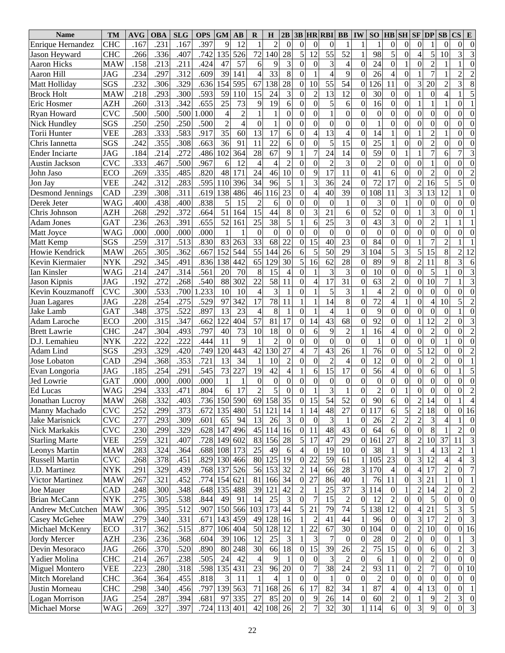| <b>Name</b>             | <b>TM</b>  | <b>AVG</b> | <b>OBA</b> | <b>SLG</b> | <b>OPS</b> | <b>GM</b>      | $\mathbf{A}\mathbf{B}$ | R                | $\bf H$          | 2B              | 3B               |                  | <b>HR RBI</b>    | <b>BB</b>        | <b>IW</b>        | SO              |                          | <b>HB</b> SH            | $SF$ $DP$               |                  | SB               | $\mathbf{CS}$<br>E                |
|-------------------------|------------|------------|------------|------------|------------|----------------|------------------------|------------------|------------------|-----------------|------------------|------------------|------------------|------------------|------------------|-----------------|--------------------------|-------------------------|-------------------------|------------------|------------------|-----------------------------------|
| Enrique Hernandez       | <b>CHC</b> | .167       | .231       | .167       | .397       | 9              | 12                     | $\mathbf{1}$     | $\overline{2}$   | $\mathbf{0}$    | $\overline{0}$   | $\Omega$         | $\theta$         | 1                |                  | $\mathbf{1}$    | $\Omega$                 | $\mathbf{0}$            | $\overline{0}$          |                  | $\theta$         | $\mathbf{0}$<br>$\boldsymbol{0}$  |
| Jason Heyward           | <b>CHC</b> | 266        | .336       | .407       | .742       | 135            | 526                    | 72               | 140              | 28              | 5                | 12               | 55               | 52               |                  | 98              | 5                        | $\overline{0}$          | $\overline{4}$          | 5                | 10               | 3<br>3                            |
| <b>Aaron Hicks</b>      | <b>MAW</b> | .158       | .213       | .211       | .424       | 47             | 57                     | 6                | 9                | 3               | $\theta$         | $\overline{0}$   | $\mathfrak{Z}$   | $\overline{4}$   | $\mathbf{0}$     | 24              | $\mathbf{0}$             |                         | $\overline{0}$          | $\overline{2}$   |                  | $\overline{0}$                    |
| Aaron Hill              | JAG        | .234       | .297       | .312       | .609       | 39             | 141                    | $\overline{4}$   | 33               | 8               | $\boldsymbol{0}$ |                  | $\overline{4}$   | 9                | $\boldsymbol{0}$ | 26              | 4                        | $\mathbf{0}$            | $\mathbf{1}$            | $\overline{7}$   |                  | $\overline{2}$<br>$\overline{c}$  |
| Matt Holliday           | SGS        | .232       | .306       | .329       | .636       | 154            | 595                    | 67               | 138              | 28              | $\boldsymbol{0}$ | 10               | 55               | 54               | $\mathbf{0}$     | 126             | 11                       | $\overline{0}$          | $\overline{\mathbf{3}}$ | 20               | $\overline{2}$   | 8<br>3                            |
| <b>Brock Holt</b>       | MAW        | .218       | .293       | .300       | .593       | 59             | 110                    | 15               | 24               | 3               | $\theta$         | $\overline{2}$   | 13               | 12               | $\boldsymbol{0}$ | 30              | $\mathbf{0}$             | $\mathbf{0}$            | $\mathbf{1}$            | $\boldsymbol{0}$ | $\overline{4}$   | 5                                 |
| Eric Hosmer             | <b>AZH</b> | .260       | .313       | .342       | .655       | 25             | 73                     | 9                | 19               | 6               | $\theta$         | $\Omega$         | 5                | 6                | $\mathbf{0}$     | 16              | $\mathbf{0}$             | $\mathbf{0}$            | $\mathbf{1}$            | 1                |                  | $\theta$                          |
| Ryan Howard             | <b>CVC</b> | .500       | .500       | .500       | .000       | $\overline{4}$ | $\overline{2}$         | 1                | 1                | $\overline{0}$  | $\boldsymbol{0}$ | $\overline{0}$   | $\mathbf{1}$     | $\overline{0}$   | $\boldsymbol{0}$ | $\overline{0}$  | $\mathbf{0}$             | $\mathbf{0}$            | $\overline{0}$          | $\mathbf{0}$     | $\overline{0}$   | $\theta$<br>$\theta$              |
| Nick Hundley            | SGS        | .250       | .250       | .250       | .500       | $\overline{2}$ | 4                      | $\boldsymbol{0}$ | $\mathbf{1}$     | $\overline{0}$  | 0                | $\theta$         | $\overline{0}$   | $\overline{0}$   | $\mathbf{0}$     | $\mathbf{1}$    | $\mathbf{0}$             | $\mathbf{0}$            | $\overline{0}$          | $\overline{0}$   | $\theta$         | $\theta$<br>$\theta$              |
| Torii Hunter            | VEE        | .283       | .333       | .583       | .917       | 35             | 60                     | 13               | 17               | 6               | $\theta$         | 4                | $\overline{13}$  | $\overline{4}$   | $\boldsymbol{0}$ | 14              |                          | $\mathbf{0}$            | $\mathbf{1}$            | $\overline{2}$   |                  | $\overline{0}$<br>$\theta$        |
| Chris Iannetta          | SGS        | .242       | .355       | .308       | .663       | 36             | 91                     | 11               | 22               | 6               | $\mathbf{0}$     | $\Omega$         | 5                | 15               | $\boldsymbol{0}$ | 25              |                          | $\overline{0}$          | $\overline{0}$          | $\overline{2}$   | $\theta$         | $\overline{0}$<br>$\theta$        |
| <b>Ender Inciarte</b>   | <b>JAG</b> | .184       | .214       | .272       | .486       | 102            | 364                    | 28               | 67               | 9               |                  | 7                | 24               | 14               | $\boldsymbol{0}$ | 59              | $\mathbf{0}$             | $\mathbf{1}$            | $\mathbf{1}$            | $\overline{7}$   | 6                | 3<br>7                            |
| Austin Jackson          | <b>CVC</b> | .333       | .467       | .500       | .967       | 6              | 12                     | $\overline{4}$   | $\overline{4}$   | $\overline{c}$  | $\overline{0}$   | $\overline{0}$   | $\overline{c}$   | 3                | $\boldsymbol{0}$ | $\overline{2}$  | $\mathbf{0}$             | $\mathbf{0}$            | $\overline{0}$          | $\mathbf{1}$     | $\theta$         | $\overline{0}$<br>$\theta$        |
| John Jaso               | <b>ECO</b> | .269       | .335       | .485       | .820       | 48             | 171                    | 24               | 46               | 10              | $\boldsymbol{0}$ | 9                | 17               | 11               | $\boldsymbol{0}$ | 41              | 6                        | $\mathbf{0}$            | $\overline{0}$          | $\overline{2}$   | $\boldsymbol{0}$ | $\overline{2}$<br>$\theta$        |
| Jon Jay                 | <b>VEE</b> | .242       | .312       | .283       | .595       | 110            | 396                    | 34               | 96               | 5               |                  | 3                | 36               | 24               | $\boldsymbol{0}$ | 72              | 17                       | $\overline{0}$          | $\overline{c}$          | 16               | 5                | 5<br>$\Omega$                     |
| <b>Desmond Jennings</b> | CAD        | .239       | .308       | .311       | .619       | 138            | 486                    | 46               | 116              | 23              | $\theta$         | 4                | 40               | 39               | $\mathbf{0}$     | 108             | 11                       | $\overline{\mathbf{3}}$ | $\overline{3}$          | 13               | 12               | $\overline{0}$                    |
| Derek Jeter             | WAG        | .400       | .438       | .400       | .838       | 5              | 15                     | $\overline{2}$   | 6                | $\overline{0}$  | $\overline{0}$   | $\Omega$         | $\overline{0}$   | $\mathbf{1}$     | $\Omega$         | 3               | $\Omega$                 | $\mathbf{1}$            | $\overline{0}$          | $\mathbf{0}$     | $\Omega$         | $\overline{0}$<br>$\theta$        |
| Chris Johnson           | AZH        | .268       | .292       | .372       | .664       | 51             | 164                    | 15               | $\overline{44}$  | 8               | $\theta$         | 3                | 21               | 6                | $\overline{0}$   | 52              | $\mathbf{0}$             | $\mathbf{0}$            | $\overline{1}$          | 3                | $\theta$         | $\theta$                          |
| <b>Adam Jones</b>       | <b>GAT</b> | .236       | .263       | .391       | .655       | 52             | 161                    | 25               | 38               | 5               |                  | 6                | 25               | $\overline{3}$   | $\mathbf{0}$     | 43              | 3                        | $\overline{0}$          | $\overline{0}$          | $\overline{2}$   |                  |                                   |
| Matt Joyce              | <b>WAG</b> | .000       | .000       | .000       | .000       |                |                        | $\overline{0}$   | $\boldsymbol{0}$ | $\overline{0}$  | $\boldsymbol{0}$ | $\boldsymbol{0}$ | $\boldsymbol{0}$ | $\overline{0}$   | $\boldsymbol{0}$ | $\overline{0}$  | $\mathbf{0}$             | $\overline{0}$          | $\overline{0}$          | $\overline{0}$   | $\Omega$         | $\theta$<br>$\theta$              |
| Matt Kemp               | SGS        | .259       | .317       | .513       | .830       | 83             | 263                    | 33               | 68               | 22              | $\mathbf{0}$     | 15               | 40               | 23               | $\overline{0}$   | 84              | $\mathbf{0}$             | $\boldsymbol{0}$        | $\mathbf{1}$            | $\overline{7}$   | $\overline{2}$   |                                   |
| Howie Kendrick          | <b>MAW</b> | .265       | .305       | .362       | .667       | 152            | 544                    | $\overline{55}$  | 144              | $\overline{26}$ | 6                | 5                | 50               | $\overline{29}$  | 3                | 104             | $\overline{5}$           | $\overline{3}$          | $\overline{5}$          | $\overline{15}$  | 8                | $\overline{12}$<br>$\overline{2}$ |
| Kevin Kiermaier         | <b>NYK</b> | .292       | .345       | .491       | .836       | 138            | 442                    | 65               | 129              | 30              | 5                | 16               | 62               | $\overline{28}$  | $\Omega$         | 89              | $\overline{9}$           | $\overline{8}$          | $\overline{2}$          | 11               | 8                | 3<br>6                            |
| Ian Kinsler             | WAG        | .214       | .247       | .314       | .561       | 20             | 70                     | 8                | 15               | $\overline{4}$  | $\overline{0}$   |                  | 3                | 3                | $\Omega$         | 10              | $\mathbf{0}$             | $\overline{0}$          | $\overline{0}$          | 5                |                  | $\overline{3}$<br>$\Omega$        |
| Jason Kipnis            | JAG        | .192       | .272       | .268       | .540       | 88             | 302                    | 22               | 58               | 11              | $\overline{0}$   | 4                | 17               | $\overline{31}$  | $\Omega$         | $\overline{63}$ | $\overline{2}$           | $\overline{0}$          | $\overline{0}$          | 10               | 7                | $\overline{3}$                    |
| Kevin Kouzmanoff        | <b>CVC</b> | .300       | .533       | .700       | .233       | 10             | 10                     | $\overline{4}$   | 3                |                 | $\Omega$         |                  | 5                | 3                |                  | $\overline{4}$  | $\overline{c}$           | $\overline{0}$          | $\overline{0}$          | $\boldsymbol{0}$ | $\Omega$         | $\overline{0}$<br>$\overline{0}$  |
| Juan Lagares            | <b>JAG</b> | .228       | .254       | .275       | .529       | 97             | 342                    | 17               | 78               | 11              |                  |                  | $\overline{14}$  | 8                | $\theta$         | 72              | $\overline{\mathbf{4}}$  | $\mathbf{1}$            | $\overline{0}$          | $\overline{4}$   | 10               | 5<br>$\overline{2}$               |
| Jake Lamb               | <b>GAT</b> | .348       | .375       | .522       | .897       | 13             | 23                     | $\overline{4}$   | 8                | 1               | $\theta$         |                  | $\overline{4}$   | $\mathbf{1}$     | $\Omega$         | 9               | $\mathbf{0}$             | $\overline{0}$          | $\overline{0}$          | $\mathbf{0}$     | $\overline{0}$   | $\overline{0}$                    |
| <b>Adam Laroche</b>     | ECO        | .200       | .315       | .347       | .662       | 122            | 404                    | 57               | 81               | 17              | $\mathbf{0}$     | 14               | $\overline{43}$  | $\overline{68}$  | $\Omega$         | 92              | $\mathbf{0}$             | $\overline{0}$          | $\mathbf{1}$            | 12               | $\overline{2}$   | $\overline{3}$<br>$\theta$        |
| <b>Brett Lawrie</b>     | <b>CHC</b> | .247       | .304       | .493       | .797       | 40             | 73                     | 10               | 18               | $\mathbf{0}$    | $\theta$         | 6                | 9                | $\overline{2}$   |                  | 16              | $\overline{\mathcal{L}}$ | $\mathbf{0}$            | $\overline{0}$          | $\overline{2}$   | $\overline{0}$   | $\overline{2}$<br>$\theta$        |
| D.J. Lemahieu           | <b>NYK</b> | .222       | .222       | .222       | .444       | 11             | 9                      | $\mathbf{1}$     | $\overline{2}$   | $\theta$        | $\theta$         | $\overline{0}$   | $\overline{0}$   | $\overline{0}$   | $\Omega$         | $\mathbf{1}$    | $\mathbf{0}$             | $\overline{0}$          | $\overline{0}$          | $\mathbf{0}$     |                  | $\overline{0}$<br>$\theta$        |
| Adam Lind               | SGS        | .293       | .329       | .420       | .749       | 120            | 443                    | 42               | 130              | 27              | $\overline{4}$   | 7                | $\overline{43}$  | 26               |                  | 76              | $\mathbf{0}$             | $\mathbf{0}$            | $\overline{5}$          | 12               | $\Omega$         | $\theta$<br>$\overline{2}$        |
| Jose Lobaton            | CAD        | .294       | .368       | .353       | .721       | 13             | $\overline{34}$        | $\mathbf{1}$     | 10               | $\overline{c}$  | $\theta$         | $\theta$         | $\overline{2}$   | $\overline{4}$   | $\Omega$         | 12              | $\mathbf{0}$             | $\overline{0}$          | $\overline{0}$          | $\overline{2}$   | $\Omega$         | $\mathbf{1}$<br>$\theta$          |
| Evan Longoria           | <b>JAG</b> | .185       | .254       | .291       | .545       | 73             | 227                    | $\overline{19}$  | $\overline{42}$  | $\overline{4}$  |                  | 6                | $\overline{15}$  | $\overline{17}$  | $\mathbf{0}$     | 56              | $\overline{\mathcal{L}}$ | $\mathbf{0}$            | $\overline{0}$          | 6                | $\boldsymbol{0}$ | 5                                 |
| Jed Lowrie              | <b>GAT</b> | .000       | .000       | .000       | .000       |                |                        | $\boldsymbol{0}$ | $\boldsymbol{0}$ | $\mathbf{0}$    | $\overline{0}$   | $\boldsymbol{0}$ | $\boldsymbol{0}$ | $\boldsymbol{0}$ | $\overline{0}$   | $\overline{0}$  | $\boldsymbol{0}$         | $\overline{0}$          | $\overline{0}$          | $\overline{0}$   | $\mathbf{0}$     | $\overline{0}$<br>$\theta$        |
| <b>Ed Lucas</b>         | WAG        | .294       | .333       | .471       | .804       | 6              | 17                     | $\overline{2}$   | $\overline{5}$   | $\overline{0}$  | $\overline{0}$   | $\mathbf{1}$     | $\overline{3}$   | $\mathbf{1}$     | $\Omega$         | $\overline{2}$  | $\Omega$                 | 1                       | $\overline{0}$          | $\overline{0}$   | $\overline{0}$   | $\overline{2}$<br>$\mathbf{0}$    |
| Jonathan Lucroy         | MAW        | .268       | .332       | .403       |            |                | .736  150  590         | 69               | <sup>158</sup>   | 35              | 0                | 15               | 54               | 52               | $\overline{0}$   | 90              | $\sigma$                 | $\boldsymbol{0}$        | 2                       | 14               | $\theta$         | 4                                 |
| Manny Machado           | <b>CVC</b> | .252       | .299       | .373       | .672       |                | 135 480                | 51               | 121              | 14              |                  | 14               | 48               | 27               | $\overline{0}$   | 117             | 6                        | 5                       | $\overline{2}$          | 18               | $\overline{0}$   | 16<br>$\overline{0}$              |
| Jake Marisnick          | <b>CVC</b> | .277       | .293       | .309       | .601       | 65             | 94                     | 13               | 26               | 3               | 0                | $\theta$         | 3                | 1                | $\overline{0}$   | 26              | 2                        | $\overline{c}$          | $\overline{2}$          | 3                | 4                | $\theta$                          |
| Nick Markakis           | <b>CVC</b> | .230       | .299       | .329       | .628       | 147            | 496                    | 45               | 114              | 16              | $\theta$         | 11               | 48               | 43               | $\overline{0}$   | 64              | 6                        | $\boldsymbol{0}$        | $\overline{0}$          | $\,8\,$          |                  | $\overline{c}$<br>$\mathbf{0}$    |
| <b>Starling Marte</b>   | VEE        | .259       | .321       | .407       | .728       | 149            | 602                    | 83               | 156              | 28              | 5                | 17               | 47               | 29               | $\overline{0}$   | 161             | 27                       | $\,$ 8 $\,$             | $\overline{2}$          | 10               | 37               | 3<br>11                           |
| Leonys Martin           | MAW        | .283       | .324       | .364       | .688       |                | 108 173                | 25               | 49               | 6               | 4                | $\boldsymbol{0}$ | 19               | 10               | $\overline{0}$   | 38              |                          | 9                       | $\mathbf{1}$            | 4                | 13               | $\mathbf{1}$<br>2                 |
| <b>Russell Martin</b>   | <b>CVC</b> | .268       | .378       | .451       | .829       |                | 130 466                | 80               | 125              | 19              | 0                | 22               | 59               | 61               |                  | 105             | 23                       | $\boldsymbol{0}$        | 3                       | 12               |                  | 3<br>4                            |
| J.D. Martinez           | NYK        | .291       | .329       | .439       | .768       | 137            | 526                    | 56               | 153              | 32              | $\overline{c}$   | 14               | 66               | 28               | 3                | 170             | 4                        | $\boldsymbol{0}$        | 4                       | 17               | 2                | $\overline{7}$<br>$\overline{0}$  |
| Victor Martinez         | MAW        | .267       | .321       | .452       | .774       | 154            | 621                    | 81               | 166              | 34              | $\boldsymbol{0}$ | 27               | 86               | 40               |                  | 76              | 11                       | $\boldsymbol{0}$        | 3                       | 21               |                  | $\theta$                          |
| Joe Mauer               | CAD        | .248       | .300       | .348       | .648       |                | 135 488                | 39               | 121              | 42              | $\overline{c}$   |                  | 25               | 37               | $\mathbf{3}$     | 114             | $\mathbf{0}$             |                         | $\overline{c}$          | 14               | 2                | $\overline{c}$<br>$\overline{0}$  |
| <b>Brian McCann</b>     | NYK        | .275       | .305       | .538       | .844       | 49             | 91                     | 14               | 25               | 3               | 0                |                  | 15               | $\overline{2}$   | $\overline{0}$   | 12              | 2                        | $\mathbf{0}$            | $\mathbf{0}$            | 5                | $\theta$         | $\overline{0}$<br>$\theta$        |
| Andrew McCutchen        | MAW        | .306       | .395       | .512       | .907       |                | 150 566                | 103              | 173              | 44              | 5                | 21               | 79               | 74               | 5                | 138             | 12                       | $\mathbf{0}$            | 4                       | 21               | 5                | 3<br>5                            |
| Casey McGehee           | <b>MAW</b> | .279       | .340       | .331       | .671       |                | 143 459                | 49               | 128              | 16              |                  | 2                | 41               | 44               |                  | 96              | $\overline{0}$           | $\boldsymbol{0}$        | 3                       | 17               | $\overline{c}$   | 3<br>$\theta$                     |
| Michael McKenry         | ECO        | .317       | .362       | .515       | .877       |                | 106 404                | 50               | 128              | 12              |                  | 22               | 67               | 30               | $\overline{0}$   | 104             | $\Omega$                 | $\boldsymbol{0}$        | $\overline{c}$          | 10               | $\Omega$         | 16<br>$\overline{0}$              |
| Jordy Mercer            | AZH        | .236       | .236       | .368       | .604       | 39             | 106                    | 12               | 25               | 3               |                  | 3                | $\overline{7}$   | $\mathbf{0}$     | $\mathbf{0}$     | 28              | $\Omega$                 | $\overline{c}$          | $\overline{0}$          | $\theta$         | $\theta$         | 3                                 |
| Devin Mesoraco          | JAG        | .266       | .370       | .520       | .890       | 80             | 248                    | 30               | 66               | 18              | $\theta$         | 15               | 39               | 26               | 2                | 75              | 15                       | $\boldsymbol{0}$        | $\boldsymbol{0}$        | 6                | $\Omega$         | $\overline{3}$<br>$\overline{2}$  |
| Yadier Molina           | <b>CHC</b> | .214       | .267       | .238       | .505       | 24             | 42                     | $\overline{4}$   | 9                |                 | 0                | $\mathbf{0}$     | 3                | $\overline{2}$   | $\theta$         | 6               |                          | 0                       | $\boldsymbol{0}$        | $\overline{2}$   | $\Omega$         | $\overline{0}$<br>$\theta$        |
| Miguel Montero          | VEE        | .223       | .280       | .318       | .598       |                | 135 431                | 23               | 96               | 20              | $\overline{0}$   | 7                | 38               | 24               | 2                | 93              | 11                       | $\boldsymbol{0}$        | $\overline{2}$          | $\overline{7}$   | $\boldsymbol{0}$ | $\overline{0}$<br>10              |
| Mitch Moreland          | <b>CHC</b> | .364       | .364       | .455       | .818       | 3              | 11                     | $\mathbf{1}$     | 4                |                 | 0                | $\mathbf{0}$     | $\mathbf{1}$     | $\mathbf{0}$     | $\overline{0}$   | $\overline{c}$  | $\theta$                 | $\boldsymbol{0}$        | $\overline{0}$          | $\mathbf{0}$     | $\Omega$         | $\overline{0}$<br>$\theta$        |
| Justin Morneau          | <b>CHC</b> | .298       | .340       | .456       | .797       |                | 139 563                | 71               | 168              | 26              | 6                | 17               | 82               | 34               |                  | 87              | 4                        | $\boldsymbol{0}$        | $\overline{4}$          | 13               | $\theta$         | $\overline{0}$<br>1               |
| Logan Morrison          | JAG        | .254       | .287       | .394       | .681       | 97             | 335                    | 27               | 85               | 20              | 0                | 9                | 26               | 14               | $\mathbf{0}$     | 60              | 2                        | $\boldsymbol{0}$        |                         | 9                | $\overline{c}$   | 3<br>$\boldsymbol{0}$             |
| Michael Morse           | WAG        | .269       | .327       | .397       | .724       |                | 113 401                | 42               | 108              | 26              | $\overline{c}$   | 7                | 32               | 30               |                  | 114             | $6 \mid$                 | $\overline{0}$          | $\overline{3}$          | 9                | $\overline{0}$   | $\mathbf{0}$<br>$\mathfrak{Z}$    |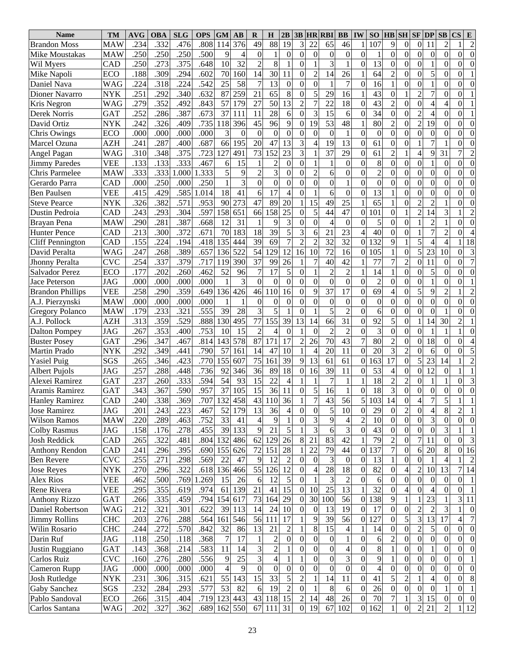| .332<br>376<br>49<br>88<br>19<br>3<br>22<br>.234<br>.476<br>.808<br>65<br>46<br>107<br>9<br>$\boldsymbol{0}$<br>11<br>$\overline{2}$<br>$\overline{c}$<br><b>Brandon Moss</b><br><b>MAW</b><br>114<br>$\overline{0}$<br>$\mathbf{0}$<br>$\overline{0}$<br>$\overline{0}$<br>.250<br>.250<br>.500<br>9<br>$\boldsymbol{0}$<br>.250<br>$\mathbf{0}$<br>$\boldsymbol{0}$<br>$\theta$<br>$\theta$<br>$\boldsymbol{0}$<br>$\mathbf{0}$<br>$\boldsymbol{0}$<br>$\Omega$<br>$\theta$<br>1<br>$\Omega$<br>$\mathbf{1}$<br>Mike Moustakas<br><b>MAW</b><br>4<br>8<br>3<br>$\overline{c}$<br>13<br>$\overline{0}$<br>.375<br>.648<br>32<br>$\mathbf{1}$<br>$\overline{0}$<br>.250<br>.273<br>10<br>$\mathbf{1}$<br>$\theta$<br>$\Omega$<br>CAD<br>$\mathbf{0}$<br>$\theta$<br>$\Omega$<br>Wil Myers<br>$\Omega$<br>14<br>64<br>$\overline{0}$<br>5<br>.188<br>.294<br>.602<br>160<br>30<br>11<br>14<br>$\mathbf{0}$<br>.309<br>70<br>$\Omega$<br>$\overline{c}$<br>26<br>$\mathfrak{2}$<br>$\theta$<br>Mike Napoli<br>ECO<br>0<br>$\overline{0}$<br>.542<br>58<br>13<br>$\overline{7}$<br>$\overline{0}$<br>.318<br>.224<br>25<br>$\overline{7}$<br>$\overline{0}$<br>$\overline{0}$<br>$\mathbf{1}$<br>.224<br>$\theta$<br>16<br>$\theta$<br>$\theta$<br>$\Omega$<br>Daniel Nava<br><b>WAG</b><br>$\Omega$<br>$\overline{2}$<br>65<br>8<br>$\overline{7}$<br>.251<br>.292<br>.632<br>87<br>259<br>21<br>5<br>29<br>16<br>43<br>.340<br>$\theta$<br>Dioner Navarro<br>$\Omega$<br>$\Omega$<br>$\theta$<br><b>NYK</b><br>$\overline{13}$<br>18<br>$\overline{0}$<br>.352<br>.492<br>.843<br>57<br>179<br>27<br>50<br>$\overline{c}$<br>22<br>43<br>$\mathbf{0}$<br>$\overline{4}$<br>.279<br>$\overline{2}$<br>$\overline{4}$<br>$\theta$<br>Kris Negron<br><b>WAG</b><br>$\Omega$<br>$\overline{2}$<br>.673<br>15<br>$\overline{0}$<br>.252<br>.286<br>.387<br>37<br>28<br>6<br>3<br>34<br>111<br>11<br>$\theta$<br>6<br>$\overline{4}$<br>$\Omega$<br>$\Omega$<br>$\theta$<br>Derek Norris<br><b>GAT</b><br>$\Omega$<br>9<br>$\overline{53}$<br>$\overline{c}$<br>48<br>80<br>$\mathbf{0}$<br>19<br>.326<br>.735<br>396<br>45<br>96<br>19<br>$\overline{2}$<br>242<br>.409<br>118<br>$\boldsymbol{0}$<br>$\Omega$<br>$\theta$<br>David Ortiz<br><b>NYK</b><br>$\Omega$<br>$\mathbf{0}$<br>$\overline{0}$<br>.000<br>.000<br>.000<br>3<br>$\overline{0}$<br>$\overline{0}$<br>.000<br>$\boldsymbol{0}$<br>$\mathbf{0}$<br>$\boldsymbol{0}$<br>$\theta$<br>$\boldsymbol{0}$<br>$\mathbf{1}$<br>$\mathbf{0}$<br>$\boldsymbol{0}$<br>$\Omega$<br>$\theta$<br>$\theta$<br>Chris Owings<br>ECO<br>0<br>$\Omega$<br>.687<br>13<br>3<br>19<br>13<br>61<br>$\mathbf{0}$<br>$\mathbf{1}$<br>$\overline{7}$<br>.287<br>20<br>47<br>.241<br>.400<br>66<br>195<br>$\mathbf{0}$<br>$\theta$<br>AZH<br>4<br>$\Omega$<br>Marcel Ozuna<br>$\Omega$<br>$\overline{37}$<br>23<br>3<br>29<br>61<br>$\overline{4}$<br>.375<br>.723<br>127<br>491<br>73<br>152<br>$\overline{2}$<br>9<br>31<br>310<br>.348<br>7<br>$\overline{2}$<br><b>WAG</b><br>$\Omega$<br>Angel Pagan<br>8<br>$\overline{0}$<br>.133<br>.133<br>.333<br>.467<br>15<br>$\overline{c}$<br>$\overline{0}$<br>$\mathbf{0}$<br>$\overline{0}$<br>6<br>$\boldsymbol{0}$<br>$\Omega$<br>$\mathbf{1}$<br>$\mathbf{0}$<br>$\theta$<br>$\theta$<br>$\Omega$<br><b>Jimmy Paredes</b><br><b>VEE</b><br>$\overline{3}$<br>5<br>$\overline{2}$<br>$\overline{0}$<br>$\overline{2}$<br>$\mathbf{0}$<br>$\overline{0}$<br>.333<br>.333<br>9<br>$\overline{0}$<br>333<br>1.000<br>$\theta$<br>$\overline{c}$<br>6<br>$\boldsymbol{0}$<br>$\Omega$<br>$\theta$<br>$\mathbf{0}$<br>$\theta$<br>Chris Parmelee<br><b>MAW</b><br>$\Omega$<br>$\overline{0}$<br>$\overline{0}$<br>$\overline{0}$<br>.000<br>.250<br>.250<br>3<br>$\overline{0}$<br>$\overline{0}$<br>$\overline{0}$<br>$\boldsymbol{0}$<br>$\mathbf{1}$<br>.000<br>$\mathbf{0}$<br>$\Omega$<br>$\mathbf{0}$<br>$\boldsymbol{0}$<br>$\boldsymbol{0}$<br>$\theta$<br>$\theta$<br>$\theta$<br>Gerardo Parra<br>CAD<br>17<br>13<br>$\overline{0}$<br>.429<br>.585<br>18<br>$\overline{0}$<br>$\mathbf{0}$<br>.415<br>.014<br>41<br>6<br>$\overline{4}$<br>6<br>$\boldsymbol{0}$<br>$\theta$<br>$\theta$<br><b>VEE</b><br>$\Omega$<br>$\overline{0}$<br>$\theta$<br>Ben Paulsen<br>$\overline{2}$<br>.382<br>47<br>25<br>65<br>.571<br>.953<br>273<br>89<br>20<br>15<br>49<br>$\overline{0}$<br>$\overline{c}$<br>326<br>90<br>$\theta$<br><b>NYK</b><br>0<br><b>Steve Pearce</b><br>$\overline{47}$<br>$\overline{2}$<br>25<br>5<br>44<br>.243<br>.293<br>.304<br>.597<br>158<br>651<br>66<br>158<br>101<br>14<br>3<br>$\theta$<br>1<br>$\overline{2}$<br>$\Omega$<br>Dustin Pedroia<br>CAD<br>$\Omega$<br>3<br>.281<br>.387<br>.668<br>31<br>9<br>$\overline{0}$<br>$\overline{4}$<br>$\boldsymbol{0}$<br>5<br>$\mathbf{0}$<br>$\overline{c}$<br>.290<br>12<br>$\mathbf{1}$<br>$\theta$<br>$\mathbf{0}$<br>$\mathbf{1}$<br>$\theta$<br>$\theta$<br>Brayan Pena<br><b>MAW</b><br>$\Omega$<br>5<br>39<br>$2\overline{3}$<br>$\mathbf{0}$<br>$\overline{7}$<br>.300<br>.372<br>.671<br>183<br>18<br>3<br>40<br>$\mathbf{1}$<br>.213<br>70<br>21<br>$\overline{2}$<br>6<br>$\Omega$<br><b>Hunter Pence</b><br>CAD<br>0<br>5<br>39<br>69<br>$\overline{7}$<br>$\overline{2}$<br>32<br>32<br>.155<br>.224<br>.194<br>.418<br>135<br>444<br>132<br>9<br>18<br>1<br>$\overline{4}$<br>$\overline{4}$<br>CAD<br>$\overline{2}$<br><b>Cliff Pennington</b><br>$\Omega$<br>$\overline{5}$<br>$\overline{12}$<br>$\overline{72}$<br>$\mathbf{0}$<br>3<br>.389<br>.657<br>522<br>54<br>129<br>10<br>16<br>105<br>23<br>10<br>.247<br>.268<br>136<br>16<br>$\theta$<br>David Peralta<br><b>WAG</b><br>$\Omega$<br>$\overline{7}$<br>$\overline{37}$<br>$\overline{2}$<br>.337<br>99<br>26<br>40<br>42<br>77<br>$\overline{0}$<br>11<br>.254<br>.379<br>.717<br>119<br>390<br>$\Omega$<br>$\theta$<br><b>CVC</b><br>Jhonny Peralta<br>5<br>$\overline{2}$<br>$\mathbf{0}$<br>5<br>.202<br>.462<br>52<br>$\overline{7}$<br>$\overline{2}$<br>14<br>$\boldsymbol{0}$<br>$\Omega$<br>.177<br>.260<br>96<br>17<br>$\theta$<br>$\theta$<br>$\theta$<br>ECO<br>Salvador Perez<br>$\mathbf{0}$<br>$\overline{0}$<br>$\overline{0}$<br>$\overline{0}$<br>$\overline{2}$<br>.000<br>.000<br>.000<br>.000<br>3<br>$\mathbf{0}$<br>$\mathbf{0}$<br>$\boldsymbol{0}$<br>$\theta$<br>1<br>$\theta$<br>Jace Peterson<br><b>JAG</b><br>$\theta$<br>$\Omega$<br>$\Omega$<br>$\Omega$<br>$\overline{5}$<br>$\overline{37}$<br>$\overline{17}$<br>$\overline{69}$<br>.359<br>.649<br>46<br>16<br>$\overline{0}$<br>9<br>$\overline{c}$<br>.258<br>.290<br>136 426<br>110<br>$\theta$<br>9<br>$\overline{4}$<br>$\overline{2}$<br><b>VEE</b><br>$\Omega$<br><b>Brandon Phillips</b><br>$\overline{0}$<br>$\overline{0}$<br>$\theta$<br>.000<br>.000<br>$\overline{0}$<br>$\overline{0}$<br>$\overline{0}$<br>$\overline{0}$<br>$\overline{0}$<br><b>MAW</b><br>.000<br>.000<br>$\boldsymbol{0}$<br>$\theta$<br>$\theta$<br>$\mathbf{0}$<br>$\Omega$<br>$\theta$<br>$\theta$<br>$\Omega$<br>A.J. Pierzynski<br>$\overline{3}$<br>$\overline{5}$<br>.555<br>5<br>$\overline{2}$<br>$\overline{0}$<br>.233<br>.321<br>39<br>28<br>6<br>$\overline{0}$<br>$\overline{0}$<br>.179<br>$\mathbf{1}$<br>$\mathbf{0}$<br>$\boldsymbol{0}$<br>$\theta$<br>$\Omega$<br>$\theta$<br><b>Gregory Polanco</b><br><b>MAW</b><br>$\overline{39}$<br>$\overline{13}$<br>$\overline{31}$<br>$\overline{92}$<br>.359<br>.529<br>.888<br>130<br>495<br>77<br>155<br>66<br>5<br>$\mathbf{0}$<br>$\mathbf{1}$<br>14<br>30<br>.313<br>14<br>$\overline{2}$<br>A.J. Pollock<br>AZH<br>$\Omega$<br>.353<br>$\overline{2}$<br>3<br>$\mathbf{0}$<br>$.26\overline{7}$<br>.753<br>15<br>$\overline{2}$<br>$\overline{2}$<br>$\overline{0}$<br>.400<br>10<br>$\boldsymbol{0}$<br>$\theta$<br>$\mathbf{0}$<br>$\theta$<br><b>JAG</b><br>4<br>$\Omega$<br>1<br>Dalton Pompey<br>$\overline{43}$<br>80<br>$\mathbf{0}$<br>$\overline{18}$<br>.347<br>.814<br>578<br>87<br>171<br>17<br>$\overline{2}$<br>70<br>$\overline{2}$<br>$\boldsymbol{0}$<br>.296<br>.467<br>143<br>26<br>$\theta$<br><b>GAT</b><br>$\theta$<br><b>Buster Posey</b><br>3<br>$\overline{2}$<br>5<br>.349<br>.790<br>57<br>20<br>11<br>20<br>$\overline{0}$<br>.292<br>.441<br>161<br>14<br>10<br>6<br>$\theta$<br><b>NYK</b><br>47<br>$\overline{4}$<br>$\Omega$<br>$\Omega$<br>Martin Prado<br>$\overline{0}$<br>$\overline{5}$<br>$\overline{39}$<br>$\overline{17}$<br>$\overline{23}$<br>$\overline{2}$<br>.346<br>.423<br>.770<br>155<br>75<br>9<br>13<br>61<br>61<br>63<br>14<br>SGS<br>.265<br>607<br>161<br>$\Omega$<br><b>Yasiel Puig</b><br>$\overline{12}$<br>.288<br>.736<br>36<br>89<br>18<br>39<br>53<br>$\mathbf{0}$<br>$\boldsymbol{0}$<br>.257<br>.448<br>92<br>346<br>$\mathbf{0}$<br>16<br>11<br>$\boldsymbol{0}$<br><b>JAG</b><br>$\Omega$<br>$\overline{4}$<br><b>Albert Pujols</b><br>$\overline{c}$<br>.594<br>54<br>93<br>15<br>22<br>$\overline{4}$<br>18<br>$\overline{0}$<br>3<br>.237<br>.260<br>.333<br>$\overline{7}$<br>1<br>$\overline{2}$<br>$\mathbf{1}$<br><b>GAT</b><br>$\theta$<br>Alexei Ramirez<br>$\overline{0}$<br>$\overline{37}$<br>$\overline{15}$<br>$\overline{36}$<br>$\overline{18}$<br>3<br>.343<br>.367<br>.590<br>.957<br>105<br>11<br>$\overline{0}$<br>5<br>16<br>$\overline{0}$<br>$\overline{0}$<br>$\Omega$<br>1<br>$\theta$<br>$\theta$<br><b>GAT</b><br>Aramis Ramirez<br>$\Omega$<br><b>Hanley Ramirez</b><br>CAD<br>.240<br>.338<br>.369<br>.707<br>132 458<br>43<br>110<br>36<br>43<br>56<br>103<br>14<br>$\boldsymbol{0}$<br>4<br>1<br>51<br>Ć<br>$\perp$<br>$\perp$<br>$\prime$<br>$\overline{c}$<br>$\boldsymbol{0}$<br>$\overline{c}$<br>$\boldsymbol{0}$<br>5<br>$\overline{4}$<br>8<br>$\mathbf{1}$<br>.243<br>52<br>179<br>13<br>36<br>10<br>JAG<br>.201<br>.223<br>.467<br>4<br>$\Omega$<br>$\theta$<br>29<br>$\overline{0}$<br>Jose Ramirez<br>$\mathbf{0}$<br>$\overline{0}$<br>9<br>$\boldsymbol{0}$<br>3<br>$\overline{0}$<br>.289<br>33<br>9<br>3<br>.220<br>.463<br>.752<br>$\overline{4}$<br>$\theta$<br>4<br>10<br>Wilson Ramos<br><b>MAW</b><br>41<br>1<br>2<br>$\overline{0}$<br>$\Omega$<br>3<br>5<br>3<br>$\boldsymbol{0}$<br>$\boldsymbol{0}$<br>9<br>21<br>43<br>$\boldsymbol{0}$<br>.158<br>.278<br>.455<br>39<br>133<br>6<br>3<br><b>Colby Rasmus</b><br>JAG<br>.176<br>$\Omega$<br>$\overline{0}$<br>83<br>42<br>$\tau$<br>3<br>.322<br>26<br>21<br>79<br>$\boldsymbol{0}$<br>.481<br>.804<br>132 486<br>62<br>129<br>8<br>$\Omega$<br>$\overline{0}$<br>Josh Reddick<br>CAD<br>.265<br>2<br>11<br>28<br>22<br>79<br>72<br>151<br>44<br>137<br>$\boldsymbol{0}$<br>20<br>8<br>16<br>.395<br>.690<br>155 626<br>7<br>Anthony Rendon<br>CAD<br>.241<br>.296<br>6<br>$\overline{0}$<br>$\overline{0}$<br>.255<br>.569<br>9<br>$\boldsymbol{0}$<br>3<br>$\boldsymbol{0}$<br>$\boldsymbol{0}$<br>$\boldsymbol{0}$<br><b>CVC</b><br>.271<br>.298<br>22<br>47<br>12<br>$\overline{0}$<br>13<br>Ben Revere<br>2<br>$\theta$<br>2<br>1<br>18<br>55<br>12<br>28<br>82<br>$\overline{\mathcal{L}}$<br>$\boldsymbol{2}$<br>13<br>14<br>.322<br>136 466<br>$\Omega$<br>10<br>7<br><b>Jose Reyes</b><br>NYK<br>.270<br>.296<br>.618<br>126<br>4<br>$\overline{0}$<br>$\overline{0}$<br>3<br>$\boldsymbol{0}$<br>15<br>$\boldsymbol{0}$<br>.462<br>.500<br>.769<br>1.269<br>26<br>12<br>5<br>2<br>$\overline{0}$<br>Alex Rios<br>VEE<br>6<br>$\theta$<br>$\Omega$<br>6<br>$\theta$<br>$\Omega$<br>$\theta$<br>$\overline{13}$<br>15<br>25<br>32<br>$\overline{0}$<br>.355<br>21<br>10<br>4<br>$\boldsymbol{0}$<br>Rene Rivera<br><b>VEE</b><br>.974<br>139<br>.295<br>.619<br>61<br>41<br>$\theta$<br>$\overline{0}$<br>4<br>$\Omega$<br>29<br>30<br>100<br>56<br>138<br>23<br>3<br>.335<br>.459<br>.794<br>154<br>73<br>9<br>11<br><b>Anthony Rizzo</b><br><b>GAT</b><br>.266<br>617<br>164<br>$\boldsymbol{0}$<br>$\overline{0}$<br>19<br>$\overline{c}$<br>$\overline{2}$<br>.212<br>.321<br>.301<br>.622<br>39<br>14<br>13<br>17<br>$\boldsymbol{0}$<br>3<br>Daniel Robertson<br>WAG<br>113<br>24<br>10<br>0<br>$\boldsymbol{0}$<br>$\theta$<br>$\overline{0}$<br>$\overline{0}$<br>$\overline{3}$<br>5<br>13<br>17<br>39<br>56<br>127<br>17<br>$\boldsymbol{7}$<br><b>CHC</b><br>.276<br>.288<br>.564<br>546<br>56<br>9<br>4<br><b>Jimmy Rollins</b><br>.203<br>161<br>111<br>$\Omega$<br>$\overline{0}$<br>$\overline{c}$<br>15<br>5<br>.272<br>13<br>8<br>$\overline{\mathbf{4}}$<br>$\boldsymbol{0}$<br>$\boldsymbol{0}$<br>$\boldsymbol{0}$<br>.570<br>.842<br>32<br>$\overline{2}$<br>14<br>Wilin Rosario<br><b>CHC</b><br>.244<br>86<br>21<br>$\Omega$<br>$\theta$<br>$\boldsymbol{0}$<br>$\overline{2}$<br>$\boldsymbol{0}$<br>$\mathbf{1}$<br>.250<br>.118<br>.368<br>$\overline{0}$<br>0<br>$\mathbf{0}$<br>$\theta$<br>Darin Ruf<br>JAG<br>.118<br>7<br>17<br>$\theta$<br>$\boldsymbol{0}$<br>6<br>$\Omega$<br>0<br>$\overline{0}$<br>$\overline{2}$<br>3<br>8<br>$\overline{\mathcal{L}}$<br>$\overline{0}$<br>.583<br>$\overline{0}$<br>$\boldsymbol{0}$<br>$\boldsymbol{0}$<br>$\boldsymbol{0}$<br><b>GAT</b><br>.368<br>.214<br>14<br>$\theta$<br>$\overline{0}$<br>$\Omega$<br>$\overline{0}$<br>Justin Ruggiano<br>.143<br>11<br>1<br>1<br>$\overline{\mathbf{3}}$<br>$\overline{3}$<br>$\overline{4}$<br>9<br>$\overline{0}$<br>.556<br>25<br>$\overline{0}$<br>$\boldsymbol{0}$<br>$\boldsymbol{0}$<br><b>CVC</b><br>.276<br>.280<br>$\overline{0}$<br>$\boldsymbol{0}$<br>$\overline{0}$<br>$\overline{0}$<br>Carlos Ruiz<br>.160<br>9<br>1<br>$\boldsymbol{0}$<br>$\boldsymbol{0}$<br>$\boldsymbol{0}$<br>$\overline{0}$<br>$\overline{4}$<br>$\boldsymbol{0}$<br>$\boldsymbol{0}$<br>.000<br>$\overline{4}$<br>9<br>$\boldsymbol{0}$<br>$\boldsymbol{0}$<br>$\mathbf{0}$<br>$\theta$<br>Cameron Rupp<br>JAG<br>.000<br>.000<br>.000<br>0<br>$\theta$<br>$\Omega$<br>0<br>$\theta$<br>$\overline{33}$<br>15<br>11<br>41<br>$\overline{c}$<br>$\,8\,$<br>55<br>5<br>$\overline{2}$<br>14<br>5<br>$\mathbf{1}$<br>.231<br>.306<br>.315<br>.621<br>143<br>$\overline{4}$<br>$\theta$<br>$\theta$<br>Josh Rutledge<br>NYK<br>$\Omega$<br>$\mathbf{0}$<br>19<br>.577<br>53<br>$\overline{2}$<br>8<br>$\boldsymbol{0}$<br>$\boldsymbol{0}$<br>$\mathbf{1}$<br>.232<br>.284<br>82<br>$\Omega$<br>6<br>26<br>$\overline{0}$<br>Gaby Sanchez<br>SGS<br>.293<br>6<br>$\Omega$<br>$\Omega$<br>3<br>43<br>15<br>48<br>15<br>.315<br>118<br>26<br>70<br>$\boldsymbol{0}$<br>Pablo Sandoval<br>ECO<br>.266<br>.404<br>.719<br>123 443<br>2<br>14<br>0<br>$\overline{0}$<br>7<br>$\Omega$<br>$\overline{2}$<br>31<br>67<br>102<br>162<br>$\boldsymbol{0}$<br>21<br>$\overline{2}$<br>12<br>.327<br>162 550<br>67<br>$\overline{0}$<br>19<br>.202<br>$\mathbf{1}$<br>Carlos Santana<br>WAG<br>.362<br>.689<br>111<br>$\overline{0}$ | <b>Name</b> | TM | <b>AVG</b> | <b>OBA</b> | <b>SLG</b> | <b>OPS</b> | <b>GM</b> | $\bf AB$ | R | $\bf H$ | 2B | 3B | <b>HR RBI</b> | <b>BB</b> | IW | SO <sub>1</sub> | <b>HB</b> SH | $SF$ $DP$ | SB | $\mathbf{CS}$<br>E |
|------------------------------------------------------------------------------------------------------------------------------------------------------------------------------------------------------------------------------------------------------------------------------------------------------------------------------------------------------------------------------------------------------------------------------------------------------------------------------------------------------------------------------------------------------------------------------------------------------------------------------------------------------------------------------------------------------------------------------------------------------------------------------------------------------------------------------------------------------------------------------------------------------------------------------------------------------------------------------------------------------------------------------------------------------------------------------------------------------------------------------------------------------------------------------------------------------------------------------------------------------------------------------------------------------------------------------------------------------------------------------------------------------------------------------------------------------------------------------------------------------------------------------------------------------------------------------------------------------------------------------------------------------------------------------------------------------------------------------------------------------------------------------------------------------------------------------------------------------------------------------------------------------------------------------------------------------------------------------------------------------------------------------------------------------------------------------------------------------------------------------------------------------------------------------------------------------------------------------------------------------------------------------------------------------------------------------------------------------------------------------------------------------------------------------------------------------------------------------------------------------------------------------------------------------------------------------------------------------------------------------------------------------------------------------------------------------------------------------------------------------------------------------------------------------------------------------------------------------------------------------------------------------------------------------------------------------------------------------------------------------------------------------------------------------------------------------------------------------------------------------------------------------------------------------------------------------------------------------------------------------------------------------------------------------------------------------------------------------------------------------------------------------------------------------------------------------------------------------------------------------------------------------------------------------------------------------------------------------------------------------------------------------------------------------------------------------------------------------------------------------------------------------------------------------------------------------------------------------------------------------------------------------------------------------------------------------------------------------------------------------------------------------------------------------------------------------------------------------------------------------------------------------------------------------------------------------------------------------------------------------------------------------------------------------------------------------------------------------------------------------------------------------------------------------------------------------------------------------------------------------------------------------------------------------------------------------------------------------------------------------------------------------------------------------------------------------------------------------------------------------------------------------------------------------------------------------------------------------------------------------------------------------------------------------------------------------------------------------------------------------------------------------------------------------------------------------------------------------------------------------------------------------------------------------------------------------------------------------------------------------------------------------------------------------------------------------------------------------------------------------------------------------------------------------------------------------------------------------------------------------------------------------------------------------------------------------------------------------------------------------------------------------------------------------------------------------------------------------------------------------------------------------------------------------------------------------------------------------------------------------------------------------------------------------------------------------------------------------------------------------------------------------------------------------------------------------------------------------------------------------------------------------------------------------------------------------------------------------------------------------------------------------------------------------------------------------------------------------------------------------------------------------------------------------------------------------------------------------------------------------------------------------------------------------------------------------------------------------------------------------------------------------------------------------------------------------------------------------------------------------------------------------------------------------------------------------------------------------------------------------------------------------------------------------------------------------------------------------------------------------------------------------------------------------------------------------------------------------------------------------------------------------------------------------------------------------------------------------------------------------------------------------------------------------------------------------------------------------------------------------------------------------------------------------------------------------------------------------------------------------------------------------------------------------------------------------------------------------------------------------------------------------------------------------------------------------------------------------------------------------------------------------------------------------------------------------------------------------------------------------------------------------------------------------------------------------------------------------------------------------------------------------------------------------------------------------------------------------------------------------------------------------------------------------------------------------------------------------------------------------------------------------------------------------------------------------------------------------------------------------------------------------------------------------------------------------------------------------------------------------------------------------------------------------------------------------------------------------------------------------------------------------------------------------------------------------------------------------------------------------------------------------------------------------------------------------------------------------------------------------------------------------------------------------------------------------------------------------------------------------------------------------------------------------------------------------------------------------------------------------------------------------------------------------------------------------------------------------------------------------------------------------------------------------------------------------------------------------------------------------------------------------------------------------------------------------------------------------------------------------------------------------------------------------------------------------------------------------------------------------------------------------------------------------------------------------------------------------------------------------------------------------------------------------------------------------------------------------------------------------------------------------------------------------------------------------------------------------------------------------------------------------------------------------------------------------------------------------------------------------------------------------------------------------------------------------------------------------------------------------------------------------------------------------------------------------------------------------------------------------------------------------------------------------------------------------------------------------------------------------------------------------------------------------------------------------------------------------------------------------------------------------------------------------------------------------------------------------------------------------------------------------------------------------------------------------------------------------------------------------------------------------------------------------------------------------------------------------------------------------------------------------------------------------------------------------------------------------------------------------------------------------------------------------------------------------------------------------------------------------------------------------------------------------------------------------------------------------------------------------------------------------------------------------------------------------------------------------------------------------------------------------------------------------------------------------------------------------------------------------------------------------------------------------------------------------------------------------------------------------------------------------------------------------------------------------------------------------------------------------------------------------------------------------------------------------------------------------------------------------------------------------------------------------------------------------------------------------------------------------------------------------------------------------------------------------------------------------------------------------------------------------------------------------------------------------------------------------------------------------------------------------------------------------------------------------------------------------------------------------------------------------------------------------------------------------------------------------------------------------------------------------------------------------------------------------------------------------------------------------------------------------------------------------------------------------------------------------------------------------------------------------------------------------------------------------------------------------------------------------------------------------------------------------------------------------------------------------------------------------------------------------------------------------------------------------------------------------------------------------------------------------------------------------------------------------------------------------------------------------------------------------------------------------------------------------------------------------------------------------------------------------------------------------------------------------------------------------------------------------------------------------------------------------------------------------------------------------------------------------------------------------------------------------------------------------------------------------------------------------------------------------------------------------------------------------------------------------------------------------------------------------------------------------------------------------------------------------------------------------------------------------------------------------------------------------------------------------------------------------------------------------------------------------------------------------------------------------------------------------------------------------------------------------------------------------------------------------------------------------------------------------------------------------------------------------------------------------------------------------------------------------------------------------------------------------------------------------------------------------------------------------------------------------|-------------|----|------------|------------|------------|------------|-----------|----------|---|---------|----|----|---------------|-----------|----|-----------------|--------------|-----------|----|--------------------|
|                                                                                                                                                                                                                                                                                                                                                                                                                                                                                                                                                                                                                                                                                                                                                                                                                                                                                                                                                                                                                                                                                                                                                                                                                                                                                                                                                                                                                                                                                                                                                                                                                                                                                                                                                                                                                                                                                                                                                                                                                                                                                                                                                                                                                                                                                                                                                                                                                                                                                                                                                                                                                                                                                                                                                                                                                                                                                                                                                                                                                                                                                                                                                                                                                                                                                                                                                                                                                                                                                                                                                                                                                                                                                                                                                                                                                                                                                                                                                                                                                                                                                                                                                                                                                                                                                                                                                                                                                                                                                                                                                                                                                                                                                                                                                                                                                                                                                                                                                                                                                                                                                                                                                                                                                                                                                                                                                                                                                                                                                                                                                                                                                                                                                                                                                                                                                                                                                                                                                                                                                                                                                                                                                                                                                                                                                                                                                                                                                                                                                                                                                                                                                                                                                                                                                                                                                                                                                                                                                                                                                                                                                                                                                                                                                                                                                                                                                                                                                                                                                                                                                                                                                                                                                                                                                                                                                                                                                                                                                                                                                                                                                                                                                                                                                                                                                                                                                                                                                                                                                                                                                                                                                                                                                                                                                                                                                                                                                                                                                                                                                                                                                                                                                                                                                                                                                                                                                                                                                                                                                                                                                                                                                                                                                                                                                                                                                                                                                                                                                                                                                                                                                                                                                                                                                                                                                                                                                                                                                                                                                                                                                                                                                                                                                                                                                                                                                                                                                                                                                                                                                                                                                                                                                                                                                                                                                                                                                                                                                                                                                                                                                                                                                                                                                                                                                                                                                                                                                                                                                                                                                                                                                                                                                                                                                                                                                                                                                                                                                                                                                                                                                                                                                                                                                                                                                                                                                                                                                                                                                                                                                                                                                                                                                                                                                                                                                                                                                                                                                                                                                                                                                                                                                                                                                                                                                                                                                                                                                                                                                                                                                                                                                                                                                                                                                                                                                                                                                                                                                                                                                                                                                                                                                                                                                                                                                                                                      |             |    |            |            |            |            |           |          |   |         |    |    |               |           |    |                 |              |           |    |                    |
|                                                                                                                                                                                                                                                                                                                                                                                                                                                                                                                                                                                                                                                                                                                                                                                                                                                                                                                                                                                                                                                                                                                                                                                                                                                                                                                                                                                                                                                                                                                                                                                                                                                                                                                                                                                                                                                                                                                                                                                                                                                                                                                                                                                                                                                                                                                                                                                                                                                                                                                                                                                                                                                                                                                                                                                                                                                                                                                                                                                                                                                                                                                                                                                                                                                                                                                                                                                                                                                                                                                                                                                                                                                                                                                                                                                                                                                                                                                                                                                                                                                                                                                                                                                                                                                                                                                                                                                                                                                                                                                                                                                                                                                                                                                                                                                                                                                                                                                                                                                                                                                                                                                                                                                                                                                                                                                                                                                                                                                                                                                                                                                                                                                                                                                                                                                                                                                                                                                                                                                                                                                                                                                                                                                                                                                                                                                                                                                                                                                                                                                                                                                                                                                                                                                                                                                                                                                                                                                                                                                                                                                                                                                                                                                                                                                                                                                                                                                                                                                                                                                                                                                                                                                                                                                                                                                                                                                                                                                                                                                                                                                                                                                                                                                                                                                                                                                                                                                                                                                                                                                                                                                                                                                                                                                                                                                                                                                                                                                                                                                                                                                                                                                                                                                                                                                                                                                                                                                                                                                                                                                                                                                                                                                                                                                                                                                                                                                                                                                                                                                                                                                                                                                                                                                                                                                                                                                                                                                                                                                                                                                                                                                                                                                                                                                                                                                                                                                                                                                                                                                                                                                                                                                                                                                                                                                                                                                                                                                                                                                                                                                                                                                                                                                                                                                                                                                                                                                                                                                                                                                                                                                                                                                                                                                                                                                                                                                                                                                                                                                                                                                                                                                                                                                                                                                                                                                                                                                                                                                                                                                                                                                                                                                                                                                                                                                                                                                                                                                                                                                                                                                                                                                                                                                                                                                                                                                                                                                                                                                                                                                                                                                                                                                                                                                                                                                                                                                                                                                                                                                                                                                                                                                                                                                                                                                                                                                                      |             |    |            |            |            |            |           |          |   |         |    |    |               |           |    |                 |              |           |    |                    |
|                                                                                                                                                                                                                                                                                                                                                                                                                                                                                                                                                                                                                                                                                                                                                                                                                                                                                                                                                                                                                                                                                                                                                                                                                                                                                                                                                                                                                                                                                                                                                                                                                                                                                                                                                                                                                                                                                                                                                                                                                                                                                                                                                                                                                                                                                                                                                                                                                                                                                                                                                                                                                                                                                                                                                                                                                                                                                                                                                                                                                                                                                                                                                                                                                                                                                                                                                                                                                                                                                                                                                                                                                                                                                                                                                                                                                                                                                                                                                                                                                                                                                                                                                                                                                                                                                                                                                                                                                                                                                                                                                                                                                                                                                                                                                                                                                                                                                                                                                                                                                                                                                                                                                                                                                                                                                                                                                                                                                                                                                                                                                                                                                                                                                                                                                                                                                                                                                                                                                                                                                                                                                                                                                                                                                                                                                                                                                                                                                                                                                                                                                                                                                                                                                                                                                                                                                                                                                                                                                                                                                                                                                                                                                                                                                                                                                                                                                                                                                                                                                                                                                                                                                                                                                                                                                                                                                                                                                                                                                                                                                                                                                                                                                                                                                                                                                                                                                                                                                                                                                                                                                                                                                                                                                                                                                                                                                                                                                                                                                                                                                                                                                                                                                                                                                                                                                                                                                                                                                                                                                                                                                                                                                                                                                                                                                                                                                                                                                                                                                                                                                                                                                                                                                                                                                                                                                                                                                                                                                                                                                                                                                                                                                                                                                                                                                                                                                                                                                                                                                                                                                                                                                                                                                                                                                                                                                                                                                                                                                                                                                                                                                                                                                                                                                                                                                                                                                                                                                                                                                                                                                                                                                                                                                                                                                                                                                                                                                                                                                                                                                                                                                                                                                                                                                                                                                                                                                                                                                                                                                                                                                                                                                                                                                                                                                                                                                                                                                                                                                                                                                                                                                                                                                                                                                                                                                                                                                                                                                                                                                                                                                                                                                                                                                                                                                                                                                                                                                                                                                                                                                                                                                                                                                                                                                                                                                                                                      |             |    |            |            |            |            |           |          |   |         |    |    |               |           |    |                 |              |           |    |                    |
|                                                                                                                                                                                                                                                                                                                                                                                                                                                                                                                                                                                                                                                                                                                                                                                                                                                                                                                                                                                                                                                                                                                                                                                                                                                                                                                                                                                                                                                                                                                                                                                                                                                                                                                                                                                                                                                                                                                                                                                                                                                                                                                                                                                                                                                                                                                                                                                                                                                                                                                                                                                                                                                                                                                                                                                                                                                                                                                                                                                                                                                                                                                                                                                                                                                                                                                                                                                                                                                                                                                                                                                                                                                                                                                                                                                                                                                                                                                                                                                                                                                                                                                                                                                                                                                                                                                                                                                                                                                                                                                                                                                                                                                                                                                                                                                                                                                                                                                                                                                                                                                                                                                                                                                                                                                                                                                                                                                                                                                                                                                                                                                                                                                                                                                                                                                                                                                                                                                                                                                                                                                                                                                                                                                                                                                                                                                                                                                                                                                                                                                                                                                                                                                                                                                                                                                                                                                                                                                                                                                                                                                                                                                                                                                                                                                                                                                                                                                                                                                                                                                                                                                                                                                                                                                                                                                                                                                                                                                                                                                                                                                                                                                                                                                                                                                                                                                                                                                                                                                                                                                                                                                                                                                                                                                                                                                                                                                                                                                                                                                                                                                                                                                                                                                                                                                                                                                                                                                                                                                                                                                                                                                                                                                                                                                                                                                                                                                                                                                                                                                                                                                                                                                                                                                                                                                                                                                                                                                                                                                                                                                                                                                                                                                                                                                                                                                                                                                                                                                                                                                                                                                                                                                                                                                                                                                                                                                                                                                                                                                                                                                                                                                                                                                                                                                                                                                                                                                                                                                                                                                                                                                                                                                                                                                                                                                                                                                                                                                                                                                                                                                                                                                                                                                                                                                                                                                                                                                                                                                                                                                                                                                                                                                                                                                                                                                                                                                                                                                                                                                                                                                                                                                                                                                                                                                                                                                                                                                                                                                                                                                                                                                                                                                                                                                                                                                                                                                                                                                                                                                                                                                                                                                                                                                                                                                                                                                                      |             |    |            |            |            |            |           |          |   |         |    |    |               |           |    |                 |              |           |    |                    |
|                                                                                                                                                                                                                                                                                                                                                                                                                                                                                                                                                                                                                                                                                                                                                                                                                                                                                                                                                                                                                                                                                                                                                                                                                                                                                                                                                                                                                                                                                                                                                                                                                                                                                                                                                                                                                                                                                                                                                                                                                                                                                                                                                                                                                                                                                                                                                                                                                                                                                                                                                                                                                                                                                                                                                                                                                                                                                                                                                                                                                                                                                                                                                                                                                                                                                                                                                                                                                                                                                                                                                                                                                                                                                                                                                                                                                                                                                                                                                                                                                                                                                                                                                                                                                                                                                                                                                                                                                                                                                                                                                                                                                                                                                                                                                                                                                                                                                                                                                                                                                                                                                                                                                                                                                                                                                                                                                                                                                                                                                                                                                                                                                                                                                                                                                                                                                                                                                                                                                                                                                                                                                                                                                                                                                                                                                                                                                                                                                                                                                                                                                                                                                                                                                                                                                                                                                                                                                                                                                                                                                                                                                                                                                                                                                                                                                                                                                                                                                                                                                                                                                                                                                                                                                                                                                                                                                                                                                                                                                                                                                                                                                                                                                                                                                                                                                                                                                                                                                                                                                                                                                                                                                                                                                                                                                                                                                                                                                                                                                                                                                                                                                                                                                                                                                                                                                                                                                                                                                                                                                                                                                                                                                                                                                                                                                                                                                                                                                                                                                                                                                                                                                                                                                                                                                                                                                                                                                                                                                                                                                                                                                                                                                                                                                                                                                                                                                                                                                                                                                                                                                                                                                                                                                                                                                                                                                                                                                                                                                                                                                                                                                                                                                                                                                                                                                                                                                                                                                                                                                                                                                                                                                                                                                                                                                                                                                                                                                                                                                                                                                                                                                                                                                                                                                                                                                                                                                                                                                                                                                                                                                                                                                                                                                                                                                                                                                                                                                                                                                                                                                                                                                                                                                                                                                                                                                                                                                                                                                                                                                                                                                                                                                                                                                                                                                                                                                                                                                                                                                                                                                                                                                                                                                                                                                                                                                                                                      |             |    |            |            |            |            |           |          |   |         |    |    |               |           |    |                 |              |           |    |                    |
|                                                                                                                                                                                                                                                                                                                                                                                                                                                                                                                                                                                                                                                                                                                                                                                                                                                                                                                                                                                                                                                                                                                                                                                                                                                                                                                                                                                                                                                                                                                                                                                                                                                                                                                                                                                                                                                                                                                                                                                                                                                                                                                                                                                                                                                                                                                                                                                                                                                                                                                                                                                                                                                                                                                                                                                                                                                                                                                                                                                                                                                                                                                                                                                                                                                                                                                                                                                                                                                                                                                                                                                                                                                                                                                                                                                                                                                                                                                                                                                                                                                                                                                                                                                                                                                                                                                                                                                                                                                                                                                                                                                                                                                                                                                                                                                                                                                                                                                                                                                                                                                                                                                                                                                                                                                                                                                                                                                                                                                                                                                                                                                                                                                                                                                                                                                                                                                                                                                                                                                                                                                                                                                                                                                                                                                                                                                                                                                                                                                                                                                                                                                                                                                                                                                                                                                                                                                                                                                                                                                                                                                                                                                                                                                                                                                                                                                                                                                                                                                                                                                                                                                                                                                                                                                                                                                                                                                                                                                                                                                                                                                                                                                                                                                                                                                                                                                                                                                                                                                                                                                                                                                                                                                                                                                                                                                                                                                                                                                                                                                                                                                                                                                                                                                                                                                                                                                                                                                                                                                                                                                                                                                                                                                                                                                                                                                                                                                                                                                                                                                                                                                                                                                                                                                                                                                                                                                                                                                                                                                                                                                                                                                                                                                                                                                                                                                                                                                                                                                                                                                                                                                                                                                                                                                                                                                                                                                                                                                                                                                                                                                                                                                                                                                                                                                                                                                                                                                                                                                                                                                                                                                                                                                                                                                                                                                                                                                                                                                                                                                                                                                                                                                                                                                                                                                                                                                                                                                                                                                                                                                                                                                                                                                                                                                                                                                                                                                                                                                                                                                                                                                                                                                                                                                                                                                                                                                                                                                                                                                                                                                                                                                                                                                                                                                                                                                                                                                                                                                                                                                                                                                                                                                                                                                                                                                                                                                                      |             |    |            |            |            |            |           |          |   |         |    |    |               |           |    |                 |              |           |    |                    |
|                                                                                                                                                                                                                                                                                                                                                                                                                                                                                                                                                                                                                                                                                                                                                                                                                                                                                                                                                                                                                                                                                                                                                                                                                                                                                                                                                                                                                                                                                                                                                                                                                                                                                                                                                                                                                                                                                                                                                                                                                                                                                                                                                                                                                                                                                                                                                                                                                                                                                                                                                                                                                                                                                                                                                                                                                                                                                                                                                                                                                                                                                                                                                                                                                                                                                                                                                                                                                                                                                                                                                                                                                                                                                                                                                                                                                                                                                                                                                                                                                                                                                                                                                                                                                                                                                                                                                                                                                                                                                                                                                                                                                                                                                                                                                                                                                                                                                                                                                                                                                                                                                                                                                                                                                                                                                                                                                                                                                                                                                                                                                                                                                                                                                                                                                                                                                                                                                                                                                                                                                                                                                                                                                                                                                                                                                                                                                                                                                                                                                                                                                                                                                                                                                                                                                                                                                                                                                                                                                                                                                                                                                                                                                                                                                                                                                                                                                                                                                                                                                                                                                                                                                                                                                                                                                                                                                                                                                                                                                                                                                                                                                                                                                                                                                                                                                                                                                                                                                                                                                                                                                                                                                                                                                                                                                                                                                                                                                                                                                                                                                                                                                                                                                                                                                                                                                                                                                                                                                                                                                                                                                                                                                                                                                                                                                                                                                                                                                                                                                                                                                                                                                                                                                                                                                                                                                                                                                                                                                                                                                                                                                                                                                                                                                                                                                                                                                                                                                                                                                                                                                                                                                                                                                                                                                                                                                                                                                                                                                                                                                                                                                                                                                                                                                                                                                                                                                                                                                                                                                                                                                                                                                                                                                                                                                                                                                                                                                                                                                                                                                                                                                                                                                                                                                                                                                                                                                                                                                                                                                                                                                                                                                                                                                                                                                                                                                                                                                                                                                                                                                                                                                                                                                                                                                                                                                                                                                                                                                                                                                                                                                                                                                                                                                                                                                                                                                                                                                                                                                                                                                                                                                                                                                                                                                                                                                                                                      |             |    |            |            |            |            |           |          |   |         |    |    |               |           |    |                 |              |           |    |                    |
|                                                                                                                                                                                                                                                                                                                                                                                                                                                                                                                                                                                                                                                                                                                                                                                                                                                                                                                                                                                                                                                                                                                                                                                                                                                                                                                                                                                                                                                                                                                                                                                                                                                                                                                                                                                                                                                                                                                                                                                                                                                                                                                                                                                                                                                                                                                                                                                                                                                                                                                                                                                                                                                                                                                                                                                                                                                                                                                                                                                                                                                                                                                                                                                                                                                                                                                                                                                                                                                                                                                                                                                                                                                                                                                                                                                                                                                                                                                                                                                                                                                                                                                                                                                                                                                                                                                                                                                                                                                                                                                                                                                                                                                                                                                                                                                                                                                                                                                                                                                                                                                                                                                                                                                                                                                                                                                                                                                                                                                                                                                                                                                                                                                                                                                                                                                                                                                                                                                                                                                                                                                                                                                                                                                                                                                                                                                                                                                                                                                                                                                                                                                                                                                                                                                                                                                                                                                                                                                                                                                                                                                                                                                                                                                                                                                                                                                                                                                                                                                                                                                                                                                                                                                                                                                                                                                                                                                                                                                                                                                                                                                                                                                                                                                                                                                                                                                                                                                                                                                                                                                                                                                                                                                                                                                                                                                                                                                                                                                                                                                                                                                                                                                                                                                                                                                                                                                                                                                                                                                                                                                                                                                                                                                                                                                                                                                                                                                                                                                                                                                                                                                                                                                                                                                                                                                                                                                                                                                                                                                                                                                                                                                                                                                                                                                                                                                                                                                                                                                                                                                                                                                                                                                                                                                                                                                                                                                                                                                                                                                                                                                                                                                                                                                                                                                                                                                                                                                                                                                                                                                                                                                                                                                                                                                                                                                                                                                                                                                                                                                                                                                                                                                                                                                                                                                                                                                                                                                                                                                                                                                                                                                                                                                                                                                                                                                                                                                                                                                                                                                                                                                                                                                                                                                                                                                                                                                                                                                                                                                                                                                                                                                                                                                                                                                                                                                                                                                                                                                                                                                                                                                                                                                                                                                                                                                                                                                                      |             |    |            |            |            |            |           |          |   |         |    |    |               |           |    |                 |              |           |    |                    |
|                                                                                                                                                                                                                                                                                                                                                                                                                                                                                                                                                                                                                                                                                                                                                                                                                                                                                                                                                                                                                                                                                                                                                                                                                                                                                                                                                                                                                                                                                                                                                                                                                                                                                                                                                                                                                                                                                                                                                                                                                                                                                                                                                                                                                                                                                                                                                                                                                                                                                                                                                                                                                                                                                                                                                                                                                                                                                                                                                                                                                                                                                                                                                                                                                                                                                                                                                                                                                                                                                                                                                                                                                                                                                                                                                                                                                                                                                                                                                                                                                                                                                                                                                                                                                                                                                                                                                                                                                                                                                                                                                                                                                                                                                                                                                                                                                                                                                                                                                                                                                                                                                                                                                                                                                                                                                                                                                                                                                                                                                                                                                                                                                                                                                                                                                                                                                                                                                                                                                                                                                                                                                                                                                                                                                                                                                                                                                                                                                                                                                                                                                                                                                                                                                                                                                                                                                                                                                                                                                                                                                                                                                                                                                                                                                                                                                                                                                                                                                                                                                                                                                                                                                                                                                                                                                                                                                                                                                                                                                                                                                                                                                                                                                                                                                                                                                                                                                                                                                                                                                                                                                                                                                                                                                                                                                                                                                                                                                                                                                                                                                                                                                                                                                                                                                                                                                                                                                                                                                                                                                                                                                                                                                                                                                                                                                                                                                                                                                                                                                                                                                                                                                                                                                                                                                                                                                                                                                                                                                                                                                                                                                                                                                                                                                                                                                                                                                                                                                                                                                                                                                                                                                                                                                                                                                                                                                                                                                                                                                                                                                                                                                                                                                                                                                                                                                                                                                                                                                                                                                                                                                                                                                                                                                                                                                                                                                                                                                                                                                                                                                                                                                                                                                                                                                                                                                                                                                                                                                                                                                                                                                                                                                                                                                                                                                                                                                                                                                                                                                                                                                                                                                                                                                                                                                                                                                                                                                                                                                                                                                                                                                                                                                                                                                                                                                                                                                                                                                                                                                                                                                                                                                                                                                                                                                                                                                                                                      |             |    |            |            |            |            |           |          |   |         |    |    |               |           |    |                 |              |           |    |                    |
|                                                                                                                                                                                                                                                                                                                                                                                                                                                                                                                                                                                                                                                                                                                                                                                                                                                                                                                                                                                                                                                                                                                                                                                                                                                                                                                                                                                                                                                                                                                                                                                                                                                                                                                                                                                                                                                                                                                                                                                                                                                                                                                                                                                                                                                                                                                                                                                                                                                                                                                                                                                                                                                                                                                                                                                                                                                                                                                                                                                                                                                                                                                                                                                                                                                                                                                                                                                                                                                                                                                                                                                                                                                                                                                                                                                                                                                                                                                                                                                                                                                                                                                                                                                                                                                                                                                                                                                                                                                                                                                                                                                                                                                                                                                                                                                                                                                                                                                                                                                                                                                                                                                                                                                                                                                                                                                                                                                                                                                                                                                                                                                                                                                                                                                                                                                                                                                                                                                                                                                                                                                                                                                                                                                                                                                                                                                                                                                                                                                                                                                                                                                                                                                                                                                                                                                                                                                                                                                                                                                                                                                                                                                                                                                                                                                                                                                                                                                                                                                                                                                                                                                                                                                                                                                                                                                                                                                                                                                                                                                                                                                                                                                                                                                                                                                                                                                                                                                                                                                                                                                                                                                                                                                                                                                                                                                                                                                                                                                                                                                                                                                                                                                                                                                                                                                                                                                                                                                                                                                                                                                                                                                                                                                                                                                                                                                                                                                                                                                                                                                                                                                                                                                                                                                                                                                                                                                                                                                                                                                                                                                                                                                                                                                                                                                                                                                                                                                                                                                                                                                                                                                                                                                                                                                                                                                                                                                                                                                                                                                                                                                                                                                                                                                                                                                                                                                                                                                                                                                                                                                                                                                                                                                                                                                                                                                                                                                                                                                                                                                                                                                                                                                                                                                                                                                                                                                                                                                                                                                                                                                                                                                                                                                                                                                                                                                                                                                                                                                                                                                                                                                                                                                                                                                                                                                                                                                                                                                                                                                                                                                                                                                                                                                                                                                                                                                                                                                                                                                                                                                                                                                                                                                                                                                                                                                                                                                                      |             |    |            |            |            |            |           |          |   |         |    |    |               |           |    |                 |              |           |    |                    |
|                                                                                                                                                                                                                                                                                                                                                                                                                                                                                                                                                                                                                                                                                                                                                                                                                                                                                                                                                                                                                                                                                                                                                                                                                                                                                                                                                                                                                                                                                                                                                                                                                                                                                                                                                                                                                                                                                                                                                                                                                                                                                                                                                                                                                                                                                                                                                                                                                                                                                                                                                                                                                                                                                                                                                                                                                                                                                                                                                                                                                                                                                                                                                                                                                                                                                                                                                                                                                                                                                                                                                                                                                                                                                                                                                                                                                                                                                                                                                                                                                                                                                                                                                                                                                                                                                                                                                                                                                                                                                                                                                                                                                                                                                                                                                                                                                                                                                                                                                                                                                                                                                                                                                                                                                                                                                                                                                                                                                                                                                                                                                                                                                                                                                                                                                                                                                                                                                                                                                                                                                                                                                                                                                                                                                                                                                                                                                                                                                                                                                                                                                                                                                                                                                                                                                                                                                                                                                                                                                                                                                                                                                                                                                                                                                                                                                                                                                                                                                                                                                                                                                                                                                                                                                                                                                                                                                                                                                                                                                                                                                                                                                                                                                                                                                                                                                                                                                                                                                                                                                                                                                                                                                                                                                                                                                                                                                                                                                                                                                                                                                                                                                                                                                                                                                                                                                                                                                                                                                                                                                                                                                                                                                                                                                                                                                                                                                                                                                                                                                                                                                                                                                                                                                                                                                                                                                                                                                                                                                                                                                                                                                                                                                                                                                                                                                                                                                                                                                                                                                                                                                                                                                                                                                                                                                                                                                                                                                                                                                                                                                                                                                                                                                                                                                                                                                                                                                                                                                                                                                                                                                                                                                                                                                                                                                                                                                                                                                                                                                                                                                                                                                                                                                                                                                                                                                                                                                                                                                                                                                                                                                                                                                                                                                                                                                                                                                                                                                                                                                                                                                                                                                                                                                                                                                                                                                                                                                                                                                                                                                                                                                                                                                                                                                                                                                                                                                                                                                                                                                                                                                                                                                                                                                                                                                                                                                                                                      |             |    |            |            |            |            |           |          |   |         |    |    |               |           |    |                 |              |           |    |                    |
|                                                                                                                                                                                                                                                                                                                                                                                                                                                                                                                                                                                                                                                                                                                                                                                                                                                                                                                                                                                                                                                                                                                                                                                                                                                                                                                                                                                                                                                                                                                                                                                                                                                                                                                                                                                                                                                                                                                                                                                                                                                                                                                                                                                                                                                                                                                                                                                                                                                                                                                                                                                                                                                                                                                                                                                                                                                                                                                                                                                                                                                                                                                                                                                                                                                                                                                                                                                                                                                                                                                                                                                                                                                                                                                                                                                                                                                                                                                                                                                                                                                                                                                                                                                                                                                                                                                                                                                                                                                                                                                                                                                                                                                                                                                                                                                                                                                                                                                                                                                                                                                                                                                                                                                                                                                                                                                                                                                                                                                                                                                                                                                                                                                                                                                                                                                                                                                                                                                                                                                                                                                                                                                                                                                                                                                                                                                                                                                                                                                                                                                                                                                                                                                                                                                                                                                                                                                                                                                                                                                                                                                                                                                                                                                                                                                                                                                                                                                                                                                                                                                                                                                                                                                                                                                                                                                                                                                                                                                                                                                                                                                                                                                                                                                                                                                                                                                                                                                                                                                                                                                                                                                                                                                                                                                                                                                                                                                                                                                                                                                                                                                                                                                                                                                                                                                                                                                                                                                                                                                                                                                                                                                                                                                                                                                                                                                                                                                                                                                                                                                                                                                                                                                                                                                                                                                                                                                                                                                                                                                                                                                                                                                                                                                                                                                                                                                                                                                                                                                                                                                                                                                                                                                                                                                                                                                                                                                                                                                                                                                                                                                                                                                                                                                                                                                                                                                                                                                                                                                                                                                                                                                                                                                                                                                                                                                                                                                                                                                                                                                                                                                                                                                                                                                                                                                                                                                                                                                                                                                                                                                                                                                                                                                                                                                                                                                                                                                                                                                                                                                                                                                                                                                                                                                                                                                                                                                                                                                                                                                                                                                                                                                                                                                                                                                                                                                                                                                                                                                                                                                                                                                                                                                                                                                                                                                                                                                                      |             |    |            |            |            |            |           |          |   |         |    |    |               |           |    |                 |              |           |    |                    |
|                                                                                                                                                                                                                                                                                                                                                                                                                                                                                                                                                                                                                                                                                                                                                                                                                                                                                                                                                                                                                                                                                                                                                                                                                                                                                                                                                                                                                                                                                                                                                                                                                                                                                                                                                                                                                                                                                                                                                                                                                                                                                                                                                                                                                                                                                                                                                                                                                                                                                                                                                                                                                                                                                                                                                                                                                                                                                                                                                                                                                                                                                                                                                                                                                                                                                                                                                                                                                                                                                                                                                                                                                                                                                                                                                                                                                                                                                                                                                                                                                                                                                                                                                                                                                                                                                                                                                                                                                                                                                                                                                                                                                                                                                                                                                                                                                                                                                                                                                                                                                                                                                                                                                                                                                                                                                                                                                                                                                                                                                                                                                                                                                                                                                                                                                                                                                                                                                                                                                                                                                                                                                                                                                                                                                                                                                                                                                                                                                                                                                                                                                                                                                                                                                                                                                                                                                                                                                                                                                                                                                                                                                                                                                                                                                                                                                                                                                                                                                                                                                                                                                                                                                                                                                                                                                                                                                                                                                                                                                                                                                                                                                                                                                                                                                                                                                                                                                                                                                                                                                                                                                                                                                                                                                                                                                                                                                                                                                                                                                                                                                                                                                                                                                                                                                                                                                                                                                                                                                                                                                                                                                                                                                                                                                                                                                                                                                                                                                                                                                                                                                                                                                                                                                                                                                                                                                                                                                                                                                                                                                                                                                                                                                                                                                                                                                                                                                                                                                                                                                                                                                                                                                                                                                                                                                                                                                                                                                                                                                                                                                                                                                                                                                                                                                                                                                                                                                                                                                                                                                                                                                                                                                                                                                                                                                                                                                                                                                                                                                                                                                                                                                                                                                                                                                                                                                                                                                                                                                                                                                                                                                                                                                                                                                                                                                                                                                                                                                                                                                                                                                                                                                                                                                                                                                                                                                                                                                                                                                                                                                                                                                                                                                                                                                                                                                                                                                                                                                                                                                                                                                                                                                                                                                                                                                                                                                                                                      |             |    |            |            |            |            |           |          |   |         |    |    |               |           |    |                 |              |           |    |                    |
|                                                                                                                                                                                                                                                                                                                                                                                                                                                                                                                                                                                                                                                                                                                                                                                                                                                                                                                                                                                                                                                                                                                                                                                                                                                                                                                                                                                                                                                                                                                                                                                                                                                                                                                                                                                                                                                                                                                                                                                                                                                                                                                                                                                                                                                                                                                                                                                                                                                                                                                                                                                                                                                                                                                                                                                                                                                                                                                                                                                                                                                                                                                                                                                                                                                                                                                                                                                                                                                                                                                                                                                                                                                                                                                                                                                                                                                                                                                                                                                                                                                                                                                                                                                                                                                                                                                                                                                                                                                                                                                                                                                                                                                                                                                                                                                                                                                                                                                                                                                                                                                                                                                                                                                                                                                                                                                                                                                                                                                                                                                                                                                                                                                                                                                                                                                                                                                                                                                                                                                                                                                                                                                                                                                                                                                                                                                                                                                                                                                                                                                                                                                                                                                                                                                                                                                                                                                                                                                                                                                                                                                                                                                                                                                                                                                                                                                                                                                                                                                                                                                                                                                                                                                                                                                                                                                                                                                                                                                                                                                                                                                                                                                                                                                                                                                                                                                                                                                                                                                                                                                                                                                                                                                                                                                                                                                                                                                                                                                                                                                                                                                                                                                                                                                                                                                                                                                                                                                                                                                                                                                                                                                                                                                                                                                                                                                                                                                                                                                                                                                                                                                                                                                                                                                                                                                                                                                                                                                                                                                                                                                                                                                                                                                                                                                                                                                                                                                                                                                                                                                                                                                                                                                                                                                                                                                                                                                                                                                                                                                                                                                                                                                                                                                                                                                                                                                                                                                                                                                                                                                                                                                                                                                                                                                                                                                                                                                                                                                                                                                                                                                                                                                                                                                                                                                                                                                                                                                                                                                                                                                                                                                                                                                                                                                                                                                                                                                                                                                                                                                                                                                                                                                                                                                                                                                                                                                                                                                                                                                                                                                                                                                                                                                                                                                                                                                                                                                                                                                                                                                                                                                                                                                                                                                                                                                                                                                                      |             |    |            |            |            |            |           |          |   |         |    |    |               |           |    |                 |              |           |    |                    |
|                                                                                                                                                                                                                                                                                                                                                                                                                                                                                                                                                                                                                                                                                                                                                                                                                                                                                                                                                                                                                                                                                                                                                                                                                                                                                                                                                                                                                                                                                                                                                                                                                                                                                                                                                                                                                                                                                                                                                                                                                                                                                                                                                                                                                                                                                                                                                                                                                                                                                                                                                                                                                                                                                                                                                                                                                                                                                                                                                                                                                                                                                                                                                                                                                                                                                                                                                                                                                                                                                                                                                                                                                                                                                                                                                                                                                                                                                                                                                                                                                                                                                                                                                                                                                                                                                                                                                                                                                                                                                                                                                                                                                                                                                                                                                                                                                                                                                                                                                                                                                                                                                                                                                                                                                                                                                                                                                                                                                                                                                                                                                                                                                                                                                                                                                                                                                                                                                                                                                                                                                                                                                                                                                                                                                                                                                                                                                                                                                                                                                                                                                                                                                                                                                                                                                                                                                                                                                                                                                                                                                                                                                                                                                                                                                                                                                                                                                                                                                                                                                                                                                                                                                                                                                                                                                                                                                                                                                                                                                                                                                                                                                                                                                                                                                                                                                                                                                                                                                                                                                                                                                                                                                                                                                                                                                                                                                                                                                                                                                                                                                                                                                                                                                                                                                                                                                                                                                                                                                                                                                                                                                                                                                                                                                                                                                                                                                                                                                                                                                                                                                                                                                                                                                                                                                                                                                                                                                                                                                                                                                                                                                                                                                                                                                                                                                                                                                                                                                                                                                                                                                                                                                                                                                                                                                                                                                                                                                                                                                                                                                                                                                                                                                                                                                                                                                                                                                                                                                                                                                                                                                                                                                                                                                                                                                                                                                                                                                                                                                                                                                                                                                                                                                                                                                                                                                                                                                                                                                                                                                                                                                                                                                                                                                                                                                                                                                                                                                                                                                                                                                                                                                                                                                                                                                                                                                                                                                                                                                                                                                                                                                                                                                                                                                                                                                                                                                                                                                                                                                                                                                                                                                                                                                                                                                                                                                                                                      |             |    |            |            |            |            |           |          |   |         |    |    |               |           |    |                 |              |           |    |                    |
|                                                                                                                                                                                                                                                                                                                                                                                                                                                                                                                                                                                                                                                                                                                                                                                                                                                                                                                                                                                                                                                                                                                                                                                                                                                                                                                                                                                                                                                                                                                                                                                                                                                                                                                                                                                                                                                                                                                                                                                                                                                                                                                                                                                                                                                                                                                                                                                                                                                                                                                                                                                                                                                                                                                                                                                                                                                                                                                                                                                                                                                                                                                                                                                                                                                                                                                                                                                                                                                                                                                                                                                                                                                                                                                                                                                                                                                                                                                                                                                                                                                                                                                                                                                                                                                                                                                                                                                                                                                                                                                                                                                                                                                                                                                                                                                                                                                                                                                                                                                                                                                                                                                                                                                                                                                                                                                                                                                                                                                                                                                                                                                                                                                                                                                                                                                                                                                                                                                                                                                                                                                                                                                                                                                                                                                                                                                                                                                                                                                                                                                                                                                                                                                                                                                                                                                                                                                                                                                                                                                                                                                                                                                                                                                                                                                                                                                                                                                                                                                                                                                                                                                                                                                                                                                                                                                                                                                                                                                                                                                                                                                                                                                                                                                                                                                                                                                                                                                                                                                                                                                                                                                                                                                                                                                                                                                                                                                                                                                                                                                                                                                                                                                                                                                                                                                                                                                                                                                                                                                                                                                                                                                                                                                                                                                                                                                                                                                                                                                                                                                                                                                                                                                                                                                                                                                                                                                                                                                                                                                                                                                                                                                                                                                                                                                                                                                                                                                                                                                                                                                                                                                                                                                                                                                                                                                                                                                                                                                                                                                                                                                                                                                                                                                                                                                                                                                                                                                                                                                                                                                                                                                                                                                                                                                                                                                                                                                                                                                                                                                                                                                                                                                                                                                                                                                                                                                                                                                                                                                                                                                                                                                                                                                                                                                                                                                                                                                                                                                                                                                                                                                                                                                                                                                                                                                                                                                                                                                                                                                                                                                                                                                                                                                                                                                                                                                                                                                                                                                                                                                                                                                                                                                                                                                                                                                                                                                                      |             |    |            |            |            |            |           |          |   |         |    |    |               |           |    |                 |              |           |    |                    |
|                                                                                                                                                                                                                                                                                                                                                                                                                                                                                                                                                                                                                                                                                                                                                                                                                                                                                                                                                                                                                                                                                                                                                                                                                                                                                                                                                                                                                                                                                                                                                                                                                                                                                                                                                                                                                                                                                                                                                                                                                                                                                                                                                                                                                                                                                                                                                                                                                                                                                                                                                                                                                                                                                                                                                                                                                                                                                                                                                                                                                                                                                                                                                                                                                                                                                                                                                                                                                                                                                                                                                                                                                                                                                                                                                                                                                                                                                                                                                                                                                                                                                                                                                                                                                                                                                                                                                                                                                                                                                                                                                                                                                                                                                                                                                                                                                                                                                                                                                                                                                                                                                                                                                                                                                                                                                                                                                                                                                                                                                                                                                                                                                                                                                                                                                                                                                                                                                                                                                                                                                                                                                                                                                                                                                                                                                                                                                                                                                                                                                                                                                                                                                                                                                                                                                                                                                                                                                                                                                                                                                                                                                                                                                                                                                                                                                                                                                                                                                                                                                                                                                                                                                                                                                                                                                                                                                                                                                                                                                                                                                                                                                                                                                                                                                                                                                                                                                                                                                                                                                                                                                                                                                                                                                                                                                                                                                                                                                                                                                                                                                                                                                                                                                                                                                                                                                                                                                                                                                                                                                                                                                                                                                                                                                                                                                                                                                                                                                                                                                                                                                                                                                                                                                                                                                                                                                                                                                                                                                                                                                                                                                                                                                                                                                                                                                                                                                                                                                                                                                                                                                                                                                                                                                                                                                                                                                                                                                                                                                                                                                                                                                                                                                                                                                                                                                                                                                                                                                                                                                                                                                                                                                                                                                                                                                                                                                                                                                                                                                                                                                                                                                                                                                                                                                                                                                                                                                                                                                                                                                                                                                                                                                                                                                                                                                                                                                                                                                                                                                                                                                                                                                                                                                                                                                                                                                                                                                                                                                                                                                                                                                                                                                                                                                                                                                                                                                                                                                                                                                                                                                                                                                                                                                                                                                                                                                                                                      |             |    |            |            |            |            |           |          |   |         |    |    |               |           |    |                 |              |           |    |                    |
|                                                                                                                                                                                                                                                                                                                                                                                                                                                                                                                                                                                                                                                                                                                                                                                                                                                                                                                                                                                                                                                                                                                                                                                                                                                                                                                                                                                                                                                                                                                                                                                                                                                                                                                                                                                                                                                                                                                                                                                                                                                                                                                                                                                                                                                                                                                                                                                                                                                                                                                                                                                                                                                                                                                                                                                                                                                                                                                                                                                                                                                                                                                                                                                                                                                                                                                                                                                                                                                                                                                                                                                                                                                                                                                                                                                                                                                                                                                                                                                                                                                                                                                                                                                                                                                                                                                                                                                                                                                                                                                                                                                                                                                                                                                                                                                                                                                                                                                                                                                                                                                                                                                                                                                                                                                                                                                                                                                                                                                                                                                                                                                                                                                                                                                                                                                                                                                                                                                                                                                                                                                                                                                                                                                                                                                                                                                                                                                                                                                                                                                                                                                                                                                                                                                                                                                                                                                                                                                                                                                                                                                                                                                                                                                                                                                                                                                                                                                                                                                                                                                                                                                                                                                                                                                                                                                                                                                                                                                                                                                                                                                                                                                                                                                                                                                                                                                                                                                                                                                                                                                                                                                                                                                                                                                                                                                                                                                                                                                                                                                                                                                                                                                                                                                                                                                                                                                                                                                                                                                                                                                                                                                                                                                                                                                                                                                                                                                                                                                                                                                                                                                                                                                                                                                                                                                                                                                                                                                                                                                                                                                                                                                                                                                                                                                                                                                                                                                                                                                                                                                                                                                                                                                                                                                                                                                                                                                                                                                                                                                                                                                                                                                                                                                                                                                                                                                                                                                                                                                                                                                                                                                                                                                                                                                                                                                                                                                                                                                                                                                                                                                                                                                                                                                                                                                                                                                                                                                                                                                                                                                                                                                                                                                                                                                                                                                                                                                                                                                                                                                                                                                                                                                                                                                                                                                                                                                                                                                                                                                                                                                                                                                                                                                                                                                                                                                                                                                                                                                                                                                                                                                                                                                                                                                                                                                                                                                                      |             |    |            |            |            |            |           |          |   |         |    |    |               |           |    |                 |              |           |    |                    |
|                                                                                                                                                                                                                                                                                                                                                                                                                                                                                                                                                                                                                                                                                                                                                                                                                                                                                                                                                                                                                                                                                                                                                                                                                                                                                                                                                                                                                                                                                                                                                                                                                                                                                                                                                                                                                                                                                                                                                                                                                                                                                                                                                                                                                                                                                                                                                                                                                                                                                                                                                                                                                                                                                                                                                                                                                                                                                                                                                                                                                                                                                                                                                                                                                                                                                                                                                                                                                                                                                                                                                                                                                                                                                                                                                                                                                                                                                                                                                                                                                                                                                                                                                                                                                                                                                                                                                                                                                                                                                                                                                                                                                                                                                                                                                                                                                                                                                                                                                                                                                                                                                                                                                                                                                                                                                                                                                                                                                                                                                                                                                                                                                                                                                                                                                                                                                                                                                                                                                                                                                                                                                                                                                                                                                                                                                                                                                                                                                                                                                                                                                                                                                                                                                                                                                                                                                                                                                                                                                                                                                                                                                                                                                                                                                                                                                                                                                                                                                                                                                                                                                                                                                                                                                                                                                                                                                                                                                                                                                                                                                                                                                                                                                                                                                                                                                                                                                                                                                                                                                                                                                                                                                                                                                                                                                                                                                                                                                                                                                                                                                                                                                                                                                                                                                                                                                                                                                                                                                                                                                                                                                                                                                                                                                                                                                                                                                                                                                                                                                                                                                                                                                                                                                                                                                                                                                                                                                                                                                                                                                                                                                                                                                                                                                                                                                                                                                                                                                                                                                                                                                                                                                                                                                                                                                                                                                                                                                                                                                                                                                                                                                                                                                                                                                                                                                                                                                                                                                                                                                                                                                                                                                                                                                                                                                                                                                                                                                                                                                                                                                                                                                                                                                                                                                                                                                                                                                                                                                                                                                                                                                                                                                                                                                                                                                                                                                                                                                                                                                                                                                                                                                                                                                                                                                                                                                                                                                                                                                                                                                                                                                                                                                                                                                                                                                                                                                                                                                                                                                                                                                                                                                                                                                                                                                                                                                                                                      |             |    |            |            |            |            |           |          |   |         |    |    |               |           |    |                 |              |           |    |                    |
|                                                                                                                                                                                                                                                                                                                                                                                                                                                                                                                                                                                                                                                                                                                                                                                                                                                                                                                                                                                                                                                                                                                                                                                                                                                                                                                                                                                                                                                                                                                                                                                                                                                                                                                                                                                                                                                                                                                                                                                                                                                                                                                                                                                                                                                                                                                                                                                                                                                                                                                                                                                                                                                                                                                                                                                                                                                                                                                                                                                                                                                                                                                                                                                                                                                                                                                                                                                                                                                                                                                                                                                                                                                                                                                                                                                                                                                                                                                                                                                                                                                                                                                                                                                                                                                                                                                                                                                                                                                                                                                                                                                                                                                                                                                                                                                                                                                                                                                                                                                                                                                                                                                                                                                                                                                                                                                                                                                                                                                                                                                                                                                                                                                                                                                                                                                                                                                                                                                                                                                                                                                                                                                                                                                                                                                                                                                                                                                                                                                                                                                                                                                                                                                                                                                                                                                                                                                                                                                                                                                                                                                                                                                                                                                                                                                                                                                                                                                                                                                                                                                                                                                                                                                                                                                                                                                                                                                                                                                                                                                                                                                                                                                                                                                                                                                                                                                                                                                                                                                                                                                                                                                                                                                                                                                                                                                                                                                                                                                                                                                                                                                                                                                                                                                                                                                                                                                                                                                                                                                                                                                                                                                                                                                                                                                                                                                                                                                                                                                                                                                                                                                                                                                                                                                                                                                                                                                                                                                                                                                                                                                                                                                                                                                                                                                                                                                                                                                                                                                                                                                                                                                                                                                                                                                                                                                                                                                                                                                                                                                                                                                                                                                                                                                                                                                                                                                                                                                                                                                                                                                                                                                                                                                                                                                                                                                                                                                                                                                                                                                                                                                                                                                                                                                                                                                                                                                                                                                                                                                                                                                                                                                                                                                                                                                                                                                                                                                                                                                                                                                                                                                                                                                                                                                                                                                                                                                                                                                                                                                                                                                                                                                                                                                                                                                                                                                                                                                                                                                                                                                                                                                                                                                                                                                                                                                                                                                                      |             |    |            |            |            |            |           |          |   |         |    |    |               |           |    |                 |              |           |    |                    |
|                                                                                                                                                                                                                                                                                                                                                                                                                                                                                                                                                                                                                                                                                                                                                                                                                                                                                                                                                                                                                                                                                                                                                                                                                                                                                                                                                                                                                                                                                                                                                                                                                                                                                                                                                                                                                                                                                                                                                                                                                                                                                                                                                                                                                                                                                                                                                                                                                                                                                                                                                                                                                                                                                                                                                                                                                                                                                                                                                                                                                                                                                                                                                                                                                                                                                                                                                                                                                                                                                                                                                                                                                                                                                                                                                                                                                                                                                                                                                                                                                                                                                                                                                                                                                                                                                                                                                                                                                                                                                                                                                                                                                                                                                                                                                                                                                                                                                                                                                                                                                                                                                                                                                                                                                                                                                                                                                                                                                                                                                                                                                                                                                                                                                                                                                                                                                                                                                                                                                                                                                                                                                                                                                                                                                                                                                                                                                                                                                                                                                                                                                                                                                                                                                                                                                                                                                                                                                                                                                                                                                                                                                                                                                                                                                                                                                                                                                                                                                                                                                                                                                                                                                                                                                                                                                                                                                                                                                                                                                                                                                                                                                                                                                                                                                                                                                                                                                                                                                                                                                                                                                                                                                                                                                                                                                                                                                                                                                                                                                                                                                                                                                                                                                                                                                                                                                                                                                                                                                                                                                                                                                                                                                                                                                                                                                                                                                                                                                                                                                                                                                                                                                                                                                                                                                                                                                                                                                                                                                                                                                                                                                                                                                                                                                                                                                                                                                                                                                                                                                                                                                                                                                                                                                                                                                                                                                                                                                                                                                                                                                                                                                                                                                                                                                                                                                                                                                                                                                                                                                                                                                                                                                                                                                                                                                                                                                                                                                                                                                                                                                                                                                                                                                                                                                                                                                                                                                                                                                                                                                                                                                                                                                                                                                                                                                                                                                                                                                                                                                                                                                                                                                                                                                                                                                                                                                                                                                                                                                                                                                                                                                                                                                                                                                                                                                                                                                                                                                                                                                                                                                                                                                                                                                                                                                                                                                                                                      |             |    |            |            |            |            |           |          |   |         |    |    |               |           |    |                 |              |           |    |                    |
|                                                                                                                                                                                                                                                                                                                                                                                                                                                                                                                                                                                                                                                                                                                                                                                                                                                                                                                                                                                                                                                                                                                                                                                                                                                                                                                                                                                                                                                                                                                                                                                                                                                                                                                                                                                                                                                                                                                                                                                                                                                                                                                                                                                                                                                                                                                                                                                                                                                                                                                                                                                                                                                                                                                                                                                                                                                                                                                                                                                                                                                                                                                                                                                                                                                                                                                                                                                                                                                                                                                                                                                                                                                                                                                                                                                                                                                                                                                                                                                                                                                                                                                                                                                                                                                                                                                                                                                                                                                                                                                                                                                                                                                                                                                                                                                                                                                                                                                                                                                                                                                                                                                                                                                                                                                                                                                                                                                                                                                                                                                                                                                                                                                                                                                                                                                                                                                                                                                                                                                                                                                                                                                                                                                                                                                                                                                                                                                                                                                                                                                                                                                                                                                                                                                                                                                                                                                                                                                                                                                                                                                                                                                                                                                                                                                                                                                                                                                                                                                                                                                                                                                                                                                                                                                                                                                                                                                                                                                                                                                                                                                                                                                                                                                                                                                                                                                                                                                                                                                                                                                                                                                                                                                                                                                                                                                                                                                                                                                                                                                                                                                                                                                                                                                                                                                                                                                                                                                                                                                                                                                                                                                                                                                                                                                                                                                                                                                                                                                                                                                                                                                                                                                                                                                                                                                                                                                                                                                                                                                                                                                                                                                                                                                                                                                                                                                                                                                                                                                                                                                                                                                                                                                                                                                                                                                                                                                                                                                                                                                                                                                                                                                                                                                                                                                                                                                                                                                                                                                                                                                                                                                                                                                                                                                                                                                                                                                                                                                                                                                                                                                                                                                                                                                                                                                                                                                                                                                                                                                                                                                                                                                                                                                                                                                                                                                                                                                                                                                                                                                                                                                                                                                                                                                                                                                                                                                                                                                                                                                                                                                                                                                                                                                                                                                                                                                                                                                                                                                                                                                                                                                                                                                                                                                                                                                                                                                                      |             |    |            |            |            |            |           |          |   |         |    |    |               |           |    |                 |              |           |    |                    |
|                                                                                                                                                                                                                                                                                                                                                                                                                                                                                                                                                                                                                                                                                                                                                                                                                                                                                                                                                                                                                                                                                                                                                                                                                                                                                                                                                                                                                                                                                                                                                                                                                                                                                                                                                                                                                                                                                                                                                                                                                                                                                                                                                                                                                                                                                                                                                                                                                                                                                                                                                                                                                                                                                                                                                                                                                                                                                                                                                                                                                                                                                                                                                                                                                                                                                                                                                                                                                                                                                                                                                                                                                                                                                                                                                                                                                                                                                                                                                                                                                                                                                                                                                                                                                                                                                                                                                                                                                                                                                                                                                                                                                                                                                                                                                                                                                                                                                                                                                                                                                                                                                                                                                                                                                                                                                                                                                                                                                                                                                                                                                                                                                                                                                                                                                                                                                                                                                                                                                                                                                                                                                                                                                                                                                                                                                                                                                                                                                                                                                                                                                                                                                                                                                                                                                                                                                                                                                                                                                                                                                                                                                                                                                                                                                                                                                                                                                                                                                                                                                                                                                                                                                                                                                                                                                                                                                                                                                                                                                                                                                                                                                                                                                                                                                                                                                                                                                                                                                                                                                                                                                                                                                                                                                                                                                                                                                                                                                                                                                                                                                                                                                                                                                                                                                                                                                                                                                                                                                                                                                                                                                                                                                                                                                                                                                                                                                                                                                                                                                                                                                                                                                                                                                                                                                                                                                                                                                                                                                                                                                                                                                                                                                                                                                                                                                                                                                                                                                                                                                                                                                                                                                                                                                                                                                                                                                                                                                                                                                                                                                                                                                                                                                                                                                                                                                                                                                                                                                                                                                                                                                                                                                                                                                                                                                                                                                                                                                                                                                                                                                                                                                                                                                                                                                                                                                                                                                                                                                                                                                                                                                                                                                                                                                                                                                                                                                                                                                                                                                                                                                                                                                                                                                                                                                                                                                                                                                                                                                                                                                                                                                                                                                                                                                                                                                                                                                                                                                                                                                                                                                                                                                                                                                                                                                                                                                                                                      |             |    |            |            |            |            |           |          |   |         |    |    |               |           |    |                 |              |           |    |                    |
|                                                                                                                                                                                                                                                                                                                                                                                                                                                                                                                                                                                                                                                                                                                                                                                                                                                                                                                                                                                                                                                                                                                                                                                                                                                                                                                                                                                                                                                                                                                                                                                                                                                                                                                                                                                                                                                                                                                                                                                                                                                                                                                                                                                                                                                                                                                                                                                                                                                                                                                                                                                                                                                                                                                                                                                                                                                                                                                                                                                                                                                                                                                                                                                                                                                                                                                                                                                                                                                                                                                                                                                                                                                                                                                                                                                                                                                                                                                                                                                                                                                                                                                                                                                                                                                                                                                                                                                                                                                                                                                                                                                                                                                                                                                                                                                                                                                                                                                                                                                                                                                                                                                                                                                                                                                                                                                                                                                                                                                                                                                                                                                                                                                                                                                                                                                                                                                                                                                                                                                                                                                                                                                                                                                                                                                                                                                                                                                                                                                                                                                                                                                                                                                                                                                                                                                                                                                                                                                                                                                                                                                                                                                                                                                                                                                                                                                                                                                                                                                                                                                                                                                                                                                                                                                                                                                                                                                                                                                                                                                                                                                                                                                                                                                                                                                                                                                                                                                                                                                                                                                                                                                                                                                                                                                                                                                                                                                                                                                                                                                                                                                                                                                                                                                                                                                                                                                                                                                                                                                                                                                                                                                                                                                                                                                                                                                                                                                                                                                                                                                                                                                                                                                                                                                                                                                                                                                                                                                                                                                                                                                                                                                                                                                                                                                                                                                                                                                                                                                                                                                                                                                                                                                                                                                                                                                                                                                                                                                                                                                                                                                                                                                                                                                                                                                                                                                                                                                                                                                                                                                                                                                                                                                                                                                                                                                                                                                                                                                                                                                                                                                                                                                                                                                                                                                                                                                                                                                                                                                                                                                                                                                                                                                                                                                                                                                                                                                                                                                                                                                                                                                                                                                                                                                                                                                                                                                                                                                                                                                                                                                                                                                                                                                                                                                                                                                                                                                                                                                                                                                                                                                                                                                                                                                                                                                                                                                                      |             |    |            |            |            |            |           |          |   |         |    |    |               |           |    |                 |              |           |    |                    |
|                                                                                                                                                                                                                                                                                                                                                                                                                                                                                                                                                                                                                                                                                                                                                                                                                                                                                                                                                                                                                                                                                                                                                                                                                                                                                                                                                                                                                                                                                                                                                                                                                                                                                                                                                                                                                                                                                                                                                                                                                                                                                                                                                                                                                                                                                                                                                                                                                                                                                                                                                                                                                                                                                                                                                                                                                                                                                                                                                                                                                                                                                                                                                                                                                                                                                                                                                                                                                                                                                                                                                                                                                                                                                                                                                                                                                                                                                                                                                                                                                                                                                                                                                                                                                                                                                                                                                                                                                                                                                                                                                                                                                                                                                                                                                                                                                                                                                                                                                                                                                                                                                                                                                                                                                                                                                                                                                                                                                                                                                                                                                                                                                                                                                                                                                                                                                                                                                                                                                                                                                                                                                                                                                                                                                                                                                                                                                                                                                                                                                                                                                                                                                                                                                                                                                                                                                                                                                                                                                                                                                                                                                                                                                                                                                                                                                                                                                                                                                                                                                                                                                                                                                                                                                                                                                                                                                                                                                                                                                                                                                                                                                                                                                                                                                                                                                                                                                                                                                                                                                                                                                                                                                                                                                                                                                                                                                                                                                                                                                                                                                                                                                                                                                                                                                                                                                                                                                                                                                                                                                                                                                                                                                                                                                                                                                                                                                                                                                                                                                                                                                                                                                                                                                                                                                                                                                                                                                                                                                                                                                                                                                                                                                                                                                                                                                                                                                                                                                                                                                                                                                                                                                                                                                                                                                                                                                                                                                                                                                                                                                                                                                                                                                                                                                                                                                                                                                                                                                                                                                                                                                                                                                                                                                                                                                                                                                                                                                                                                                                                                                                                                                                                                                                                                                                                                                                                                                                                                                                                                                                                                                                                                                                                                                                                                                                                                                                                                                                                                                                                                                                                                                                                                                                                                                                                                                                                                                                                                                                                                                                                                                                                                                                                                                                                                                                                                                                                                                                                                                                                                                                                                                                                                                                                                                                                                                                                                      |             |    |            |            |            |            |           |          |   |         |    |    |               |           |    |                 |              |           |    |                    |
|                                                                                                                                                                                                                                                                                                                                                                                                                                                                                                                                                                                                                                                                                                                                                                                                                                                                                                                                                                                                                                                                                                                                                                                                                                                                                                                                                                                                                                                                                                                                                                                                                                                                                                                                                                                                                                                                                                                                                                                                                                                                                                                                                                                                                                                                                                                                                                                                                                                                                                                                                                                                                                                                                                                                                                                                                                                                                                                                                                                                                                                                                                                                                                                                                                                                                                                                                                                                                                                                                                                                                                                                                                                                                                                                                                                                                                                                                                                                                                                                                                                                                                                                                                                                                                                                                                                                                                                                                                                                                                                                                                                                                                                                                                                                                                                                                                                                                                                                                                                                                                                                                                                                                                                                                                                                                                                                                                                                                                                                                                                                                                                                                                                                                                                                                                                                                                                                                                                                                                                                                                                                                                                                                                                                                                                                                                                                                                                                                                                                                                                                                                                                                                                                                                                                                                                                                                                                                                                                                                                                                                                                                                                                                                                                                                                                                                                                                                                                                                                                                                                                                                                                                                                                                                                                                                                                                                                                                                                                                                                                                                                                                                                                                                                                                                                                                                                                                                                                                                                                                                                                                                                                                                                                                                                                                                                                                                                                                                                                                                                                                                                                                                                                                                                                                                                                                                                                                                                                                                                                                                                                                                                                                                                                                                                                                                                                                                                                                                                                                                                                                                                                                                                                                                                                                                                                                                                                                                                                                                                                                                                                                                                                                                                                                                                                                                                                                                                                                                                                                                                                                                                                                                                                                                                                                                                                                                                                                                                                                                                                                                                                                                                                                                                                                                                                                                                                                                                                                                                                                                                                                                                                                                                                                                                                                                                                                                                                                                                                                                                                                                                                                                                                                                                                                                                                                                                                                                                                                                                                                                                                                                                                                                                                                                                                                                                                                                                                                                                                                                                                                                                                                                                                                                                                                                                                                                                                                                                                                                                                                                                                                                                                                                                                                                                                                                                                                                                                                                                                                                                                                                                                                                                                                                                                                                                                                                                                      |             |    |            |            |            |            |           |          |   |         |    |    |               |           |    |                 |              |           |    |                    |
|                                                                                                                                                                                                                                                                                                                                                                                                                                                                                                                                                                                                                                                                                                                                                                                                                                                                                                                                                                                                                                                                                                                                                                                                                                                                                                                                                                                                                                                                                                                                                                                                                                                                                                                                                                                                                                                                                                                                                                                                                                                                                                                                                                                                                                                                                                                                                                                                                                                                                                                                                                                                                                                                                                                                                                                                                                                                                                                                                                                                                                                                                                                                                                                                                                                                                                                                                                                                                                                                                                                                                                                                                                                                                                                                                                                                                                                                                                                                                                                                                                                                                                                                                                                                                                                                                                                                                                                                                                                                                                                                                                                                                                                                                                                                                                                                                                                                                                                                                                                                                                                                                                                                                                                                                                                                                                                                                                                                                                                                                                                                                                                                                                                                                                                                                                                                                                                                                                                                                                                                                                                                                                                                                                                                                                                                                                                                                                                                                                                                                                                                                                                                                                                                                                                                                                                                                                                                                                                                                                                                                                                                                                                                                                                                                                                                                                                                                                                                                                                                                                                                                                                                                                                                                                                                                                                                                                                                                                                                                                                                                                                                                                                                                                                                                                                                                                                                                                                                                                                                                                                                                                                                                                                                                                                                                                                                                                                                                                                                                                                                                                                                                                                                                                                                                                                                                                                                                                                                                                                                                                                                                                                                                                                                                                                                                                                                                                                                                                                                                                                                                                                                                                                                                                                                                                                                                                                                                                                                                                                                                                                                                                                                                                                                                                                                                                                                                                                                                                                                                                                                                                                                                                                                                                                                                                                                                                                                                                                                                                                                                                                                                                                                                                                                                                                                                                                                                                                                                                                                                                                                                                                                                                                                                                                                                                                                                                                                                                                                                                                                                                                                                                                                                                                                                                                                                                                                                                                                                                                                                                                                                                                                                                                                                                                                                                                                                                                                                                                                                                                                                                                                                                                                                                                                                                                                                                                                                                                                                                                                                                                                                                                                                                                                                                                                                                                                                                                                                                                                                                                                                                                                                                                                                                                                                                                                                                                                      |             |    |            |            |            |            |           |          |   |         |    |    |               |           |    |                 |              |           |    |                    |
|                                                                                                                                                                                                                                                                                                                                                                                                                                                                                                                                                                                                                                                                                                                                                                                                                                                                                                                                                                                                                                                                                                                                                                                                                                                                                                                                                                                                                                                                                                                                                                                                                                                                                                                                                                                                                                                                                                                                                                                                                                                                                                                                                                                                                                                                                                                                                                                                                                                                                                                                                                                                                                                                                                                                                                                                                                                                                                                                                                                                                                                                                                                                                                                                                                                                                                                                                                                                                                                                                                                                                                                                                                                                                                                                                                                                                                                                                                                                                                                                                                                                                                                                                                                                                                                                                                                                                                                                                                                                                                                                                                                                                                                                                                                                                                                                                                                                                                                                                                                                                                                                                                                                                                                                                                                                                                                                                                                                                                                                                                                                                                                                                                                                                                                                                                                                                                                                                                                                                                                                                                                                                                                                                                                                                                                                                                                                                                                                                                                                                                                                                                                                                                                                                                                                                                                                                                                                                                                                                                                                                                                                                                                                                                                                                                                                                                                                                                                                                                                                                                                                                                                                                                                                                                                                                                                                                                                                                                                                                                                                                                                                                                                                                                                                                                                                                                                                                                                                                                                                                                                                                                                                                                                                                                                                                                                                                                                                                                                                                                                                                                                                                                                                                                                                                                                                                                                                                                                                                                                                                                                                                                                                                                                                                                                                                                                                                                                                                                                                                                                                                                                                                                                                                                                                                                                                                                                                                                                                                                                                                                                                                                                                                                                                                                                                                                                                                                                                                                                                                                                                                                                                                                                                                                                                                                                                                                                                                                                                                                                                                                                                                                                                                                                                                                                                                                                                                                                                                                                                                                                                                                                                                                                                                                                                                                                                                                                                                                                                                                                                                                                                                                                                                                                                                                                                                                                                                                                                                                                                                                                                                                                                                                                                                                                                                                                                                                                                                                                                                                                                                                                                                                                                                                                                                                                                                                                                                                                                                                                                                                                                                                                                                                                                                                                                                                                                                                                                                                                                                                                                                                                                                                                                                                                                                                                                                                                                      |             |    |            |            |            |            |           |          |   |         |    |    |               |           |    |                 |              |           |    |                    |
|                                                                                                                                                                                                                                                                                                                                                                                                                                                                                                                                                                                                                                                                                                                                                                                                                                                                                                                                                                                                                                                                                                                                                                                                                                                                                                                                                                                                                                                                                                                                                                                                                                                                                                                                                                                                                                                                                                                                                                                                                                                                                                                                                                                                                                                                                                                                                                                                                                                                                                                                                                                                                                                                                                                                                                                                                                                                                                                                                                                                                                                                                                                                                                                                                                                                                                                                                                                                                                                                                                                                                                                                                                                                                                                                                                                                                                                                                                                                                                                                                                                                                                                                                                                                                                                                                                                                                                                                                                                                                                                                                                                                                                                                                                                                                                                                                                                                                                                                                                                                                                                                                                                                                                                                                                                                                                                                                                                                                                                                                                                                                                                                                                                                                                                                                                                                                                                                                                                                                                                                                                                                                                                                                                                                                                                                                                                                                                                                                                                                                                                                                                                                                                                                                                                                                                                                                                                                                                                                                                                                                                                                                                                                                                                                                                                                                                                                                                                                                                                                                                                                                                                                                                                                                                                                                                                                                                                                                                                                                                                                                                                                                                                                                                                                                                                                                                                                                                                                                                                                                                                                                                                                                                                                                                                                                                                                                                                                                                                                                                                                                                                                                                                                                                                                                                                                                                                                                                                                                                                                                                                                                                                                                                                                                                                                                                                                                                                                                                                                                                                                                                                                                                                                                                                                                                                                                                                                                                                                                                                                                                                                                                                                                                                                                                                                                                                                                                                                                                                                                                                                                                                                                                                                                                                                                                                                                                                                                                                                                                                                                                                                                                                                                                                                                                                                                                                                                                                                                                                                                                                                                                                                                                                                                                                                                                                                                                                                                                                                                                                                                                                                                                                                                                                                                                                                                                                                                                                                                                                                                                                                                                                                                                                                                                                                                                                                                                                                                                                                                                                                                                                                                                                                                                                                                                                                                                                                                                                                                                                                                                                                                                                                                                                                                                                                                                                                                                                                                                                                                                                                                                                                                                                                                                                                                                                                                                                                      |             |    |            |            |            |            |           |          |   |         |    |    |               |           |    |                 |              |           |    |                    |
|                                                                                                                                                                                                                                                                                                                                                                                                                                                                                                                                                                                                                                                                                                                                                                                                                                                                                                                                                                                                                                                                                                                                                                                                                                                                                                                                                                                                                                                                                                                                                                                                                                                                                                                                                                                                                                                                                                                                                                                                                                                                                                                                                                                                                                                                                                                                                                                                                                                                                                                                                                                                                                                                                                                                                                                                                                                                                                                                                                                                                                                                                                                                                                                                                                                                                                                                                                                                                                                                                                                                                                                                                                                                                                                                                                                                                                                                                                                                                                                                                                                                                                                                                                                                                                                                                                                                                                                                                                                                                                                                                                                                                                                                                                                                                                                                                                                                                                                                                                                                                                                                                                                                                                                                                                                                                                                                                                                                                                                                                                                                                                                                                                                                                                                                                                                                                                                                                                                                                                                                                                                                                                                                                                                                                                                                                                                                                                                                                                                                                                                                                                                                                                                                                                                                                                                                                                                                                                                                                                                                                                                                                                                                                                                                                                                                                                                                                                                                                                                                                                                                                                                                                                                                                                                                                                                                                                                                                                                                                                                                                                                                                                                                                                                                                                                                                                                                                                                                                                                                                                                                                                                                                                                                                                                                                                                                                                                                                                                                                                                                                                                                                                                                                                                                                                                                                                                                                                                                                                                                                                                                                                                                                                                                                                                                                                                                                                                                                                                                                                                                                                                                                                                                                                                                                                                                                                                                                                                                                                                                                                                                                                                                                                                                                                                                                                                                                                                                                                                                                                                                                                                                                                                                                                                                                                                                                                                                                                                                                                                                                                                                                                                                                                                                                                                                                                                                                                                                                                                                                                                                                                                                                                                                                                                                                                                                                                                                                                                                                                                                                                                                                                                                                                                                                                                                                                                                                                                                                                                                                                                                                                                                                                                                                                                                                                                                                                                                                                                                                                                                                                                                                                                                                                                                                                                                                                                                                                                                                                                                                                                                                                                                                                                                                                                                                                                                                                                                                                                                                                                                                                                                                                                                                                                                                                                                                                                                      |             |    |            |            |            |            |           |          |   |         |    |    |               |           |    |                 |              |           |    |                    |
|                                                                                                                                                                                                                                                                                                                                                                                                                                                                                                                                                                                                                                                                                                                                                                                                                                                                                                                                                                                                                                                                                                                                                                                                                                                                                                                                                                                                                                                                                                                                                                                                                                                                                                                                                                                                                                                                                                                                                                                                                                                                                                                                                                                                                                                                                                                                                                                                                                                                                                                                                                                                                                                                                                                                                                                                                                                                                                                                                                                                                                                                                                                                                                                                                                                                                                                                                                                                                                                                                                                                                                                                                                                                                                                                                                                                                                                                                                                                                                                                                                                                                                                                                                                                                                                                                                                                                                                                                                                                                                                                                                                                                                                                                                                                                                                                                                                                                                                                                                                                                                                                                                                                                                                                                                                                                                                                                                                                                                                                                                                                                                                                                                                                                                                                                                                                                                                                                                                                                                                                                                                                                                                                                                                                                                                                                                                                                                                                                                                                                                                                                                                                                                                                                                                                                                                                                                                                                                                                                                                                                                                                                                                                                                                                                                                                                                                                                                                                                                                                                                                                                                                                                                                                                                                                                                                                                                                                                                                                                                                                                                                                                                                                                                                                                                                                                                                                                                                                                                                                                                                                                                                                                                                                                                                                                                                                                                                                                                                                                                                                                                                                                                                                                                                                                                                                                                                                                                                                                                                                                                                                                                                                                                                                                                                                                                                                                                                                                                                                                                                                                                                                                                                                                                                                                                                                                                                                                                                                                                                                                                                                                                                                                                                                                                                                                                                                                                                                                                                                                                                                                                                                                                                                                                                                                                                                                                                                                                                                                                                                                                                                                                                                                                                                                                                                                                                                                                                                                                                                                                                                                                                                                                                                                                                                                                                                                                                                                                                                                                                                                                                                                                                                                                                                                                                                                                                                                                                                                                                                                                                                                                                                                                                                                                                                                                                                                                                                                                                                                                                                                                                                                                                                                                                                                                                                                                                                                                                                                                                                                                                                                                                                                                                                                                                                                                                                                                                                                                                                                                                                                                                                                                                                                                                                                                                                                                                                      |             |    |            |            |            |            |           |          |   |         |    |    |               |           |    |                 |              |           |    |                    |
|                                                                                                                                                                                                                                                                                                                                                                                                                                                                                                                                                                                                                                                                                                                                                                                                                                                                                                                                                                                                                                                                                                                                                                                                                                                                                                                                                                                                                                                                                                                                                                                                                                                                                                                                                                                                                                                                                                                                                                                                                                                                                                                                                                                                                                                                                                                                                                                                                                                                                                                                                                                                                                                                                                                                                                                                                                                                                                                                                                                                                                                                                                                                                                                                                                                                                                                                                                                                                                                                                                                                                                                                                                                                                                                                                                                                                                                                                                                                                                                                                                                                                                                                                                                                                                                                                                                                                                                                                                                                                                                                                                                                                                                                                                                                                                                                                                                                                                                                                                                                                                                                                                                                                                                                                                                                                                                                                                                                                                                                                                                                                                                                                                                                                                                                                                                                                                                                                                                                                                                                                                                                                                                                                                                                                                                                                                                                                                                                                                                                                                                                                                                                                                                                                                                                                                                                                                                                                                                                                                                                                                                                                                                                                                                                                                                                                                                                                                                                                                                                                                                                                                                                                                                                                                                                                                                                                                                                                                                                                                                                                                                                                                                                                                                                                                                                                                                                                                                                                                                                                                                                                                                                                                                                                                                                                                                                                                                                                                                                                                                                                                                                                                                                                                                                                                                                                                                                                                                                                                                                                                                                                                                                                                                                                                                                                                                                                                                                                                                                                                                                                                                                                                                                                                                                                                                                                                                                                                                                                                                                                                                                                                                                                                                                                                                                                                                                                                                                                                                                                                                                                                                                                                                                                                                                                                                                                                                                                                                                                                                                                                                                                                                                                                                                                                                                                                                                                                                                                                                                                                                                                                                                                                                                                                                                                                                                                                                                                                                                                                                                                                                                                                                                                                                                                                                                                                                                                                                                                                                                                                                                                                                                                                                                                                                                                                                                                                                                                                                                                                                                                                                                                                                                                                                                                                                                                                                                                                                                                                                                                                                                                                                                                                                                                                                                                                                                                                                                                                                                                                                                                                                                                                                                                                                                                                                                                                                                      |             |    |            |            |            |            |           |          |   |         |    |    |               |           |    |                 |              |           |    |                    |
|                                                                                                                                                                                                                                                                                                                                                                                                                                                                                                                                                                                                                                                                                                                                                                                                                                                                                                                                                                                                                                                                                                                                                                                                                                                                                                                                                                                                                                                                                                                                                                                                                                                                                                                                                                                                                                                                                                                                                                                                                                                                                                                                                                                                                                                                                                                                                                                                                                                                                                                                                                                                                                                                                                                                                                                                                                                                                                                                                                                                                                                                                                                                                                                                                                                                                                                                                                                                                                                                                                                                                                                                                                                                                                                                                                                                                                                                                                                                                                                                                                                                                                                                                                                                                                                                                                                                                                                                                                                                                                                                                                                                                                                                                                                                                                                                                                                                                                                                                                                                                                                                                                                                                                                                                                                                                                                                                                                                                                                                                                                                                                                                                                                                                                                                                                                                                                                                                                                                                                                                                                                                                                                                                                                                                                                                                                                                                                                                                                                                                                                                                                                                                                                                                                                                                                                                                                                                                                                                                                                                                                                                                                                                                                                                                                                                                                                                                                                                                                                                                                                                                                                                                                                                                                                                                                                                                                                                                                                                                                                                                                                                                                                                                                                                                                                                                                                                                                                                                                                                                                                                                                                                                                                                                                                                                                                                                                                                                                                                                                                                                                                                                                                                                                                                                                                                                                                                                                                                                                                                                                                                                                                                                                                                                                                                                                                                                                                                                                                                                                                                                                                                                                                                                                                                                                                                                                                                                                                                                                                                                                                                                                                                                                                                                                                                                                                                                                                                                                                                                                                                                                                                                                                                                                                                                                                                                                                                                                                                                                                                                                                                                                                                                                                                                                                                                                                                                                                                                                                                                                                                                                                                                                                                                                                                                                                                                                                                                                                                                                                                                                                                                                                                                                                                                                                                                                                                                                                                                                                                                                                                                                                                                                                                                                                                                                                                                                                                                                                                                                                                                                                                                                                                                                                                                                                                                                                                                                                                                                                                                                                                                                                                                                                                                                                                                                                                                                                                                                                                                                                                                                                                                                                                                                                                                                                                                                                                      |             |    |            |            |            |            |           |          |   |         |    |    |               |           |    |                 |              |           |    |                    |
|                                                                                                                                                                                                                                                                                                                                                                                                                                                                                                                                                                                                                                                                                                                                                                                                                                                                                                                                                                                                                                                                                                                                                                                                                                                                                                                                                                                                                                                                                                                                                                                                                                                                                                                                                                                                                                                                                                                                                                                                                                                                                                                                                                                                                                                                                                                                                                                                                                                                                                                                                                                                                                                                                                                                                                                                                                                                                                                                                                                                                                                                                                                                                                                                                                                                                                                                                                                                                                                                                                                                                                                                                                                                                                                                                                                                                                                                                                                                                                                                                                                                                                                                                                                                                                                                                                                                                                                                                                                                                                                                                                                                                                                                                                                                                                                                                                                                                                                                                                                                                                                                                                                                                                                                                                                                                                                                                                                                                                                                                                                                                                                                                                                                                                                                                                                                                                                                                                                                                                                                                                                                                                                                                                                                                                                                                                                                                                                                                                                                                                                                                                                                                                                                                                                                                                                                                                                                                                                                                                                                                                                                                                                                                                                                                                                                                                                                                                                                                                                                                                                                                                                                                                                                                                                                                                                                                                                                                                                                                                                                                                                                                                                                                                                                                                                                                                                                                                                                                                                                                                                                                                                                                                                                                                                                                                                                                                                                                                                                                                                                                                                                                                                                                                                                                                                                                                                                                                                                                                                                                                                                                                                                                                                                                                                                                                                                                                                                                                                                                                                                                                                                                                                                                                                                                                                                                                                                                                                                                                                                                                                                                                                                                                                                                                                                                                                                                                                                                                                                                                                                                                                                                                                                                                                                                                                                                                                                                                                                                                                                                                                                                                                                                                                                                                                                                                                                                                                                                                                                                                                                                                                                                                                                                                                                                                                                                                                                                                                                                                                                                                                                                                                                                                                                                                                                                                                                                                                                                                                                                                                                                                                                                                                                                                                                                                                                                                                                                                                                                                                                                                                                                                                                                                                                                                                                                                                                                                                                                                                                                                                                                                                                                                                                                                                                                                                                                                                                                                                                                                                                                                                                                                                                                                                                                                                                                                                                      |             |    |            |            |            |            |           |          |   |         |    |    |               |           |    |                 |              |           |    |                    |
|                                                                                                                                                                                                                                                                                                                                                                                                                                                                                                                                                                                                                                                                                                                                                                                                                                                                                                                                                                                                                                                                                                                                                                                                                                                                                                                                                                                                                                                                                                                                                                                                                                                                                                                                                                                                                                                                                                                                                                                                                                                                                                                                                                                                                                                                                                                                                                                                                                                                                                                                                                                                                                                                                                                                                                                                                                                                                                                                                                                                                                                                                                                                                                                                                                                                                                                                                                                                                                                                                                                                                                                                                                                                                                                                                                                                                                                                                                                                                                                                                                                                                                                                                                                                                                                                                                                                                                                                                                                                                                                                                                                                                                                                                                                                                                                                                                                                                                                                                                                                                                                                                                                                                                                                                                                                                                                                                                                                                                                                                                                                                                                                                                                                                                                                                                                                                                                                                                                                                                                                                                                                                                                                                                                                                                                                                                                                                                                                                                                                                                                                                                                                                                                                                                                                                                                                                                                                                                                                                                                                                                                                                                                                                                                                                                                                                                                                                                                                                                                                                                                                                                                                                                                                                                                                                                                                                                                                                                                                                                                                                                                                                                                                                                                                                                                                                                                                                                                                                                                                                                                                                                                                                                                                                                                                                                                                                                                                                                                                                                                                                                                                                                                                                                                                                                                                                                                                                                                                                                                                                                                                                                                                                                                                                                                                                                                                                                                                                                                                                                                                                                                                                                                                                                                                                                                                                                                                                                                                                                                                                                                                                                                                                                                                                                                                                                                                                                                                                                                                                                                                                                                                                                                                                                                                                                                                                                                                                                                                                                                                                                                                                                                                                                                                                                                                                                                                                                                                                                                                                                                                                                                                                                                                                                                                                                                                                                                                                                                                                                                                                                                                                                                                                                                                                                                                                                                                                                                                                                                                                                                                                                                                                                                                                                                                                                                                                                                                                                                                                                                                                                                                                                                                                                                                                                                                                                                                                                                                                                                                                                                                                                                                                                                                                                                                                                                                                                                                                                                                                                                                                                                                                                                                                                                                                                                                                                                                      |             |    |            |            |            |            |           |          |   |         |    |    |               |           |    |                 |              |           |    |                    |
|                                                                                                                                                                                                                                                                                                                                                                                                                                                                                                                                                                                                                                                                                                                                                                                                                                                                                                                                                                                                                                                                                                                                                                                                                                                                                                                                                                                                                                                                                                                                                                                                                                                                                                                                                                                                                                                                                                                                                                                                                                                                                                                                                                                                                                                                                                                                                                                                                                                                                                                                                                                                                                                                                                                                                                                                                                                                                                                                                                                                                                                                                                                                                                                                                                                                                                                                                                                                                                                                                                                                                                                                                                                                                                                                                                                                                                                                                                                                                                                                                                                                                                                                                                                                                                                                                                                                                                                                                                                                                                                                                                                                                                                                                                                                                                                                                                                                                                                                                                                                                                                                                                                                                                                                                                                                                                                                                                                                                                                                                                                                                                                                                                                                                                                                                                                                                                                                                                                                                                                                                                                                                                                                                                                                                                                                                                                                                                                                                                                                                                                                                                                                                                                                                                                                                                                                                                                                                                                                                                                                                                                                                                                                                                                                                                                                                                                                                                                                                                                                                                                                                                                                                                                                                                                                                                                                                                                                                                                                                                                                                                                                                                                                                                                                                                                                                                                                                                                                                                                                                                                                                                                                                                                                                                                                                                                                                                                                                                                                                                                                                                                                                                                                                                                                                                                                                                                                                                                                                                                                                                                                                                                                                                                                                                                                                                                                                                                                                                                                                                                                                                                                                                                                                                                                                                                                                                                                                                                                                                                                                                                                                                                                                                                                                                                                                                                                                                                                                                                                                                                                                                                                                                                                                                                                                                                                                                                                                                                                                                                                                                                                                                                                                                                                                                                                                                                                                                                                                                                                                                                                                                                                                                                                                                                                                                                                                                                                                                                                                                                                                                                                                                                                                                                                                                                                                                                                                                                                                                                                                                                                                                                                                                                                                                                                                                                                                                                                                                                                                                                                                                                                                                                                                                                                                                                                                                                                                                                                                                                                                                                                                                                                                                                                                                                                                                                                                                                                                                                                                                                                                                                                                                                                                                                                                                                                                                                                      |             |    |            |            |            |            |           |          |   |         |    |    |               |           |    |                 |              |           |    |                    |
|                                                                                                                                                                                                                                                                                                                                                                                                                                                                                                                                                                                                                                                                                                                                                                                                                                                                                                                                                                                                                                                                                                                                                                                                                                                                                                                                                                                                                                                                                                                                                                                                                                                                                                                                                                                                                                                                                                                                                                                                                                                                                                                                                                                                                                                                                                                                                                                                                                                                                                                                                                                                                                                                                                                                                                                                                                                                                                                                                                                                                                                                                                                                                                                                                                                                                                                                                                                                                                                                                                                                                                                                                                                                                                                                                                                                                                                                                                                                                                                                                                                                                                                                                                                                                                                                                                                                                                                                                                                                                                                                                                                                                                                                                                                                                                                                                                                                                                                                                                                                                                                                                                                                                                                                                                                                                                                                                                                                                                                                                                                                                                                                                                                                                                                                                                                                                                                                                                                                                                                                                                                                                                                                                                                                                                                                                                                                                                                                                                                                                                                                                                                                                                                                                                                                                                                                                                                                                                                                                                                                                                                                                                                                                                                                                                                                                                                                                                                                                                                                                                                                                                                                                                                                                                                                                                                                                                                                                                                                                                                                                                                                                                                                                                                                                                                                                                                                                                                                                                                                                                                                                                                                                                                                                                                                                                                                                                                                                                                                                                                                                                                                                                                                                                                                                                                                                                                                                                                                                                                                                                                                                                                                                                                                                                                                                                                                                                                                                                                                                                                                                                                                                                                                                                                                                                                                                                                                                                                                                                                                                                                                                                                                                                                                                                                                                                                                                                                                                                                                                                                                                                                                                                                                                                                                                                                                                                                                                                                                                                                                                                                                                                                                                                                                                                                                                                                                                                                                                                                                                                                                                                                                                                                                                                                                                                                                                                                                                                                                                                                                                                                                                                                                                                                                                                                                                                                                                                                                                                                                                                                                                                                                                                                                                                                                                                                                                                                                                                                                                                                                                                                                                                                                                                                                                                                                                                                                                                                                                                                                                                                                                                                                                                                                                                                                                                                                                                                                                                                                                                                                                                                                                                                                                                                                                                                                                                                                      |             |    |            |            |            |            |           |          |   |         |    |    |               |           |    |                 |              |           |    |                    |
|                                                                                                                                                                                                                                                                                                                                                                                                                                                                                                                                                                                                                                                                                                                                                                                                                                                                                                                                                                                                                                                                                                                                                                                                                                                                                                                                                                                                                                                                                                                                                                                                                                                                                                                                                                                                                                                                                                                                                                                                                                                                                                                                                                                                                                                                                                                                                                                                                                                                                                                                                                                                                                                                                                                                                                                                                                                                                                                                                                                                                                                                                                                                                                                                                                                                                                                                                                                                                                                                                                                                                                                                                                                                                                                                                                                                                                                                                                                                                                                                                                                                                                                                                                                                                                                                                                                                                                                                                                                                                                                                                                                                                                                                                                                                                                                                                                                                                                                                                                                                                                                                                                                                                                                                                                                                                                                                                                                                                                                                                                                                                                                                                                                                                                                                                                                                                                                                                                                                                                                                                                                                                                                                                                                                                                                                                                                                                                                                                                                                                                                                                                                                                                                                                                                                                                                                                                                                                                                                                                                                                                                                                                                                                                                                                                                                                                                                                                                                                                                                                                                                                                                                                                                                                                                                                                                                                                                                                                                                                                                                                                                                                                                                                                                                                                                                                                                                                                                                                                                                                                                                                                                                                                                                                                                                                                                                                                                                                                                                                                                                                                                                                                                                                                                                                                                                                                                                                                                                                                                                                                                                                                                                                                                                                                                                                                                                                                                                                                                                                                                                                                                                                                                                                                                                                                                                                                                                                                                                                                                                                                                                                                                                                                                                                                                                                                                                                                                                                                                                                                                                                                                                                                                                                                                                                                                                                                                                                                                                                                                                                                                                                                                                                                                                                                                                                                                                                                                                                                                                                                                                                                                                                                                                                                                                                                                                                                                                                                                                                                                                                                                                                                                                                                                                                                                                                                                                                                                                                                                                                                                                                                                                                                                                                                                                                                                                                                                                                                                                                                                                                                                                                                                                                                                                                                                                                                                                                                                                                                                                                                                                                                                                                                                                                                                                                                                                                                                                                                                                                                                                                                                                                                                                                                                                                                                                                                                                      |             |    |            |            |            |            |           |          |   |         |    |    |               |           |    |                 |              |           |    |                    |
|                                                                                                                                                                                                                                                                                                                                                                                                                                                                                                                                                                                                                                                                                                                                                                                                                                                                                                                                                                                                                                                                                                                                                                                                                                                                                                                                                                                                                                                                                                                                                                                                                                                                                                                                                                                                                                                                                                                                                                                                                                                                                                                                                                                                                                                                                                                                                                                                                                                                                                                                                                                                                                                                                                                                                                                                                                                                                                                                                                                                                                                                                                                                                                                                                                                                                                                                                                                                                                                                                                                                                                                                                                                                                                                                                                                                                                                                                                                                                                                                                                                                                                                                                                                                                                                                                                                                                                                                                                                                                                                                                                                                                                                                                                                                                                                                                                                                                                                                                                                                                                                                                                                                                                                                                                                                                                                                                                                                                                                                                                                                                                                                                                                                                                                                                                                                                                                                                                                                                                                                                                                                                                                                                                                                                                                                                                                                                                                                                                                                                                                                                                                                                                                                                                                                                                                                                                                                                                                                                                                                                                                                                                                                                                                                                                                                                                                                                                                                                                                                                                                                                                                                                                                                                                                                                                                                                                                                                                                                                                                                                                                                                                                                                                                                                                                                                                                                                                                                                                                                                                                                                                                                                                                                                                                                                                                                                                                                                                                                                                                                                                                                                                                                                                                                                                                                                                                                                                                                                                                                                                                                                                                                                                                                                                                                                                                                                                                                                                                                                                                                                                                                                                                                                                                                                                                                                                                                                                                                                                                                                                                                                                                                                                                                                                                                                                                                                                                                                                                                                                                                                                                                                                                                                                                                                                                                                                                                                                                                                                                                                                                                                                                                                                                                                                                                                                                                                                                                                                                                                                                                                                                                                                                                                                                                                                                                                                                                                                                                                                                                                                                                                                                                                                                                                                                                                                                                                                                                                                                                                                                                                                                                                                                                                                                                                                                                                                                                                                                                                                                                                                                                                                                                                                                                                                                                                                                                                                                                                                                                                                                                                                                                                                                                                                                                                                                                                                                                                                                                                                                                                                                                                                                                                                                                                                                                                                                                      |             |    |            |            |            |            |           |          |   |         |    |    |               |           |    |                 |              |           |    |                    |
|                                                                                                                                                                                                                                                                                                                                                                                                                                                                                                                                                                                                                                                                                                                                                                                                                                                                                                                                                                                                                                                                                                                                                                                                                                                                                                                                                                                                                                                                                                                                                                                                                                                                                                                                                                                                                                                                                                                                                                                                                                                                                                                                                                                                                                                                                                                                                                                                                                                                                                                                                                                                                                                                                                                                                                                                                                                                                                                                                                                                                                                                                                                                                                                                                                                                                                                                                                                                                                                                                                                                                                                                                                                                                                                                                                                                                                                                                                                                                                                                                                                                                                                                                                                                                                                                                                                                                                                                                                                                                                                                                                                                                                                                                                                                                                                                                                                                                                                                                                                                                                                                                                                                                                                                                                                                                                                                                                                                                                                                                                                                                                                                                                                                                                                                                                                                                                                                                                                                                                                                                                                                                                                                                                                                                                                                                                                                                                                                                                                                                                                                                                                                                                                                                                                                                                                                                                                                                                                                                                                                                                                                                                                                                                                                                                                                                                                                                                                                                                                                                                                                                                                                                                                                                                                                                                                                                                                                                                                                                                                                                                                                                                                                                                                                                                                                                                                                                                                                                                                                                                                                                                                                                                                                                                                                                                                                                                                                                                                                                                                                                                                                                                                                                                                                                                                                                                                                                                                                                                                                                                                                                                                                                                                                                                                                                                                                                                                                                                                                                                                                                                                                                                                                                                                                                                                                                                                                                                                                                                                                                                                                                                                                                                                                                                                                                                                                                                                                                                                                                                                                                                                                                                                                                                                                                                                                                                                                                                                                                                                                                                                                                                                                                                                                                                                                                                                                                                                                                                                                                                                                                                                                                                                                                                                                                                                                                                                                                                                                                                                                                                                                                                                                                                                                                                                                                                                                                                                                                                                                                                                                                                                                                                                                                                                                                                                                                                                                                                                                                                                                                                                                                                                                                                                                                                                                                                                                                                                                                                                                                                                                                                                                                                                                                                                                                                                                                                                                                                                                                                                                                                                                                                                                                                                                                                                                                                                                      |             |    |            |            |            |            |           |          |   |         |    |    |               |           |    |                 |              |           |    |                    |
|                                                                                                                                                                                                                                                                                                                                                                                                                                                                                                                                                                                                                                                                                                                                                                                                                                                                                                                                                                                                                                                                                                                                                                                                                                                                                                                                                                                                                                                                                                                                                                                                                                                                                                                                                                                                                                                                                                                                                                                                                                                                                                                                                                                                                                                                                                                                                                                                                                                                                                                                                                                                                                                                                                                                                                                                                                                                                                                                                                                                                                                                                                                                                                                                                                                                                                                                                                                                                                                                                                                                                                                                                                                                                                                                                                                                                                                                                                                                                                                                                                                                                                                                                                                                                                                                                                                                                                                                                                                                                                                                                                                                                                                                                                                                                                                                                                                                                                                                                                                                                                                                                                                                                                                                                                                                                                                                                                                                                                                                                                                                                                                                                                                                                                                                                                                                                                                                                                                                                                                                                                                                                                                                                                                                                                                                                                                                                                                                                                                                                                                                                                                                                                                                                                                                                                                                                                                                                                                                                                                                                                                                                                                                                                                                                                                                                                                                                                                                                                                                                                                                                                                                                                                                                                                                                                                                                                                                                                                                                                                                                                                                                                                                                                                                                                                                                                                                                                                                                                                                                                                                                                                                                                                                                                                                                                                                                                                                                                                                                                                                                                                                                                                                                                                                                                                                                                                                                                                                                                                                                                                                                                                                                                                                                                                                                                                                                                                                                                                                                                                                                                                                                                                                                                                                                                                                                                                                                                                                                                                                                                                                                                                                                                                                                                                                                                                                                                                                                                                                                                                                                                                                                                                                                                                                                                                                                                                                                                                                                                                                                                                                                                                                                                                                                                                                                                                                                                                                                                                                                                                                                                                                                                                                                                                                                                                                                                                                                                                                                                                                                                                                                                                                                                                                                                                                                                                                                                                                                                                                                                                                                                                                                                                                                                                                                                                                                                                                                                                                                                                                                                                                                                                                                                                                                                                                                                                                                                                                                                                                                                                                                                                                                                                                                                                                                                                                                                                                                                                                                                                                                                                                                                                                                                                                                                                                                                                                      |             |    |            |            |            |            |           |          |   |         |    |    |               |           |    |                 |              |           |    |                    |
|                                                                                                                                                                                                                                                                                                                                                                                                                                                                                                                                                                                                                                                                                                                                                                                                                                                                                                                                                                                                                                                                                                                                                                                                                                                                                                                                                                                                                                                                                                                                                                                                                                                                                                                                                                                                                                                                                                                                                                                                                                                                                                                                                                                                                                                                                                                                                                                                                                                                                                                                                                                                                                                                                                                                                                                                                                                                                                                                                                                                                                                                                                                                                                                                                                                                                                                                                                                                                                                                                                                                                                                                                                                                                                                                                                                                                                                                                                                                                                                                                                                                                                                                                                                                                                                                                                                                                                                                                                                                                                                                                                                                                                                                                                                                                                                                                                                                                                                                                                                                                                                                                                                                                                                                                                                                                                                                                                                                                                                                                                                                                                                                                                                                                                                                                                                                                                                                                                                                                                                                                                                                                                                                                                                                                                                                                                                                                                                                                                                                                                                                                                                                                                                                                                                                                                                                                                                                                                                                                                                                                                                                                                                                                                                                                                                                                                                                                                                                                                                                                                                                                                                                                                                                                                                                                                                                                                                                                                                                                                                                                                                                                                                                                                                                                                                                                                                                                                                                                                                                                                                                                                                                                                                                                                                                                                                                                                                                                                                                                                                                                                                                                                                                                                                                                                                                                                                                                                                                                                                                                                                                                                                                                                                                                                                                                                                                                                                                                                                                                                                                                                                                                                                                                                                                                                                                                                                                                                                                                                                                                                                                                                                                                                                                                                                                                                                                                                                                                                                                                                                                                                                                                                                                                                                                                                                                                                                                                                                                                                                                                                                                                                                                                                                                                                                                                                                                                                                                                                                                                                                                                                                                                                                                                                                                                                                                                                                                                                                                                                                                                                                                                                                                                                                                                                                                                                                                                                                                                                                                                                                                                                                                                                                                                                                                                                                                                                                                                                                                                                                                                                                                                                                                                                                                                                                                                                                                                                                                                                                                                                                                                                                                                                                                                                                                                                                                                                                                                                                                                                                                                                                                                                                                                                                                                                                                                                                                      |             |    |            |            |            |            |           |          |   |         |    |    |               |           |    |                 |              |           |    |                    |
|                                                                                                                                                                                                                                                                                                                                                                                                                                                                                                                                                                                                                                                                                                                                                                                                                                                                                                                                                                                                                                                                                                                                                                                                                                                                                                                                                                                                                                                                                                                                                                                                                                                                                                                                                                                                                                                                                                                                                                                                                                                                                                                                                                                                                                                                                                                                                                                                                                                                                                                                                                                                                                                                                                                                                                                                                                                                                                                                                                                                                                                                                                                                                                                                                                                                                                                                                                                                                                                                                                                                                                                                                                                                                                                                                                                                                                                                                                                                                                                                                                                                                                                                                                                                                                                                                                                                                                                                                                                                                                                                                                                                                                                                                                                                                                                                                                                                                                                                                                                                                                                                                                                                                                                                                                                                                                                                                                                                                                                                                                                                                                                                                                                                                                                                                                                                                                                                                                                                                                                                                                                                                                                                                                                                                                                                                                                                                                                                                                                                                                                                                                                                                                                                                                                                                                                                                                                                                                                                                                                                                                                                                                                                                                                                                                                                                                                                                                                                                                                                                                                                                                                                                                                                                                                                                                                                                                                                                                                                                                                                                                                                                                                                                                                                                                                                                                                                                                                                                                                                                                                                                                                                                                                                                                                                                                                                                                                                                                                                                                                                                                                                                                                                                                                                                                                                                                                                                                                                                                                                                                                                                                                                                                                                                                                                                                                                                                                                                                                                                                                                                                                                                                                                                                                                                                                                                                                                                                                                                                                                                                                                                                                                                                                                                                                                                                                                                                                                                                                                                                                                                                                                                                                                                                                                                                                                                                                                                                                                                                                                                                                                                                                                                                                                                                                                                                                                                                                                                                                                                                                                                                                                                                                                                                                                                                                                                                                                                                                                                                                                                                                                                                                                                                                                                                                                                                                                                                                                                                                                                                                                                                                                                                                                                                                                                                                                                                                                                                                                                                                                                                                                                                                                                                                                                                                                                                                                                                                                                                                                                                                                                                                                                                                                                                                                                                                                                                                                                                                                                                                                                                                                                                                                                                                                                                                                                                                                      |             |    |            |            |            |            |           |          |   |         |    |    |               |           |    |                 |              |           |    |                    |
|                                                                                                                                                                                                                                                                                                                                                                                                                                                                                                                                                                                                                                                                                                                                                                                                                                                                                                                                                                                                                                                                                                                                                                                                                                                                                                                                                                                                                                                                                                                                                                                                                                                                                                                                                                                                                                                                                                                                                                                                                                                                                                                                                                                                                                                                                                                                                                                                                                                                                                                                                                                                                                                                                                                                                                                                                                                                                                                                                                                                                                                                                                                                                                                                                                                                                                                                                                                                                                                                                                                                                                                                                                                                                                                                                                                                                                                                                                                                                                                                                                                                                                                                                                                                                                                                                                                                                                                                                                                                                                                                                                                                                                                                                                                                                                                                                                                                                                                                                                                                                                                                                                                                                                                                                                                                                                                                                                                                                                                                                                                                                                                                                                                                                                                                                                                                                                                                                                                                                                                                                                                                                                                                                                                                                                                                                                                                                                                                                                                                                                                                                                                                                                                                                                                                                                                                                                                                                                                                                                                                                                                                                                                                                                                                                                                                                                                                                                                                                                                                                                                                                                                                                                                                                                                                                                                                                                                                                                                                                                                                                                                                                                                                                                                                                                                                                                                                                                                                                                                                                                                                                                                                                                                                                                                                                                                                                                                                                                                                                                                                                                                                                                                                                                                                                                                                                                                                                                                                                                                                                                                                                                                                                                                                                                                                                                                                                                                                                                                                                                                                                                                                                                                                                                                                                                                                                                                                                                                                                                                                                                                                                                                                                                                                                                                                                                                                                                                                                                                                                                                                                                                                                                                                                                                                                                                                                                                                                                                                                                                                                                                                                                                                                                                                                                                                                                                                                                                                                                                                                                                                                                                                                                                                                                                                                                                                                                                                                                                                                                                                                                                                                                                                                                                                                                                                                                                                                                                                                                                                                                                                                                                                                                                                                                                                                                                                                                                                                                                                                                                                                                                                                                                                                                                                                                                                                                                                                                                                                                                                                                                                                                                                                                                                                                                                                                                                                                                                                                                                                                                                                                                                                                                                                                                                                                                                                                                                      |             |    |            |            |            |            |           |          |   |         |    |    |               |           |    |                 |              |           |    |                    |
|                                                                                                                                                                                                                                                                                                                                                                                                                                                                                                                                                                                                                                                                                                                                                                                                                                                                                                                                                                                                                                                                                                                                                                                                                                                                                                                                                                                                                                                                                                                                                                                                                                                                                                                                                                                                                                                                                                                                                                                                                                                                                                                                                                                                                                                                                                                                                                                                                                                                                                                                                                                                                                                                                                                                                                                                                                                                                                                                                                                                                                                                                                                                                                                                                                                                                                                                                                                                                                                                                                                                                                                                                                                                                                                                                                                                                                                                                                                                                                                                                                                                                                                                                                                                                                                                                                                                                                                                                                                                                                                                                                                                                                                                                                                                                                                                                                                                                                                                                                                                                                                                                                                                                                                                                                                                                                                                                                                                                                                                                                                                                                                                                                                                                                                                                                                                                                                                                                                                                                                                                                                                                                                                                                                                                                                                                                                                                                                                                                                                                                                                                                                                                                                                                                                                                                                                                                                                                                                                                                                                                                                                                                                                                                                                                                                                                                                                                                                                                                                                                                                                                                                                                                                                                                                                                                                                                                                                                                                                                                                                                                                                                                                                                                                                                                                                                                                                                                                                                                                                                                                                                                                                                                                                                                                                                                                                                                                                                                                                                                                                                                                                                                                                                                                                                                                                                                                                                                                                                                                                                                                                                                                                                                                                                                                                                                                                                                                                                                                                                                                                                                                                                                                                                                                                                                                                                                                                                                                                                                                                                                                                                                                                                                                                                                                                                                                                                                                                                                                                                                                                                                                                                                                                                                                                                                                                                                                                                                                                                                                                                                                                                                                                                                                                                                                                                                                                                                                                                                                                                                                                                                                                                                                                                                                                                                                                                                                                                                                                                                                                                                                                                                                                                                                                                                                                                                                                                                                                                                                                                                                                                                                                                                                                                                                                                                                                                                                                                                                                                                                                                                                                                                                                                                                                                                                                                                                                                                                                                                                                                                                                                                                                                                                                                                                                                                                                                                                                                                                                                                                                                                                                                                                                                                                                                                                                                                                                      |             |    |            |            |            |            |           |          |   |         |    |    |               |           |    |                 |              |           |    |                    |
|                                                                                                                                                                                                                                                                                                                                                                                                                                                                                                                                                                                                                                                                                                                                                                                                                                                                                                                                                                                                                                                                                                                                                                                                                                                                                                                                                                                                                                                                                                                                                                                                                                                                                                                                                                                                                                                                                                                                                                                                                                                                                                                                                                                                                                                                                                                                                                                                                                                                                                                                                                                                                                                                                                                                                                                                                                                                                                                                                                                                                                                                                                                                                                                                                                                                                                                                                                                                                                                                                                                                                                                                                                                                                                                                                                                                                                                                                                                                                                                                                                                                                                                                                                                                                                                                                                                                                                                                                                                                                                                                                                                                                                                                                                                                                                                                                                                                                                                                                                                                                                                                                                                                                                                                                                                                                                                                                                                                                                                                                                                                                                                                                                                                                                                                                                                                                                                                                                                                                                                                                                                                                                                                                                                                                                                                                                                                                                                                                                                                                                                                                                                                                                                                                                                                                                                                                                                                                                                                                                                                                                                                                                                                                                                                                                                                                                                                                                                                                                                                                                                                                                                                                                                                                                                                                                                                                                                                                                                                                                                                                                                                                                                                                                                                                                                                                                                                                                                                                                                                                                                                                                                                                                                                                                                                                                                                                                                                                                                                                                                                                                                                                                                                                                                                                                                                                                                                                                                                                                                                                                                                                                                                                                                                                                                                                                                                                                                                                                                                                                                                                                                                                                                                                                                                                                                                                                                                                                                                                                                                                                                                                                                                                                                                                                                                                                                                                                                                                                                                                                                                                                                                                                                                                                                                                                                                                                                                                                                                                                                                                                                                                                                                                                                                                                                                                                                                                                                                                                                                                                                                                                                                                                                                                                                                                                                                                                                                                                                                                                                                                                                                                                                                                                                                                                                                                                                                                                                                                                                                                                                                                                                                                                                                                                                                                                                                                                                                                                                                                                                                                                                                                                                                                                                                                                                                                                                                                                                                                                                                                                                                                                                                                                                                                                                                                                                                                                                                                                                                                                                                                                                                                                                                                                                                                                                                                                                                      |             |    |            |            |            |            |           |          |   |         |    |    |               |           |    |                 |              |           |    |                    |
|                                                                                                                                                                                                                                                                                                                                                                                                                                                                                                                                                                                                                                                                                                                                                                                                                                                                                                                                                                                                                                                                                                                                                                                                                                                                                                                                                                                                                                                                                                                                                                                                                                                                                                                                                                                                                                                                                                                                                                                                                                                                                                                                                                                                                                                                                                                                                                                                                                                                                                                                                                                                                                                                                                                                                                                                                                                                                                                                                                                                                                                                                                                                                                                                                                                                                                                                                                                                                                                                                                                                                                                                                                                                                                                                                                                                                                                                                                                                                                                                                                                                                                                                                                                                                                                                                                                                                                                                                                                                                                                                                                                                                                                                                                                                                                                                                                                                                                                                                                                                                                                                                                                                                                                                                                                                                                                                                                                                                                                                                                                                                                                                                                                                                                                                                                                                                                                                                                                                                                                                                                                                                                                                                                                                                                                                                                                                                                                                                                                                                                                                                                                                                                                                                                                                                                                                                                                                                                                                                                                                                                                                                                                                                                                                                                                                                                                                                                                                                                                                                                                                                                                                                                                                                                                                                                                                                                                                                                                                                                                                                                                                                                                                                                                                                                                                                                                                                                                                                                                                                                                                                                                                                                                                                                                                                                                                                                                                                                                                                                                                                                                                                                                                                                                                                                                                                                                                                                                                                                                                                                                                                                                                                                                                                                                                                                                                                                                                                                                                                                                                                                                                                                                                                                                                                                                                                                                                                                                                                                                                                                                                                                                                                                                                                                                                                                                                                                                                                                                                                                                                                                                                                                                                                                                                                                                                                                                                                                                                                                                                                                                                                                                                                                                                                                                                                                                                                                                                                                                                                                                                                                                                                                                                                                                                                                                                                                                                                                                                                                                                                                                                                                                                                                                                                                                                                                                                                                                                                                                                                                                                                                                                                                                                                                                                                                                                                                                                                                                                                                                                                                                                                                                                                                                                                                                                                                                                                                                                                                                                                                                                                                                                                                                                                                                                                                                                                                                                                                                                                                                                                                                                                                                                                                                                                                                                                                                                      |             |    |            |            |            |            |           |          |   |         |    |    |               |           |    |                 |              |           |    |                    |
|                                                                                                                                                                                                                                                                                                                                                                                                                                                                                                                                                                                                                                                                                                                                                                                                                                                                                                                                                                                                                                                                                                                                                                                                                                                                                                                                                                                                                                                                                                                                                                                                                                                                                                                                                                                                                                                                                                                                                                                                                                                                                                                                                                                                                                                                                                                                                                                                                                                                                                                                                                                                                                                                                                                                                                                                                                                                                                                                                                                                                                                                                                                                                                                                                                                                                                                                                                                                                                                                                                                                                                                                                                                                                                                                                                                                                                                                                                                                                                                                                                                                                                                                                                                                                                                                                                                                                                                                                                                                                                                                                                                                                                                                                                                                                                                                                                                                                                                                                                                                                                                                                                                                                                                                                                                                                                                                                                                                                                                                                                                                                                                                                                                                                                                                                                                                                                                                                                                                                                                                                                                                                                                                                                                                                                                                                                                                                                                                                                                                                                                                                                                                                                                                                                                                                                                                                                                                                                                                                                                                                                                                                                                                                                                                                                                                                                                                                                                                                                                                                                                                                                                                                                                                                                                                                                                                                                                                                                                                                                                                                                                                                                                                                                                                                                                                                                                                                                                                                                                                                                                                                                                                                                                                                                                                                                                                                                                                                                                                                                                                                                                                                                                                                                                                                                                                                                                                                                                                                                                                                                                                                                                                                                                                                                                                                                                                                                                                                                                                                                                                                                                                                                                                                                                                                                                                                                                                                                                                                                                                                                                                                                                                                                                                                                                                                                                                                                                                                                                                                                                                                                                                                                                                                                                                                                                                                                                                                                                                                                                                                                                                                                                                                                                                                                                                                                                                                                                                                                                                                                                                                                                                                                                                                                                                                                                                                                                                                                                                                                                                                                                                                                                                                                                                                                                                                                                                                                                                                                                                                                                                                                                                                                                                                                                                                                                                                                                                                                                                                                                                                                                                                                                                                                                                                                                                                                                                                                                                                                                                                                                                                                                                                                                                                                                                                                                                                                                                                                                                                                                                                                                                                                                                                                                                                                                                                                                                      |             |    |            |            |            |            |           |          |   |         |    |    |               |           |    |                 |              |           |    |                    |
|                                                                                                                                                                                                                                                                                                                                                                                                                                                                                                                                                                                                                                                                                                                                                                                                                                                                                                                                                                                                                                                                                                                                                                                                                                                                                                                                                                                                                                                                                                                                                                                                                                                                                                                                                                                                                                                                                                                                                                                                                                                                                                                                                                                                                                                                                                                                                                                                                                                                                                                                                                                                                                                                                                                                                                                                                                                                                                                                                                                                                                                                                                                                                                                                                                                                                                                                                                                                                                                                                                                                                                                                                                                                                                                                                                                                                                                                                                                                                                                                                                                                                                                                                                                                                                                                                                                                                                                                                                                                                                                                                                                                                                                                                                                                                                                                                                                                                                                                                                                                                                                                                                                                                                                                                                                                                                                                                                                                                                                                                                                                                                                                                                                                                                                                                                                                                                                                                                                                                                                                                                                                                                                                                                                                                                                                                                                                                                                                                                                                                                                                                                                                                                                                                                                                                                                                                                                                                                                                                                                                                                                                                                                                                                                                                                                                                                                                                                                                                                                                                                                                                                                                                                                                                                                                                                                                                                                                                                                                                                                                                                                                                                                                                                                                                                                                                                                                                                                                                                                                                                                                                                                                                                                                                                                                                                                                                                                                                                                                                                                                                                                                                                                                                                                                                                                                                                                                                                                                                                                                                                                                                                                                                                                                                                                                                                                                                                                                                                                                                                                                                                                                                                                                                                                                                                                                                                                                                                                                                                                                                                                                                                                                                                                                                                                                                                                                                                                                                                                                                                                                                                                                                                                                                                                                                                                                                                                                                                                                                                                                                                                                                                                                                                                                                                                                                                                                                                                                                                                                                                                                                                                                                                                                                                                                                                                                                                                                                                                                                                                                                                                                                                                                                                                                                                                                                                                                                                                                                                                                                                                                                                                                                                                                                                                                                                                                                                                                                                                                                                                                                                                                                                                                                                                                                                                                                                                                                                                                                                                                                                                                                                                                                                                                                                                                                                                                                                                                                                                                                                                                                                                                                                                                                                                                                                                                                                                                      |             |    |            |            |            |            |           |          |   |         |    |    |               |           |    |                 |              |           |    |                    |
|                                                                                                                                                                                                                                                                                                                                                                                                                                                                                                                                                                                                                                                                                                                                                                                                                                                                                                                                                                                                                                                                                                                                                                                                                                                                                                                                                                                                                                                                                                                                                                                                                                                                                                                                                                                                                                                                                                                                                                                                                                                                                                                                                                                                                                                                                                                                                                                                                                                                                                                                                                                                                                                                                                                                                                                                                                                                                                                                                                                                                                                                                                                                                                                                                                                                                                                                                                                                                                                                                                                                                                                                                                                                                                                                                                                                                                                                                                                                                                                                                                                                                                                                                                                                                                                                                                                                                                                                                                                                                                                                                                                                                                                                                                                                                                                                                                                                                                                                                                                                                                                                                                                                                                                                                                                                                                                                                                                                                                                                                                                                                                                                                                                                                                                                                                                                                                                                                                                                                                                                                                                                                                                                                                                                                                                                                                                                                                                                                                                                                                                                                                                                                                                                                                                                                                                                                                                                                                                                                                                                                                                                                                                                                                                                                                                                                                                                                                                                                                                                                                                                                                                                                                                                                                                                                                                                                                                                                                                                                                                                                                                                                                                                                                                                                                                                                                                                                                                                                                                                                                                                                                                                                                                                                                                                                                                                                                                                                                                                                                                                                                                                                                                                                                                                                                                                                                                                                                                                                                                                                                                                                                                                                                                                                                                                                                                                                                                                                                                                                                                                                                                                                                                                                                                                                                                                                                                                                                                                                                                                                                                                                                                                                                                                                                                                                                                                                                                                                                                                                                                                                                                                                                                                                                                                                                                                                                                                                                                                                                                                                                                                                                                                                                                                                                                                                                                                                                                                                                                                                                                                                                                                                                                                                                                                                                                                                                                                                                                                                                                                                                                                                                                                                                                                                                                                                                                                                                                                                                                                                                                                                                                                                                                                                                                                                                                                                                                                                                                                                                                                                                                                                                                                                                                                                                                                                                                                                                                                                                                                                                                                                                                                                                                                                                                                                                                                                                                                                                                                                                                                                                                                                                                                                                                                                                                                                                                                      |             |    |            |            |            |            |           |          |   |         |    |    |               |           |    |                 |              |           |    |                    |
|                                                                                                                                                                                                                                                                                                                                                                                                                                                                                                                                                                                                                                                                                                                                                                                                                                                                                                                                                                                                                                                                                                                                                                                                                                                                                                                                                                                                                                                                                                                                                                                                                                                                                                                                                                                                                                                                                                                                                                                                                                                                                                                                                                                                                                                                                                                                                                                                                                                                                                                                                                                                                                                                                                                                                                                                                                                                                                                                                                                                                                                                                                                                                                                                                                                                                                                                                                                                                                                                                                                                                                                                                                                                                                                                                                                                                                                                                                                                                                                                                                                                                                                                                                                                                                                                                                                                                                                                                                                                                                                                                                                                                                                                                                                                                                                                                                                                                                                                                                                                                                                                                                                                                                                                                                                                                                                                                                                                                                                                                                                                                                                                                                                                                                                                                                                                                                                                                                                                                                                                                                                                                                                                                                                                                                                                                                                                                                                                                                                                                                                                                                                                                                                                                                                                                                                                                                                                                                                                                                                                                                                                                                                                                                                                                                                                                                                                                                                                                                                                                                                                                                                                                                                                                                                                                                                                                                                                                                                                                                                                                                                                                                                                                                                                                                                                                                                                                                                                                                                                                                                                                                                                                                                                                                                                                                                                                                                                                                                                                                                                                                                                                                                                                                                                                                                                                                                                                                                                                                                                                                                                                                                                                                                                                                                                                                                                                                                                                                                                                                                                                                                                                                                                                                                                                                                                                                                                                                                                                                                                                                                                                                                                                                                                                                                                                                                                                                                                                                                                                                                                                                                                                                                                                                                                                                                                                                                                                                                                                                                                                                                                                                                                                                                                                                                                                                                                                                                                                                                                                                                                                                                                                                                                                                                                                                                                                                                                                                                                                                                                                                                                                                                                                                                                                                                                                                                                                                                                                                                                                                                                                                                                                                                                                                                                                                                                                                                                                                                                                                                                                                                                                                                                                                                                                                                                                                                                                                                                                                                                                                                                                                                                                                                                                                                                                                                                                                                                                                                                                                                                                                                                                                                                                                                                                                                                                                                                      |             |    |            |            |            |            |           |          |   |         |    |    |               |           |    |                 |              |           |    |                    |
|                                                                                                                                                                                                                                                                                                                                                                                                                                                                                                                                                                                                                                                                                                                                                                                                                                                                                                                                                                                                                                                                                                                                                                                                                                                                                                                                                                                                                                                                                                                                                                                                                                                                                                                                                                                                                                                                                                                                                                                                                                                                                                                                                                                                                                                                                                                                                                                                                                                                                                                                                                                                                                                                                                                                                                                                                                                                                                                                                                                                                                                                                                                                                                                                                                                                                                                                                                                                                                                                                                                                                                                                                                                                                                                                                                                                                                                                                                                                                                                                                                                                                                                                                                                                                                                                                                                                                                                                                                                                                                                                                                                                                                                                                                                                                                                                                                                                                                                                                                                                                                                                                                                                                                                                                                                                                                                                                                                                                                                                                                                                                                                                                                                                                                                                                                                                                                                                                                                                                                                                                                                                                                                                                                                                                                                                                                                                                                                                                                                                                                                                                                                                                                                                                                                                                                                                                                                                                                                                                                                                                                                                                                                                                                                                                                                                                                                                                                                                                                                                                                                                                                                                                                                                                                                                                                                                                                                                                                                                                                                                                                                                                                                                                                                                                                                                                                                                                                                                                                                                                                                                                                                                                                                                                                                                                                                                                                                                                                                                                                                                                                                                                                                                                                                                                                                                                                                                                                                                                                                                                                                                                                                                                                                                                                                                                                                                                                                                                                                                                                                                                                                                                                                                                                                                                                                                                                                                                                                                                                                                                                                                                                                                                                                                                                                                                                                                                                                                                                                                                                                                                                                                                                                                                                                                                                                                                                                                                                                                                                                                                                                                                                                                                                                                                                                                                                                                                                                                                                                                                                                                                                                                                                                                                                                                                                                                                                                                                                                                                                                                                                                                                                                                                                                                                                                                                                                                                                                                                                                                                                                                                                                                                                                                                                                                                                                                                                                                                                                                                                                                                                                                                                                                                                                                                                                                                                                                                                                                                                                                                                                                                                                                                                                                                                                                                                                                                                                                                                                                                                                                                                                                                                                                                                                                                                                                                                                                      |             |    |            |            |            |            |           |          |   |         |    |    |               |           |    |                 |              |           |    |                    |
|                                                                                                                                                                                                                                                                                                                                                                                                                                                                                                                                                                                                                                                                                                                                                                                                                                                                                                                                                                                                                                                                                                                                                                                                                                                                                                                                                                                                                                                                                                                                                                                                                                                                                                                                                                                                                                                                                                                                                                                                                                                                                                                                                                                                                                                                                                                                                                                                                                                                                                                                                                                                                                                                                                                                                                                                                                                                                                                                                                                                                                                                                                                                                                                                                                                                                                                                                                                                                                                                                                                                                                                                                                                                                                                                                                                                                                                                                                                                                                                                                                                                                                                                                                                                                                                                                                                                                                                                                                                                                                                                                                                                                                                                                                                                                                                                                                                                                                                                                                                                                                                                                                                                                                                                                                                                                                                                                                                                                                                                                                                                                                                                                                                                                                                                                                                                                                                                                                                                                                                                                                                                                                                                                                                                                                                                                                                                                                                                                                                                                                                                                                                                                                                                                                                                                                                                                                                                                                                                                                                                                                                                                                                                                                                                                                                                                                                                                                                                                                                                                                                                                                                                                                                                                                                                                                                                                                                                                                                                                                                                                                                                                                                                                                                                                                                                                                                                                                                                                                                                                                                                                                                                                                                                                                                                                                                                                                                                                                                                                                                                                                                                                                                                                                                                                                                                                                                                                                                                                                                                                                                                                                                                                                                                                                                                                                                                                                                                                                                                                                                                                                                                                                                                                                                                                                                                                                                                                                                                                                                                                                                                                                                                                                                                                                                                                                                                                                                                                                                                                                                                                                                                                                                                                                                                                                                                                                                                                                                                                                                                                                                                                                                                                                                                                                                                                                                                                                                                                                                                                                                                                                                                                                                                                                                                                                                                                                                                                                                                                                                                                                                                                                                                                                                                                                                                                                                                                                                                                                                                                                                                                                                                                                                                                                                                                                                                                                                                                                                                                                                                                                                                                                                                                                                                                                                                                                                                                                                                                                                                                                                                                                                                                                                                                                                                                                                                                                                                                                                                                                                                                                                                                                                                                                                                                                                                                                                                      |             |    |            |            |            |            |           |          |   |         |    |    |               |           |    |                 |              |           |    |                    |
|                                                                                                                                                                                                                                                                                                                                                                                                                                                                                                                                                                                                                                                                                                                                                                                                                                                                                                                                                                                                                                                                                                                                                                                                                                                                                                                                                                                                                                                                                                                                                                                                                                                                                                                                                                                                                                                                                                                                                                                                                                                                                                                                                                                                                                                                                                                                                                                                                                                                                                                                                                                                                                                                                                                                                                                                                                                                                                                                                                                                                                                                                                                                                                                                                                                                                                                                                                                                                                                                                                                                                                                                                                                                                                                                                                                                                                                                                                                                                                                                                                                                                                                                                                                                                                                                                                                                                                                                                                                                                                                                                                                                                                                                                                                                                                                                                                                                                                                                                                                                                                                                                                                                                                                                                                                                                                                                                                                                                                                                                                                                                                                                                                                                                                                                                                                                                                                                                                                                                                                                                                                                                                                                                                                                                                                                                                                                                                                                                                                                                                                                                                                                                                                                                                                                                                                                                                                                                                                                                                                                                                                                                                                                                                                                                                                                                                                                                                                                                                                                                                                                                                                                                                                                                                                                                                                                                                                                                                                                                                                                                                                                                                                                                                                                                                                                                                                                                                                                                                                                                                                                                                                                                                                                                                                                                                                                                                                                                                                                                                                                                                                                                                                                                                                                                                                                                                                                                                                                                                                                                                                                                                                                                                                                                                                                                                                                                                                                                                                                                                                                                                                                                                                                                                                                                                                                                                                                                                                                                                                                                                                                                                                                                                                                                                                                                                                                                                                                                                                                                                                                                                                                                                                                                                                                                                                                                                                                                                                                                                                                                                                                                                                                                                                                                                                                                                                                                                                                                                                                                                                                                                                                                                                                                                                                                                                                                                                                                                                                                                                                                                                                                                                                                                                                                                                                                                                                                                                                                                                                                                                                                                                                                                                                                                                                                                                                                                                                                                                                                                                                                                                                                                                                                                                                                                                                                                                                                                                                                                                                                                                                                                                                                                                                                                                                                                                                                                                                                                                                                                                                                                                                                                                                                                                                                                                                                                                                      |             |    |            |            |            |            |           |          |   |         |    |    |               |           |    |                 |              |           |    |                    |
|                                                                                                                                                                                                                                                                                                                                                                                                                                                                                                                                                                                                                                                                                                                                                                                                                                                                                                                                                                                                                                                                                                                                                                                                                                                                                                                                                                                                                                                                                                                                                                                                                                                                                                                                                                                                                                                                                                                                                                                                                                                                                                                                                                                                                                                                                                                                                                                                                                                                                                                                                                                                                                                                                                                                                                                                                                                                                                                                                                                                                                                                                                                                                                                                                                                                                                                                                                                                                                                                                                                                                                                                                                                                                                                                                                                                                                                                                                                                                                                                                                                                                                                                                                                                                                                                                                                                                                                                                                                                                                                                                                                                                                                                                                                                                                                                                                                                                                                                                                                                                                                                                                                                                                                                                                                                                                                                                                                                                                                                                                                                                                                                                                                                                                                                                                                                                                                                                                                                                                                                                                                                                                                                                                                                                                                                                                                                                                                                                                                                                                                                                                                                                                                                                                                                                                                                                                                                                                                                                                                                                                                                                                                                                                                                                                                                                                                                                                                                                                                                                                                                                                                                                                                                                                                                                                                                                                                                                                                                                                                                                                                                                                                                                                                                                                                                                                                                                                                                                                                                                                                                                                                                                                                                                                                                                                                                                                                                                                                                                                                                                                                                                                                                                                                                                                                                                                                                                                                                                                                                                                                                                                                                                                                                                                                                                                                                                                                                                                                                                                                                                                                                                                                                                                                                                                                                                                                                                                                                                                                                                                                                                                                                                                                                                                                                                                                                                                                                                                                                                                                                                                                                                                                                                                                                                                                                                                                                                                                                                                                                                                                                                                                                                                                                                                                                                                                                                                                                                                                                                                                                                                                                                                                                                                                                                                                                                                                                                                                                                                                                                                                                                                                                                                                                                                                                                                                                                                                                                                                                                                                                                                                                                                                                                                                                                                                                                                                                                                                                                                                                                                                                                                                                                                                                                                                                                                                                                                                                                                                                                                                                                                                                                                                                                                                                                                                                                                                                                                                                                                                                                                                                                                                                                                                                                                                                                                                                      |             |    |            |            |            |            |           |          |   |         |    |    |               |           |    |                 |              |           |    |                    |
|                                                                                                                                                                                                                                                                                                                                                                                                                                                                                                                                                                                                                                                                                                                                                                                                                                                                                                                                                                                                                                                                                                                                                                                                                                                                                                                                                                                                                                                                                                                                                                                                                                                                                                                                                                                                                                                                                                                                                                                                                                                                                                                                                                                                                                                                                                                                                                                                                                                                                                                                                                                                                                                                                                                                                                                                                                                                                                                                                                                                                                                                                                                                                                                                                                                                                                                                                                                                                                                                                                                                                                                                                                                                                                                                                                                                                                                                                                                                                                                                                                                                                                                                                                                                                                                                                                                                                                                                                                                                                                                                                                                                                                                                                                                                                                                                                                                                                                                                                                                                                                                                                                                                                                                                                                                                                                                                                                                                                                                                                                                                                                                                                                                                                                                                                                                                                                                                                                                                                                                                                                                                                                                                                                                                                                                                                                                                                                                                                                                                                                                                                                                                                                                                                                                                                                                                                                                                                                                                                                                                                                                                                                                                                                                                                                                                                                                                                                                                                                                                                                                                                                                                                                                                                                                                                                                                                                                                                                                                                                                                                                                                                                                                                                                                                                                                                                                                                                                                                                                                                                                                                                                                                                                                                                                                                                                                                                                                                                                                                                                                                                                                                                                                                                                                                                                                                                                                                                                                                                                                                                                                                                                                                                                                                                                                                                                                                                                                                                                                                                                                                                                                                                                                                                                                                                                                                                                                                                                                                                                                                                                                                                                                                                                                                                                                                                                                                                                                                                                                                                                                                                                                                                                                                                                                                                                                                                                                                                                                                                                                                                                                                                                                                                                                                                                                                                                                                                                                                                                                                                                                                                                                                                                                                                                                                                                                                                                                                                                                                                                                                                                                                                                                                                                                                                                                                                                                                                                                                                                                                                                                                                                                                                                                                                                                                                                                                                                                                                                                                                                                                                                                                                                                                                                                                                                                                                                                                                                                                                                                                                                                                                                                                                                                                                                                                                                                                                                                                                                                                                                                                                                                                                                                                                                                                                                                                                                                      |             |    |            |            |            |            |           |          |   |         |    |    |               |           |    |                 |              |           |    |                    |
|                                                                                                                                                                                                                                                                                                                                                                                                                                                                                                                                                                                                                                                                                                                                                                                                                                                                                                                                                                                                                                                                                                                                                                                                                                                                                                                                                                                                                                                                                                                                                                                                                                                                                                                                                                                                                                                                                                                                                                                                                                                                                                                                                                                                                                                                                                                                                                                                                                                                                                                                                                                                                                                                                                                                                                                                                                                                                                                                                                                                                                                                                                                                                                                                                                                                                                                                                                                                                                                                                                                                                                                                                                                                                                                                                                                                                                                                                                                                                                                                                                                                                                                                                                                                                                                                                                                                                                                                                                                                                                                                                                                                                                                                                                                                                                                                                                                                                                                                                                                                                                                                                                                                                                                                                                                                                                                                                                                                                                                                                                                                                                                                                                                                                                                                                                                                                                                                                                                                                                                                                                                                                                                                                                                                                                                                                                                                                                                                                                                                                                                                                                                                                                                                                                                                                                                                                                                                                                                                                                                                                                                                                                                                                                                                                                                                                                                                                                                                                                                                                                                                                                                                                                                                                                                                                                                                                                                                                                                                                                                                                                                                                                                                                                                                                                                                                                                                                                                                                                                                                                                                                                                                                                                                                                                                                                                                                                                                                                                                                                                                                                                                                                                                                                                                                                                                                                                                                                                                                                                                                                                                                                                                                                                                                                                                                                                                                                                                                                                                                                                                                                                                                                                                                                                                                                                                                                                                                                                                                                                                                                                                                                                                                                                                                                                                                                                                                                                                                                                                                                                                                                                                                                                                                                                                                                                                                                                                                                                                                                                                                                                                                                                                                                                                                                                                                                                                                                                                                                                                                                                                                                                                                                                                                                                                                                                                                                                                                                                                                                                                                                                                                                                                                                                                                                                                                                                                                                                                                                                                                                                                                                                                                                                                                                                                                                                                                                                                                                                                                                                                                                                                                                                                                                                                                                                                                                                                                                                                                                                                                                                                                                                                                                                                                                                                                                                                                                                                                                                                                                                                                                                                                                                                                                                                                                                                                                                                      |             |    |            |            |            |            |           |          |   |         |    |    |               |           |    |                 |              |           |    |                    |
|                                                                                                                                                                                                                                                                                                                                                                                                                                                                                                                                                                                                                                                                                                                                                                                                                                                                                                                                                                                                                                                                                                                                                                                                                                                                                                                                                                                                                                                                                                                                                                                                                                                                                                                                                                                                                                                                                                                                                                                                                                                                                                                                                                                                                                                                                                                                                                                                                                                                                                                                                                                                                                                                                                                                                                                                                                                                                                                                                                                                                                                                                                                                                                                                                                                                                                                                                                                                                                                                                                                                                                                                                                                                                                                                                                                                                                                                                                                                                                                                                                                                                                                                                                                                                                                                                                                                                                                                                                                                                                                                                                                                                                                                                                                                                                                                                                                                                                                                                                                                                                                                                                                                                                                                                                                                                                                                                                                                                                                                                                                                                                                                                                                                                                                                                                                                                                                                                                                                                                                                                                                                                                                                                                                                                                                                                                                                                                                                                                                                                                                                                                                                                                                                                                                                                                                                                                                                                                                                                                                                                                                                                                                                                                                                                                                                                                                                                                                                                                                                                                                                                                                                                                                                                                                                                                                                                                                                                                                                                                                                                                                                                                                                                                                                                                                                                                                                                                                                                                                                                                                                                                                                                                                                                                                                                                                                                                                                                                                                                                                                                                                                                                                                                                                                                                                                                                                                                                                                                                                                                                                                                                                                                                                                                                                                                                                                                                                                                                                                                                                                                                                                                                                                                                                                                                                                                                                                                                                                                                                                                                                                                                                                                                                                                                                                                                                                                                                                                                                                                                                                                                                                                                                                                                                                                                                                                                                                                                                                                                                                                                                                                                                                                                                                                                                                                                                                                                                                                                                                                                                                                                                                                                                                                                                                                                                                                                                                                                                                                                                                                                                                                                                                                                                                                                                                                                                                                                                                                                                                                                                                                                                                                                                                                                                                                                                                                                                                                                                                                                                                                                                                                                                                                                                                                                                                                                                                                                                                                                                                                                                                                                                                                                                                                                                                                                                                                                                                                                                                                                                                                                                                                                                                                                                                                                                                                                                                      |             |    |            |            |            |            |           |          |   |         |    |    |               |           |    |                 |              |           |    |                    |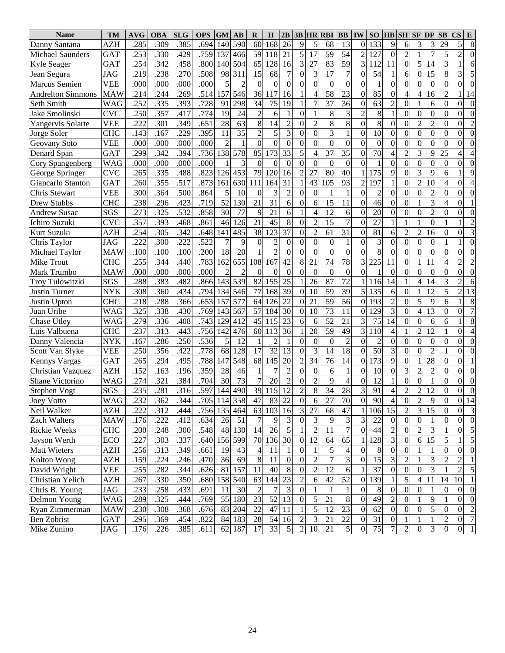| <b>Name</b>              | TM         | <b>AVG</b>   | <b>OBA</b>   | <b>SLG</b>   | <b>OPS</b> | <b>GM</b>      | $\mathbf{A}\mathbf{B}$ | R                | H              | 2B                    |                                    |                     | <b>3B HR RBI</b>                   | $\bf BB$                     | <b>IW</b>                          | SO               |                      | <b>HB</b> SH                        | $SF$ $DP$                        |                  | SB                             | <b>CS</b><br>E                                    |
|--------------------------|------------|--------------|--------------|--------------|------------|----------------|------------------------|------------------|----------------|-----------------------|------------------------------------|---------------------|------------------------------------|------------------------------|------------------------------------|------------------|----------------------|-------------------------------------|----------------------------------|------------------|--------------------------------|---------------------------------------------------|
| Danny Santana            | AZH        | .285         | .309         | .385         | .694       | 140            | 590                    | 60               | 168            | 26                    | 9                                  | 5                   | 68                                 | 13                           | $\Omega$                           | 133              | 9                    | 6                                   | 3                                | 3                | 29                             | 5<br>8                                            |
| <b>Michael Saunders</b>  | <b>GAT</b> | .253         | .330         | .429         | .759       | 137            | 466                    | 59               | 118            | 21                    | 5                                  | 17                  | 59                                 | 54                           | $\overline{2}$                     | 127              | $\boldsymbol{0}$     | $\overline{c}$                      | $\mathbf{1}$                     | $\overline{7}$   | 5                              | $\overline{2}$<br>$\theta$                        |
| <b>Kyle Seager</b>       | <b>GAT</b> | .254         | 342          | .458         | .800       | 140            | 504                    | 65               | 128            | 16                    | 3                                  | 27                  | 83                                 | 59                           | $\overline{3}$                     | 112              | 11                   | $\boldsymbol{0}$                    | 5                                | 14               | 3                              | 6                                                 |
| Jean Segura              | <b>JAG</b> | .219         | .238         | .270         | .508       | 98             | 311                    | 15               | 68             | $\overline{7}$        | $\theta$                           | 3                   | 17                                 | $\overline{7}$               | $\overline{0}$                     | 54               |                      | 6                                   | $\overline{0}$                   | 15               | 8                              | 5<br>3                                            |
| Marcus Semien            | <b>VEE</b> | .000         | .000         | .000         | .000       | 5              | $\overline{2}$         | $\boldsymbol{0}$ | $\Omega$       | $\theta$              | $\theta$                           | $\Omega$            | $\boldsymbol{0}$                   | $\mathbf{0}$                 | $\Omega$                           | $\mathbf{1}$     | $\Omega$             | $\mathbf{0}$                        | $\mathbf{0}$                     | $\theta$         | $\Omega$                       | $\theta$<br>$\theta$                              |
| <b>Andrelton Simmons</b> | <b>MAW</b> | .214         | .244         | .269         | .514       | 157            | 546                    | 36               | 117            | 16                    |                                    | 4                   | 58                                 | 23                           | $\overline{0}$                     | 85               | $\mathbf{0}$         | 4                                   | $\overline{4}$                   | 16               | $\overline{2}$                 | 14                                                |
| Seth Smith               | <b>WAG</b> | .252         | .335         | .393         | .728       | 91             | 298                    | 34               | 75             | 19                    |                                    | 7                   | 37                                 | 36                           | $\mathbf{0}$                       | 63               | 2                    | $\overline{0}$                      |                                  | 6                | $\Omega$                       | $\theta$<br>$\theta$                              |
| Jake Smolinski           | <b>CVC</b> | .250         | .357         | .417         | .774       | 19             | 24                     | $\overline{2}$   | 6              |                       | $\theta$                           |                     | 8                                  | 3                            | $\overline{c}$                     | 8                |                      | $\overline{0}$                      | $\mathbf{0}$                     | $\overline{0}$   | $\Omega$                       | $\theta$<br>$\theta$                              |
| Yangervis Solarte        | <b>VEE</b> | .222         | .301         | .349         | .651       | 28             | 63                     | $\,8\,$          | 14             | $\overline{2}$        | $\overline{0}$                     | $\overline{2}$      | 8                                  | 8                            | $\Omega$                           | 8                | $\mathbf{0}$         | $\mathbf{0}$                        | $\overline{2}$                   | $\overline{c}$   | $\Omega$                       | $\overline{2}$<br>$\theta$                        |
| Jorge Soler              | <b>CHC</b> | .143         | .167         | .229         | .395       | 11             | 35                     | $\overline{c}$   | 5              | 3                     | $\overline{0}$                     | $\overline{0}$      | 3                                  | 1                            | $\overline{0}$                     | 10               | $\mathbf{0}$         | $\mathbf{0}$                        | $\boldsymbol{0}$                 | $\mathbf{0}$     | $\Omega$                       | $\theta$<br>$\Omega$                              |
| Geovany Soto             | <b>VEE</b> | .000         | .000         | .000         | .000       | $\overline{2}$ | 1                      | $\boldsymbol{0}$ | $\mathbf{0}$   | $\mathbf{0}$          | $\overline{0}$                     | $\Omega$            | $\overline{0}$                     | $\boldsymbol{0}$             | $\Omega$                           | $\boldsymbol{0}$ | $\mathbf{0}$         | $\mathbf{0}$                        | $\boldsymbol{0}$                 | $\Omega$         | $\theta$                       | $\theta$<br>$\Omega$                              |
| Denard Span              | <b>GAT</b> | .299         | 342          | .394         | .736       | 138            | 578                    | 85               | 173            | 33                    | 5                                  | 4                   | 37                                 | 35                           | $\overline{0}$                     | 70               | 4                    | $\overline{2}$                      | $\overline{3}$                   | 9                | 25                             | 4                                                 |
| Cory Spangenberg         | <b>WAG</b> | .000         | .000         | .000         | .000       |                | 3                      | $\boldsymbol{0}$ | $\mathbf{0}$   | $\theta$              | $\theta$                           | $\mathbf{0}$        | $\boldsymbol{0}$                   | $\mathbf{0}$                 | $\Omega$                           | $\mathbf{1}$     | $\mathbf{0}$         | $\mathbf{0}$                        | $\boldsymbol{0}$                 | $\boldsymbol{0}$ | $\overline{0}$                 | $\theta$<br>$\theta$                              |
| George Springer          | <b>CVC</b> | .265         | .335         | .488         | .823       | 126            | 453                    | 79               | 120            | 16                    | $\overline{2}$                     | 27                  | 80                                 | 40                           |                                    | 175              | 9                    | $\mathbf{0}$                        | $\overline{3}$                   | 9                | 6                              | 9                                                 |
| Giancarlo Stanton        | <b>GAT</b> | .260         | .355         | .517         | .873       | 161            | 630                    | 111              | 164            | 31                    |                                    | 43                  | 105                                | 93                           | 2                                  | 197              |                      | $\mathbf{0}$                        | $\overline{2}$                   | 10               | $\overline{4}$                 | $\theta$                                          |
| Chris Stewart            | <b>VEE</b> | .300         | .364         | .500         | .864       | 5              | 10                     | $\theta$         | 3              | $\overline{c}$        | $\boldsymbol{0}$                   | $\Omega$            |                                    |                              | $\Omega$                           | $\overline{c}$   | $\Omega$             | $\mathbf{0}$                        | $\boldsymbol{0}$                 | $\overline{c}$   | $\theta$                       | $\theta$<br>$\Omega$                              |
| <b>Drew Stubbs</b>       | <b>CHC</b> | .238         | .296         | .423         | .719       | 52             | 130                    | 21               | 31             | 6                     | $\boldsymbol{0}$                   | 6                   | 15                                 | 11                           | $\mathbf{0}$                       | 46               | $\mathbf{0}$         | $\overline{0}$                      |                                  | 3                | $\overline{4}$                 | $\theta$                                          |
| <b>Andrew Susac</b>      | SGS        | .273         | .325         | .532         | .858       | 30             | 77                     | 9                | 21             | 6                     |                                    | 4                   | 12                                 | 6                            | $\Omega$                           | 20               | $\mathbf{0}$         | $\mathbf{0}$                        | $\boldsymbol{0}$                 | $\overline{c}$   | $\Omega$                       | $\theta$<br>$\theta$                              |
| Ichiro Suzuki            | <b>CVC</b> | .357         | .393         | .468         | .861       | 46             | 126                    | 21               | 45             | 8                     | $\theta$                           | $\overline{c}$      | 15                                 | $\overline{7}$               | $\Omega$                           | 27               |                      |                                     | 1                                | $\mathbf{0}$     |                                | $\overline{c}$                                    |
| Kurt Suzuki              | AZH        | .254         | 305          | .342         | .648       | 141            | 485                    | 38               | 123            | 37                    | $\theta$                           | $\overline{2}$      | 61                                 | 31                           | $\Omega$                           | 81               | 6                    | $\overline{2}$                      | $\overline{2}$                   | 16               | $\Omega$                       | 3<br>$\theta$                                     |
| Chris Taylor             | <b>JAG</b> | .222         | .300         | .222         | .522       | 7              | 9                      | $\theta$         | $\overline{c}$ | $\theta$              | $\overline{0}$                     | $\overline{0}$      | $\boldsymbol{0}$                   | 1                            | $\mathbf{0}$                       | 3                | $\theta$             | $\mathbf{0}$                        | $\boldsymbol{0}$                 | $\theta$         |                                | $\theta$                                          |
| Michael Taylor           | <b>MAW</b> | .100         | .100         | .100         | .200       | 18             | 20                     | 1                | $\overline{2}$ | $\boldsymbol{0}$      | $\overline{0}$                     | $\mathbf{0}$        | $\boldsymbol{0}$                   | $\mathbf{0}$                 | $\Omega$                           | 8                | $\mathbf{0}$         | $\overline{0}$                      | $\overline{0}$                   | $\boldsymbol{0}$ | $\theta$                       | $\theta$<br>$\theta$                              |
| <b>Mike Trout</b>        | <b>CHC</b> | .255         | .344         | .440         | .783       | 162            | 655                    | 108              | 167            | 42                    | 8                                  | 21                  | 74                                 | $\overline{78}$              | $\overline{3}$                     | $\overline{225}$ | 11                   | $\overline{0}$                      | 1                                | 11               | $\overline{4}$                 | $\overline{2}$<br>2                               |
| Mark Trumbo              | <b>MAW</b> | .000         | .000         | .000         | .000       | $\overline{2}$ | 2                      | $\theta$         | $\mathbf{0}$   | $\overline{0}$        | $\overline{0}$                     | $\mathbf{0}$        | $\boldsymbol{0}$                   | $\boldsymbol{0}$             | $\mathbf{0}$                       | $\mathbf{1}$     | $\Omega$             | $\mathbf{0}$                        | $\mathbf{0}$                     | $\theta$         | $\theta$                       | $\theta$<br>$\theta$                              |
| Troy Tulowitzki          | SGS        | .288         | .383         | .482         | .866       | 143            | 539                    | 82               | 155            | 25                    | 1                                  | 26                  | 87                                 | $\overline{72}$              | 1                                  | 116              | 14                   | 1                                   | $\overline{4}$                   | 14               | 3                              | $\overline{2}$<br>6                               |
| <b>Justin Turner</b>     | <b>NYK</b> | .308         | .360         | .434         | .794       | 134            | 546                    | 77               | 168            | 39                    | $\overline{0}$                     | 10                  | 59                                 | 39                           | 5                                  | 135              | 6                    | $\overline{0}$                      |                                  | 12               | $\overline{5}$                 | 13<br>$\overline{2}$                              |
| Justin Upton             | <b>CHC</b> | .218         | .288         | .366         | .653       | 157            | 577                    | 64               | 126            | 22                    | $\overline{0}$                     | 21                  | 59                                 | $\overline{56}$              | $\Omega$                           | 193              | $\overline{c}$       | $\overline{0}$                      | 5                                | 9                | 6                              | 8                                                 |
| Juan Uribe               | WAG        | 325          | .338         | .430         | .769       | 143            | 567                    | 57               | 184            | 30                    | $\boldsymbol{0}$                   | 10                  | 73                                 | 11                           | $\overline{0}$                     | 129              | 3                    | $\overline{0}$                      | $\overline{4}$                   | 13               | $\Omega$                       | $\overline{7}$<br>$\theta$                        |
| Chase Utley              | <b>WAG</b> | .279         | .336         | .408         | .743       | 129            | 412                    | 45               | 115            | 23                    | 6                                  | 6                   | $\overline{52}$                    | 21                           | 3                                  | 75               | 14                   | $\overline{0}$                      | $\mathbf{0}$                     | 6                | 6                              | 8                                                 |
| Luis Valbuena            | <b>CHC</b> | .237         | .313         | .443         | .756       | 142            | 476                    | 60               | 113            | 36                    |                                    | 20                  | $\overline{59}$                    | 49                           | 3                                  | 110              | 4                    | 1                                   | $\overline{c}$                   | 12               |                                | $\theta$<br>$\overline{4}$                        |
| Danny Valencia           | <b>NYK</b> | .167         | .286         | .250         | .536       | 5              | 12                     | $\mathbf{1}$     | $\overline{2}$ | 1                     | $\Omega$                           | $\boldsymbol{0}$    | $\boldsymbol{0}$                   | $\overline{2}$               | $\Omega$                           | $\overline{2}$   | $\mathbf{0}$         | $\mathbf{0}$                        | $\overline{0}$                   | $\boldsymbol{0}$ | $\theta$                       | $\overline{0}$<br>$\overline{0}$                  |
| Scott Van Slyke          | <b>VEE</b> | .250         | .356         | .422         | .778       | 68             | 128                    | 17               | 32             | 13                    | $\mathbf{0}$                       | 3                   | 14                                 | $\overline{18}$              | $\overline{0}$                     | 50               | 3                    | $\mathbf{0}$                        | $\overline{0}$                   | $\overline{2}$   |                                | $\theta$<br>$\theta$                              |
| <b>Kennys Vargas</b>     | <b>GAT</b> | .265         | .294         | .495         | .788       | 147            | 548                    | 68               | 145            | 20                    | $\overline{c}$                     | 34                  | 76                                 | 14                           | $\overline{0}$                     | 173              | 9                    | $\overline{0}$                      |                                  | 28               | $\Omega$                       | $\overline{0}$                                    |
| Christian Vazquez        | <b>AZH</b> | .152         | .163         | .196         | .359       | 28             | 46                     | $\mathbf{1}$     | 7              | $\overline{c}$        | $\overline{0}$                     | $\boldsymbol{0}$    | 6                                  | $\mathbf{1}$                 | $\mathbf{0}$                       | 10               | $\mathbf{0}$         | $\overline{3}$                      | $\overline{c}$                   | $\overline{2}$   | $\Omega$                       | $\overline{0}$<br>$\theta$                        |
| Shane Victorino          | WAG        | .274         | .321         | .384         | .704       | 30             | 73                     | $\overline{7}$   | 20             | $\overline{c}$        | $\boldsymbol{0}$                   | $\overline{2}$      | 9                                  | $\overline{4}$               | $\mathbf{0}$                       | 12               |                      | $\boldsymbol{0}$                    | $\overline{0}$                   | $\mathbf{1}$     | $\theta$                       | $\theta$<br>$\theta$                              |
| <b>Stephen Vogt</b>      | SGS        | .235         | .281         | .316         | .597       | 144            | 490                    | 39               | 115            | 12                    | $\overline{2}$                     | 8                   | 34                                 | 28                           | 3                                  | 91               | 4                    | $\overline{2}$                      | $\overline{2}$                   | 12               | $\theta$                       | $\theta$<br>$\theta$                              |
| <b>Joey Votto</b>        |            |              |              |              |            |                | .705   114   358       |                  |                |                       |                                    |                     |                                    |                              |                                    |                  |                      |                                     |                                  |                  |                                |                                                   |
| Neil Walker              | WAG<br>AZH | .232<br>.222 | .362<br>.312 | .344<br>.444 | .756       |                | 135 464                | 47<br>63         | 83<br>103      | 22<br>16              | $\boldsymbol{0}$<br>$\mathfrak{Z}$ | 6<br>27             | 27<br>68                           | 70<br>47                     | $\mathbf{0}$                       | 90<br>106        | $\overline{4}$<br>15 | $\vert 0 \vert$<br>$\boldsymbol{2}$ | $\overline{2}$<br>$\overline{3}$ | 9<br>15          | <sub>0</sub><br>$\overline{0}$ | 0 14<br>$\overline{0}$<br>$\overline{\mathbf{3}}$ |
| Zach Walters             | <b>MAW</b> | .176         | .222         | .412         | .634       |                | 51                     | 7                |                |                       | $\mathbf{0}$                       |                     |                                    | 3                            |                                    | 22               | $\overline{0}$       | $\boldsymbol{0}$                    | $\boldsymbol{0}$                 | -1               | $\mathbf{0}$                   | $\boldsymbol{0}$<br>$\overline{0}$                |
| <b>Rickie Weeks</b>      | <b>CHC</b> |              | .248         | .300         | .548       | 26             | 48 130                 | 14               | 9<br>26        | 3<br>5                |                                    | 3<br>$\overline{c}$ | 9<br>11                            | $\overline{7}$               | 3<br>$\overline{0}$                | 44               | $\overline{c}$       | $\boldsymbol{0}$                    | $\overline{2}$                   | 3                |                                | 5<br>$\boldsymbol{0}$                             |
|                          |            | .200         |              |              |            |                | 156 599                | 70               |                | 30                    |                                    | 12                  | 64                                 |                              |                                    | 128              |                      | $\boldsymbol{0}$                    |                                  | 15               | 5                              | $\overline{5}$                                    |
| Jayson Werth             | ECO        | .227         | .303         | .337         | .640       |                |                        |                  | 136            |                       | $\boldsymbol{0}$                   |                     |                                    | 65                           | 1                                  |                  | 3                    |                                     | 6                                |                  |                                | $\boldsymbol{0}$                                  |
| <b>Matt Wieters</b>      | AZH        | .256         | .313         | .349         | .661       | 19             | 43                     | $\overline{4}$   | 11             | 1<br>$\boldsymbol{0}$ | $\overline{0}$                     | 1                   | $\mathfrak{S}$<br>$\boldsymbol{7}$ | $\overline{\mathbf{4}}$<br>3 | $\boldsymbol{0}$<br>$\overline{0}$ | 8                | $\boldsymbol{0}$     | $\boldsymbol{0}$                    | 1<br>1                           | 1                | $\mathbf{0}$                   | $\boldsymbol{0}$                                  |
| Kolton Wong              | AZH        | .159         | .224         | .246         | .470       | 36             | 69                     | $8\,$            | 11             |                       | $\boldsymbol{0}$                   | $\overline{c}$      |                                    |                              |                                    | 15               | 3                    | $\overline{c}$                      |                                  | 3                | $\overline{c}$                 | $\overline{c}$                                    |
| David Wright             | VEE        | .255         | .282         | .344         | .626       | 81             | 157                    | 11               | 40             | 8                     | $\boldsymbol{0}$                   | $\overline{c}$      | 12                                 | 6                            |                                    | 37               | $\overline{0}$       | $\boldsymbol{0}$                    | $\boldsymbol{0}$                 | 3                |                                | 5<br>2                                            |
| Christian Yelich         | AZH        | .267         | .330         | .350         | .680       |                | 158 540                | 63               | 144            | 23                    | $\overline{2}$                     | 6                   | 42                                 | 52                           | $\overline{0}$                     | 139              |                      | 5                                   | 4                                | 11               | 14                             | $\mathbf{1}$<br>10                                |
| Chris B. Young           | JAG        | .233         | .258         | .433         | .691       | 11             | 30                     | $\overline{2}$   | 7              | 3                     | $\boldsymbol{0}$                   |                     | $\mathbf{1}$                       | $\mathbf{1}$                 | $\boldsymbol{0}$                   | 8                | $\overline{0}$       | $\boldsymbol{0}$                    | $\boldsymbol{0}$                 | 1                | $\boldsymbol{0}$               | $\overline{0}$<br>$\boldsymbol{0}$                |
| Delmon Young             | WAG        | .289         | .325         | .444         | .769       |                | 55 180                 | 23               | 52             | 13                    | $\boldsymbol{0}$                   | 5                   | 21                                 | $\,8\,$                      | $\boldsymbol{0}$                   | 49               | 2                    | $\boldsymbol{0}$                    | 1                                | 9                | 1                              | $\overline{0}$<br>$\overline{0}$                  |
| Ryan Zimmerman           | <b>MAW</b> | .230         | .308         | .368         | .676       |                | 83 204                 | 22               | 47             | 11                    | 1                                  | 5                   | 12                                 | 23                           | $\overline{0}$                     | 62               | $\overline{0}$       | $\boldsymbol{0}$                    | $\boldsymbol{0}$                 | $\sqrt{5}$       | $\mathbf{0}$                   | $\overline{c}$<br>$\boldsymbol{0}$                |
| Ben Zobrist              | GAT        | .295         | .369         | .454         | .822       | 84             | 183                    | 28               | 54             | 16                    | $\overline{2}$                     | 3                   | 21                                 | $22\,$                       | $\boldsymbol{0}$                   | 31               | $\boldsymbol{0}$     | 1                                   | 1                                | $\mathbf{1}$     | $\overline{c}$                 | $\boldsymbol{7}$<br>$\boldsymbol{0}$              |
| Mike Zunino              | JAG        | .176         | .226         | .385         | .611       |                | 62 187                 | 17               | 33             | $\mathfrak s$         | $\overline{c}$                     | 10                  | 21                                 | $\mathfrak{S}$               | $\mathbf{0}$                       | 75               | 7                    | $\boldsymbol{2}$                    | $\boldsymbol{0}$                 | $\mathfrak{Z}$   | $\boldsymbol{0}$               | $\,1\,$<br>$\vert 0 \vert$                        |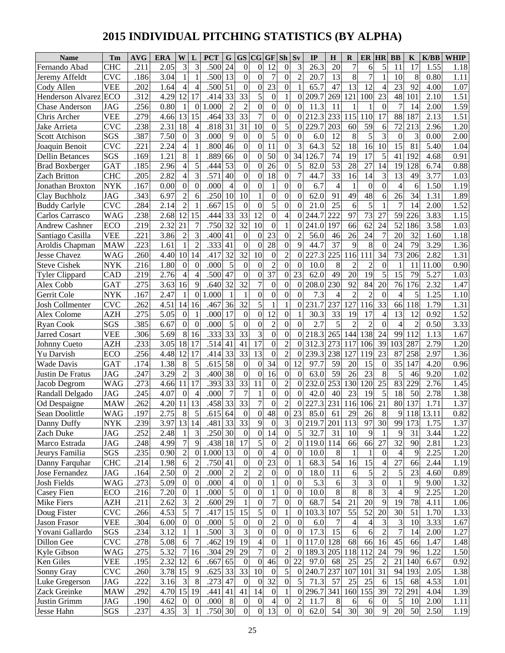# **2015 INDIVIDUAL PITCHING STATISTICS (BY ALPHA)**

| 3<br>3<br>24<br>.500<br>$\boldsymbol{0}$<br>12<br>3<br>26.3<br>20<br>5<br><b>CHC</b><br>.211<br>2.05<br>$\overline{0}$<br>$\boldsymbol{0}$<br>7<br>17<br>1.55<br>Fernando Abad<br>6<br>11<br>1.18<br>$\overline{13}$<br>$\overline{0}$<br>$\overline{0}$<br>$\overline{7}$<br>.500<br>$\overline{0}$<br>$\tau$<br>$\overline{c}$<br>13<br>8<br>8<br><b>CVC</b><br>.186<br>3.04<br>$\mathbf{1}$<br>20.7<br>10<br>0.80<br>1.11<br>Jeremy Affeldt<br>$\boldsymbol{0}$<br>$\overline{23}$<br>$\overline{0}$<br>51<br>47<br>12<br>23<br><b>VEE</b><br>1.64<br>.500<br>$\mathbf{0}$<br>65.7<br>13<br>92<br>.202<br>$\overline{4}$<br>4.00<br>1.07<br>Cody Allen<br>4<br>$\overline{4}$<br>$\overline{33}$<br>5<br>4.29<br>12<br>33<br>$\overline{0}$<br>121<br>1.51<br>.312<br>17<br>.414<br>$\mathbf{1}$<br>209.7<br>269<br>100<br>23<br>48<br>101<br>ECO<br>$\overline{0}$<br>2.10<br><b>Henderson Alvarez</b><br>$\overline{2}$<br>$\overline{c}$<br>$\overline{0}$<br>.256<br>0.80<br>$\mathbf{1}$<br>1.000<br>$\overline{0}$<br>$\mathbf{0}$<br>11.3<br>$\theta$<br>$\overline{7}$<br>2.00<br>1.59<br>JAG<br>$\overline{0}$<br>$\theta$<br>11<br>14<br>Chase Anderson<br>$\overline{33}$<br>$\overline{33}$<br>$\overline{7}$<br>$\boldsymbol{0}$<br>1.51<br><b>VEE</b><br>.279<br>13<br>15<br>.464<br>$\mathbf{0}$<br>212.3<br>233<br>115<br>110<br>88<br>187<br>2.13<br>4.66<br>0<br>17<br>Chris Archer<br>$\overline{31}$<br>$\overline{31}$<br>5<br>18<br>.818<br>10<br>59<br>72<br><b>CVC</b><br>.238<br>2.31<br>$\mathbf{0}$<br>229.7<br>203<br>60<br>213<br>2.96<br>1.20<br>$\overline{4}$<br>$\overline{0}$<br>6<br>Jake Arrieta<br>$\overline{0}$<br>7.50<br>3<br>9<br>$\boldsymbol{0}$<br>5<br>5<br>3<br>SGS<br>.387<br>$\boldsymbol{0}$<br>.000<br>$\theta$<br>6.0<br>12<br>8<br>3<br>$\boldsymbol{0}$<br>0.00<br>2.00<br>$\overline{0}$<br><b>Scott Atchison</b><br>$\overline{0}$<br>$\overline{0}$<br>$\overline{52}$<br><b>CVC</b><br>46<br>$1\overline{1}$<br>3<br>64.3<br>18<br>16<br>15<br>.221<br>2.24<br>$\overline{4}$<br>.800<br>$\mathbf{0}$<br>10<br>81<br>5.40<br>1.04<br>Joaquin Benoit<br>$\boldsymbol{0}$<br>$\overline{50}$<br>$\overline{17}$<br>1.21<br>8<br>.889<br>66<br>$\overline{0}$<br>$\boldsymbol{0}$<br>34<br>74<br>5<br>41<br>SGS<br>.169<br>126.7<br>19<br>192<br>4.68<br>0.91<br><b>Dellin Betances</b><br>$\overline{53}$<br>$\boldsymbol{0}$<br>26<br>$\boldsymbol{0}$<br>5<br>53<br>28<br>27<br>19<br><b>GAT</b><br>.185<br>2.96<br>$\overline{4}$<br>5<br>$\mathbf{0}$<br>82.0<br>14<br>128<br>6.74<br>0.88<br>.444<br><b>Brad Boxberger</b><br>3<br>$\overline{0}$<br>2.82<br>.571<br>40<br>18<br>$\overline{0}$<br>$\overline{7}$<br>33<br>14<br>13<br><b>CHC</b><br>$\overline{4}$<br>$\mathbf{0}$<br>44.7<br>3<br>49<br>3.77<br>.205<br>16<br>1.03<br>Zach Britton<br>$\overline{0}$<br>$\boldsymbol{0}$<br><b>NYK</b><br>.167<br>0.00<br>$\boldsymbol{0}$<br>$\theta$<br>.000<br>$\mathbf{1}$<br>$\boldsymbol{0}$<br>6.7<br>$\overline{4}$<br>$\boldsymbol{0}$<br>$\theta$<br>$\overline{4}$<br>1.50<br>$\overline{4}$<br>0<br>$\mathbf{1}$<br>1.19<br>Jonathan Broxton<br>6<br>$\overline{48}$<br>$\overline{2}$<br>10<br>$\overline{0}$<br>62.0<br><b>JAG</b><br>6.97<br>.250<br>10<br>$\mathbf{0}$<br>$\mathbf{0}$<br>91<br>49<br>26<br>34<br>1.31<br>1.89<br>.343<br>6<br>6<br>Clay Buchholz<br>$\overline{2}$<br>$\overline{15}$<br>5<br><b>CVC</b><br>$\overline{0}$<br>$\boldsymbol{0}$<br>25<br>5<br>.284<br>.667<br>$\mathbf{0}$<br>6<br>$\overline{7}$<br>14<br>2.00<br>1.52<br>2.14<br>$\theta$<br>21.0<br><b>Buddy Carlyle</b><br>$\overline{33}$<br>$\overline{12}$<br>$\overline{0}$<br>$\overline{73}$<br>2.68<br>12<br>33<br>$\overline{4}$<br>222<br>97<br>59<br>3.83<br><b>WAG</b><br>.238<br>15<br>27<br>226<br>1.15<br>.444<br>$\theta$<br>244.7<br>Carlos Carrasco<br>$\overline{32}$<br>$\overline{32}$<br>$\overline{10}$<br>2.32<br>21<br>$\overline{7}$<br>.750<br>$\mathbf{1}$<br>62<br>24<br>52<br>3.58<br>ECO<br>.219<br>$\mathbf{0}$<br>197<br>66<br>186<br>1.03<br>$\theta$<br>241.0<br><b>Andrew Cashner</b><br>3.86<br>$\overline{2}$<br>41<br>$\boldsymbol{0}$<br>23<br>$\overline{0}$<br><b>VEE</b><br>.221<br>3<br>.400<br>$\boldsymbol{0}$<br>$\overline{c}$<br>56.0<br>26<br>24<br>$\overline{7}$<br>20<br>32<br>46<br>1.60<br>1.18<br>Santiago Casilla<br>.333<br>41<br>$\boldsymbol{0}$<br>28<br>$\boldsymbol{0}$<br>9<br>37<br>8<br><b>MAW</b><br>.223<br>1.61<br>$\overline{2}$<br>44.7<br>9<br>24<br>79<br>3.29<br>$\mathbf{1}$<br>$\overline{0}$<br>1.36<br>$\Omega$<br>Aroldis Chapman<br>$\overline{32}$<br>$\overline{32}$<br>$\overline{2}$<br>$.41\overline{7}$<br>10<br>$\overline{0}$<br>225<br>.260<br>4.40<br>10<br>14<br>227.3<br>116<br>11<br>34<br>73<br>2.82<br>1.31<br><b>WAG</b><br>$\overline{0}$<br>206<br>Jesse Chavez<br>5<br>$\overline{0}$<br>$\boldsymbol{0}$<br>1.80<br>$\boldsymbol{0}$<br>.000<br>$\mathbf{0}$<br>$\overline{2}$<br>8<br>$\overline{c}$<br>0.90<br><b>NYK</b><br>.216<br>$\Omega$<br>$\overline{0}$<br>10.0<br>$\overline{c}$<br>$\theta$<br>$\mathbf{1}$<br>11<br>11.00<br><b>Steve Cishek</b><br>37<br>47<br>$\overline{0}$<br>$\overline{19}$<br>23<br>62.0<br>20<br>5<br>15<br>.219<br>2.76<br>.500<br>$\mathbf{0}$<br>$\boldsymbol{0}$<br>49<br>79<br>5.27<br>$\overline{4}$<br>1.03<br><b>Tyler Clippard</b><br>CAD<br>4<br>$\overline{32}$<br>$\overline{32}$<br>7<br>3.63<br>$\overline{0}$<br>$\boldsymbol{0}$<br>230<br>92<br>84<br>76<br>.275<br>16<br>9<br>.640<br>$\boldsymbol{0}$<br>208.0<br>20<br>176<br>2.32<br><b>GAT</b><br>1.47<br>Alex Cobb<br>2.47<br>.000<br>$\overline{0}$<br>$\overline{0}$<br>$\overline{2}$<br><b>NYK</b><br>.167<br>$\overline{1}$<br>1<br>0<br>$\theta$<br>7.3<br>$\overline{c}$<br>$\theta$<br>$\overline{4}$<br>5<br>.25<br>Gerrit Cole<br>$\mathbf{1}$<br>$\overline{0}$<br>1.10<br>4<br>5<br>4.51<br>36<br>32<br>$\mathbf{1}$<br>127<br>116<br>33<br><b>CVC</b><br>.262<br>14<br>.467<br>$\mathbf{1}$<br>231.7<br>237<br>66<br>118<br>.79<br>1.31<br><b>Josh Collmenter</b><br>16<br>0<br>$\overline{17}$<br>$\mathbf{0}$<br>12<br>$\overline{0}$<br>33<br>17<br>13<br>1.52<br><b>AZH</b><br>.275<br>5.05<br>$\overline{0}$<br>.000<br>$\mathbf{0}$<br>30.3<br>19<br>0.92<br>4<br>12<br>Alex Colome<br>6.67<br>5<br>$\overline{0}$<br>$\overline{2}$<br>$\overline{0}$<br>5<br>$\overline{2}$<br>SGS<br>.385<br>.000<br>$\mathbf{0}$<br>$\theta$<br>2.7<br>$\overline{2}$<br>$\overline{4}$<br>$\overline{2}$<br>3.33<br>$\overline{0}$<br>$\Omega$<br>$\theta$<br>0.50<br><b>Ryan Cook</b><br>$\overline{33}$<br>$\overline{33}$<br>3<br>$\overline{0}$<br>$\boldsymbol{0}$<br>218.3<br>138<br>5.69<br>8<br>.333<br>265<br>144<br>24<br>99<br>112<br>1.13<br>1.67<br><b>VEE</b><br>.306<br>16<br>$\overline{0}$<br><b>Jarred Cosart</b><br>$\overline{17}$<br>$\overline{c}$<br>18<br>17<br>.514<br>41<br>41<br>$\overline{0}$<br>39<br>.233<br>3.05<br>312.3<br>273<br>117<br>106<br>103<br>287<br>2.79<br><b>AZH</b><br>0<br>1.20<br>Johnny Cueto<br>13<br>$\overline{2}$<br>$\overline{33}$<br>$\overline{33}$<br>4.48<br>12<br>17<br>$\overline{0}$<br>238<br>127<br>23<br>ECO<br>.256<br>.414<br>239.3<br>119<br>87<br>258<br>2.97<br>1.36<br>0<br>Yu Darvish<br>58<br>$\overline{0}$<br>1.38<br>8<br>5<br>$.61\overline{5}$<br>$\overline{0}$<br>34<br>59<br><b>GAT</b><br>$\boldsymbol{0}$<br>12<br>20<br>15<br>$\theta$<br>35<br>147<br>4.20<br>0.96<br>.174<br>97.7<br>Wade Davis<br>$\overline{2}$<br>3.29<br>3<br>38<br>$\mathbf{0}$<br>16<br>$\boldsymbol{0}$<br>59<br>23<br>8<br>5<br><b>JAG</b><br>.400<br>$\mathbf{0}$<br>$\mathbf{0}$<br>63.0<br>26<br>46<br>9.20<br>.247<br>1.02<br>Justin De Fratus<br>$\overline{33}$<br>$\overline{2}$<br>.393<br>33<br>253<br>25<br>83<br><b>WAG</b><br>4.66<br>11<br>17<br>11<br>$\mathbf{0}$<br>232.0<br>130<br>120<br>229<br>2.76<br>.273<br>$\overline{0}$<br>1.45<br>Jacob Degrom<br>$\boldsymbol{0}$<br>$\overline{7}$<br>$\overline{7}$<br>5<br>.245<br>4.07<br>$\boldsymbol{0}$<br>.000<br>$\mathbf{0}$<br>42.0<br>40<br>23<br>19<br>18<br>50<br>1.38<br><b>JAG</b><br>$\overline{0}$<br>2.78<br>$\overline{4}$<br>Randall Delgado<br>$\overline{33}$<br>$\overline{33}$<br>$\overline{2}$<br>13<br>$\overline{7}$<br>231<br>21<br>137<br>.262<br>4.20<br>11<br>.458<br>$\mathbf{0}$<br>116<br>106<br>80<br>1.71<br>1.37<br><b>MAW</b><br>$\overline{0}$<br>227.3<br>Od Despaigne<br>$\overline{64}$<br>2.75<br>8<br>5<br>.615<br>$\boldsymbol{0}$<br>48<br>$\overline{0}$<br>8<br>0.82<br>.197<br>$\theta$<br>23<br>85.0<br>61<br>29<br>9<br>118<br>13.11<br>Sean Doolittle<br>WAG<br>26<br>Danny Duffy<br>NYK<br>.239<br>3.97 13 14<br>.481 33<br>33<br>$\overline{9}$<br>$\boldsymbol{0}$<br>3<br>0 219.7 201 113<br>97<br>30<br>99<br>173<br>1.75<br>1.37<br>3<br>.250 30<br>14<br>$\boldsymbol{0}$<br>5<br>.252<br>2.48<br>$\boldsymbol{0}$<br>$\boldsymbol{0}$<br>32.7<br>31<br>10<br>9<br>9<br>31<br>1.22<br>Zach Duke<br>JAG<br>-1<br>3.44<br>1<br>5<br>$\sqrt{2}$<br>17<br>32<br>4.99<br>$\overline{7}$<br>9<br>.438 18<br>90<br>2.81<br>JAG<br>.248<br>$\boldsymbol{0}$<br>$\boldsymbol{0}$<br>119.0<br>114<br>66<br>66<br>27<br>1.23<br>Marco Estrada<br>$\boldsymbol{0}$<br>SGS<br>$\overline{2}$<br>1.000 13<br>.235<br>0.90<br>$\boldsymbol{0}$<br>$\mathbf{0}$<br>8<br>$\boldsymbol{0}$<br>2.25<br>1.20<br>Jeurys Familia<br>4<br>$\boldsymbol{0}$<br>10.0<br>$\overline{4}$<br>9<br>$\overline{0}$<br>1<br>$\boldsymbol{0}$<br>15<br>41<br>23<br>$\boldsymbol{0}$<br>54<br>27<br><b>CHC</b><br>1.98<br>6<br>68.3<br>Danny Farquhar<br>.214<br>2<br>.750<br>$\mathbf{0}$<br>16<br>4<br>66<br>2.44<br>1.19<br>1<br>$\overline{c}$<br>$\overline{2}$<br>$\boldsymbol{0}$<br>11<br>5<br>5<br>JAG<br>2.50<br>$\boldsymbol{0}$<br>.000<br>$\overline{c}$<br>$\boldsymbol{0}$<br>$\boldsymbol{0}$<br>18.0<br>$\overline{c}$<br>23<br>4.60<br>0.89<br>Jose Fernandez<br>.164<br>2<br>6<br>$\overline{0}$<br>$\overline{3}$<br>3<br>$\boldsymbol{0}$<br>.000<br>$\boldsymbol{0}$<br>5.3<br>Josh Fields<br><b>WAG</b><br>.273<br>5.09<br>$\boldsymbol{0}$<br>$\overline{4}$<br>$\boldsymbol{0}$<br>$\boldsymbol{0}$<br>6<br>9<br>1.32<br>$\mathbf{0}$<br>1<br>1<br>9.00<br>$\boldsymbol{0}$<br>8<br>5<br>$\boldsymbol{0}$<br>8<br>$8\,$<br>.000<br>10.0<br>3<br>$\overline{4}$<br>9<br>ECO<br>7.20<br>$\boldsymbol{0}$<br>$\overline{0}$<br>$\boldsymbol{0}$<br>2.25<br>1.20<br>Casey Fien<br>.216<br>1<br>$\mathbf{1}$<br>54<br>20<br>9<br>19<br>2.62<br>3<br>29<br>$\boldsymbol{0}$<br>68.7<br>21<br>78<br>Mike Fiers<br><b>AZH</b><br>.211<br>$\overline{2}$<br>.600<br>7<br>1.06<br>$\boldsymbol{0}$<br>$\theta$<br>4.11<br>$\overline{15}$<br>5<br>15<br>5<br>55<br>52<br><b>CVC</b><br>4.53<br>$\boldsymbol{0}$<br>107<br>20<br>30<br>51<br>$\overline{7}$<br>.417<br>$\mathbf{1}$<br>$\boldsymbol{0}$<br>103.3<br>1.70<br>1.33<br>Doug Fister<br>.266<br>5<br>$\boldsymbol{0}$<br><b>VEE</b><br>6.00<br>.000<br>$\overline{c}$<br>$\boldsymbol{0}$<br>$\boldsymbol{0}$<br>6.0<br>7<br>3<br>3<br>3.33<br>1.67<br>Jason Frasor<br>.304<br>$\boldsymbol{0}$<br>$\mathbf{0}$<br>$\overline{4}$<br>10<br>$\theta$<br>4<br>3<br>3<br>$\boldsymbol{0}$<br>$\boldsymbol{0}$<br>17.3<br>15<br>6<br>$\overline{2}$<br>SGS<br>.234<br>3.12<br>.500<br>$\boldsymbol{0}$<br>$6\,$<br>$\overline{7}$<br>2.00<br>1.27<br>Yovani Gallardo<br>1<br>$\boldsymbol{0}$<br>14<br>19<br><b>CVC</b><br>.462<br>19<br>$\boldsymbol{0}$<br>128<br>68<br>66<br>45<br>.278<br>5.08<br>$\overline{4}$<br>$\mathbf{1}$<br>117.0<br>16<br>66<br>Dillon Gee<br>6<br>7<br>$\overline{0}$<br>1.47<br>1.48<br>$\overline{7}$<br>$\overline{c}$<br>5.32<br>.304 29<br>29<br>112<br>24<br>79<br>1.50<br><b>WAG</b><br>.275<br>$\overline{7}$<br>$\theta$<br>189.3 205<br>118<br>1.22<br>Kyle Gibson<br>16<br>$\boldsymbol{0}$<br>96<br>65<br>2.32<br>12<br>$\boldsymbol{0}$<br>$\overline{0}$<br>Ken Giles<br><b>VEE</b><br>.667<br>46<br>22<br>97.0<br>68<br>25<br>25<br>$\overline{2}$<br>21<br>140<br>6.67<br>0.92<br>.195<br>6<br>$\boldsymbol{0}$<br>33<br>10<br>5<br><b>CVC</b><br>3.78 15<br>33<br>9<br>.625<br>240.7 237<br>107<br>101<br>31<br>94<br>193<br>2.05<br>1.38<br>Sonny Gray<br>.260<br>$\mathbf{0}$<br>$\overline{0}$<br>47<br>$\overline{0}$<br>32<br>15<br>JAG<br>.222<br>3.16<br>$\overline{3}$<br>8<br>.273<br>$\boldsymbol{0}$<br>5<br>71.3<br>57<br>25<br>25<br>4.53<br>1.01<br>Luke Gregerson<br>68<br>$\boldsymbol{0}$<br>6<br>4.70 15<br>14<br>155<br>39<br>72<br>19<br>.441<br>41<br>41<br>$\boldsymbol{0}$<br>$\mathbf{1}$<br>296.7 341<br>291<br>Zack Greinke<br><b>MAW</b><br>.292<br>$\overline{0}$<br>160<br>4.04<br>1.39<br>8<br>11.7<br>5<br>1.11<br>Justin Grimm<br>JAG<br>.190<br>4.62<br>$\boldsymbol{0}$<br>.000<br>$\boldsymbol{0}$<br>$\boldsymbol{0}$<br>$\overline{\mathbf{c}}$<br>8<br>$\mathbf{0}$<br>2.00<br>$\boldsymbol{0}$<br>$\boldsymbol{0}$<br>4<br>10<br>6<br>6<br>.750 30 | <b>Name</b> | Tm  | <b>AVG</b> | <b>ERA</b> | $\mathbf W$ | L | <b>PCT</b> | ${\bf G}$ | <b>GS</b>      | CG           | GF | <b>Sh</b>      | Sv           | IP   | $\bf{H}$ | R  | <b>ER</b>       | <b>HR</b> | <b>BB</b> | $\mathbf K$ | K/BB | <b>WHIP</b> |
|------------------------------------------------------------------------------------------------------------------------------------------------------------------------------------------------------------------------------------------------------------------------------------------------------------------------------------------------------------------------------------------------------------------------------------------------------------------------------------------------------------------------------------------------------------------------------------------------------------------------------------------------------------------------------------------------------------------------------------------------------------------------------------------------------------------------------------------------------------------------------------------------------------------------------------------------------------------------------------------------------------------------------------------------------------------------------------------------------------------------------------------------------------------------------------------------------------------------------------------------------------------------------------------------------------------------------------------------------------------------------------------------------------------------------------------------------------------------------------------------------------------------------------------------------------------------------------------------------------------------------------------------------------------------------------------------------------------------------------------------------------------------------------------------------------------------------------------------------------------------------------------------------------------------------------------------------------------------------------------------------------------------------------------------------------------------------------------------------------------------------------------------------------------------------------------------------------------------------------------------------------------------------------------------------------------------------------------------------------------------------------------------------------------------------------------------------------------------------------------------------------------------------------------------------------------------------------------------------------------------------------------------------------------------------------------------------------------------------------------------------------------------------------------------------------------------------------------------------------------------------------------------------------------------------------------------------------------------------------------------------------------------------------------------------------------------------------------------------------------------------------------------------------------------------------------------------------------------------------------------------------------------------------------------------------------------------------------------------------------------------------------------------------------------------------------------------------------------------------------------------------------------------------------------------------------------------------------------------------------------------------------------------------------------------------------------------------------------------------------------------------------------------------------------------------------------------------------------------------------------------------------------------------------------------------------------------------------------------------------------------------------------------------------------------------------------------------------------------------------------------------------------------------------------------------------------------------------------------------------------------------------------------------------------------------------------------------------------------------------------------------------------------------------------------------------------------------------------------------------------------------------------------------------------------------------------------------------------------------------------------------------------------------------------------------------------------------------------------------------------------------------------------------------------------------------------------------------------------------------------------------------------------------------------------------------------------------------------------------------------------------------------------------------------------------------------------------------------------------------------------------------------------------------------------------------------------------------------------------------------------------------------------------------------------------------------------------------------------------------------------------------------------------------------------------------------------------------------------------------------------------------------------------------------------------------------------------------------------------------------------------------------------------------------------------------------------------------------------------------------------------------------------------------------------------------------------------------------------------------------------------------------------------------------------------------------------------------------------------------------------------------------------------------------------------------------------------------------------------------------------------------------------------------------------------------------------------------------------------------------------------------------------------------------------------------------------------------------------------------------------------------------------------------------------------------------------------------------------------------------------------------------------------------------------------------------------------------------------------------------------------------------------------------------------------------------------------------------------------------------------------------------------------------------------------------------------------------------------------------------------------------------------------------------------------------------------------------------------------------------------------------------------------------------------------------------------------------------------------------------------------------------------------------------------------------------------------------------------------------------------------------------------------------------------------------------------------------------------------------------------------------------------------------------------------------------------------------------------------------------------------------------------------------------------------------------------------------------------------------------------------------------------------------------------------------------------------------------------------------------------------------------------------------------------------------------------------------------------------------------------------------------------------------------------------------------------------------------------------------------------------------------------------------------------------------------------------------------------------------------------------------------------------------------------------------------------------------------------------------------------------------------------------------------------------------------------------------------------------------------------------------------------------------------------------------------------------------------------------------------------------------------------------------------------------------------------------------------------------------------------------------------------------------------------------------------------------------------------------------------------------------------------------------------------------------------------------------------------------------------------------------------------------------------------------------------------------------------------------------------------------------------------------------------------------------------------------------------------------------------------------------------------------------------------------------------------------------------------------------------------------------------------------------------------------------------------------------------------------------------------------------------------------------------------------------------------------------------------------------------------------------------------------------------------------------------------------------------------------------------------------------------------------------------------------------------------------------------------------------------------------------------------------------------------------------------------------------------------------------------------------------------------------------------------------------------------------------------------------------------------------------------------------------------------------------------------------------------------------------------------------------------------------------------------------------------------------------------------------------------------------------------------------------------------------------------------------------------------------------------------------------------------------------------------------------------------------------------------------------------------------------------------------------------------------------------------------------------------------------------------------------------------------------------------------------------------------------------------------------------------------------------------------------------------------------------------------------------------------------------------------------------------------------------------------------------------------------------------------------------------------------------------------------------------------------------------------------------------------------------------------------------------------------------------------------------------------------------------------------------------------------------------------------------------------------------------------------------------------------------------------------------------------------------------------------------------------------------------------------------------------------------------------------------------------------------------------------------------------------------------------------------------------------------------------------------------------------------------------------------------------------------------------------------------------------------------------------------------------------------------------------------------------------------------------------------------------------------------------------------------------------------------------------------------------------------------------------------------------------------------------------------------------------------------------------------------------------------------------------------------------------------------------------------------------------------------------------------------------------------------------------------------------------------------------------------------------------------------------------------------------------------------------------------------------------------------------------------------------------------------------------------------------------------------------------------------------------------------------------------------------------------------------------------------------------------------------------------------------------------------------------------------------------------------------------------------------------|-------------|-----|------------|------------|-------------|---|------------|-----------|----------------|--------------|----|----------------|--------------|------|----------|----|-----------------|-----------|-----------|-------------|------|-------------|
|                                                                                                                                                                                                                                                                                                                                                                                                                                                                                                                                                                                                                                                                                                                                                                                                                                                                                                                                                                                                                                                                                                                                                                                                                                                                                                                                                                                                                                                                                                                                                                                                                                                                                                                                                                                                                                                                                                                                                                                                                                                                                                                                                                                                                                                                                                                                                                                                                                                                                                                                                                                                                                                                                                                                                                                                                                                                                                                                                                                                                                                                                                                                                                                                                                                                                                                                                                                                                                                                                                                                                                                                                                                                                                                                                                                                                                                                                                                                                                                                                                                                                                                                                                                                                                                                                                                                                                                                                                                                                                                                                                                                                                                                                                                                                                                                                                                                                                                                                                                                                                                                                                                                                                                                                                                                                                                                                                                                                                                                                                                                                                                                                                                                                                                                                                                                                                                                                                                                                                                                                                                                                                                                                                                                                                                                                                                                                                                                                                                                                                                                                                                                                                                                                                                                                                                                                                                                                                                                                                                                                                                                                                                                                                                                                                                                                                                                                                                                                                                                                                                                                                                                                                                                                                                                                                                                                                                                                                                                                                                                                                                                                                                                                                                                                                                                                                                                                                                                                                                                                                                                                                                                                                                                                                                                                                                                                                                                                                                                                                                                                                                                                                                                                                                                                                                                                                                                                                                                                                                                                                                                                                                                                                                                                                                                                                                                                                                                                                                                                                                                                                                                                                                                                                                                                                                                                                                                                                                                                                                                                                                                                                                                                                                                                                                                                                                                                                                                                                                                                                                                                                                                                                                                                                                                                                                                                                                                                                                                                                                                                                                                                                                                                                                                                                                                                                                                                                                                                                                                                                                                                                                                                                                                                                                                                                                                                                                                                                                                                                                                                                                                                                                                                                                                                                                                                                                                                                                                                                                                                                  |             |     |            |            |             |   |            |           |                |              |    |                |              |      |          |    |                 |           |           |             |      |             |
|                                                                                                                                                                                                                                                                                                                                                                                                                                                                                                                                                                                                                                                                                                                                                                                                                                                                                                                                                                                                                                                                                                                                                                                                                                                                                                                                                                                                                                                                                                                                                                                                                                                                                                                                                                                                                                                                                                                                                                                                                                                                                                                                                                                                                                                                                                                                                                                                                                                                                                                                                                                                                                                                                                                                                                                                                                                                                                                                                                                                                                                                                                                                                                                                                                                                                                                                                                                                                                                                                                                                                                                                                                                                                                                                                                                                                                                                                                                                                                                                                                                                                                                                                                                                                                                                                                                                                                                                                                                                                                                                                                                                                                                                                                                                                                                                                                                                                                                                                                                                                                                                                                                                                                                                                                                                                                                                                                                                                                                                                                                                                                                                                                                                                                                                                                                                                                                                                                                                                                                                                                                                                                                                                                                                                                                                                                                                                                                                                                                                                                                                                                                                                                                                                                                                                                                                                                                                                                                                                                                                                                                                                                                                                                                                                                                                                                                                                                                                                                                                                                                                                                                                                                                                                                                                                                                                                                                                                                                                                                                                                                                                                                                                                                                                                                                                                                                                                                                                                                                                                                                                                                                                                                                                                                                                                                                                                                                                                                                                                                                                                                                                                                                                                                                                                                                                                                                                                                                                                                                                                                                                                                                                                                                                                                                                                                                                                                                                                                                                                                                                                                                                                                                                                                                                                                                                                                                                                                                                                                                                                                                                                                                                                                                                                                                                                                                                                                                                                                                                                                                                                                                                                                                                                                                                                                                                                                                                                                                                                                                                                                                                                                                                                                                                                                                                                                                                                                                                                                                                                                                                                                                                                                                                                                                                                                                                                                                                                                                                                                                                                                                                                                                                                                                                                                                                                                                                                                                                                                                                                                  |             |     |            |            |             |   |            |           |                |              |    |                |              |      |          |    |                 |           |           |             |      |             |
|                                                                                                                                                                                                                                                                                                                                                                                                                                                                                                                                                                                                                                                                                                                                                                                                                                                                                                                                                                                                                                                                                                                                                                                                                                                                                                                                                                                                                                                                                                                                                                                                                                                                                                                                                                                                                                                                                                                                                                                                                                                                                                                                                                                                                                                                                                                                                                                                                                                                                                                                                                                                                                                                                                                                                                                                                                                                                                                                                                                                                                                                                                                                                                                                                                                                                                                                                                                                                                                                                                                                                                                                                                                                                                                                                                                                                                                                                                                                                                                                                                                                                                                                                                                                                                                                                                                                                                                                                                                                                                                                                                                                                                                                                                                                                                                                                                                                                                                                                                                                                                                                                                                                                                                                                                                                                                                                                                                                                                                                                                                                                                                                                                                                                                                                                                                                                                                                                                                                                                                                                                                                                                                                                                                                                                                                                                                                                                                                                                                                                                                                                                                                                                                                                                                                                                                                                                                                                                                                                                                                                                                                                                                                                                                                                                                                                                                                                                                                                                                                                                                                                                                                                                                                                                                                                                                                                                                                                                                                                                                                                                                                                                                                                                                                                                                                                                                                                                                                                                                                                                                                                                                                                                                                                                                                                                                                                                                                                                                                                                                                                                                                                                                                                                                                                                                                                                                                                                                                                                                                                                                                                                                                                                                                                                                                                                                                                                                                                                                                                                                                                                                                                                                                                                                                                                                                                                                                                                                                                                                                                                                                                                                                                                                                                                                                                                                                                                                                                                                                                                                                                                                                                                                                                                                                                                                                                                                                                                                                                                                                                                                                                                                                                                                                                                                                                                                                                                                                                                                                                                                                                                                                                                                                                                                                                                                                                                                                                                                                                                                                                                                                                                                                                                                                                                                                                                                                                                                                                                                                                                  |             |     |            |            |             |   |            |           |                |              |    |                |              |      |          |    |                 |           |           |             |      |             |
|                                                                                                                                                                                                                                                                                                                                                                                                                                                                                                                                                                                                                                                                                                                                                                                                                                                                                                                                                                                                                                                                                                                                                                                                                                                                                                                                                                                                                                                                                                                                                                                                                                                                                                                                                                                                                                                                                                                                                                                                                                                                                                                                                                                                                                                                                                                                                                                                                                                                                                                                                                                                                                                                                                                                                                                                                                                                                                                                                                                                                                                                                                                                                                                                                                                                                                                                                                                                                                                                                                                                                                                                                                                                                                                                                                                                                                                                                                                                                                                                                                                                                                                                                                                                                                                                                                                                                                                                                                                                                                                                                                                                                                                                                                                                                                                                                                                                                                                                                                                                                                                                                                                                                                                                                                                                                                                                                                                                                                                                                                                                                                                                                                                                                                                                                                                                                                                                                                                                                                                                                                                                                                                                                                                                                                                                                                                                                                                                                                                                                                                                                                                                                                                                                                                                                                                                                                                                                                                                                                                                                                                                                                                                                                                                                                                                                                                                                                                                                                                                                                                                                                                                                                                                                                                                                                                                                                                                                                                                                                                                                                                                                                                                                                                                                                                                                                                                                                                                                                                                                                                                                                                                                                                                                                                                                                                                                                                                                                                                                                                                                                                                                                                                                                                                                                                                                                                                                                                                                                                                                                                                                                                                                                                                                                                                                                                                                                                                                                                                                                                                                                                                                                                                                                                                                                                                                                                                                                                                                                                                                                                                                                                                                                                                                                                                                                                                                                                                                                                                                                                                                                                                                                                                                                                                                                                                                                                                                                                                                                                                                                                                                                                                                                                                                                                                                                                                                                                                                                                                                                                                                                                                                                                                                                                                                                                                                                                                                                                                                                                                                                                                                                                                                                                                                                                                                                                                                                                                                                                                                                  |             |     |            |            |             |   |            |           |                |              |    |                |              |      |          |    |                 |           |           |             |      |             |
|                                                                                                                                                                                                                                                                                                                                                                                                                                                                                                                                                                                                                                                                                                                                                                                                                                                                                                                                                                                                                                                                                                                                                                                                                                                                                                                                                                                                                                                                                                                                                                                                                                                                                                                                                                                                                                                                                                                                                                                                                                                                                                                                                                                                                                                                                                                                                                                                                                                                                                                                                                                                                                                                                                                                                                                                                                                                                                                                                                                                                                                                                                                                                                                                                                                                                                                                                                                                                                                                                                                                                                                                                                                                                                                                                                                                                                                                                                                                                                                                                                                                                                                                                                                                                                                                                                                                                                                                                                                                                                                                                                                                                                                                                                                                                                                                                                                                                                                                                                                                                                                                                                                                                                                                                                                                                                                                                                                                                                                                                                                                                                                                                                                                                                                                                                                                                                                                                                                                                                                                                                                                                                                                                                                                                                                                                                                                                                                                                                                                                                                                                                                                                                                                                                                                                                                                                                                                                                                                                                                                                                                                                                                                                                                                                                                                                                                                                                                                                                                                                                                                                                                                                                                                                                                                                                                                                                                                                                                                                                                                                                                                                                                                                                                                                                                                                                                                                                                                                                                                                                                                                                                                                                                                                                                                                                                                                                                                                                                                                                                                                                                                                                                                                                                                                                                                                                                                                                                                                                                                                                                                                                                                                                                                                                                                                                                                                                                                                                                                                                                                                                                                                                                                                                                                                                                                                                                                                                                                                                                                                                                                                                                                                                                                                                                                                                                                                                                                                                                                                                                                                                                                                                                                                                                                                                                                                                                                                                                                                                                                                                                                                                                                                                                                                                                                                                                                                                                                                                                                                                                                                                                                                                                                                                                                                                                                                                                                                                                                                                                                                                                                                                                                                                                                                                                                                                                                                                                                                                                                                                  |             |     |            |            |             |   |            |           |                |              |    |                |              |      |          |    |                 |           |           |             |      |             |
|                                                                                                                                                                                                                                                                                                                                                                                                                                                                                                                                                                                                                                                                                                                                                                                                                                                                                                                                                                                                                                                                                                                                                                                                                                                                                                                                                                                                                                                                                                                                                                                                                                                                                                                                                                                                                                                                                                                                                                                                                                                                                                                                                                                                                                                                                                                                                                                                                                                                                                                                                                                                                                                                                                                                                                                                                                                                                                                                                                                                                                                                                                                                                                                                                                                                                                                                                                                                                                                                                                                                                                                                                                                                                                                                                                                                                                                                                                                                                                                                                                                                                                                                                                                                                                                                                                                                                                                                                                                                                                                                                                                                                                                                                                                                                                                                                                                                                                                                                                                                                                                                                                                                                                                                                                                                                                                                                                                                                                                                                                                                                                                                                                                                                                                                                                                                                                                                                                                                                                                                                                                                                                                                                                                                                                                                                                                                                                                                                                                                                                                                                                                                                                                                                                                                                                                                                                                                                                                                                                                                                                                                                                                                                                                                                                                                                                                                                                                                                                                                                                                                                                                                                                                                                                                                                                                                                                                                                                                                                                                                                                                                                                                                                                                                                                                                                                                                                                                                                                                                                                                                                                                                                                                                                                                                                                                                                                                                                                                                                                                                                                                                                                                                                                                                                                                                                                                                                                                                                                                                                                                                                                                                                                                                                                                                                                                                                                                                                                                                                                                                                                                                                                                                                                                                                                                                                                                                                                                                                                                                                                                                                                                                                                                                                                                                                                                                                                                                                                                                                                                                                                                                                                                                                                                                                                                                                                                                                                                                                                                                                                                                                                                                                                                                                                                                                                                                                                                                                                                                                                                                                                                                                                                                                                                                                                                                                                                                                                                                                                                                                                                                                                                                                                                                                                                                                                                                                                                                                                                                                                  |             |     |            |            |             |   |            |           |                |              |    |                |              |      |          |    |                 |           |           |             |      |             |
|                                                                                                                                                                                                                                                                                                                                                                                                                                                                                                                                                                                                                                                                                                                                                                                                                                                                                                                                                                                                                                                                                                                                                                                                                                                                                                                                                                                                                                                                                                                                                                                                                                                                                                                                                                                                                                                                                                                                                                                                                                                                                                                                                                                                                                                                                                                                                                                                                                                                                                                                                                                                                                                                                                                                                                                                                                                                                                                                                                                                                                                                                                                                                                                                                                                                                                                                                                                                                                                                                                                                                                                                                                                                                                                                                                                                                                                                                                                                                                                                                                                                                                                                                                                                                                                                                                                                                                                                                                                                                                                                                                                                                                                                                                                                                                                                                                                                                                                                                                                                                                                                                                                                                                                                                                                                                                                                                                                                                                                                                                                                                                                                                                                                                                                                                                                                                                                                                                                                                                                                                                                                                                                                                                                                                                                                                                                                                                                                                                                                                                                                                                                                                                                                                                                                                                                                                                                                                                                                                                                                                                                                                                                                                                                                                                                                                                                                                                                                                                                                                                                                                                                                                                                                                                                                                                                                                                                                                                                                                                                                                                                                                                                                                                                                                                                                                                                                                                                                                                                                                                                                                                                                                                                                                                                                                                                                                                                                                                                                                                                                                                                                                                                                                                                                                                                                                                                                                                                                                                                                                                                                                                                                                                                                                                                                                                                                                                                                                                                                                                                                                                                                                                                                                                                                                                                                                                                                                                                                                                                                                                                                                                                                                                                                                                                                                                                                                                                                                                                                                                                                                                                                                                                                                                                                                                                                                                                                                                                                                                                                                                                                                                                                                                                                                                                                                                                                                                                                                                                                                                                                                                                                                                                                                                                                                                                                                                                                                                                                                                                                                                                                                                                                                                                                                                                                                                                                                                                                                                                                                                  |             |     |            |            |             |   |            |           |                |              |    |                |              |      |          |    |                 |           |           |             |      |             |
|                                                                                                                                                                                                                                                                                                                                                                                                                                                                                                                                                                                                                                                                                                                                                                                                                                                                                                                                                                                                                                                                                                                                                                                                                                                                                                                                                                                                                                                                                                                                                                                                                                                                                                                                                                                                                                                                                                                                                                                                                                                                                                                                                                                                                                                                                                                                                                                                                                                                                                                                                                                                                                                                                                                                                                                                                                                                                                                                                                                                                                                                                                                                                                                                                                                                                                                                                                                                                                                                                                                                                                                                                                                                                                                                                                                                                                                                                                                                                                                                                                                                                                                                                                                                                                                                                                                                                                                                                                                                                                                                                                                                                                                                                                                                                                                                                                                                                                                                                                                                                                                                                                                                                                                                                                                                                                                                                                                                                                                                                                                                                                                                                                                                                                                                                                                                                                                                                                                                                                                                                                                                                                                                                                                                                                                                                                                                                                                                                                                                                                                                                                                                                                                                                                                                                                                                                                                                                                                                                                                                                                                                                                                                                                                                                                                                                                                                                                                                                                                                                                                                                                                                                                                                                                                                                                                                                                                                                                                                                                                                                                                                                                                                                                                                                                                                                                                                                                                                                                                                                                                                                                                                                                                                                                                                                                                                                                                                                                                                                                                                                                                                                                                                                                                                                                                                                                                                                                                                                                                                                                                                                                                                                                                                                                                                                                                                                                                                                                                                                                                                                                                                                                                                                                                                                                                                                                                                                                                                                                                                                                                                                                                                                                                                                                                                                                                                                                                                                                                                                                                                                                                                                                                                                                                                                                                                                                                                                                                                                                                                                                                                                                                                                                                                                                                                                                                                                                                                                                                                                                                                                                                                                                                                                                                                                                                                                                                                                                                                                                                                                                                                                                                                                                                                                                                                                                                                                                                                                                                                                                  |             |     |            |            |             |   |            |           |                |              |    |                |              |      |          |    |                 |           |           |             |      |             |
|                                                                                                                                                                                                                                                                                                                                                                                                                                                                                                                                                                                                                                                                                                                                                                                                                                                                                                                                                                                                                                                                                                                                                                                                                                                                                                                                                                                                                                                                                                                                                                                                                                                                                                                                                                                                                                                                                                                                                                                                                                                                                                                                                                                                                                                                                                                                                                                                                                                                                                                                                                                                                                                                                                                                                                                                                                                                                                                                                                                                                                                                                                                                                                                                                                                                                                                                                                                                                                                                                                                                                                                                                                                                                                                                                                                                                                                                                                                                                                                                                                                                                                                                                                                                                                                                                                                                                                                                                                                                                                                                                                                                                                                                                                                                                                                                                                                                                                                                                                                                                                                                                                                                                                                                                                                                                                                                                                                                                                                                                                                                                                                                                                                                                                                                                                                                                                                                                                                                                                                                                                                                                                                                                                                                                                                                                                                                                                                                                                                                                                                                                                                                                                                                                                                                                                                                                                                                                                                                                                                                                                                                                                                                                                                                                                                                                                                                                                                                                                                                                                                                                                                                                                                                                                                                                                                                                                                                                                                                                                                                                                                                                                                                                                                                                                                                                                                                                                                                                                                                                                                                                                                                                                                                                                                                                                                                                                                                                                                                                                                                                                                                                                                                                                                                                                                                                                                                                                                                                                                                                                                                                                                                                                                                                                                                                                                                                                                                                                                                                                                                                                                                                                                                                                                                                                                                                                                                                                                                                                                                                                                                                                                                                                                                                                                                                                                                                                                                                                                                                                                                                                                                                                                                                                                                                                                                                                                                                                                                                                                                                                                                                                                                                                                                                                                                                                                                                                                                                                                                                                                                                                                                                                                                                                                                                                                                                                                                                                                                                                                                                                                                                                                                                                                                                                                                                                                                                                                                                                                                                                  |             |     |            |            |             |   |            |           |                |              |    |                |              |      |          |    |                 |           |           |             |      |             |
|                                                                                                                                                                                                                                                                                                                                                                                                                                                                                                                                                                                                                                                                                                                                                                                                                                                                                                                                                                                                                                                                                                                                                                                                                                                                                                                                                                                                                                                                                                                                                                                                                                                                                                                                                                                                                                                                                                                                                                                                                                                                                                                                                                                                                                                                                                                                                                                                                                                                                                                                                                                                                                                                                                                                                                                                                                                                                                                                                                                                                                                                                                                                                                                                                                                                                                                                                                                                                                                                                                                                                                                                                                                                                                                                                                                                                                                                                                                                                                                                                                                                                                                                                                                                                                                                                                                                                                                                                                                                                                                                                                                                                                                                                                                                                                                                                                                                                                                                                                                                                                                                                                                                                                                                                                                                                                                                                                                                                                                                                                                                                                                                                                                                                                                                                                                                                                                                                                                                                                                                                                                                                                                                                                                                                                                                                                                                                                                                                                                                                                                                                                                                                                                                                                                                                                                                                                                                                                                                                                                                                                                                                                                                                                                                                                                                                                                                                                                                                                                                                                                                                                                                                                                                                                                                                                                                                                                                                                                                                                                                                                                                                                                                                                                                                                                                                                                                                                                                                                                                                                                                                                                                                                                                                                                                                                                                                                                                                                                                                                                                                                                                                                                                                                                                                                                                                                                                                                                                                                                                                                                                                                                                                                                                                                                                                                                                                                                                                                                                                                                                                                                                                                                                                                                                                                                                                                                                                                                                                                                                                                                                                                                                                                                                                                                                                                                                                                                                                                                                                                                                                                                                                                                                                                                                                                                                                                                                                                                                                                                                                                                                                                                                                                                                                                                                                                                                                                                                                                                                                                                                                                                                                                                                                                                                                                                                                                                                                                                                                                                                                                                                                                                                                                                                                                                                                                                                                                                                                                                                                                  |             |     |            |            |             |   |            |           |                |              |    |                |              |      |          |    |                 |           |           |             |      |             |
|                                                                                                                                                                                                                                                                                                                                                                                                                                                                                                                                                                                                                                                                                                                                                                                                                                                                                                                                                                                                                                                                                                                                                                                                                                                                                                                                                                                                                                                                                                                                                                                                                                                                                                                                                                                                                                                                                                                                                                                                                                                                                                                                                                                                                                                                                                                                                                                                                                                                                                                                                                                                                                                                                                                                                                                                                                                                                                                                                                                                                                                                                                                                                                                                                                                                                                                                                                                                                                                                                                                                                                                                                                                                                                                                                                                                                                                                                                                                                                                                                                                                                                                                                                                                                                                                                                                                                                                                                                                                                                                                                                                                                                                                                                                                                                                                                                                                                                                                                                                                                                                                                                                                                                                                                                                                                                                                                                                                                                                                                                                                                                                                                                                                                                                                                                                                                                                                                                                                                                                                                                                                                                                                                                                                                                                                                                                                                                                                                                                                                                                                                                                                                                                                                                                                                                                                                                                                                                                                                                                                                                                                                                                                                                                                                                                                                                                                                                                                                                                                                                                                                                                                                                                                                                                                                                                                                                                                                                                                                                                                                                                                                                                                                                                                                                                                                                                                                                                                                                                                                                                                                                                                                                                                                                                                                                                                                                                                                                                                                                                                                                                                                                                                                                                                                                                                                                                                                                                                                                                                                                                                                                                                                                                                                                                                                                                                                                                                                                                                                                                                                                                                                                                                                                                                                                                                                                                                                                                                                                                                                                                                                                                                                                                                                                                                                                                                                                                                                                                                                                                                                                                                                                                                                                                                                                                                                                                                                                                                                                                                                                                                                                                                                                                                                                                                                                                                                                                                                                                                                                                                                                                                                                                                                                                                                                                                                                                                                                                                                                                                                                                                                                                                                                                                                                                                                                                                                                                                                                                                                                  |             |     |            |            |             |   |            |           |                |              |    |                |              |      |          |    |                 |           |           |             |      |             |
|                                                                                                                                                                                                                                                                                                                                                                                                                                                                                                                                                                                                                                                                                                                                                                                                                                                                                                                                                                                                                                                                                                                                                                                                                                                                                                                                                                                                                                                                                                                                                                                                                                                                                                                                                                                                                                                                                                                                                                                                                                                                                                                                                                                                                                                                                                                                                                                                                                                                                                                                                                                                                                                                                                                                                                                                                                                                                                                                                                                                                                                                                                                                                                                                                                                                                                                                                                                                                                                                                                                                                                                                                                                                                                                                                                                                                                                                                                                                                                                                                                                                                                                                                                                                                                                                                                                                                                                                                                                                                                                                                                                                                                                                                                                                                                                                                                                                                                                                                                                                                                                                                                                                                                                                                                                                                                                                                                                                                                                                                                                                                                                                                                                                                                                                                                                                                                                                                                                                                                                                                                                                                                                                                                                                                                                                                                                                                                                                                                                                                                                                                                                                                                                                                                                                                                                                                                                                                                                                                                                                                                                                                                                                                                                                                                                                                                                                                                                                                                                                                                                                                                                                                                                                                                                                                                                                                                                                                                                                                                                                                                                                                                                                                                                                                                                                                                                                                                                                                                                                                                                                                                                                                                                                                                                                                                                                                                                                                                                                                                                                                                                                                                                                                                                                                                                                                                                                                                                                                                                                                                                                                                                                                                                                                                                                                                                                                                                                                                                                                                                                                                                                                                                                                                                                                                                                                                                                                                                                                                                                                                                                                                                                                                                                                                                                                                                                                                                                                                                                                                                                                                                                                                                                                                                                                                                                                                                                                                                                                                                                                                                                                                                                                                                                                                                                                                                                                                                                                                                                                                                                                                                                                                                                                                                                                                                                                                                                                                                                                                                                                                                                                                                                                                                                                                                                                                                                                                                                                                                                                                  |             |     |            |            |             |   |            |           |                |              |    |                |              |      |          |    |                 |           |           |             |      |             |
|                                                                                                                                                                                                                                                                                                                                                                                                                                                                                                                                                                                                                                                                                                                                                                                                                                                                                                                                                                                                                                                                                                                                                                                                                                                                                                                                                                                                                                                                                                                                                                                                                                                                                                                                                                                                                                                                                                                                                                                                                                                                                                                                                                                                                                                                                                                                                                                                                                                                                                                                                                                                                                                                                                                                                                                                                                                                                                                                                                                                                                                                                                                                                                                                                                                                                                                                                                                                                                                                                                                                                                                                                                                                                                                                                                                                                                                                                                                                                                                                                                                                                                                                                                                                                                                                                                                                                                                                                                                                                                                                                                                                                                                                                                                                                                                                                                                                                                                                                                                                                                                                                                                                                                                                                                                                                                                                                                                                                                                                                                                                                                                                                                                                                                                                                                                                                                                                                                                                                                                                                                                                                                                                                                                                                                                                                                                                                                                                                                                                                                                                                                                                                                                                                                                                                                                                                                                                                                                                                                                                                                                                                                                                                                                                                                                                                                                                                                                                                                                                                                                                                                                                                                                                                                                                                                                                                                                                                                                                                                                                                                                                                                                                                                                                                                                                                                                                                                                                                                                                                                                                                                                                                                                                                                                                                                                                                                                                                                                                                                                                                                                                                                                                                                                                                                                                                                                                                                                                                                                                                                                                                                                                                                                                                                                                                                                                                                                                                                                                                                                                                                                                                                                                                                                                                                                                                                                                                                                                                                                                                                                                                                                                                                                                                                                                                                                                                                                                                                                                                                                                                                                                                                                                                                                                                                                                                                                                                                                                                                                                                                                                                                                                                                                                                                                                                                                                                                                                                                                                                                                                                                                                                                                                                                                                                                                                                                                                                                                                                                                                                                                                                                                                                                                                                                                                                                                                                                                                                                                                                                  |             |     |            |            |             |   |            |           |                |              |    |                |              |      |          |    |                 |           |           |             |      |             |
|                                                                                                                                                                                                                                                                                                                                                                                                                                                                                                                                                                                                                                                                                                                                                                                                                                                                                                                                                                                                                                                                                                                                                                                                                                                                                                                                                                                                                                                                                                                                                                                                                                                                                                                                                                                                                                                                                                                                                                                                                                                                                                                                                                                                                                                                                                                                                                                                                                                                                                                                                                                                                                                                                                                                                                                                                                                                                                                                                                                                                                                                                                                                                                                                                                                                                                                                                                                                                                                                                                                                                                                                                                                                                                                                                                                                                                                                                                                                                                                                                                                                                                                                                                                                                                                                                                                                                                                                                                                                                                                                                                                                                                                                                                                                                                                                                                                                                                                                                                                                                                                                                                                                                                                                                                                                                                                                                                                                                                                                                                                                                                                                                                                                                                                                                                                                                                                                                                                                                                                                                                                                                                                                                                                                                                                                                                                                                                                                                                                                                                                                                                                                                                                                                                                                                                                                                                                                                                                                                                                                                                                                                                                                                                                                                                                                                                                                                                                                                                                                                                                                                                                                                                                                                                                                                                                                                                                                                                                                                                                                                                                                                                                                                                                                                                                                                                                                                                                                                                                                                                                                                                                                                                                                                                                                                                                                                                                                                                                                                                                                                                                                                                                                                                                                                                                                                                                                                                                                                                                                                                                                                                                                                                                                                                                                                                                                                                                                                                                                                                                                                                                                                                                                                                                                                                                                                                                                                                                                                                                                                                                                                                                                                                                                                                                                                                                                                                                                                                                                                                                                                                                                                                                                                                                                                                                                                                                                                                                                                                                                                                                                                                                                                                                                                                                                                                                                                                                                                                                                                                                                                                                                                                                                                                                                                                                                                                                                                                                                                                                                                                                                                                                                                                                                                                                                                                                                                                                                                                                                                                  |             |     |            |            |             |   |            |           |                |              |    |                |              |      |          |    |                 |           |           |             |      |             |
|                                                                                                                                                                                                                                                                                                                                                                                                                                                                                                                                                                                                                                                                                                                                                                                                                                                                                                                                                                                                                                                                                                                                                                                                                                                                                                                                                                                                                                                                                                                                                                                                                                                                                                                                                                                                                                                                                                                                                                                                                                                                                                                                                                                                                                                                                                                                                                                                                                                                                                                                                                                                                                                                                                                                                                                                                                                                                                                                                                                                                                                                                                                                                                                                                                                                                                                                                                                                                                                                                                                                                                                                                                                                                                                                                                                                                                                                                                                                                                                                                                                                                                                                                                                                                                                                                                                                                                                                                                                                                                                                                                                                                                                                                                                                                                                                                                                                                                                                                                                                                                                                                                                                                                                                                                                                                                                                                                                                                                                                                                                                                                                                                                                                                                                                                                                                                                                                                                                                                                                                                                                                                                                                                                                                                                                                                                                                                                                                                                                                                                                                                                                                                                                                                                                                                                                                                                                                                                                                                                                                                                                                                                                                                                                                                                                                                                                                                                                                                                                                                                                                                                                                                                                                                                                                                                                                                                                                                                                                                                                                                                                                                                                                                                                                                                                                                                                                                                                                                                                                                                                                                                                                                                                                                                                                                                                                                                                                                                                                                                                                                                                                                                                                                                                                                                                                                                                                                                                                                                                                                                                                                                                                                                                                                                                                                                                                                                                                                                                                                                                                                                                                                                                                                                                                                                                                                                                                                                                                                                                                                                                                                                                                                                                                                                                                                                                                                                                                                                                                                                                                                                                                                                                                                                                                                                                                                                                                                                                                                                                                                                                                                                                                                                                                                                                                                                                                                                                                                                                                                                                                                                                                                                                                                                                                                                                                                                                                                                                                                                                                                                                                                                                                                                                                                                                                                                                                                                                                                                                                                                  |             |     |            |            |             |   |            |           |                |              |    |                |              |      |          |    |                 |           |           |             |      |             |
|                                                                                                                                                                                                                                                                                                                                                                                                                                                                                                                                                                                                                                                                                                                                                                                                                                                                                                                                                                                                                                                                                                                                                                                                                                                                                                                                                                                                                                                                                                                                                                                                                                                                                                                                                                                                                                                                                                                                                                                                                                                                                                                                                                                                                                                                                                                                                                                                                                                                                                                                                                                                                                                                                                                                                                                                                                                                                                                                                                                                                                                                                                                                                                                                                                                                                                                                                                                                                                                                                                                                                                                                                                                                                                                                                                                                                                                                                                                                                                                                                                                                                                                                                                                                                                                                                                                                                                                                                                                                                                                                                                                                                                                                                                                                                                                                                                                                                                                                                                                                                                                                                                                                                                                                                                                                                                                                                                                                                                                                                                                                                                                                                                                                                                                                                                                                                                                                                                                                                                                                                                                                                                                                                                                                                                                                                                                                                                                                                                                                                                                                                                                                                                                                                                                                                                                                                                                                                                                                                                                                                                                                                                                                                                                                                                                                                                                                                                                                                                                                                                                                                                                                                                                                                                                                                                                                                                                                                                                                                                                                                                                                                                                                                                                                                                                                                                                                                                                                                                                                                                                                                                                                                                                                                                                                                                                                                                                                                                                                                                                                                                                                                                                                                                                                                                                                                                                                                                                                                                                                                                                                                                                                                                                                                                                                                                                                                                                                                                                                                                                                                                                                                                                                                                                                                                                                                                                                                                                                                                                                                                                                                                                                                                                                                                                                                                                                                                                                                                                                                                                                                                                                                                                                                                                                                                                                                                                                                                                                                                                                                                                                                                                                                                                                                                                                                                                                                                                                                                                                                                                                                                                                                                                                                                                                                                                                                                                                                                                                                                                                                                                                                                                                                                                                                                                                                                                                                                                                                                                                                                  |             |     |            |            |             |   |            |           |                |              |    |                |              |      |          |    |                 |           |           |             |      |             |
|                                                                                                                                                                                                                                                                                                                                                                                                                                                                                                                                                                                                                                                                                                                                                                                                                                                                                                                                                                                                                                                                                                                                                                                                                                                                                                                                                                                                                                                                                                                                                                                                                                                                                                                                                                                                                                                                                                                                                                                                                                                                                                                                                                                                                                                                                                                                                                                                                                                                                                                                                                                                                                                                                                                                                                                                                                                                                                                                                                                                                                                                                                                                                                                                                                                                                                                                                                                                                                                                                                                                                                                                                                                                                                                                                                                                                                                                                                                                                                                                                                                                                                                                                                                                                                                                                                                                                                                                                                                                                                                                                                                                                                                                                                                                                                                                                                                                                                                                                                                                                                                                                                                                                                                                                                                                                                                                                                                                                                                                                                                                                                                                                                                                                                                                                                                                                                                                                                                                                                                                                                                                                                                                                                                                                                                                                                                                                                                                                                                                                                                                                                                                                                                                                                                                                                                                                                                                                                                                                                                                                                                                                                                                                                                                                                                                                                                                                                                                                                                                                                                                                                                                                                                                                                                                                                                                                                                                                                                                                                                                                                                                                                                                                                                                                                                                                                                                                                                                                                                                                                                                                                                                                                                                                                                                                                                                                                                                                                                                                                                                                                                                                                                                                                                                                                                                                                                                                                                                                                                                                                                                                                                                                                                                                                                                                                                                                                                                                                                                                                                                                                                                                                                                                                                                                                                                                                                                                                                                                                                                                                                                                                                                                                                                                                                                                                                                                                                                                                                                                                                                                                                                                                                                                                                                                                                                                                                                                                                                                                                                                                                                                                                                                                                                                                                                                                                                                                                                                                                                                                                                                                                                                                                                                                                                                                                                                                                                                                                                                                                                                                                                                                                                                                                                                                                                                                                                                                                                                                                                                                  |             |     |            |            |             |   |            |           |                |              |    |                |              |      |          |    |                 |           |           |             |      |             |
|                                                                                                                                                                                                                                                                                                                                                                                                                                                                                                                                                                                                                                                                                                                                                                                                                                                                                                                                                                                                                                                                                                                                                                                                                                                                                                                                                                                                                                                                                                                                                                                                                                                                                                                                                                                                                                                                                                                                                                                                                                                                                                                                                                                                                                                                                                                                                                                                                                                                                                                                                                                                                                                                                                                                                                                                                                                                                                                                                                                                                                                                                                                                                                                                                                                                                                                                                                                                                                                                                                                                                                                                                                                                                                                                                                                                                                                                                                                                                                                                                                                                                                                                                                                                                                                                                                                                                                                                                                                                                                                                                                                                                                                                                                                                                                                                                                                                                                                                                                                                                                                                                                                                                                                                                                                                                                                                                                                                                                                                                                                                                                                                                                                                                                                                                                                                                                                                                                                                                                                                                                                                                                                                                                                                                                                                                                                                                                                                                                                                                                                                                                                                                                                                                                                                                                                                                                                                                                                                                                                                                                                                                                                                                                                                                                                                                                                                                                                                                                                                                                                                                                                                                                                                                                                                                                                                                                                                                                                                                                                                                                                                                                                                                                                                                                                                                                                                                                                                                                                                                                                                                                                                                                                                                                                                                                                                                                                                                                                                                                                                                                                                                                                                                                                                                                                                                                                                                                                                                                                                                                                                                                                                                                                                                                                                                                                                                                                                                                                                                                                                                                                                                                                                                                                                                                                                                                                                                                                                                                                                                                                                                                                                                                                                                                                                                                                                                                                                                                                                                                                                                                                                                                                                                                                                                                                                                                                                                                                                                                                                                                                                                                                                                                                                                                                                                                                                                                                                                                                                                                                                                                                                                                                                                                                                                                                                                                                                                                                                                                                                                                                                                                                                                                                                                                                                                                                                                                                                                                                                                                  |             |     |            |            |             |   |            |           |                |              |    |                |              |      |          |    |                 |           |           |             |      |             |
|                                                                                                                                                                                                                                                                                                                                                                                                                                                                                                                                                                                                                                                                                                                                                                                                                                                                                                                                                                                                                                                                                                                                                                                                                                                                                                                                                                                                                                                                                                                                                                                                                                                                                                                                                                                                                                                                                                                                                                                                                                                                                                                                                                                                                                                                                                                                                                                                                                                                                                                                                                                                                                                                                                                                                                                                                                                                                                                                                                                                                                                                                                                                                                                                                                                                                                                                                                                                                                                                                                                                                                                                                                                                                                                                                                                                                                                                                                                                                                                                                                                                                                                                                                                                                                                                                                                                                                                                                                                                                                                                                                                                                                                                                                                                                                                                                                                                                                                                                                                                                                                                                                                                                                                                                                                                                                                                                                                                                                                                                                                                                                                                                                                                                                                                                                                                                                                                                                                                                                                                                                                                                                                                                                                                                                                                                                                                                                                                                                                                                                                                                                                                                                                                                                                                                                                                                                                                                                                                                                                                                                                                                                                                                                                                                                                                                                                                                                                                                                                                                                                                                                                                                                                                                                                                                                                                                                                                                                                                                                                                                                                                                                                                                                                                                                                                                                                                                                                                                                                                                                                                                                                                                                                                                                                                                                                                                                                                                                                                                                                                                                                                                                                                                                                                                                                                                                                                                                                                                                                                                                                                                                                                                                                                                                                                                                                                                                                                                                                                                                                                                                                                                                                                                                                                                                                                                                                                                                                                                                                                                                                                                                                                                                                                                                                                                                                                                                                                                                                                                                                                                                                                                                                                                                                                                                                                                                                                                                                                                                                                                                                                                                                                                                                                                                                                                                                                                                                                                                                                                                                                                                                                                                                                                                                                                                                                                                                                                                                                                                                                                                                                                                                                                                                                                                                                                                                                                                                                                                                                                                  |             |     |            |            |             |   |            |           |                |              |    |                |              |      |          |    |                 |           |           |             |      |             |
|                                                                                                                                                                                                                                                                                                                                                                                                                                                                                                                                                                                                                                                                                                                                                                                                                                                                                                                                                                                                                                                                                                                                                                                                                                                                                                                                                                                                                                                                                                                                                                                                                                                                                                                                                                                                                                                                                                                                                                                                                                                                                                                                                                                                                                                                                                                                                                                                                                                                                                                                                                                                                                                                                                                                                                                                                                                                                                                                                                                                                                                                                                                                                                                                                                                                                                                                                                                                                                                                                                                                                                                                                                                                                                                                                                                                                                                                                                                                                                                                                                                                                                                                                                                                                                                                                                                                                                                                                                                                                                                                                                                                                                                                                                                                                                                                                                                                                                                                                                                                                                                                                                                                                                                                                                                                                                                                                                                                                                                                                                                                                                                                                                                                                                                                                                                                                                                                                                                                                                                                                                                                                                                                                                                                                                                                                                                                                                                                                                                                                                                                                                                                                                                                                                                                                                                                                                                                                                                                                                                                                                                                                                                                                                                                                                                                                                                                                                                                                                                                                                                                                                                                                                                                                                                                                                                                                                                                                                                                                                                                                                                                                                                                                                                                                                                                                                                                                                                                                                                                                                                                                                                                                                                                                                                                                                                                                                                                                                                                                                                                                                                                                                                                                                                                                                                                                                                                                                                                                                                                                                                                                                                                                                                                                                                                                                                                                                                                                                                                                                                                                                                                                                                                                                                                                                                                                                                                                                                                                                                                                                                                                                                                                                                                                                                                                                                                                                                                                                                                                                                                                                                                                                                                                                                                                                                                                                                                                                                                                                                                                                                                                                                                                                                                                                                                                                                                                                                                                                                                                                                                                                                                                                                                                                                                                                                                                                                                                                                                                                                                                                                                                                                                                                                                                                                                                                                                                                                                                                                                                                  |             |     |            |            |             |   |            |           |                |              |    |                |              |      |          |    |                 |           |           |             |      |             |
|                                                                                                                                                                                                                                                                                                                                                                                                                                                                                                                                                                                                                                                                                                                                                                                                                                                                                                                                                                                                                                                                                                                                                                                                                                                                                                                                                                                                                                                                                                                                                                                                                                                                                                                                                                                                                                                                                                                                                                                                                                                                                                                                                                                                                                                                                                                                                                                                                                                                                                                                                                                                                                                                                                                                                                                                                                                                                                                                                                                                                                                                                                                                                                                                                                                                                                                                                                                                                                                                                                                                                                                                                                                                                                                                                                                                                                                                                                                                                                                                                                                                                                                                                                                                                                                                                                                                                                                                                                                                                                                                                                                                                                                                                                                                                                                                                                                                                                                                                                                                                                                                                                                                                                                                                                                                                                                                                                                                                                                                                                                                                                                                                                                                                                                                                                                                                                                                                                                                                                                                                                                                                                                                                                                                                                                                                                                                                                                                                                                                                                                                                                                                                                                                                                                                                                                                                                                                                                                                                                                                                                                                                                                                                                                                                                                                                                                                                                                                                                                                                                                                                                                                                                                                                                                                                                                                                                                                                                                                                                                                                                                                                                                                                                                                                                                                                                                                                                                                                                                                                                                                                                                                                                                                                                                                                                                                                                                                                                                                                                                                                                                                                                                                                                                                                                                                                                                                                                                                                                                                                                                                                                                                                                                                                                                                                                                                                                                                                                                                                                                                                                                                                                                                                                                                                                                                                                                                                                                                                                                                                                                                                                                                                                                                                                                                                                                                                                                                                                                                                                                                                                                                                                                                                                                                                                                                                                                                                                                                                                                                                                                                                                                                                                                                                                                                                                                                                                                                                                                                                                                                                                                                                                                                                                                                                                                                                                                                                                                                                                                                                                                                                                                                                                                                                                                                                                                                                                                                                                                                                                  |             |     |            |            |             |   |            |           |                |              |    |                |              |      |          |    |                 |           |           |             |      |             |
|                                                                                                                                                                                                                                                                                                                                                                                                                                                                                                                                                                                                                                                                                                                                                                                                                                                                                                                                                                                                                                                                                                                                                                                                                                                                                                                                                                                                                                                                                                                                                                                                                                                                                                                                                                                                                                                                                                                                                                                                                                                                                                                                                                                                                                                                                                                                                                                                                                                                                                                                                                                                                                                                                                                                                                                                                                                                                                                                                                                                                                                                                                                                                                                                                                                                                                                                                                                                                                                                                                                                                                                                                                                                                                                                                                                                                                                                                                                                                                                                                                                                                                                                                                                                                                                                                                                                                                                                                                                                                                                                                                                                                                                                                                                                                                                                                                                                                                                                                                                                                                                                                                                                                                                                                                                                                                                                                                                                                                                                                                                                                                                                                                                                                                                                                                                                                                                                                                                                                                                                                                                                                                                                                                                                                                                                                                                                                                                                                                                                                                                                                                                                                                                                                                                                                                                                                                                                                                                                                                                                                                                                                                                                                                                                                                                                                                                                                                                                                                                                                                                                                                                                                                                                                                                                                                                                                                                                                                                                                                                                                                                                                                                                                                                                                                                                                                                                                                                                                                                                                                                                                                                                                                                                                                                                                                                                                                                                                                                                                                                                                                                                                                                                                                                                                                                                                                                                                                                                                                                                                                                                                                                                                                                                                                                                                                                                                                                                                                                                                                                                                                                                                                                                                                                                                                                                                                                                                                                                                                                                                                                                                                                                                                                                                                                                                                                                                                                                                                                                                                                                                                                                                                                                                                                                                                                                                                                                                                                                                                                                                                                                                                                                                                                                                                                                                                                                                                                                                                                                                                                                                                                                                                                                                                                                                                                                                                                                                                                                                                                                                                                                                                                                                                                                                                                                                                                                                                                                                                                                                                  |             |     |            |            |             |   |            |           |                |              |    |                |              |      |          |    |                 |           |           |             |      |             |
|                                                                                                                                                                                                                                                                                                                                                                                                                                                                                                                                                                                                                                                                                                                                                                                                                                                                                                                                                                                                                                                                                                                                                                                                                                                                                                                                                                                                                                                                                                                                                                                                                                                                                                                                                                                                                                                                                                                                                                                                                                                                                                                                                                                                                                                                                                                                                                                                                                                                                                                                                                                                                                                                                                                                                                                                                                                                                                                                                                                                                                                                                                                                                                                                                                                                                                                                                                                                                                                                                                                                                                                                                                                                                                                                                                                                                                                                                                                                                                                                                                                                                                                                                                                                                                                                                                                                                                                                                                                                                                                                                                                                                                                                                                                                                                                                                                                                                                                                                                                                                                                                                                                                                                                                                                                                                                                                                                                                                                                                                                                                                                                                                                                                                                                                                                                                                                                                                                                                                                                                                                                                                                                                                                                                                                                                                                                                                                                                                                                                                                                                                                                                                                                                                                                                                                                                                                                                                                                                                                                                                                                                                                                                                                                                                                                                                                                                                                                                                                                                                                                                                                                                                                                                                                                                                                                                                                                                                                                                                                                                                                                                                                                                                                                                                                                                                                                                                                                                                                                                                                                                                                                                                                                                                                                                                                                                                                                                                                                                                                                                                                                                                                                                                                                                                                                                                                                                                                                                                                                                                                                                                                                                                                                                                                                                                                                                                                                                                                                                                                                                                                                                                                                                                                                                                                                                                                                                                                                                                                                                                                                                                                                                                                                                                                                                                                                                                                                                                                                                                                                                                                                                                                                                                                                                                                                                                                                                                                                                                                                                                                                                                                                                                                                                                                                                                                                                                                                                                                                                                                                                                                                                                                                                                                                                                                                                                                                                                                                                                                                                                                                                                                                                                                                                                                                                                                                                                                                                                                                                                                  |             |     |            |            |             |   |            |           |                |              |    |                |              |      |          |    |                 |           |           |             |      |             |
|                                                                                                                                                                                                                                                                                                                                                                                                                                                                                                                                                                                                                                                                                                                                                                                                                                                                                                                                                                                                                                                                                                                                                                                                                                                                                                                                                                                                                                                                                                                                                                                                                                                                                                                                                                                                                                                                                                                                                                                                                                                                                                                                                                                                                                                                                                                                                                                                                                                                                                                                                                                                                                                                                                                                                                                                                                                                                                                                                                                                                                                                                                                                                                                                                                                                                                                                                                                                                                                                                                                                                                                                                                                                                                                                                                                                                                                                                                                                                                                                                                                                                                                                                                                                                                                                                                                                                                                                                                                                                                                                                                                                                                                                                                                                                                                                                                                                                                                                                                                                                                                                                                                                                                                                                                                                                                                                                                                                                                                                                                                                                                                                                                                                                                                                                                                                                                                                                                                                                                                                                                                                                                                                                                                                                                                                                                                                                                                                                                                                                                                                                                                                                                                                                                                                                                                                                                                                                                                                                                                                                                                                                                                                                                                                                                                                                                                                                                                                                                                                                                                                                                                                                                                                                                                                                                                                                                                                                                                                                                                                                                                                                                                                                                                                                                                                                                                                                                                                                                                                                                                                                                                                                                                                                                                                                                                                                                                                                                                                                                                                                                                                                                                                                                                                                                                                                                                                                                                                                                                                                                                                                                                                                                                                                                                                                                                                                                                                                                                                                                                                                                                                                                                                                                                                                                                                                                                                                                                                                                                                                                                                                                                                                                                                                                                                                                                                                                                                                                                                                                                                                                                                                                                                                                                                                                                                                                                                                                                                                                                                                                                                                                                                                                                                                                                                                                                                                                                                                                                                                                                                                                                                                                                                                                                                                                                                                                                                                                                                                                                                                                                                                                                                                                                                                                                                                                                                                                                                                                                                                                  |             |     |            |            |             |   |            |           |                |              |    |                |              |      |          |    |                 |           |           |             |      |             |
|                                                                                                                                                                                                                                                                                                                                                                                                                                                                                                                                                                                                                                                                                                                                                                                                                                                                                                                                                                                                                                                                                                                                                                                                                                                                                                                                                                                                                                                                                                                                                                                                                                                                                                                                                                                                                                                                                                                                                                                                                                                                                                                                                                                                                                                                                                                                                                                                                                                                                                                                                                                                                                                                                                                                                                                                                                                                                                                                                                                                                                                                                                                                                                                                                                                                                                                                                                                                                                                                                                                                                                                                                                                                                                                                                                                                                                                                                                                                                                                                                                                                                                                                                                                                                                                                                                                                                                                                                                                                                                                                                                                                                                                                                                                                                                                                                                                                                                                                                                                                                                                                                                                                                                                                                                                                                                                                                                                                                                                                                                                                                                                                                                                                                                                                                                                                                                                                                                                                                                                                                                                                                                                                                                                                                                                                                                                                                                                                                                                                                                                                                                                                                                                                                                                                                                                                                                                                                                                                                                                                                                                                                                                                                                                                                                                                                                                                                                                                                                                                                                                                                                                                                                                                                                                                                                                                                                                                                                                                                                                                                                                                                                                                                                                                                                                                                                                                                                                                                                                                                                                                                                                                                                                                                                                                                                                                                                                                                                                                                                                                                                                                                                                                                                                                                                                                                                                                                                                                                                                                                                                                                                                                                                                                                                                                                                                                                                                                                                                                                                                                                                                                                                                                                                                                                                                                                                                                                                                                                                                                                                                                                                                                                                                                                                                                                                                                                                                                                                                                                                                                                                                                                                                                                                                                                                                                                                                                                                                                                                                                                                                                                                                                                                                                                                                                                                                                                                                                                                                                                                                                                                                                                                                                                                                                                                                                                                                                                                                                                                                                                                                                                                                                                                                                                                                                                                                                                                                                                                                                                                  |             |     |            |            |             |   |            |           |                |              |    |                |              |      |          |    |                 |           |           |             |      |             |
|                                                                                                                                                                                                                                                                                                                                                                                                                                                                                                                                                                                                                                                                                                                                                                                                                                                                                                                                                                                                                                                                                                                                                                                                                                                                                                                                                                                                                                                                                                                                                                                                                                                                                                                                                                                                                                                                                                                                                                                                                                                                                                                                                                                                                                                                                                                                                                                                                                                                                                                                                                                                                                                                                                                                                                                                                                                                                                                                                                                                                                                                                                                                                                                                                                                                                                                                                                                                                                                                                                                                                                                                                                                                                                                                                                                                                                                                                                                                                                                                                                                                                                                                                                                                                                                                                                                                                                                                                                                                                                                                                                                                                                                                                                                                                                                                                                                                                                                                                                                                                                                                                                                                                                                                                                                                                                                                                                                                                                                                                                                                                                                                                                                                                                                                                                                                                                                                                                                                                                                                                                                                                                                                                                                                                                                                                                                                                                                                                                                                                                                                                                                                                                                                                                                                                                                                                                                                                                                                                                                                                                                                                                                                                                                                                                                                                                                                                                                                                                                                                                                                                                                                                                                                                                                                                                                                                                                                                                                                                                                                                                                                                                                                                                                                                                                                                                                                                                                                                                                                                                                                                                                                                                                                                                                                                                                                                                                                                                                                                                                                                                                                                                                                                                                                                                                                                                                                                                                                                                                                                                                                                                                                                                                                                                                                                                                                                                                                                                                                                                                                                                                                                                                                                                                                                                                                                                                                                                                                                                                                                                                                                                                                                                                                                                                                                                                                                                                                                                                                                                                                                                                                                                                                                                                                                                                                                                                                                                                                                                                                                                                                                                                                                                                                                                                                                                                                                                                                                                                                                                                                                                                                                                                                                                                                                                                                                                                                                                                                                                                                                                                                                                                                                                                                                                                                                                                                                                                                                                                                                                  |             |     |            |            |             |   |            |           |                |              |    |                |              |      |          |    |                 |           |           |             |      |             |
|                                                                                                                                                                                                                                                                                                                                                                                                                                                                                                                                                                                                                                                                                                                                                                                                                                                                                                                                                                                                                                                                                                                                                                                                                                                                                                                                                                                                                                                                                                                                                                                                                                                                                                                                                                                                                                                                                                                                                                                                                                                                                                                                                                                                                                                                                                                                                                                                                                                                                                                                                                                                                                                                                                                                                                                                                                                                                                                                                                                                                                                                                                                                                                                                                                                                                                                                                                                                                                                                                                                                                                                                                                                                                                                                                                                                                                                                                                                                                                                                                                                                                                                                                                                                                                                                                                                                                                                                                                                                                                                                                                                                                                                                                                                                                                                                                                                                                                                                                                                                                                                                                                                                                                                                                                                                                                                                                                                                                                                                                                                                                                                                                                                                                                                                                                                                                                                                                                                                                                                                                                                                                                                                                                                                                                                                                                                                                                                                                                                                                                                                                                                                                                                                                                                                                                                                                                                                                                                                                                                                                                                                                                                                                                                                                                                                                                                                                                                                                                                                                                                                                                                                                                                                                                                                                                                                                                                                                                                                                                                                                                                                                                                                                                                                                                                                                                                                                                                                                                                                                                                                                                                                                                                                                                                                                                                                                                                                                                                                                                                                                                                                                                                                                                                                                                                                                                                                                                                                                                                                                                                                                                                                                                                                                                                                                                                                                                                                                                                                                                                                                                                                                                                                                                                                                                                                                                                                                                                                                                                                                                                                                                                                                                                                                                                                                                                                                                                                                                                                                                                                                                                                                                                                                                                                                                                                                                                                                                                                                                                                                                                                                                                                                                                                                                                                                                                                                                                                                                                                                                                                                                                                                                                                                                                                                                                                                                                                                                                                                                                                                                                                                                                                                                                                                                                                                                                                                                                                                                                                                                  |             |     |            |            |             |   |            |           |                |              |    |                |              |      |          |    |                 |           |           |             |      |             |
|                                                                                                                                                                                                                                                                                                                                                                                                                                                                                                                                                                                                                                                                                                                                                                                                                                                                                                                                                                                                                                                                                                                                                                                                                                                                                                                                                                                                                                                                                                                                                                                                                                                                                                                                                                                                                                                                                                                                                                                                                                                                                                                                                                                                                                                                                                                                                                                                                                                                                                                                                                                                                                                                                                                                                                                                                                                                                                                                                                                                                                                                                                                                                                                                                                                                                                                                                                                                                                                                                                                                                                                                                                                                                                                                                                                                                                                                                                                                                                                                                                                                                                                                                                                                                                                                                                                                                                                                                                                                                                                                                                                                                                                                                                                                                                                                                                                                                                                                                                                                                                                                                                                                                                                                                                                                                                                                                                                                                                                                                                                                                                                                                                                                                                                                                                                                                                                                                                                                                                                                                                                                                                                                                                                                                                                                                                                                                                                                                                                                                                                                                                                                                                                                                                                                                                                                                                                                                                                                                                                                                                                                                                                                                                                                                                                                                                                                                                                                                                                                                                                                                                                                                                                                                                                                                                                                                                                                                                                                                                                                                                                                                                                                                                                                                                                                                                                                                                                                                                                                                                                                                                                                                                                                                                                                                                                                                                                                                                                                                                                                                                                                                                                                                                                                                                                                                                                                                                                                                                                                                                                                                                                                                                                                                                                                                                                                                                                                                                                                                                                                                                                                                                                                                                                                                                                                                                                                                                                                                                                                                                                                                                                                                                                                                                                                                                                                                                                                                                                                                                                                                                                                                                                                                                                                                                                                                                                                                                                                                                                                                                                                                                                                                                                                                                                                                                                                                                                                                                                                                                                                                                                                                                                                                                                                                                                                                                                                                                                                                                                                                                                                                                                                                                                                                                                                                                                                                                                                                                                                                                  |             |     |            |            |             |   |            |           |                |              |    |                |              |      |          |    |                 |           |           |             |      |             |
|                                                                                                                                                                                                                                                                                                                                                                                                                                                                                                                                                                                                                                                                                                                                                                                                                                                                                                                                                                                                                                                                                                                                                                                                                                                                                                                                                                                                                                                                                                                                                                                                                                                                                                                                                                                                                                                                                                                                                                                                                                                                                                                                                                                                                                                                                                                                                                                                                                                                                                                                                                                                                                                                                                                                                                                                                                                                                                                                                                                                                                                                                                                                                                                                                                                                                                                                                                                                                                                                                                                                                                                                                                                                                                                                                                                                                                                                                                                                                                                                                                                                                                                                                                                                                                                                                                                                                                                                                                                                                                                                                                                                                                                                                                                                                                                                                                                                                                                                                                                                                                                                                                                                                                                                                                                                                                                                                                                                                                                                                                                                                                                                                                                                                                                                                                                                                                                                                                                                                                                                                                                                                                                                                                                                                                                                                                                                                                                                                                                                                                                                                                                                                                                                                                                                                                                                                                                                                                                                                                                                                                                                                                                                                                                                                                                                                                                                                                                                                                                                                                                                                                                                                                                                                                                                                                                                                                                                                                                                                                                                                                                                                                                                                                                                                                                                                                                                                                                                                                                                                                                                                                                                                                                                                                                                                                                                                                                                                                                                                                                                                                                                                                                                                                                                                                                                                                                                                                                                                                                                                                                                                                                                                                                                                                                                                                                                                                                                                                                                                                                                                                                                                                                                                                                                                                                                                                                                                                                                                                                                                                                                                                                                                                                                                                                                                                                                                                                                                                                                                                                                                                                                                                                                                                                                                                                                                                                                                                                                                                                                                                                                                                                                                                                                                                                                                                                                                                                                                                                                                                                                                                                                                                                                                                                                                                                                                                                                                                                                                                                                                                                                                                                                                                                                                                                                                                                                                                                                                                                                                                  |             |     |            |            |             |   |            |           |                |              |    |                |              |      |          |    |                 |           |           |             |      |             |
|                                                                                                                                                                                                                                                                                                                                                                                                                                                                                                                                                                                                                                                                                                                                                                                                                                                                                                                                                                                                                                                                                                                                                                                                                                                                                                                                                                                                                                                                                                                                                                                                                                                                                                                                                                                                                                                                                                                                                                                                                                                                                                                                                                                                                                                                                                                                                                                                                                                                                                                                                                                                                                                                                                                                                                                                                                                                                                                                                                                                                                                                                                                                                                                                                                                                                                                                                                                                                                                                                                                                                                                                                                                                                                                                                                                                                                                                                                                                                                                                                                                                                                                                                                                                                                                                                                                                                                                                                                                                                                                                                                                                                                                                                                                                                                                                                                                                                                                                                                                                                                                                                                                                                                                                                                                                                                                                                                                                                                                                                                                                                                                                                                                                                                                                                                                                                                                                                                                                                                                                                                                                                                                                                                                                                                                                                                                                                                                                                                                                                                                                                                                                                                                                                                                                                                                                                                                                                                                                                                                                                                                                                                                                                                                                                                                                                                                                                                                                                                                                                                                                                                                                                                                                                                                                                                                                                                                                                                                                                                                                                                                                                                                                                                                                                                                                                                                                                                                                                                                                                                                                                                                                                                                                                                                                                                                                                                                                                                                                                                                                                                                                                                                                                                                                                                                                                                                                                                                                                                                                                                                                                                                                                                                                                                                                                                                                                                                                                                                                                                                                                                                                                                                                                                                                                                                                                                                                                                                                                                                                                                                                                                                                                                                                                                                                                                                                                                                                                                                                                                                                                                                                                                                                                                                                                                                                                                                                                                                                                                                                                                                                                                                                                                                                                                                                                                                                                                                                                                                                                                                                                                                                                                                                                                                                                                                                                                                                                                                                                                                                                                                                                                                                                                                                                                                                                                                                                                                                                                                                                                  |             |     |            |            |             |   |            |           |                |              |    |                |              |      |          |    |                 |           |           |             |      |             |
|                                                                                                                                                                                                                                                                                                                                                                                                                                                                                                                                                                                                                                                                                                                                                                                                                                                                                                                                                                                                                                                                                                                                                                                                                                                                                                                                                                                                                                                                                                                                                                                                                                                                                                                                                                                                                                                                                                                                                                                                                                                                                                                                                                                                                                                                                                                                                                                                                                                                                                                                                                                                                                                                                                                                                                                                                                                                                                                                                                                                                                                                                                                                                                                                                                                                                                                                                                                                                                                                                                                                                                                                                                                                                                                                                                                                                                                                                                                                                                                                                                                                                                                                                                                                                                                                                                                                                                                                                                                                                                                                                                                                                                                                                                                                                                                                                                                                                                                                                                                                                                                                                                                                                                                                                                                                                                                                                                                                                                                                                                                                                                                                                                                                                                                                                                                                                                                                                                                                                                                                                                                                                                                                                                                                                                                                                                                                                                                                                                                                                                                                                                                                                                                                                                                                                                                                                                                                                                                                                                                                                                                                                                                                                                                                                                                                                                                                                                                                                                                                                                                                                                                                                                                                                                                                                                                                                                                                                                                                                                                                                                                                                                                                                                                                                                                                                                                                                                                                                                                                                                                                                                                                                                                                                                                                                                                                                                                                                                                                                                                                                                                                                                                                                                                                                                                                                                                                                                                                                                                                                                                                                                                                                                                                                                                                                                                                                                                                                                                                                                                                                                                                                                                                                                                                                                                                                                                                                                                                                                                                                                                                                                                                                                                                                                                                                                                                                                                                                                                                                                                                                                                                                                                                                                                                                                                                                                                                                                                                                                                                                                                                                                                                                                                                                                                                                                                                                                                                                                                                                                                                                                                                                                                                                                                                                                                                                                                                                                                                                                                                                                                                                                                                                                                                                                                                                                                                                                                                                                                                                                  |             |     |            |            |             |   |            |           |                |              |    |                |              |      |          |    |                 |           |           |             |      |             |
|                                                                                                                                                                                                                                                                                                                                                                                                                                                                                                                                                                                                                                                                                                                                                                                                                                                                                                                                                                                                                                                                                                                                                                                                                                                                                                                                                                                                                                                                                                                                                                                                                                                                                                                                                                                                                                                                                                                                                                                                                                                                                                                                                                                                                                                                                                                                                                                                                                                                                                                                                                                                                                                                                                                                                                                                                                                                                                                                                                                                                                                                                                                                                                                                                                                                                                                                                                                                                                                                                                                                                                                                                                                                                                                                                                                                                                                                                                                                                                                                                                                                                                                                                                                                                                                                                                                                                                                                                                                                                                                                                                                                                                                                                                                                                                                                                                                                                                                                                                                                                                                                                                                                                                                                                                                                                                                                                                                                                                                                                                                                                                                                                                                                                                                                                                                                                                                                                                                                                                                                                                                                                                                                                                                                                                                                                                                                                                                                                                                                                                                                                                                                                                                                                                                                                                                                                                                                                                                                                                                                                                                                                                                                                                                                                                                                                                                                                                                                                                                                                                                                                                                                                                                                                                                                                                                                                                                                                                                                                                                                                                                                                                                                                                                                                                                                                                                                                                                                                                                                                                                                                                                                                                                                                                                                                                                                                                                                                                                                                                                                                                                                                                                                                                                                                                                                                                                                                                                                                                                                                                                                                                                                                                                                                                                                                                                                                                                                                                                                                                                                                                                                                                                                                                                                                                                                                                                                                                                                                                                                                                                                                                                                                                                                                                                                                                                                                                                                                                                                                                                                                                                                                                                                                                                                                                                                                                                                                                                                                                                                                                                                                                                                                                                                                                                                                                                                                                                                                                                                                                                                                                                                                                                                                                                                                                                                                                                                                                                                                                                                                                                                                                                                                                                                                                                                                                                                                                                                                                                                                                  |             |     |            |            |             |   |            |           |                |              |    |                |              |      |          |    |                 |           |           |             |      |             |
|                                                                                                                                                                                                                                                                                                                                                                                                                                                                                                                                                                                                                                                                                                                                                                                                                                                                                                                                                                                                                                                                                                                                                                                                                                                                                                                                                                                                                                                                                                                                                                                                                                                                                                                                                                                                                                                                                                                                                                                                                                                                                                                                                                                                                                                                                                                                                                                                                                                                                                                                                                                                                                                                                                                                                                                                                                                                                                                                                                                                                                                                                                                                                                                                                                                                                                                                                                                                                                                                                                                                                                                                                                                                                                                                                                                                                                                                                                                                                                                                                                                                                                                                                                                                                                                                                                                                                                                                                                                                                                                                                                                                                                                                                                                                                                                                                                                                                                                                                                                                                                                                                                                                                                                                                                                                                                                                                                                                                                                                                                                                                                                                                                                                                                                                                                                                                                                                                                                                                                                                                                                                                                                                                                                                                                                                                                                                                                                                                                                                                                                                                                                                                                                                                                                                                                                                                                                                                                                                                                                                                                                                                                                                                                                                                                                                                                                                                                                                                                                                                                                                                                                                                                                                                                                                                                                                                                                                                                                                                                                                                                                                                                                                                                                                                                                                                                                                                                                                                                                                                                                                                                                                                                                                                                                                                                                                                                                                                                                                                                                                                                                                                                                                                                                                                                                                                                                                                                                                                                                                                                                                                                                                                                                                                                                                                                                                                                                                                                                                                                                                                                                                                                                                                                                                                                                                                                                                                                                                                                                                                                                                                                                                                                                                                                                                                                                                                                                                                                                                                                                                                                                                                                                                                                                                                                                                                                                                                                                                                                                                                                                                                                                                                                                                                                                                                                                                                                                                                                                                                                                                                                                                                                                                                                                                                                                                                                                                                                                                                                                                                                                                                                                                                                                                                                                                                                                                                                                                                                                                                                  |             |     |            |            |             |   |            |           |                |              |    |                |              |      |          |    |                 |           |           |             |      |             |
|                                                                                                                                                                                                                                                                                                                                                                                                                                                                                                                                                                                                                                                                                                                                                                                                                                                                                                                                                                                                                                                                                                                                                                                                                                                                                                                                                                                                                                                                                                                                                                                                                                                                                                                                                                                                                                                                                                                                                                                                                                                                                                                                                                                                                                                                                                                                                                                                                                                                                                                                                                                                                                                                                                                                                                                                                                                                                                                                                                                                                                                                                                                                                                                                                                                                                                                                                                                                                                                                                                                                                                                                                                                                                                                                                                                                                                                                                                                                                                                                                                                                                                                                                                                                                                                                                                                                                                                                                                                                                                                                                                                                                                                                                                                                                                                                                                                                                                                                                                                                                                                                                                                                                                                                                                                                                                                                                                                                                                                                                                                                                                                                                                                                                                                                                                                                                                                                                                                                                                                                                                                                                                                                                                                                                                                                                                                                                                                                                                                                                                                                                                                                                                                                                                                                                                                                                                                                                                                                                                                                                                                                                                                                                                                                                                                                                                                                                                                                                                                                                                                                                                                                                                                                                                                                                                                                                                                                                                                                                                                                                                                                                                                                                                                                                                                                                                                                                                                                                                                                                                                                                                                                                                                                                                                                                                                                                                                                                                                                                                                                                                                                                                                                                                                                                                                                                                                                                                                                                                                                                                                                                                                                                                                                                                                                                                                                                                                                                                                                                                                                                                                                                                                                                                                                                                                                                                                                                                                                                                                                                                                                                                                                                                                                                                                                                                                                                                                                                                                                                                                                                                                                                                                                                                                                                                                                                                                                                                                                                                                                                                                                                                                                                                                                                                                                                                                                                                                                                                                                                                                                                                                                                                                                                                                                                                                                                                                                                                                                                                                                                                                                                                                                                                                                                                                                                                                                                                                                                                                                                                  |             |     |            |            |             |   |            |           |                |              |    |                |              |      |          |    |                 |           |           |             |      |             |
|                                                                                                                                                                                                                                                                                                                                                                                                                                                                                                                                                                                                                                                                                                                                                                                                                                                                                                                                                                                                                                                                                                                                                                                                                                                                                                                                                                                                                                                                                                                                                                                                                                                                                                                                                                                                                                                                                                                                                                                                                                                                                                                                                                                                                                                                                                                                                                                                                                                                                                                                                                                                                                                                                                                                                                                                                                                                                                                                                                                                                                                                                                                                                                                                                                                                                                                                                                                                                                                                                                                                                                                                                                                                                                                                                                                                                                                                                                                                                                                                                                                                                                                                                                                                                                                                                                                                                                                                                                                                                                                                                                                                                                                                                                                                                                                                                                                                                                                                                                                                                                                                                                                                                                                                                                                                                                                                                                                                                                                                                                                                                                                                                                                                                                                                                                                                                                                                                                                                                                                                                                                                                                                                                                                                                                                                                                                                                                                                                                                                                                                                                                                                                                                                                                                                                                                                                                                                                                                                                                                                                                                                                                                                                                                                                                                                                                                                                                                                                                                                                                                                                                                                                                                                                                                                                                                                                                                                                                                                                                                                                                                                                                                                                                                                                                                                                                                                                                                                                                                                                                                                                                                                                                                                                                                                                                                                                                                                                                                                                                                                                                                                                                                                                                                                                                                                                                                                                                                                                                                                                                                                                                                                                                                                                                                                                                                                                                                                                                                                                                                                                                                                                                                                                                                                                                                                                                                                                                                                                                                                                                                                                                                                                                                                                                                                                                                                                                                                                                                                                                                                                                                                                                                                                                                                                                                                                                                                                                                                                                                                                                                                                                                                                                                                                                                                                                                                                                                                                                                                                                                                                                                                                                                                                                                                                                                                                                                                                                                                                                                                                                                                                                                                                                                                                                                                                                                                                                                                                                                                                                  |             |     |            |            |             |   |            |           |                |              |    |                |              |      |          |    |                 |           |           |             |      |             |
|                                                                                                                                                                                                                                                                                                                                                                                                                                                                                                                                                                                                                                                                                                                                                                                                                                                                                                                                                                                                                                                                                                                                                                                                                                                                                                                                                                                                                                                                                                                                                                                                                                                                                                                                                                                                                                                                                                                                                                                                                                                                                                                                                                                                                                                                                                                                                                                                                                                                                                                                                                                                                                                                                                                                                                                                                                                                                                                                                                                                                                                                                                                                                                                                                                                                                                                                                                                                                                                                                                                                                                                                                                                                                                                                                                                                                                                                                                                                                                                                                                                                                                                                                                                                                                                                                                                                                                                                                                                                                                                                                                                                                                                                                                                                                                                                                                                                                                                                                                                                                                                                                                                                                                                                                                                                                                                                                                                                                                                                                                                                                                                                                                                                                                                                                                                                                                                                                                                                                                                                                                                                                                                                                                                                                                                                                                                                                                                                                                                                                                                                                                                                                                                                                                                                                                                                                                                                                                                                                                                                                                                                                                                                                                                                                                                                                                                                                                                                                                                                                                                                                                                                                                                                                                                                                                                                                                                                                                                                                                                                                                                                                                                                                                                                                                                                                                                                                                                                                                                                                                                                                                                                                                                                                                                                                                                                                                                                                                                                                                                                                                                                                                                                                                                                                                                                                                                                                                                                                                                                                                                                                                                                                                                                                                                                                                                                                                                                                                                                                                                                                                                                                                                                                                                                                                                                                                                                                                                                                                                                                                                                                                                                                                                                                                                                                                                                                                                                                                                                                                                                                                                                                                                                                                                                                                                                                                                                                                                                                                                                                                                                                                                                                                                                                                                                                                                                                                                                                                                                                                                                                                                                                                                                                                                                                                                                                                                                                                                                                                                                                                                                                                                                                                                                                                                                                                                                                                                                                                                                                                  |             |     |            |            |             |   |            |           |                |              |    |                |              |      |          |    |                 |           |           |             |      |             |
|                                                                                                                                                                                                                                                                                                                                                                                                                                                                                                                                                                                                                                                                                                                                                                                                                                                                                                                                                                                                                                                                                                                                                                                                                                                                                                                                                                                                                                                                                                                                                                                                                                                                                                                                                                                                                                                                                                                                                                                                                                                                                                                                                                                                                                                                                                                                                                                                                                                                                                                                                                                                                                                                                                                                                                                                                                                                                                                                                                                                                                                                                                                                                                                                                                                                                                                                                                                                                                                                                                                                                                                                                                                                                                                                                                                                                                                                                                                                                                                                                                                                                                                                                                                                                                                                                                                                                                                                                                                                                                                                                                                                                                                                                                                                                                                                                                                                                                                                                                                                                                                                                                                                                                                                                                                                                                                                                                                                                                                                                                                                                                                                                                                                                                                                                                                                                                                                                                                                                                                                                                                                                                                                                                                                                                                                                                                                                                                                                                                                                                                                                                                                                                                                                                                                                                                                                                                                                                                                                                                                                                                                                                                                                                                                                                                                                                                                                                                                                                                                                                                                                                                                                                                                                                                                                                                                                                                                                                                                                                                                                                                                                                                                                                                                                                                                                                                                                                                                                                                                                                                                                                                                                                                                                                                                                                                                                                                                                                                                                                                                                                                                                                                                                                                                                                                                                                                                                                                                                                                                                                                                                                                                                                                                                                                                                                                                                                                                                                                                                                                                                                                                                                                                                                                                                                                                                                                                                                                                                                                                                                                                                                                                                                                                                                                                                                                                                                                                                                                                                                                                                                                                                                                                                                                                                                                                                                                                                                                                                                                                                                                                                                                                                                                                                                                                                                                                                                                                                                                                                                                                                                                                                                                                                                                                                                                                                                                                                                                                                                                                                                                                                                                                                                                                                                                                                                                                                                                                                                                                                                  |             |     |            |            |             |   |            |           |                |              |    |                |              |      |          |    |                 |           |           |             |      |             |
|                                                                                                                                                                                                                                                                                                                                                                                                                                                                                                                                                                                                                                                                                                                                                                                                                                                                                                                                                                                                                                                                                                                                                                                                                                                                                                                                                                                                                                                                                                                                                                                                                                                                                                                                                                                                                                                                                                                                                                                                                                                                                                                                                                                                                                                                                                                                                                                                                                                                                                                                                                                                                                                                                                                                                                                                                                                                                                                                                                                                                                                                                                                                                                                                                                                                                                                                                                                                                                                                                                                                                                                                                                                                                                                                                                                                                                                                                                                                                                                                                                                                                                                                                                                                                                                                                                                                                                                                                                                                                                                                                                                                                                                                                                                                                                                                                                                                                                                                                                                                                                                                                                                                                                                                                                                                                                                                                                                                                                                                                                                                                                                                                                                                                                                                                                                                                                                                                                                                                                                                                                                                                                                                                                                                                                                                                                                                                                                                                                                                                                                                                                                                                                                                                                                                                                                                                                                                                                                                                                                                                                                                                                                                                                                                                                                                                                                                                                                                                                                                                                                                                                                                                                                                                                                                                                                                                                                                                                                                                                                                                                                                                                                                                                                                                                                                                                                                                                                                                                                                                                                                                                                                                                                                                                                                                                                                                                                                                                                                                                                                                                                                                                                                                                                                                                                                                                                                                                                                                                                                                                                                                                                                                                                                                                                                                                                                                                                                                                                                                                                                                                                                                                                                                                                                                                                                                                                                                                                                                                                                                                                                                                                                                                                                                                                                                                                                                                                                                                                                                                                                                                                                                                                                                                                                                                                                                                                                                                                                                                                                                                                                                                                                                                                                                                                                                                                                                                                                                                                                                                                                                                                                                                                                                                                                                                                                                                                                                                                                                                                                                                                                                                                                                                                                                                                                                                                                                                                                                                                                                                  |             |     |            |            |             |   |            |           |                |              |    |                |              |      |          |    |                 |           |           |             |      |             |
|                                                                                                                                                                                                                                                                                                                                                                                                                                                                                                                                                                                                                                                                                                                                                                                                                                                                                                                                                                                                                                                                                                                                                                                                                                                                                                                                                                                                                                                                                                                                                                                                                                                                                                                                                                                                                                                                                                                                                                                                                                                                                                                                                                                                                                                                                                                                                                                                                                                                                                                                                                                                                                                                                                                                                                                                                                                                                                                                                                                                                                                                                                                                                                                                                                                                                                                                                                                                                                                                                                                                                                                                                                                                                                                                                                                                                                                                                                                                                                                                                                                                                                                                                                                                                                                                                                                                                                                                                                                                                                                                                                                                                                                                                                                                                                                                                                                                                                                                                                                                                                                                                                                                                                                                                                                                                                                                                                                                                                                                                                                                                                                                                                                                                                                                                                                                                                                                                                                                                                                                                                                                                                                                                                                                                                                                                                                                                                                                                                                                                                                                                                                                                                                                                                                                                                                                                                                                                                                                                                                                                                                                                                                                                                                                                                                                                                                                                                                                                                                                                                                                                                                                                                                                                                                                                                                                                                                                                                                                                                                                                                                                                                                                                                                                                                                                                                                                                                                                                                                                                                                                                                                                                                                                                                                                                                                                                                                                                                                                                                                                                                                                                                                                                                                                                                                                                                                                                                                                                                                                                                                                                                                                                                                                                                                                                                                                                                                                                                                                                                                                                                                                                                                                                                                                                                                                                                                                                                                                                                                                                                                                                                                                                                                                                                                                                                                                                                                                                                                                                                                                                                                                                                                                                                                                                                                                                                                                                                                                                                                                                                                                                                                                                                                                                                                                                                                                                                                                                                                                                                                                                                                                                                                                                                                                                                                                                                                                                                                                                                                                                                                                                                                                                                                                                                                                                                                                                                                                                                                                                                  |             |     |            |            |             |   |            |           |                |              |    |                |              |      |          |    |                 |           |           |             |      |             |
|                                                                                                                                                                                                                                                                                                                                                                                                                                                                                                                                                                                                                                                                                                                                                                                                                                                                                                                                                                                                                                                                                                                                                                                                                                                                                                                                                                                                                                                                                                                                                                                                                                                                                                                                                                                                                                                                                                                                                                                                                                                                                                                                                                                                                                                                                                                                                                                                                                                                                                                                                                                                                                                                                                                                                                                                                                                                                                                                                                                                                                                                                                                                                                                                                                                                                                                                                                                                                                                                                                                                                                                                                                                                                                                                                                                                                                                                                                                                                                                                                                                                                                                                                                                                                                                                                                                                                                                                                                                                                                                                                                                                                                                                                                                                                                                                                                                                                                                                                                                                                                                                                                                                                                                                                                                                                                                                                                                                                                                                                                                                                                                                                                                                                                                                                                                                                                                                                                                                                                                                                                                                                                                                                                                                                                                                                                                                                                                                                                                                                                                                                                                                                                                                                                                                                                                                                                                                                                                                                                                                                                                                                                                                                                                                                                                                                                                                                                                                                                                                                                                                                                                                                                                                                                                                                                                                                                                                                                                                                                                                                                                                                                                                                                                                                                                                                                                                                                                                                                                                                                                                                                                                                                                                                                                                                                                                                                                                                                                                                                                                                                                                                                                                                                                                                                                                                                                                                                                                                                                                                                                                                                                                                                                                                                                                                                                                                                                                                                                                                                                                                                                                                                                                                                                                                                                                                                                                                                                                                                                                                                                                                                                                                                                                                                                                                                                                                                                                                                                                                                                                                                                                                                                                                                                                                                                                                                                                                                                                                                                                                                                                                                                                                                                                                                                                                                                                                                                                                                                                                                                                                                                                                                                                                                                                                                                                                                                                                                                                                                                                                                                                                                                                                                                                                                                                                                                                                                                                                                                                                                  |             |     |            |            |             |   |            |           |                |              |    |                |              |      |          |    |                 |           |           |             |      |             |
|                                                                                                                                                                                                                                                                                                                                                                                                                                                                                                                                                                                                                                                                                                                                                                                                                                                                                                                                                                                                                                                                                                                                                                                                                                                                                                                                                                                                                                                                                                                                                                                                                                                                                                                                                                                                                                                                                                                                                                                                                                                                                                                                                                                                                                                                                                                                                                                                                                                                                                                                                                                                                                                                                                                                                                                                                                                                                                                                                                                                                                                                                                                                                                                                                                                                                                                                                                                                                                                                                                                                                                                                                                                                                                                                                                                                                                                                                                                                                                                                                                                                                                                                                                                                                                                                                                                                                                                                                                                                                                                                                                                                                                                                                                                                                                                                                                                                                                                                                                                                                                                                                                                                                                                                                                                                                                                                                                                                                                                                                                                                                                                                                                                                                                                                                                                                                                                                                                                                                                                                                                                                                                                                                                                                                                                                                                                                                                                                                                                                                                                                                                                                                                                                                                                                                                                                                                                                                                                                                                                                                                                                                                                                                                                                                                                                                                                                                                                                                                                                                                                                                                                                                                                                                                                                                                                                                                                                                                                                                                                                                                                                                                                                                                                                                                                                                                                                                                                                                                                                                                                                                                                                                                                                                                                                                                                                                                                                                                                                                                                                                                                                                                                                                                                                                                                                                                                                                                                                                                                                                                                                                                                                                                                                                                                                                                                                                                                                                                                                                                                                                                                                                                                                                                                                                                                                                                                                                                                                                                                                                                                                                                                                                                                                                                                                                                                                                                                                                                                                                                                                                                                                                                                                                                                                                                                                                                                                                                                                                                                                                                                                                                                                                                                                                                                                                                                                                                                                                                                                                                                                                                                                                                                                                                                                                                                                                                                                                                                                                                                                                                                                                                                                                                                                                                                                                                                                                                                                                                                                                                  |             |     |            |            |             |   |            |           |                |              |    |                |              |      |          |    |                 |           |           |             |      |             |
|                                                                                                                                                                                                                                                                                                                                                                                                                                                                                                                                                                                                                                                                                                                                                                                                                                                                                                                                                                                                                                                                                                                                                                                                                                                                                                                                                                                                                                                                                                                                                                                                                                                                                                                                                                                                                                                                                                                                                                                                                                                                                                                                                                                                                                                                                                                                                                                                                                                                                                                                                                                                                                                                                                                                                                                                                                                                                                                                                                                                                                                                                                                                                                                                                                                                                                                                                                                                                                                                                                                                                                                                                                                                                                                                                                                                                                                                                                                                                                                                                                                                                                                                                                                                                                                                                                                                                                                                                                                                                                                                                                                                                                                                                                                                                                                                                                                                                                                                                                                                                                                                                                                                                                                                                                                                                                                                                                                                                                                                                                                                                                                                                                                                                                                                                                                                                                                                                                                                                                                                                                                                                                                                                                                                                                                                                                                                                                                                                                                                                                                                                                                                                                                                                                                                                                                                                                                                                                                                                                                                                                                                                                                                                                                                                                                                                                                                                                                                                                                                                                                                                                                                                                                                                                                                                                                                                                                                                                                                                                                                                                                                                                                                                                                                                                                                                                                                                                                                                                                                                                                                                                                                                                                                                                                                                                                                                                                                                                                                                                                                                                                                                                                                                                                                                                                                                                                                                                                                                                                                                                                                                                                                                                                                                                                                                                                                                                                                                                                                                                                                                                                                                                                                                                                                                                                                                                                                                                                                                                                                                                                                                                                                                                                                                                                                                                                                                                                                                                                                                                                                                                                                                                                                                                                                                                                                                                                                                                                                                                                                                                                                                                                                                                                                                                                                                                                                                                                                                                                                                                                                                                                                                                                                                                                                                                                                                                                                                                                                                                                                                                                                                                                                                                                                                                                                                                                                                                                                                                                                                                  |             |     |            |            |             |   |            |           |                |              |    |                |              |      |          |    |                 |           |           |             |      |             |
|                                                                                                                                                                                                                                                                                                                                                                                                                                                                                                                                                                                                                                                                                                                                                                                                                                                                                                                                                                                                                                                                                                                                                                                                                                                                                                                                                                                                                                                                                                                                                                                                                                                                                                                                                                                                                                                                                                                                                                                                                                                                                                                                                                                                                                                                                                                                                                                                                                                                                                                                                                                                                                                                                                                                                                                                                                                                                                                                                                                                                                                                                                                                                                                                                                                                                                                                                                                                                                                                                                                                                                                                                                                                                                                                                                                                                                                                                                                                                                                                                                                                                                                                                                                                                                                                                                                                                                                                                                                                                                                                                                                                                                                                                                                                                                                                                                                                                                                                                                                                                                                                                                                                                                                                                                                                                                                                                                                                                                                                                                                                                                                                                                                                                                                                                                                                                                                                                                                                                                                                                                                                                                                                                                                                                                                                                                                                                                                                                                                                                                                                                                                                                                                                                                                                                                                                                                                                                                                                                                                                                                                                                                                                                                                                                                                                                                                                                                                                                                                                                                                                                                                                                                                                                                                                                                                                                                                                                                                                                                                                                                                                                                                                                                                                                                                                                                                                                                                                                                                                                                                                                                                                                                                                                                                                                                                                                                                                                                                                                                                                                                                                                                                                                                                                                                                                                                                                                                                                                                                                                                                                                                                                                                                                                                                                                                                                                                                                                                                                                                                                                                                                                                                                                                                                                                                                                                                                                                                                                                                                                                                                                                                                                                                                                                                                                                                                                                                                                                                                                                                                                                                                                                                                                                                                                                                                                                                                                                                                                                                                                                                                                                                                                                                                                                                                                                                                                                                                                                                                                                                                                                                                                                                                                                                                                                                                                                                                                                                                                                                                                                                                                                                                                                                                                                                                                                                                                                                                                                                                                                  |             |     |            |            |             |   |            |           |                |              |    |                |              |      |          |    |                 |           |           |             |      |             |
|                                                                                                                                                                                                                                                                                                                                                                                                                                                                                                                                                                                                                                                                                                                                                                                                                                                                                                                                                                                                                                                                                                                                                                                                                                                                                                                                                                                                                                                                                                                                                                                                                                                                                                                                                                                                                                                                                                                                                                                                                                                                                                                                                                                                                                                                                                                                                                                                                                                                                                                                                                                                                                                                                                                                                                                                                                                                                                                                                                                                                                                                                                                                                                                                                                                                                                                                                                                                                                                                                                                                                                                                                                                                                                                                                                                                                                                                                                                                                                                                                                                                                                                                                                                                                                                                                                                                                                                                                                                                                                                                                                                                                                                                                                                                                                                                                                                                                                                                                                                                                                                                                                                                                                                                                                                                                                                                                                                                                                                                                                                                                                                                                                                                                                                                                                                                                                                                                                                                                                                                                                                                                                                                                                                                                                                                                                                                                                                                                                                                                                                                                                                                                                                                                                                                                                                                                                                                                                                                                                                                                                                                                                                                                                                                                                                                                                                                                                                                                                                                                                                                                                                                                                                                                                                                                                                                                                                                                                                                                                                                                                                                                                                                                                                                                                                                                                                                                                                                                                                                                                                                                                                                                                                                                                                                                                                                                                                                                                                                                                                                                                                                                                                                                                                                                                                                                                                                                                                                                                                                                                                                                                                                                                                                                                                                                                                                                                                                                                                                                                                                                                                                                                                                                                                                                                                                                                                                                                                                                                                                                                                                                                                                                                                                                                                                                                                                                                                                                                                                                                                                                                                                                                                                                                                                                                                                                                                                                                                                                                                                                                                                                                                                                                                                                                                                                                                                                                                                                                                                                                                                                                                                                                                                                                                                                                                                                                                                                                                                                                                                                                                                                                                                                                                                                                                                                                                                                                                                                                                                                                  |             |     |            |            |             |   |            |           |                |              |    |                |              |      |          |    |                 |           |           |             |      |             |
|                                                                                                                                                                                                                                                                                                                                                                                                                                                                                                                                                                                                                                                                                                                                                                                                                                                                                                                                                                                                                                                                                                                                                                                                                                                                                                                                                                                                                                                                                                                                                                                                                                                                                                                                                                                                                                                                                                                                                                                                                                                                                                                                                                                                                                                                                                                                                                                                                                                                                                                                                                                                                                                                                                                                                                                                                                                                                                                                                                                                                                                                                                                                                                                                                                                                                                                                                                                                                                                                                                                                                                                                                                                                                                                                                                                                                                                                                                                                                                                                                                                                                                                                                                                                                                                                                                                                                                                                                                                                                                                                                                                                                                                                                                                                                                                                                                                                                                                                                                                                                                                                                                                                                                                                                                                                                                                                                                                                                                                                                                                                                                                                                                                                                                                                                                                                                                                                                                                                                                                                                                                                                                                                                                                                                                                                                                                                                                                                                                                                                                                                                                                                                                                                                                                                                                                                                                                                                                                                                                                                                                                                                                                                                                                                                                                                                                                                                                                                                                                                                                                                                                                                                                                                                                                                                                                                                                                                                                                                                                                                                                                                                                                                                                                                                                                                                                                                                                                                                                                                                                                                                                                                                                                                                                                                                                                                                                                                                                                                                                                                                                                                                                                                                                                                                                                                                                                                                                                                                                                                                                                                                                                                                                                                                                                                                                                                                                                                                                                                                                                                                                                                                                                                                                                                                                                                                                                                                                                                                                                                                                                                                                                                                                                                                                                                                                                                                                                                                                                                                                                                                                                                                                                                                                                                                                                                                                                                                                                                                                                                                                                                                                                                                                                                                                                                                                                                                                                                                                                                                                                                                                                                                                                                                                                                                                                                                                                                                                                                                                                                                                                                                                                                                                                                                                                                                                                                                                                                                                                                                                  |             |     |            |            |             |   |            |           |                |              |    |                |              |      |          |    |                 |           |           |             |      |             |
|                                                                                                                                                                                                                                                                                                                                                                                                                                                                                                                                                                                                                                                                                                                                                                                                                                                                                                                                                                                                                                                                                                                                                                                                                                                                                                                                                                                                                                                                                                                                                                                                                                                                                                                                                                                                                                                                                                                                                                                                                                                                                                                                                                                                                                                                                                                                                                                                                                                                                                                                                                                                                                                                                                                                                                                                                                                                                                                                                                                                                                                                                                                                                                                                                                                                                                                                                                                                                                                                                                                                                                                                                                                                                                                                                                                                                                                                                                                                                                                                                                                                                                                                                                                                                                                                                                                                                                                                                                                                                                                                                                                                                                                                                                                                                                                                                                                                                                                                                                                                                                                                                                                                                                                                                                                                                                                                                                                                                                                                                                                                                                                                                                                                                                                                                                                                                                                                                                                                                                                                                                                                                                                                                                                                                                                                                                                                                                                                                                                                                                                                                                                                                                                                                                                                                                                                                                                                                                                                                                                                                                                                                                                                                                                                                                                                                                                                                                                                                                                                                                                                                                                                                                                                                                                                                                                                                                                                                                                                                                                                                                                                                                                                                                                                                                                                                                                                                                                                                                                                                                                                                                                                                                                                                                                                                                                                                                                                                                                                                                                                                                                                                                                                                                                                                                                                                                                                                                                                                                                                                                                                                                                                                                                                                                                                                                                                                                                                                                                                                                                                                                                                                                                                                                                                                                                                                                                                                                                                                                                                                                                                                                                                                                                                                                                                                                                                                                                                                                                                                                                                                                                                                                                                                                                                                                                                                                                                                                                                                                                                                                                                                                                                                                                                                                                                                                                                                                                                                                                                                                                                                                                                                                                                                                                                                                                                                                                                                                                                                                                                                                                                                                                                                                                                                                                                                                                                                                                                                                                                                                  |             |     |            |            |             |   |            |           |                |              |    |                |              |      |          |    |                 |           |           |             |      |             |
|                                                                                                                                                                                                                                                                                                                                                                                                                                                                                                                                                                                                                                                                                                                                                                                                                                                                                                                                                                                                                                                                                                                                                                                                                                                                                                                                                                                                                                                                                                                                                                                                                                                                                                                                                                                                                                                                                                                                                                                                                                                                                                                                                                                                                                                                                                                                                                                                                                                                                                                                                                                                                                                                                                                                                                                                                                                                                                                                                                                                                                                                                                                                                                                                                                                                                                                                                                                                                                                                                                                                                                                                                                                                                                                                                                                                                                                                                                                                                                                                                                                                                                                                                                                                                                                                                                                                                                                                                                                                                                                                                                                                                                                                                                                                                                                                                                                                                                                                                                                                                                                                                                                                                                                                                                                                                                                                                                                                                                                                                                                                                                                                                                                                                                                                                                                                                                                                                                                                                                                                                                                                                                                                                                                                                                                                                                                                                                                                                                                                                                                                                                                                                                                                                                                                                                                                                                                                                                                                                                                                                                                                                                                                                                                                                                                                                                                                                                                                                                                                                                                                                                                                                                                                                                                                                                                                                                                                                                                                                                                                                                                                                                                                                                                                                                                                                                                                                                                                                                                                                                                                                                                                                                                                                                                                                                                                                                                                                                                                                                                                                                                                                                                                                                                                                                                                                                                                                                                                                                                                                                                                                                                                                                                                                                                                                                                                                                                                                                                                                                                                                                                                                                                                                                                                                                                                                                                                                                                                                                                                                                                                                                                                                                                                                                                                                                                                                                                                                                                                                                                                                                                                                                                                                                                                                                                                                                                                                                                                                                                                                                                                                                                                                                                                                                                                                                                                                                                                                                                                                                                                                                                                                                                                                                                                                                                                                                                                                                                                                                                                                                                                                                                                                                                                                                                                                                                                                                                                                                                                                                  |             |     |            |            |             |   |            |           |                |              |    |                |              |      |          |    |                 |           |           |             |      |             |
|                                                                                                                                                                                                                                                                                                                                                                                                                                                                                                                                                                                                                                                                                                                                                                                                                                                                                                                                                                                                                                                                                                                                                                                                                                                                                                                                                                                                                                                                                                                                                                                                                                                                                                                                                                                                                                                                                                                                                                                                                                                                                                                                                                                                                                                                                                                                                                                                                                                                                                                                                                                                                                                                                                                                                                                                                                                                                                                                                                                                                                                                                                                                                                                                                                                                                                                                                                                                                                                                                                                                                                                                                                                                                                                                                                                                                                                                                                                                                                                                                                                                                                                                                                                                                                                                                                                                                                                                                                                                                                                                                                                                                                                                                                                                                                                                                                                                                                                                                                                                                                                                                                                                                                                                                                                                                                                                                                                                                                                                                                                                                                                                                                                                                                                                                                                                                                                                                                                                                                                                                                                                                                                                                                                                                                                                                                                                                                                                                                                                                                                                                                                                                                                                                                                                                                                                                                                                                                                                                                                                                                                                                                                                                                                                                                                                                                                                                                                                                                                                                                                                                                                                                                                                                                                                                                                                                                                                                                                                                                                                                                                                                                                                                                                                                                                                                                                                                                                                                                                                                                                                                                                                                                                                                                                                                                                                                                                                                                                                                                                                                                                                                                                                                                                                                                                                                                                                                                                                                                                                                                                                                                                                                                                                                                                                                                                                                                                                                                                                                                                                                                                                                                                                                                                                                                                                                                                                                                                                                                                                                                                                                                                                                                                                                                                                                                                                                                                                                                                                                                                                                                                                                                                                                                                                                                                                                                                                                                                                                                                                                                                                                                                                                                                                                                                                                                                                                                                                                                                                                                                                                                                                                                                                                                                                                                                                                                                                                                                                                                                                                                                                                                                                                                                                                                                                                                                                                                                                                                                                                                  |             |     |            |            |             |   |            |           |                |              |    |                |              |      |          |    |                 |           |           |             |      |             |
|                                                                                                                                                                                                                                                                                                                                                                                                                                                                                                                                                                                                                                                                                                                                                                                                                                                                                                                                                                                                                                                                                                                                                                                                                                                                                                                                                                                                                                                                                                                                                                                                                                                                                                                                                                                                                                                                                                                                                                                                                                                                                                                                                                                                                                                                                                                                                                                                                                                                                                                                                                                                                                                                                                                                                                                                                                                                                                                                                                                                                                                                                                                                                                                                                                                                                                                                                                                                                                                                                                                                                                                                                                                                                                                                                                                                                                                                                                                                                                                                                                                                                                                                                                                                                                                                                                                                                                                                                                                                                                                                                                                                                                                                                                                                                                                                                                                                                                                                                                                                                                                                                                                                                                                                                                                                                                                                                                                                                                                                                                                                                                                                                                                                                                                                                                                                                                                                                                                                                                                                                                                                                                                                                                                                                                                                                                                                                                                                                                                                                                                                                                                                                                                                                                                                                                                                                                                                                                                                                                                                                                                                                                                                                                                                                                                                                                                                                                                                                                                                                                                                                                                                                                                                                                                                                                                                                                                                                                                                                                                                                                                                                                                                                                                                                                                                                                                                                                                                                                                                                                                                                                                                                                                                                                                                                                                                                                                                                                                                                                                                                                                                                                                                                                                                                                                                                                                                                                                                                                                                                                                                                                                                                                                                                                                                                                                                                                                                                                                                                                                                                                                                                                                                                                                                                                                                                                                                                                                                                                                                                                                                                                                                                                                                                                                                                                                                                                                                                                                                                                                                                                                                                                                                                                                                                                                                                                                                                                                                                                                                                                                                                                                                                                                                                                                                                                                                                                                                                                                                                                                                                                                                                                                                                                                                                                                                                                                                                                                                                                                                                                                                                                                                                                                                                                                                                                                                                                                                                                                                                                  |             |     |            |            |             |   |            |           |                |              |    |                |              |      |          |    |                 |           |           |             |      |             |
|                                                                                                                                                                                                                                                                                                                                                                                                                                                                                                                                                                                                                                                                                                                                                                                                                                                                                                                                                                                                                                                                                                                                                                                                                                                                                                                                                                                                                                                                                                                                                                                                                                                                                                                                                                                                                                                                                                                                                                                                                                                                                                                                                                                                                                                                                                                                                                                                                                                                                                                                                                                                                                                                                                                                                                                                                                                                                                                                                                                                                                                                                                                                                                                                                                                                                                                                                                                                                                                                                                                                                                                                                                                                                                                                                                                                                                                                                                                                                                                                                                                                                                                                                                                                                                                                                                                                                                                                                                                                                                                                                                                                                                                                                                                                                                                                                                                                                                                                                                                                                                                                                                                                                                                                                                                                                                                                                                                                                                                                                                                                                                                                                                                                                                                                                                                                                                                                                                                                                                                                                                                                                                                                                                                                                                                                                                                                                                                                                                                                                                                                                                                                                                                                                                                                                                                                                                                                                                                                                                                                                                                                                                                                                                                                                                                                                                                                                                                                                                                                                                                                                                                                                                                                                                                                                                                                                                                                                                                                                                                                                                                                                                                                                                                                                                                                                                                                                                                                                                                                                                                                                                                                                                                                                                                                                                                                                                                                                                                                                                                                                                                                                                                                                                                                                                                                                                                                                                                                                                                                                                                                                                                                                                                                                                                                                                                                                                                                                                                                                                                                                                                                                                                                                                                                                                                                                                                                                                                                                                                                                                                                                                                                                                                                                                                                                                                                                                                                                                                                                                                                                                                                                                                                                                                                                                                                                                                                                                                                                                                                                                                                                                                                                                                                                                                                                                                                                                                                                                                                                                                                                                                                                                                                                                                                                                                                                                                                                                                                                                                                                                                                                                                                                                                                                                                                                                                                                                                                                                                                                                  |             |     |            |            |             |   |            |           |                |              |    |                |              |      |          |    |                 |           |           |             |      |             |
|                                                                                                                                                                                                                                                                                                                                                                                                                                                                                                                                                                                                                                                                                                                                                                                                                                                                                                                                                                                                                                                                                                                                                                                                                                                                                                                                                                                                                                                                                                                                                                                                                                                                                                                                                                                                                                                                                                                                                                                                                                                                                                                                                                                                                                                                                                                                                                                                                                                                                                                                                                                                                                                                                                                                                                                                                                                                                                                                                                                                                                                                                                                                                                                                                                                                                                                                                                                                                                                                                                                                                                                                                                                                                                                                                                                                                                                                                                                                                                                                                                                                                                                                                                                                                                                                                                                                                                                                                                                                                                                                                                                                                                                                                                                                                                                                                                                                                                                                                                                                                                                                                                                                                                                                                                                                                                                                                                                                                                                                                                                                                                                                                                                                                                                                                                                                                                                                                                                                                                                                                                                                                                                                                                                                                                                                                                                                                                                                                                                                                                                                                                                                                                                                                                                                                                                                                                                                                                                                                                                                                                                                                                                                                                                                                                                                                                                                                                                                                                                                                                                                                                                                                                                                                                                                                                                                                                                                                                                                                                                                                                                                                                                                                                                                                                                                                                                                                                                                                                                                                                                                                                                                                                                                                                                                                                                                                                                                                                                                                                                                                                                                                                                                                                                                                                                                                                                                                                                                                                                                                                                                                                                                                                                                                                                                                                                                                                                                                                                                                                                                                                                                                                                                                                                                                                                                                                                                                                                                                                                                                                                                                                                                                                                                                                                                                                                                                                                                                                                                                                                                                                                                                                                                                                                                                                                                                                                                                                                                                                                                                                                                                                                                                                                                                                                                                                                                                                                                                                                                                                                                                                                                                                                                                                                                                                                                                                                                                                                                                                                                                                                                                                                                                                                                                                                                                                                                                                                                                                                                                                  |             |     |            |            |             |   |            |           |                |              |    |                |              |      |          |    |                 |           |           |             |      |             |
|                                                                                                                                                                                                                                                                                                                                                                                                                                                                                                                                                                                                                                                                                                                                                                                                                                                                                                                                                                                                                                                                                                                                                                                                                                                                                                                                                                                                                                                                                                                                                                                                                                                                                                                                                                                                                                                                                                                                                                                                                                                                                                                                                                                                                                                                                                                                                                                                                                                                                                                                                                                                                                                                                                                                                                                                                                                                                                                                                                                                                                                                                                                                                                                                                                                                                                                                                                                                                                                                                                                                                                                                                                                                                                                                                                                                                                                                                                                                                                                                                                                                                                                                                                                                                                                                                                                                                                                                                                                                                                                                                                                                                                                                                                                                                                                                                                                                                                                                                                                                                                                                                                                                                                                                                                                                                                                                                                                                                                                                                                                                                                                                                                                                                                                                                                                                                                                                                                                                                                                                                                                                                                                                                                                                                                                                                                                                                                                                                                                                                                                                                                                                                                                                                                                                                                                                                                                                                                                                                                                                                                                                                                                                                                                                                                                                                                                                                                                                                                                                                                                                                                                                                                                                                                                                                                                                                                                                                                                                                                                                                                                                                                                                                                                                                                                                                                                                                                                                                                                                                                                                                                                                                                                                                                                                                                                                                                                                                                                                                                                                                                                                                                                                                                                                                                                                                                                                                                                                                                                                                                                                                                                                                                                                                                                                                                                                                                                                                                                                                                                                                                                                                                                                                                                                                                                                                                                                                                                                                                                                                                                                                                                                                                                                                                                                                                                                                                                                                                                                                                                                                                                                                                                                                                                                                                                                                                                                                                                                                                                                                                                                                                                                                                                                                                                                                                                                                                                                                                                                                                                                                                                                                                                                                                                                                                                                                                                                                                                                                                                                                                                                                                                                                                                                                                                                                                                                                                                                                                                                                                  |             |     |            |            |             |   |            |           |                |              |    |                |              |      |          |    |                 |           |           |             |      |             |
|                                                                                                                                                                                                                                                                                                                                                                                                                                                                                                                                                                                                                                                                                                                                                                                                                                                                                                                                                                                                                                                                                                                                                                                                                                                                                                                                                                                                                                                                                                                                                                                                                                                                                                                                                                                                                                                                                                                                                                                                                                                                                                                                                                                                                                                                                                                                                                                                                                                                                                                                                                                                                                                                                                                                                                                                                                                                                                                                                                                                                                                                                                                                                                                                                                                                                                                                                                                                                                                                                                                                                                                                                                                                                                                                                                                                                                                                                                                                                                                                                                                                                                                                                                                                                                                                                                                                                                                                                                                                                                                                                                                                                                                                                                                                                                                                                                                                                                                                                                                                                                                                                                                                                                                                                                                                                                                                                                                                                                                                                                                                                                                                                                                                                                                                                                                                                                                                                                                                                                                                                                                                                                                                                                                                                                                                                                                                                                                                                                                                                                                                                                                                                                                                                                                                                                                                                                                                                                                                                                                                                                                                                                                                                                                                                                                                                                                                                                                                                                                                                                                                                                                                                                                                                                                                                                                                                                                                                                                                                                                                                                                                                                                                                                                                                                                                                                                                                                                                                                                                                                                                                                                                                                                                                                                                                                                                                                                                                                                                                                                                                                                                                                                                                                                                                                                                                                                                                                                                                                                                                                                                                                                                                                                                                                                                                                                                                                                                                                                                                                                                                                                                                                                                                                                                                                                                                                                                                                                                                                                                                                                                                                                                                                                                                                                                                                                                                                                                                                                                                                                                                                                                                                                                                                                                                                                                                                                                                                                                                                                                                                                                                                                                                                                                                                                                                                                                                                                                                                                                                                                                                                                                                                                                                                                                                                                                                                                                                                                                                                                                                                                                                                                                                                                                                                                                                                                                                                                                                                                                                                  |             |     |            |            |             |   |            |           |                |              |    |                |              |      |          |    |                 |           |           |             |      |             |
|                                                                                                                                                                                                                                                                                                                                                                                                                                                                                                                                                                                                                                                                                                                                                                                                                                                                                                                                                                                                                                                                                                                                                                                                                                                                                                                                                                                                                                                                                                                                                                                                                                                                                                                                                                                                                                                                                                                                                                                                                                                                                                                                                                                                                                                                                                                                                                                                                                                                                                                                                                                                                                                                                                                                                                                                                                                                                                                                                                                                                                                                                                                                                                                                                                                                                                                                                                                                                                                                                                                                                                                                                                                                                                                                                                                                                                                                                                                                                                                                                                                                                                                                                                                                                                                                                                                                                                                                                                                                                                                                                                                                                                                                                                                                                                                                                                                                                                                                                                                                                                                                                                                                                                                                                                                                                                                                                                                                                                                                                                                                                                                                                                                                                                                                                                                                                                                                                                                                                                                                                                                                                                                                                                                                                                                                                                                                                                                                                                                                                                                                                                                                                                                                                                                                                                                                                                                                                                                                                                                                                                                                                                                                                                                                                                                                                                                                                                                                                                                                                                                                                                                                                                                                                                                                                                                                                                                                                                                                                                                                                                                                                                                                                                                                                                                                                                                                                                                                                                                                                                                                                                                                                                                                                                                                                                                                                                                                                                                                                                                                                                                                                                                                                                                                                                                                                                                                                                                                                                                                                                                                                                                                                                                                                                                                                                                                                                                                                                                                                                                                                                                                                                                                                                                                                                                                                                                                                                                                                                                                                                                                                                                                                                                                                                                                                                                                                                                                                                                                                                                                                                                                                                                                                                                                                                                                                                                                                                                                                                                                                                                                                                                                                                                                                                                                                                                                                                                                                                                                                                                                                                                                                                                                                                                                                                                                                                                                                                                                                                                                                                                                                                                                                                                                                                                                                                                                                                                                                                                                                                  |             |     |            |            |             |   |            |           |                |              |    |                |              |      |          |    |                 |           |           |             |      |             |
|                                                                                                                                                                                                                                                                                                                                                                                                                                                                                                                                                                                                                                                                                                                                                                                                                                                                                                                                                                                                                                                                                                                                                                                                                                                                                                                                                                                                                                                                                                                                                                                                                                                                                                                                                                                                                                                                                                                                                                                                                                                                                                                                                                                                                                                                                                                                                                                                                                                                                                                                                                                                                                                                                                                                                                                                                                                                                                                                                                                                                                                                                                                                                                                                                                                                                                                                                                                                                                                                                                                                                                                                                                                                                                                                                                                                                                                                                                                                                                                                                                                                                                                                                                                                                                                                                                                                                                                                                                                                                                                                                                                                                                                                                                                                                                                                                                                                                                                                                                                                                                                                                                                                                                                                                                                                                                                                                                                                                                                                                                                                                                                                                                                                                                                                                                                                                                                                                                                                                                                                                                                                                                                                                                                                                                                                                                                                                                                                                                                                                                                                                                                                                                                                                                                                                                                                                                                                                                                                                                                                                                                                                                                                                                                                                                                                                                                                                                                                                                                                                                                                                                                                                                                                                                                                                                                                                                                                                                                                                                                                                                                                                                                                                                                                                                                                                                                                                                                                                                                                                                                                                                                                                                                                                                                                                                                                                                                                                                                                                                                                                                                                                                                                                                                                                                                                                                                                                                                                                                                                                                                                                                                                                                                                                                                                                                                                                                                                                                                                                                                                                                                                                                                                                                                                                                                                                                                                                                                                                                                                                                                                                                                                                                                                                                                                                                                                                                                                                                                                                                                                                                                                                                                                                                                                                                                                                                                                                                                                                                                                                                                                                                                                                                                                                                                                                                                                                                                                                                                                                                                                                                                                                                                                                                                                                                                                                                                                                                                                                                                                                                                                                                                                                                                                                                                                                                                                                                                                                                                                                                  | Jesse Hahn  | SGS | .237       | 4.35       | 3           |   |            |           | $\overline{0}$ | $\mathbf{0}$ | 13 | $\overline{0}$ | $\mathbf{0}$ | 62.0 | 54       | 30 | $\overline{30}$ | 9         | 20        | 50          | 2.50 | 1.19        |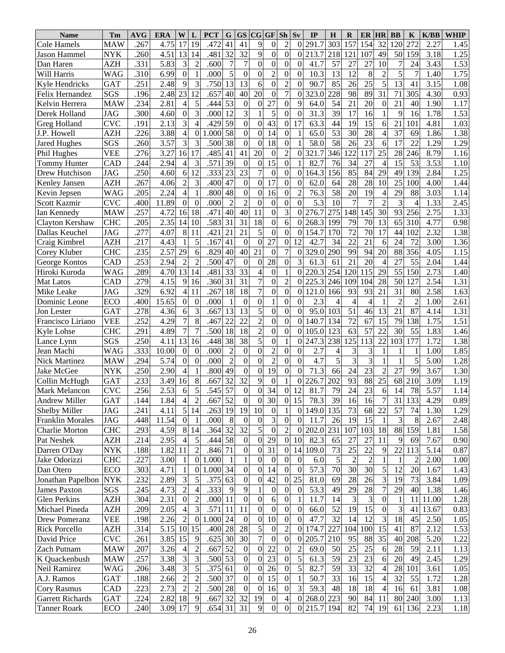| <b>Name</b>                              | Tm                       | <b>AVG</b>   | <b>ERA</b>   | W                | L                 | <b>PCT</b>         | ${\bf G}$            | <b>GS</b>                 | CG GF Sh         |                      |                                      | Sv                     | IP                 | $\bf{H}$            | $\bf{R}$             | ER                   | <b>HR</b>        | <b>BB</b>       | $\mathbf K$          | K/BB         | <b>WHIP</b>  |
|------------------------------------------|--------------------------|--------------|--------------|------------------|-------------------|--------------------|----------------------|---------------------------|------------------|----------------------|--------------------------------------|------------------------|--------------------|---------------------|----------------------|----------------------|------------------|-----------------|----------------------|--------------|--------------|
| Cole Hamels                              | <b>MAW</b>               | .267         | 4.75         | 17               | 19                | .472               | 41                   | 41                        | 9                | $\theta$             | $\overline{c}$                       | $\Omega$               | $291.\overline{7}$ | 303                 | 157                  | 154                  | 32               | 120             | 272                  | 2.27         | 1.45         |
| <b>Jason Hammel</b>                      | <b>NYK</b>               | .260         | 4.51         | 13               | 14                | .481               | 32                   | 32                        | 9                | $\boldsymbol{0}$     | $\overline{0}$                       | 0                      | 213.7              | 218                 | 121                  | 107                  | 49               | 50              | 159                  | 3.18         | 1.25         |
| Dan Haren                                | <b>AZH</b>               | .331         | 5.83         | 3                | $\overline{2}$    | .600               | $\overline{7}$       | 7                         | $\theta$         | $\boldsymbol{0}$     | $\boldsymbol{0}$                     | $\theta$               | 41.7               | 57                  | 27                   | 27                   | 10               | $\overline{7}$  | 24                   | 3.43         | 1.53         |
| Will Harris                              | <b>WAG</b>               | .310         | 6.99         | $\Omega$         |                   | .000               | 5                    | $\boldsymbol{0}$          | $\overline{0}$   | $\overline{c}$       | $\boldsymbol{0}$                     | $\mathbf{0}$           | 10.3               | 13                  | 12                   | 8                    | $\overline{2}$   | 5               |                      | 1.40         | 1.75         |
| Kyle Hendricks                           | <b>GAT</b>               | .251         | 2.48         | 9                | 3                 | .750               | 13                   | 13                        | 6                | $\overline{0}$       | $\overline{c}$                       | $\theta$               | 90.7               | 85                  | 26                   | 25                   | 5                | 13              | 41                   | 3.15         | 1.08         |
| Felix Hernandez                          | SGS                      | .196         | 2.48         | 23               | 12                | .657               | 40                   | 40                        | 20               | $\boldsymbol{0}$     | $\overline{7}$                       | $\theta$               | 323.0              | 228                 | 98                   | 89                   | 31               | 71              | 305                  | 4.30         | 0.93         |
| Kelvin Herrera                           | <b>MAW</b>               | .234         | 2.81         | 4                | 5                 | .444               | 53                   | $\boldsymbol{0}$          | $\theta$         | 27                   | $\overline{0}$                       | 9                      | 64.0               | 54                  | 21                   | 20                   | $\theta$         | 21              | 40                   | 1.90         | 1.17         |
| Derek Holland                            | <b>JAG</b>               | .300         | 4.60         | $\mathbf{0}$     | 3                 | .000               | 12                   | 3                         |                  | 5                    | $\boldsymbol{0}$                     | $\theta$               | 31.3               | 39                  | 17                   | 16                   |                  | 9               | 16                   | 1.78         | 1.53         |
| Greg Holland                             | <b>CVC</b>               | .191         | 2.13         | 3                | 4                 | .429               | 59                   | $\overline{0}$            | 0                | 43                   | $\boldsymbol{0}$                     | 17                     | 63.3               | 44                  | 19                   | 15                   | 6                | 21              | 101                  | 4.81         | 1.03         |
| J.P. Howell                              | <b>AZH</b>               | .226         | 3.88         | 4                | $\overline{0}$    | .000               | 58                   | $\overline{0}$            | $\overline{0}$   | 14                   | $\boldsymbol{0}$                     | 1                      | 65.0               | 53                  | 30                   | 28                   |                  | 37              | 69                   | 1.86         | 1.38         |
| Jared Hughes                             | SGS                      | .260         | 3.57         | 3                | 3                 | .500               | 38                   | $\overline{0}$            | $\overline{0}$   | 18                   | $\overline{0}$                       |                        | 58.0               | 58                  | 26                   | 23                   | 6                | 17              | 22                   | .29          | 1.29         |
| Phil Hughes                              | <b>VEE</b>               | .276         | 3.27         | 16               | 17                | .485               | 41                   | 41                        | 20               | $\overline{0}$       | $\overline{2}$                       | $\theta$               | 321.7              | 346                 | 122                  | 117                  | 25               | 28              | 246                  | 8.79         | 1.16         |
| <b>Tommy Hunter</b>                      | CAD                      | .244         | 2.94         | 4                | 3                 | .571               | 39                   | $\theta$                  | $\theta$         | 15                   | $\overline{0}$                       |                        | 82.7               | 76                  | 34                   | 27                   | 4                | 15              | 53                   | 3.53         | 1.10         |
| Drew Hutchison                           | <b>JAG</b>               | .250         | 4.60         | 6                | 12                | .333               | 23                   | 23                        | $\overline{7}$   | $\overline{0}$       | $\boldsymbol{0}$                     | $\overline{0}$         | 164.3              | 156                 | 85                   | 84                   | 29               | 49              | 139                  | 2.84         | 1.25         |
| Kenley Jansen                            | <b>AZH</b>               | .267         | 4.06         | $\overline{2}$   | 3                 | .400               | 47                   | $\boldsymbol{0}$          | $\overline{0}$   | 17                   | $\boldsymbol{0}$                     | $\theta$               | 62.0               | 64                  | 28                   | 28                   | 10               | 25              | 100                  | 4.00         | 1.44         |
| Kevin Jepsen                             | <b>WAG</b>               | .205         | 2.24         | 4                |                   | .800               | 48                   | $\boldsymbol{0}$          | 0                | 16                   | $\boldsymbol{0}$                     | $\overline{2}$         | 76.3               | 58                  | 20                   | 19                   | 4                | 29              | 88                   | 3.03         | 1.14         |
| Scott Kazmir                             | <b>CVC</b>               | .400         | 11.89        | $\mathbf{0}$     | $\Omega$          | .000               | $\overline{2}$       | $\overline{2}$            | $\overline{0}$   | $\overline{0}$       | $\boldsymbol{0}$                     | $\overline{0}$         | 5.3                | 10                  | 7                    | $\overline{7}$       | $\overline{c}$   | 3               | 4                    | 1.33         | 2.45         |
| Ian Kennedy                              | <b>MAW</b>               | .257         | 4.72         | 16               | 18                | .471               | 40                   | 40                        | 11               | $\boldsymbol{0}$     | $\overline{3}$                       | $\theta$               | 276.7              | 275                 | 148                  | 145                  | 30               | 93              | 256                  | 2.75         | 1.33         |
| Clayton Kershaw                          | <b>CHC</b>               | .205         | 2.35         | 14               | 10                | .583               | 31                   | 31                        | 18               | $\boldsymbol{0}$     | 6                                    | $\Omega$               | 268.3              | 199                 | 79                   | 70                   | 13               | 65              | 310                  | 4.77         | 0.98         |
| Dallas Keuchel                           | <b>JAG</b>               | .277         | 4.07         | 8                | 11                | .421               | 21                   | 21                        | 5                | $\boldsymbol{0}$     | $\overline{0}$                       | $\theta$               | 154.7              | 170                 | 72                   | 70                   | 17               | 44              | 102                  | 2.32         | 1.38         |
| Craig Kimbrel                            | <b>AZH</b>               | .217         | 4.43         |                  | 5                 | .167               | 41                   | $\theta$                  | $\overline{0}$   | 27                   | $\boldsymbol{0}$                     | 12                     | 42.7               | 34                  | 22                   | 21                   | 6                | 24              | 72                   | 3.00         | 1.36         |
| Corey Kluber                             | <b>CHC</b>               | .235         | 2.57         | 29               | 6                 | .829               | 40                   | 40                        | 21               | $\boldsymbol{0}$     | $\overline{7}$                       | $\overline{0}$         | 329.0              | 290                 | 99                   | 94                   | 20               | 88              | 356                  | 4.05         | 1.15         |
| George Kontos                            | CAD                      | .253         | 2.94         | $\overline{2}$   | $\overline{2}$    | .500               | 47                   | $\theta$                  | $\overline{0}$   | 28                   | $\overline{0}$                       | 3                      | 61.3               | 61                  | 21                   | 20                   |                  | 27              | 55                   | 2.04         | 1.44         |
| Hiroki Kuroda                            | <b>WAG</b>               | .289         | 4.70         | 13               | 14                | .481               | 33                   | 33                        | 4                | $\mathbf{0}$         | $\mathbf{1}$                         | $\theta$               | 220.3              | 254                 | 120                  | 115                  | 29               | 55              | 150                  | 2.73         | 1.40         |
| Mat Latos                                | CAD                      | .279         | 4.15         | 9                | 16                | .360               | 31                   | $\overline{31}$           | $\overline{7}$   | $\boldsymbol{0}$     | $\overline{c}$                       | 0                      | 225.3              | 246                 | 109                  | 104                  | 28               | 50              | 127                  | 2.54         | 1.31         |
| Mike Leake                               | <b>JAG</b>               | 329          | 6.92         | $\overline{4}$   | 11                | .267               | 18                   | 18                        | $\overline{7}$   | $\overline{0}$       | $\overline{0}$                       | $\overline{0}$         | 121.0              | 166                 | 93                   | 93                   | 21               | $\overline{31}$ | 80                   | 2.58         | 1.63         |
| Dominic Leone                            | ECO                      | .400         | 15.65        | $\mathbf{0}$     | $\mathbf{0}$      | .000               | $\overline{1}$       | $\boldsymbol{0}$          | $\boldsymbol{0}$ | 1                    | $\boldsymbol{0}$                     | $\theta$               | 2.3                | 4                   | 4                    | $\overline{4}$       |                  | $\overline{c}$  | $\overline{2}$       | 1.00         | 2.61         |
| Jon Lester                               | <b>GAT</b>               | .278         | 4.36         | 6                | 3                 | .667               | 13                   | 13                        | 5                | $\overline{0}$       | $\overline{0}$                       | $\theta$               | 95.0               | 103                 | 51                   | 46                   | 13               | 21              | 87                   | 4.14         | 1.31         |
| Francisco Liriano                        | <b>VEE</b>               | .252         | 4.29         | $\overline{7}$   | 8                 | .467               | 22                   | 22                        | $\overline{c}$   | $\overline{0}$       | $\overline{0}$                       | $\theta$               | 140.7              | 134                 | 72                   | 67                   | 15               | 79              | 138                  | 1.75         | 1.51         |
|                                          | <b>CHC</b>               | .291         | 4.89         | $\overline{7}$   | $\tau$            | .500               | 18                   | 18                        | $\overline{c}$   | $\overline{0}$       | $\overline{0}$                       | $\theta$               | 105.0              | 123                 | 63                   | 57                   | 22               | 30              | 55                   | 1.83         | 1.46         |
| Kyle Lohse                               | SGS                      | .250         | 4.11         | 13               | 16                | .448               | 38                   | 38                        | 5                | $\overline{0}$       | $\mathbf{1}$                         | $\overline{0}$         | 247.3              | 238                 | 125                  | 113                  | 22               | 103             | 177                  | 1.72         | 1.38         |
| Lance Lynn<br>Jean Machi                 | <b>WAG</b>               | .333         | 10.00        | $\boldsymbol{0}$ | $\mathbf{0}$      | .000               | $\overline{2}$       | $\boldsymbol{0}$          | $\boldsymbol{0}$ | $\overline{c}$       | $\boldsymbol{0}$                     | $\theta$               | 2.7                |                     | 3                    | 3                    |                  | 1               | 1                    | 1.00         | 1.85         |
| <b>Nick Martinez</b>                     | <b>MAW</b>               | .294         | 5.74         | $\mathbf{0}$     | $\overline{0}$    | .000               | $\overline{2}$       | $\mathbf{0}$              | $\overline{0}$   | $\overline{c}$       | $\overline{0}$                       | $\theta$               | 4.7                | 4<br>5              | 3                    | $\overline{3}$       |                  | 1               | 5                    | 5.00         | 1.28         |
| Jake McGee                               | <b>NYK</b>               | .250         | 2.90         | $\overline{4}$   |                   | .800               | 49                   | $\overline{0}$            | $\overline{0}$   | $\overline{19}$      | $\overline{0}$                       | $\overline{0}$         | 71.3               | 66                  | 24                   | $\overline{23}$      | $\overline{c}$   | 27              | 99                   | 3.67         | 1.30         |
|                                          |                          | .233         | 3.49         |                  |                   |                    | 32                   | $\overline{32}$           |                  |                      | $\mathbf{1}$                         |                        | 226.7              | 202                 | 93                   | 88                   | 25               | 68              | 210                  | 3.09         | 1.19         |
| Collin McHugh                            | <b>GAT</b><br><b>CVC</b> | .256         | 2.53         | 16               | 8                 | .667<br>.545       | $\overline{57}$      |                           | 9<br>$\theta$    | $\overline{0}$<br>34 |                                      | $\overline{0}$<br>12   | 81.7               | 79                  | $\overline{24}$      | $\overline{23}$      |                  | 14              | 78                   | 5.57         |              |
| Mark Melancon                            |                          |              |              | 6                | 5                 |                    |                      | $\boldsymbol{0}$          |                  |                      | $\boldsymbol{0}$                     |                        |                    |                     |                      |                      | 6                |                 |                      |              | 1.14         |
| Andrew Miller                            | GAT                      | .144         | 1.84         | 4 <sub>l</sub>   | $\overline{2}$    | .667 52            |                      | $\sigma$                  | $\mathbf{0}$     | 30                   | $\vert 0 \vert$                      | 15                     | 78.31              | 39                  | 16                   | 16                   |                  |                 | 31 133               | 4.29         | 0.89         |
| Shelby Miller                            | <b>JAG</b>               | .241         | 4.11         | 5                | 14                | .263               | 19                   | 19                        | 10               | 0                    | $\mathbf{1}$                         | $\overline{0}$         | 149.0              | 135                 | 73                   | 68                   | 22               | 57              | 74                   | 1.30         | 1.29         |
| Franklin Morales                         | <b>JAG</b>               | .448         | 11.54        | $\overline{0}$   |                   | .000               | 8                    | $\mathbf{0}$              | $\mathbf{0}$     | 3                    | $\boldsymbol{0}$                     | $\theta$               | 11.7               | 26                  | 19                   | 15                   | 1                | 3               | 8                    | 2.67         | 2.48         |
| Charlie Morton                           | <b>CHC</b>               | .293         | 4.59         | 8                | 14                | .364 32<br>.444 58 |                      | 32                        | 5                | $\boldsymbol{0}$     | $\sqrt{2}$<br>$\overline{0}$         | $\boldsymbol{0}$       | 202.0              | 231                 | 107                  | 103                  | 18               | 88              | 159                  | 1.81<br>7.67 | 1.58         |
| Pat Neshek                               | <b>AZH</b>               | .214         | 2.95         | 4                | 5                 |                    |                      | $\boldsymbol{0}$          | $\theta$         | 29                   |                                      | 10                     | 82.3               | 65                  | 27                   | 27                   | 11               | 9               | 69                   |              | 0.90         |
| Darren O'Day                             | <b>NYK</b>               | .188         | 1.82         | 11               | $\overline{c}$    | .846 71            |                      | $\boldsymbol{0}$          | $\theta$         | 31                   | $\boldsymbol{0}$                     | 14                     | 109.0              | 73                  | 25                   | 22                   | 9                | 22              | 113                  | 5.14         | 0.87         |
| Jake Odorizzi                            | <b>CHC</b>               | .227         | 3.00         | -1               | $\overline{0}$    | 1.000              | $\overline{1}$<br>34 | $\,1$<br>$\boldsymbol{0}$ | $\overline{0}$   | $\boldsymbol{0}$     | $\boldsymbol{0}$<br>$\boldsymbol{0}$ | $\overline{0}$         | 6.0                | $\mathfrak s$<br>70 | $\overline{2}$<br>30 | $\overline{c}$<br>30 | 1                | 1               | $\overline{c}$<br>20 | 2.00         | 1.00         |
| Dan Otero                                | ECO<br><b>NYK</b>        | .303<br>.232 | 4.71         | 1<br>3           | $\mathbf{0}$<br>5 | 1.000              | 63                   | $\boldsymbol{0}$          | $\theta$         | 14<br>42             |                                      | $\boldsymbol{0}$<br>25 | 57.3               | 69                  | 28                   | 26                   | 5                | 12<br>19        | 73                   | 1.67<br>3.84 | 1.43<br>1.09 |
| Jonathan Papelbon<br><b>James Paxton</b> | SGS                      | .245         | 2.89<br>4.73 | $\overline{2}$   | 4                 | .375<br>.333       | 9                    | 9                         | 0                | 0                    | 0<br>$\boldsymbol{0}$                | $\overline{0}$         | 81.0<br>53.3       | 49                  | 29                   | 28                   | 3<br>7           | 29              | 40                   | 1.38         | 1.46         |
| <b>Glen Perkins</b>                      | <b>AZH</b>               | .304         | 2.31         | $\overline{0}$   |                   | .000 11            |                      | $\boldsymbol{0}$          | 0                |                      | $\boldsymbol{0}$                     |                        | 11.7               | 14                  | 3                    | 3                    | $\overline{0}$   |                 |                      |              | 1.28         |
|                                          | <b>AZH</b>               | .209         |              |                  | $\overline{c}$    | .571               |                      | 11                        | $\boldsymbol{0}$ | 6                    | $\boldsymbol{0}$                     | 1                      |                    | 52                  | 19                   | 15                   | $\boldsymbol{0}$ | -1              | 11                   | 11.00        |              |
| Michael Pineda                           |                          |              | 2.05         | 4                | 3                 |                    | 11                   |                           |                  | 0                    |                                      | $\boldsymbol{0}$       | 66.0               |                     |                      |                      |                  | 3               | 41                   | 13.67        | 0.83         |
| <b>Drew Pomeranz</b>                     | <b>VEE</b>               | .198         | 2.26         | $\overline{c}$   | $\overline{0}$    | 1.000              | 24                   | $\boldsymbol{0}$          | $\boldsymbol{0}$ | 10                   | $\boldsymbol{0}$                     | $\theta$               | 47.7               | 32                  | 14                   | 12                   | 3                | 18              | 45                   | 2.50         | 1.05         |
| <b>Rick Porcello</b>                     | <b>AZH</b>               | .314         | 5.15 10      |                  | 15                | .400               | 28                   | 28                        | 5                | 0                    | $\overline{c}$                       | 0                      | 174.7              | 227                 | 104                  | 100                  | 15               | 41              | 87                   | 2.12         | 1.53         |
| David Price                              | <b>CVC</b>               | .261         | 3.85 15      |                  | 9                 | .625               | 30                   | 30                        | 7                | 0                    | $\boldsymbol{0}$                     | $\boldsymbol{0}$       | 205.7              | 210                 | 95                   | 88                   | $\overline{35}$  | 40              | 208                  | 5.20         | 1.22         |
| Zach Putnam                              | <b>MAW</b>               | .207         | 3.26         | $\overline{4}$   | 2                 | .667               | 52                   | $\boldsymbol{0}$          | $\theta$         | 22                   | $\boldsymbol{0}$                     | $\overline{c}$         | 69.0               | 50                  | 25                   | 25                   | 6                | 28              | 59                   | 2.11         | 1.13         |
| K Quackenbush                            | <b>MAW</b>               | .257         | 3.38         | 3                | 3                 | .500 53            |                      | $\boldsymbol{0}$          | $\theta$         | $\overline{23}$      | $\boldsymbol{0}$                     | 5                      | 61.3               | 59                  | 23                   | 23                   | 6                | 20              | 49                   | 2.45         | 1.29         |
| Neil Ramirez                             | <b>WAG</b>               | .206         | 3.48         | 3                | 5                 | .375               | 61                   | $\boldsymbol{0}$          | $\theta$         | $26\,$               | $\boldsymbol{0}$                     | 5                      | 82.7               | 59                  | 33                   | 32                   | 4                | 28              | 101                  | 3.61         | 1.05         |
| A.J. Ramos                               | <b>GAT</b>               | .188         | 2.66         | $\overline{2}$   | $\overline{c}$    | .500 37            |                      | $\boldsymbol{0}$          | $\theta$         | 15                   | $\boldsymbol{0}$                     | $\mathbf{1}$           | 50.7               | 33                  | 16                   | 15                   | 4                | 32              | 55                   | 1.72         | 1.28         |
| Cory Rasmus                              | CAD                      | .223         | 2.73         | $\overline{2}$   | $\overline{c}$    | .500 28            |                      | $\boldsymbol{0}$          | $\theta$         | 16                   | $\boldsymbol{0}$                     | 3                      | 59.3               | 48                  | 18                   | 18                   | 4                | 16              | 61                   | 3.81         | 1.08         |
| <b>Garrett Richards</b>                  | <b>GAT</b>               | .224         | 2.82         | 18               | 9                 | .667               | 32                   | 32                        | 19               | 0                    | $\overline{\mathcal{A}}$             | $\boldsymbol{0}$       | 268.0              | 223                 | 90                   | 84                   | 11               | 80              | 240                  | 3.00         | 1.13         |
| <b>Tanner Roark</b>                      | ECO                      | .240         | 3.09 17      |                  | 9                 | .654 31            |                      | 31                        | 9                | $\boldsymbol{0}$     | $\boldsymbol{0}$                     | $\overline{0}$         | 215.7              | 194                 | 82                   | 74                   | 19               | 61              | 136                  | 2.23         | 1.18         |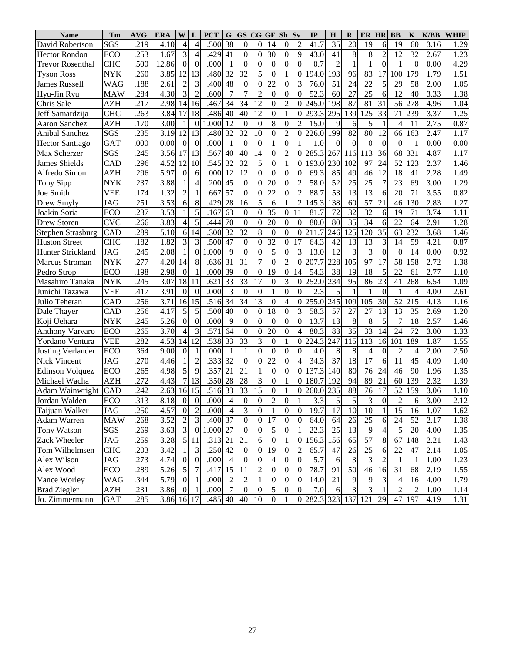| <b>Name</b>              | Tm         | <b>AVG</b> | <b>ERA</b> | W                |                  | <b>PCT</b> | G               | <b>GS</b>        | CG               | GF               | Sh               | Sv               | IP                | $\bf H$        | $\bf{R}$      | ER              | <b>HR</b>        | <b>BB</b>        | K              | K/BB              | <b>WHIP</b> |
|--------------------------|------------|------------|------------|------------------|------------------|------------|-----------------|------------------|------------------|------------------|------------------|------------------|-------------------|----------------|---------------|-----------------|------------------|------------------|----------------|-------------------|-------------|
| David Robertson          | SGS        | .219       | 4.10       | $\overline{4}$   | $\overline{4}$   | .500       | 38              | $\boldsymbol{0}$ | 0                | 14               | $\boldsymbol{0}$ | $\overline{c}$   | 41.7              | 35             | 20            | 19              | 6                | 19               | 60             | 3.16              | 1.29        |
| <b>Hector Rondon</b>     | <b>ECO</b> | .253       | 1.67       | 3                | $\overline{4}$   | .429       | 41              | $\overline{0}$   | $\overline{0}$   | 30               | $\mathbf{0}$     | 9                | 43.0              | 41             | $8\,$         | 8               | $\overline{c}$   | 12               | 32             | 2.67              | 1.23        |
| <b>Trevor Rosenthal</b>  | <b>CHC</b> | .500       | 12.86      | $\overline{0}$   | $\boldsymbol{0}$ | .000       | $\mathbf{1}$    | $\boldsymbol{0}$ | 0                | $\boldsymbol{0}$ | $\boldsymbol{0}$ | $\overline{0}$   | 0.7               | $\overline{2}$ |               |                 | $\theta$         | 1                | $\theta$       | 0.00              | 4.29        |
| <b>Tyson Ross</b>        | <b>NYK</b> | .260       | 3.85       | 12               | 13               | .480       | 32              | 32               | 5                | $\overline{0}$   | $\mathbf{1}$     | $\boldsymbol{0}$ | 194.0             | 193            | 96            | 83              | 17               | 100              | 179            | 1.79              | 1.51        |
| James Russell            | <b>WAG</b> | .188       | 2.61       | $\overline{2}$   | 3                | .400       | 48              | $\mathbf{0}$     | 0                | 22               | $\boldsymbol{0}$ | 3                | 76.0              | 51             | 24            | 22              | 5                | 29               | 58             | 2.00              | 1.05        |
| Hyu-Jin Ryu              | <b>MAW</b> | .284       | 4.30       | 3                | $\overline{2}$   | .600       | $\overline{7}$  | $\overline{7}$   | $\overline{c}$   | $\overline{0}$   | $\mathbf{0}$     | $\mathbf{0}$     | 52.3              | 60             | 27            | 25              | 6                | 12               | 40             | 3.33              | 1.38        |
| Chris Sale               | <b>AZH</b> | .217       | 2.98       | 14               | 16               | .467       | 34              | 34               | 12               | $\overline{0}$   | $\overline{c}$   | $\boldsymbol{0}$ | 245.0             | 198            | 87            | 81              | 31               | 56               | 278            | 4.96              | 1.04        |
| Jeff Samardzija          | <b>CHC</b> | 263        | 3.84       | 17               | 18               | .486       | 40              | 40               | 12               | $\overline{0}$   | $\mathbf{1}$     | $\boldsymbol{0}$ | 293.3             | 295            | 139           | 25              | $\overline{33}$  | 71               | 239            | 3.37              | 1.25        |
| Aaron Sanchez            | <b>AZH</b> | .170       | 3.00       |                  | $\boldsymbol{0}$ | .000       | 12              | $\boldsymbol{0}$ | $\boldsymbol{0}$ | 8                | $\mathbf{0}$     | $\overline{2}$   | 15.0              | 9              | 6             | 5               | $\mathbf{1}$     | $\overline{4}$   | 11             | 2.75              | 0.87        |
| <b>Anibal Sanchez</b>    | SGS        | .235       | 3.19       | 12               | 13               | .480       | 32              | 32               | 10               | $\overline{0}$   | $\overline{2}$   | $\boldsymbol{0}$ | 226.0             | 199            | 82            | 80              | 12               | 66               | 163            | 2.47              | 1.17        |
| <b>Hector Santiago</b>   | <b>GAT</b> | .000       | 0.00       | $\theta$         | $\mathbf{0}$     | .000       | $\mathbf{1}$    | $\boldsymbol{0}$ | $\boldsymbol{0}$ | 1                | $\boldsymbol{0}$ | 1                | 1.0               | $\theta$       | $\Omega$      | $\theta$        | $\boldsymbol{0}$ | $\boldsymbol{0}$ |                | 0.00              | 0.00        |
| Max Scherzer             | SGS        | .245       | 3.56       | 17               | 13               | .567       | 40              | 40               | 14               | $\mathbf{0}$     | $\overline{c}$   | $\mathbf{0}$     | 285.3             | 267            | 116           | 113             | 36               | 68               | 331            | 4.87              | 1.17        |
| <b>James Shields</b>     | CAD        | .296       | 4.52       | 12               | 10               | .545       | 32              | 32               | 5                | $\overline{0}$   | $\mathbf{1}$     | $\boldsymbol{0}$ | 193.0             | 230            | 102           | 97              | 24               | 52               | 123            | 2.37              | 1.46        |
| Alfredo Simon            | <b>AZH</b> | 296        | 5.97       | $\mathbf{0}$     | 6                | .000       | 12              | 12               | $\boldsymbol{0}$ | $\overline{0}$   | $\mathbf{0}$     | $\boldsymbol{0}$ | 69.3              | 85             | 49            | 46              | 12               | 18               | 41             | 2.28              | 1.49        |
| Tony Sipp                | <b>NYK</b> | .237       | 3.88       |                  | 4                | .200       | 45              | $\boldsymbol{0}$ | $\overline{0}$   | 20               | $\boldsymbol{0}$ | $\overline{2}$   | 58.0              | 52             | 25            | 25              | 7                | 23               | 69             | 3.00              | 1.29        |
| Joe Smith                | <b>VEE</b> | .174       | 1.32       | $\overline{2}$   |                  | .667       | $\overline{57}$ | $\overline{0}$   | $\boldsymbol{0}$ | 22               | $\boldsymbol{0}$ | $\overline{2}$   | 88.7              | 53             | 13            | 13              | 6                | 20               | 71             | 3.55              | 0.82        |
| Drew Smyly               | <b>JAG</b> | .251       | 3.53       | 6                | 8                | .429       | 28              | 16               | 5                | 6                | $\mathbf{1}$     | $\overline{c}$   | 145.3             | 138            | 60            | 57              | 21               | 46               | 130            | 2.83              | 1.27        |
| Joakin Soria             | <b>ECO</b> | 237        | 3.53       |                  | 5                | .167       | 63              | $\boldsymbol{0}$ | $\overline{0}$   | 35               | $\overline{0}$   | 11               | 81.7              | 72             | 32            | $\overline{32}$ | 6                | 19               | 71             | 3.74              | 1.11        |
| Drew Storen              | <b>CVC</b> | 266        | 3.83       | $\overline{4}$   | 5                | .444       | 70              | $\boldsymbol{0}$ | $\boldsymbol{0}$ | 20               | $\overline{0}$   | $\overline{0}$   | 80.0              | 80             | 35            | 34              | 6                | 22               | 64             | 2.91              | 1.28        |
| <b>Stephen Strasburg</b> | CAD        | 289        | 5.10       | 6                | 14               | .300       | 32              | 32               | 8                | $\boldsymbol{0}$ | $\overline{0}$   | $\boldsymbol{0}$ | 211.7             | 246            | 125           | 120             | 35               | 63               | 232            | 3.68              | 1.46        |
| <b>Huston Street</b>     | <b>CHC</b> | .182       | 1.82       | 3                | 3                | .500       | 47              | $\overline{0}$   | $\overline{0}$   | 32               | $\overline{0}$   | 17               | 64.3              | 42             | 13            | 13              | 3                | 14               | 59             | 4.21              | 0.87        |
| Hunter Strickland        | <b>JAG</b> | .245       | 2.08       | $\mathbf{1}$     | $\mathbf{0}$     | .000       | 9               | $\boldsymbol{0}$ | $\boldsymbol{0}$ | 5                | $\boldsymbol{0}$ | 3                | 13.0              | 12             | 3             | $\overline{3}$  | $\overline{0}$   | $\boldsymbol{0}$ | 14             | 0.00              | 0.92        |
| Marcus Stroman           | <b>NYK</b> | .277       | 4.20       | 14               | 8                | .636       | 31              | 31               | $\overline{7}$   | $\overline{0}$   | $\overline{2}$   | $\mathbf{0}$     | 207.7             | 228            | 105           | $\overline{97}$ | 17               | 58               | 158            | 2.72              | 1.38        |
| Pedro Strop              | <b>ECO</b> | .198       | 2.98       | $\boldsymbol{0}$ |                  | .000       | 39              | $\boldsymbol{0}$ | $\boldsymbol{0}$ | 19               | $\overline{0}$   | 14               | 54.3              | 38             | 19            | 18              | 5                | 22               | 61             | 2.77              | 1.10        |
| Masahiro Tanaka          | <b>NYK</b> | .245       | 3.07       | 18               | 11               | .621       | $\overline{33}$ | $\overline{33}$  | $\overline{17}$  | $\overline{0}$   | 3                | $\mathbf{0}$     | 252.0             | 234            | 95            | 86              | 23               | 41               | 268            | 6.54              | 1.09        |
| Junichi Tazawa           | <b>VEE</b> | .417       | 3.91       | $\boldsymbol{0}$ | $\mathbf{0}$     | .000       |                 | $\boldsymbol{0}$ | $\boldsymbol{0}$ | 1                | $\boldsymbol{0}$ | $\theta$         | 2.3               | 5              |               |                 | $\boldsymbol{0}$ |                  | $\overline{4}$ | 4.00              | 2.61        |
| Julio Teheran            | CAD        | .256       | 3.71       | 16               | 15               | .516       | $\overline{34}$ | 34               | 13               | $\overline{0}$   | $\overline{4}$   | $\mathbf{0}$     | 255.0             | 245            | 109           | 105             | 30               | 52               | 215            | 4.13              | 1.16        |
| Dale Thayer              | CAD        | .256       | 4.17       | 5                | 5                | .500       | 40              | $\boldsymbol{0}$ | $\boldsymbol{0}$ | 18               | $\boldsymbol{0}$ | 3                | 58.3              | 57             | 27            | $\overline{27}$ | 13               | 13               | 35             | 2.69              | 1.20        |
| Koji Uehara              | <b>NYK</b> | .245       | 5.26       | $\overline{0}$   | $\Omega$         | .000       | 9               | $\overline{0}$   | $\overline{0}$   | $\mathbf{0}$     | $\boldsymbol{0}$ | $\mathbf{0}$     | 13.7              | 13             | 8             | 8               | 5                | $\overline{7}$   | 18             | $2.\overline{57}$ | 1.46        |
| <b>Anthony Varvaro</b>   | <b>ECO</b> | .265       | 3.70       | $\overline{4}$   | 3                | .571       | 64              | $\boldsymbol{0}$ | $\overline{0}$   | 20               | $\boldsymbol{0}$ | $\overline{4}$   | 80.3              | 83             | 35            | 33              | 14               | 24               | 72             | 3.00              | 1.33        |
| Yordano Ventura          | <b>VEE</b> | .282       | 4.53       | 14               | 12               | .538       | $\overline{33}$ | $\overline{33}$  | 3                | $\overline{0}$   | $\mathbf{1}$     | $\boldsymbol{0}$ | 224.3             | 247            | 115           | 113             | 16               | 101              | 189            | 1.87              | 1.55        |
| <b>Justing Verlander</b> | <b>ECO</b> | .364       | 9.00       | $\overline{0}$   |                  | .000       | $\overline{1}$  | $\mathbf{1}$     | $\theta$         | $\overline{0}$   | $\boldsymbol{0}$ | $\mathbf{0}$     | 4.0               | 8              | 8             | $\overline{4}$  | $\theta$         | $\overline{c}$   | $\overline{4}$ | 2.00              | 2.50        |
| <b>Nick Vincent</b>      | <b>JAG</b> | .270       | 4.46       | $\mathbf{1}$     | $\overline{2}$   | .333       | $\overline{32}$ | $\overline{0}$   | $\overline{0}$   | 22               | $\boldsymbol{0}$ | $\overline{4}$   | 34.3              | 37             | 18            | 17              | 6                | 11               | 45             | 4.09              | 1.40        |
| <b>Edinson Volquez</b>   | <b>ECO</b> | .265       | 4.98       | 5                | 9                | .357       | 21              | 21               |                  | $\overline{0}$   | $\boldsymbol{0}$ | $\mathbf{0}$     | 137.3             | 140            | 80            | 76              | 24               | 46               | 90             | 1.96              | 1.35        |
| Michael Wacha            | <b>AZH</b> | 272        | 4.43       | $\overline{7}$   | 13               | .350       | 28              | 28               | 3                | $\overline{0}$   | $\mathbf{1}$     | $\overline{0}$   | 180.7             | 192            | 94            | 89              | 21               | 60               | 139            | 2.32              | 1.39        |
| Adam Wainwright          | <b>CAD</b> | .242       | 2.63       | 16               | 15               | .516       | $\overline{33}$ | $\overline{33}$  | $\overline{15}$  | $\overline{0}$   | $\mathbf{1}$     | $\theta$         | 260.0             | 235            | 88            | 76              | 17               | 52               | 159            | 3.06              | 1.10        |
| Jordan Walden            | ECO        | .313       | 8.18       | $\overline{0}$   | $\boldsymbol{0}$ | .000       | $\vert 4 \vert$ | $\mathbf{0}$     | $\mathbf{U}$     | 2                | $\overline{0}$   | $\mathbf{I}$     | 3.3               | $\mathcal{L}$  | $\mathcal{L}$ | $\mathbf{3}$    | $\boldsymbol{0}$ | 2                | $\sigma$       | 3.00              | 2.12        |
| Taijuan Walker           | JAG        | .250       | 4.57       | $\boldsymbol{0}$ | $\overline{2}$   | .000       | $\overline{4}$  | $\overline{3}$   | 0                | $\mathbf{1}$     | $\boldsymbol{0}$ | $\boldsymbol{0}$ | 19.7              | 17             | 10            | 10              | $\mathbf{1}$     | 15               | 16             | 1.07              | 1.62        |
| Adam Warren              | <b>MAW</b> | .268       | 3.52       | $\overline{2}$   | $\mathfrak{Z}$   | .400 37    |                 | $\boldsymbol{0}$ | $\mathbf{0}$     | 17               | $\boldsymbol{0}$ | $\boldsymbol{0}$ | 64.0              | 64             | 26            | 25              | 6                | 24               | 52             | 2.17              | 1.38        |
| Tony Watson              | SGS        | .269       | 3.63       | $\mathfrak{Z}$   | $\overline{0}$   | 1.000 27   |                 | $\boldsymbol{0}$ | 0                | 5                | $\boldsymbol{0}$ | 1                | 22.3              | 25             | 13            | 9               | 4                | $\sqrt{5}$       | 20             | 4.00              | 1.35        |
| Zack Wheeler             | JAG        | .259       | 3.28       | 5                | 11               | .313 21    |                 | 21               | 6                | $\boldsymbol{0}$ | $\mathbf{1}$     | $\boldsymbol{0}$ | 156.3             | 156            | 65            | 57              | $\,8\,$          | 67               | 148            | 2.21              | 1.43        |
| Tom Wilhelmsen           | <b>CHC</b> | .203       | 3.42       | 1                | 3                | .250 42    |                 | $\boldsymbol{0}$ | 0                | 19               | $\boldsymbol{0}$ | $\overline{c}$   | 65.7              | 47             | 26            | 25              | 6                | 22               | 47             | 2.14              | 1.05        |
| Alex Wilson              | JAG        | .273       | 4.74       | $\overline{0}$   | $\mathbf{0}$     | .000       | $\overline{4}$  | $\boldsymbol{0}$ | 0                | 4                | $\boldsymbol{0}$ | $\boldsymbol{0}$ | 5.7               | 6              | 3             | 3               | $\overline{c}$   | $\mathbf{1}$     | -1             | 1.00              | 1.23        |
| Alex Wood                | ECO        | .289       | 5.26       | 5                | 7                | .417       | 15              | 11               | 2                | $\boldsymbol{0}$ | $\boldsymbol{0}$ | 0                | 78.7              | 91             | 50            | 46              | 16               | 31               | 68             | 2.19              | 1.55        |
| Vance Worley             | <b>WAG</b> | .344       | 5.79       | $\boldsymbol{0}$ |                  | .000       | 2               | $\overline{c}$   |                  | 0                | $\boldsymbol{0}$ | $\boldsymbol{0}$ | 14.0              | 21             | 9             | 9               | 3                | 4                | 16             | 4.00              | 1.79        |
| <b>Brad Ziegler</b>      | <b>AZH</b> | .231       | 3.86       | $\bf{0}$         |                  | .000       | $7\phantom{.0}$ | $\boldsymbol{0}$ | $\theta$         | 5                | $\boldsymbol{0}$ | $\boldsymbol{0}$ | 7.0               | 6              | 3             | 3               | 1                | $\overline{c}$   | 2              | 1.00              | 1.14        |
| Jo. Zimmermann           | <b>GAT</b> | .285       | 3.86 16 17 |                  |                  | .485 40    |                 | 40               | 10               | $\overline{0}$   | $\mathbf{1}$     | $\overline{0}$   | 282.3 323 137 121 |                |               |                 | 29               | 47               | 197            | 4.19              | 1.31        |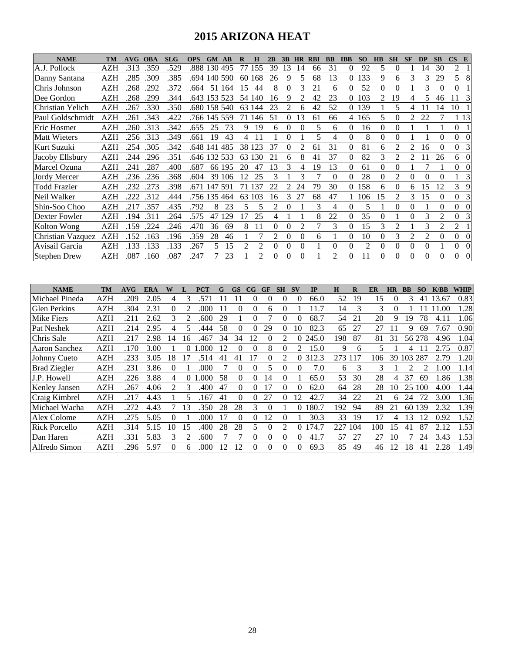### **2015 ARIZONA HEAT**

| <b>NAME</b>         | TM         | AVG  | <b>OBA</b> | <b>SLG</b> | <b>OPS</b> | <b>GM AB</b> |        | R  | Н      | 2B             | 3B             | <b>HR</b> | <b>RBI</b> | <b>BB</b>      | <b>IBB</b> | <b>SO</b> | <b>HB</b> | <b>SH</b> | <b>SF</b> | <b>DP</b>      | <b>SB</b>      | $\mathbf{CS}$<br>E         |
|---------------------|------------|------|------------|------------|------------|--------------|--------|----|--------|----------------|----------------|-----------|------------|----------------|------------|-----------|-----------|-----------|-----------|----------------|----------------|----------------------------|
| A.J. Pollock        | AZH        | .313 | .359       | .529       |            | .888 130 495 |        | 77 | 155    | 39             | 13             | 14        | 66         | 31             | 0          | 92        | 5         | $_{0}$    |           | 14             | 30             | 2                          |
| Danny Santana       | AZH        | .285 | .309       | .385       | .694       | 140          | 590    | 60 | 168    | 26             | 9              | 5         | 68         | 13             | 0          | 133       | 9         | 6         | 3         | 3              | 29             | 5<br>8                     |
| Chris Johnson       | AZH        | .268 | .292       | .372       | .664       | 51           | 164    | 15 | 44     | 8              | 0              | 3         | 21         | 6              | 0          | 52        | $\Omega$  | 0         |           | 3              | $\Omega$       | $\Omega$                   |
| Dee Gordon          | AZH        | .268 | .299       | .344       |            | .643 153 523 |        |    | 54 140 | 16             | 9              | 2         | 42         | 23             | 0          | 103       | 2         | 19        | 4         | 5              | 46             | 3                          |
| lChristian Yelich   | AZH        | .267 | .330       | .350       |            | .680 158 540 |        |    | 63 144 | 23             | $\mathfrak{D}$ | 6         | 42         | 52             | $\Omega$   | 139       |           | 5         | 4         |                | 14             | 10                         |
| Paul Goldschmidt    | <b>AZH</b> | 261  | .343       | .422       |            | .766 145     | 559    | 71 | 146    | 51             | 0              | 13        | 61         | 66             | 4          | 165       | 5         | 0         | 2         | 22             |                | 1 13                       |
| Eric Hosmer         | AZH        | .260 | .313       | .342       | .655       | 25           | 73     | 9  | 19     | 6              | $\Omega$       |           | 5          | 6              | 0          | 16        | $\Omega$  | 0         |           |                |                | $\Omega$                   |
| <b>Matt Wieters</b> | AZH        | .256 | .313       | .349       | .661       | 19           | 43     | 4  |        |                | 0              |           | 5          | 4              | 0          | 8         | $\Omega$  | 0         |           |                | 0              | 0<br>0                     |
| Kurt Suzuki         | AZH        | .254 | .305       | .342       | .648       | 141          | 485    | 38 | 123    | 37             | 0              |           | 61         | 31             | 0          | 81        | 6         | 2         |           | 16             | 0              | 0<br>3                     |
| Jacoby Ellsbury     | AZH        | .244 | .296       | .351       | .646       | 132          | 533    | 63 | 130    | 21             | 6              | 8         | 41         | 37             | $\theta$   | 82        | 3         | 2         | 2         |                | 26             | $\Omega$<br>6              |
| Marcel Ozuna        | AZH        | .241 | .287       | .400       | .687       |              | 66 195 | 20 | 47     | 13             | 3              |           | 19         | 13             | $\theta$   | 61        | $\Omega$  | 0         |           |                |                | $\Omega$<br>$\Omega$       |
| Jordy Mercer        | AZH        | .236 | .236       | .368       | .604       | 39           | 106    | 12 | 25     | 3              |                | 3         |            | $\Omega$       | 0          | 28        | $\theta$  | 2         | 0         | 0              | 0              | 3                          |
| <b>Todd Frazier</b> | AZH        | .232 | .273       | .398       | .671 147   |              | 591    | 71 | 137    | 22             | 2              | 24        | 79         | 30             | $\Omega$   | 158       | 6         | 0         | 6         | 15             | 12             | 3<br>9                     |
| Neil Walker         | AZH        | 222  | .312       | .444       | .756 135   |              | 464    | 63 | 103    | 16             | 3              | 27        | 68         | 47             |            | 106       | 15        | 2         | 3         | 15             | $\Omega$       | $\theta$<br>3              |
| Shin-Soo Choo       | AZH        | 217  | .357       | .435       | .792       | 8            | 23     | 5  | 5      | $\mathfrak{D}$ | $\theta$       |           | 3          | 4              | $\theta$   | 5         |           | 0         | $\Omega$  |                | $\Omega$       | $\Omega$<br>$\Omega$       |
| Dexter Fowler       | AZH        | .194 | .311       | .264       | .575       | 47           | 129    | 17 | 25     | 4              |                |           | 8          | 22             | $\theta$   | 35        | $\theta$  |           | $\Omega$  | 3              | 2              | $\overline{0}$<br>3        |
| Kolton Wong         | AZH        | .159 | .224       | .246       | .470       | 36           | 69     | 8  | 11     | $\Omega$       | 0              | 2         |            | 3              | $\theta$   | 15        | 3         | 2         |           | 3              | $\mathfrak{D}$ | 2                          |
| Christian Vazquez   | <b>AZH</b> | .152 | .163       | .196       | .359       | 28           | 46     |    |        | 2              | 0              | 0         | 6          |                | $\theta$   | 10        | $\Omega$  | 3         | 2         | $\mathfrak{D}$ | 0              | $\overline{0}$<br>$\Omega$ |
| Avisail Garcia      | AZH        | .133 | .133       | .133       | .267       | 5            | 15     | 2  | 2      | $\Omega$       | 0              | $\Omega$  |            | 0              | $\Omega$   | 2         | $\Omega$  | 0         | $\Omega$  | 0              |                | $\overline{0}$<br>$\Omega$ |
| <b>Stephen Drew</b> | <b>AZH</b> | .087 | .160       | .087       | .247       |              | 23     |    | 2      | $\Omega$       | $\Omega$       | $\Omega$  |            | $\mathfrak{D}$ | $\theta$   | 11        | $\theta$  | 0         | 0         | $\Omega$       | 0              | $\Omega$<br>$\mathbf{0}$   |

| <b>NAME</b>          | <b>TM</b>  | AVG  | ERA  | W        |    | <b>PCT</b> | G  | <b>GS</b> | $_{\rm CG}$ | GF       |          | $S_{V}$                     | IP    | н   | $\bf{R}$ | ER  | <b>HR</b> | <b>BB</b> | SO     | K/BB  | <b>WHIP</b> |
|----------------------|------------|------|------|----------|----|------------|----|-----------|-------------|----------|----------|-----------------------------|-------|-----|----------|-----|-----------|-----------|--------|-------|-------------|
| Michael Pineda       | AZH        | .209 | 2.05 | 4        |    | 571        |    |           |             |          |          |                             | 66.0  | 52  | 19       | 15  |           | 3         | 41     | 13.67 | 0.83        |
| <b>Glen Perkins</b>  | <b>AZH</b> | .304 | 2.31 | 0        |    | .000       | 11 | $\Omega$  |             | 6        |          |                             |       | 14  | 3        | 3   | $\Omega$  |           |        | .00   | 1.28        |
| Mike Fiers           | <b>AZH</b> | 211  | 2.62 | 3        |    | .600       | 29 |           |             |          |          | $\Omega$                    | 68.7  | 54  | 21       | 20  | 9         | 19        | 78     | 4.1   | 1.06        |
| <b>Pat Neshek</b>    | AZH        | .214 | 2.95 | 4        |    | 444.       | 58 | $\theta$  |             | 29       | $\Omega$ | 10                          | 82.3  | 65  | 27       | 27  |           | Q         | 69     | 7.67  | 0.90        |
| Chris Sale           | <b>AZH</b> | .217 | 2.98 | 14       | 16 | 467        | 34 | 34        | 12          | 0        |          | $\Omega$                    | 245.0 | 198 | 87       | 81  | 31        |           | 56 278 | 4.96  | 1.04        |
| Aaron Sanchez        | <b>AZH</b> | .170 | 3.00 |          |    | .000       | 12 |           |             | 8        |          | $\mathcal{D}_{\mathcal{L}}$ | 15.0  | 9   | 6        | 5   |           |           |        | 2.75  | 0.87        |
| Johnny Cueto         | <b>AZH</b> | .233 | 3.05 | 18       |    | .514       | 41 | 41        | 17          | 0        |          | $\theta$                    | 312.3 | 273 | 117      | 106 | 39        | 103       | 287    | 2.79  | 1.20        |
| <b>Brad Ziegler</b>  | <b>AZH</b> | .231 | 3.86 | $\theta$ |    | .000       |    | $\theta$  | $\theta$    |          |          | $\theta$                    | 7.0   | 6   | 3        | 3   |           |           |        | .00   | 1.14        |
| J.P. Howell          | <b>AZH</b> | .226 | 3.88 | 4        | 0  | .000       | 58 | $\Omega$  | $\Omega$    | 14       | $\theta$ |                             | 65.0  | 53  | 30       | 28  | 4         | 37        | 69     | .86   | 1.38        |
| <b>Kenley Jansen</b> | <b>AZH</b> | .267 | 4.06 | 2        | 3  | .400       | 47 | $\Omega$  |             | 17       | $\Omega$ | $\Omega$                    | 62.0  | 64  | 28       | 28  | 10        | 25        | 100    | 4.00  | 1.44        |
| Craig Kimbrel        | <b>AZH</b> | .217 | 4.43 |          |    | 167        | 41 | 0         |             | 27       |          | 12                          | 42.7  | 34  | 22       | 21  | 6         | 24        | 72     | 3.00  | 1.36        |
| Michael Wacha        | <b>AZH</b> | .272 | 4.43 |          | 13 | .350       | 28 | 28        | 3           | $\theta$ |          | 0                           | 180.7 | 192 | 94       | 89  | 21        | 60        | 139    | 2.32  | 1.39        |
| Alex Colome          | <b>AZH</b> | .275 | 5.05 | 0        |    | .000       | 17 | $\Omega$  | $\Omega$    | 12       | $\theta$ |                             | 30.3  | 33  | 19       | 17  | 4         | 13        | 12     | 0.92  | 1.52        |
| <b>Rick Porcello</b> | AZH        | .314 | 5.15 | 10       | 15 | .400       | 28 | 28        | 5.          | 0        |          | 0                           | 174.7 | 227 | 104      | 100 | 15        | 41        | 87     | 2.12  | 1.53        |
| Dan Haren            | <b>AZH</b> | .331 | 5.83 | 3        | 2  | .600       |    |           | 0           | $\Omega$ | $\Omega$ | $\Omega$                    | 41.7  | 57  | 27       | 27  | 10        |           | 24     | 3.43  | 1.53        |
| Alfredo Simon        | <b>AZH</b> | 296  | 5.97 | 0        | 6  | .000       | 12 | 12        |             | $\Omega$ |          |                             | 69.3  | 85  | 49       | 46  | 12        | 18        | 41     | 2.28  | 1.49        |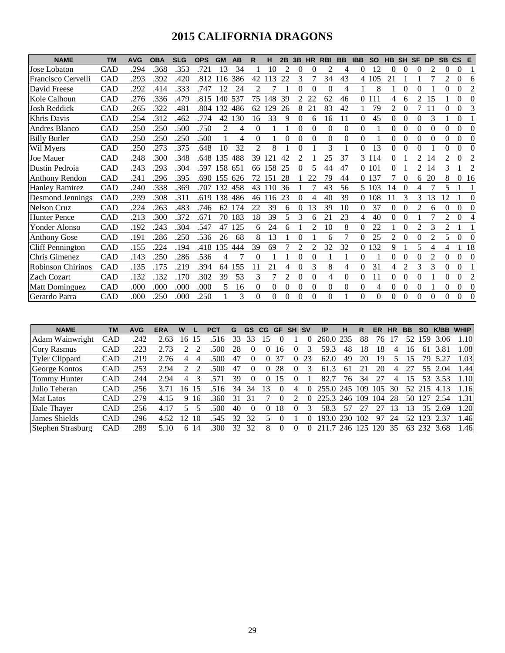### **2015 CALIFORNIA DRAGONS**

| <b>NAME</b>             | <b>TM</b>  | <b>AVG</b> | <b>OBA</b> | <b>SLG</b> | <b>OPS</b> | <b>GM</b> | AB  | R            |          | 2B             | 3B             | <b>HR</b>      | <b>RBI</b> | <b>BB</b> | <b>IBB</b> | <b>SO</b> | <b>HB</b>      | <b>SH</b>      | <b>SF</b>      | <b>DP</b>      | <b>SB</b>      | <b>CS</b> | E              |
|-------------------------|------------|------------|------------|------------|------------|-----------|-----|--------------|----------|----------------|----------------|----------------|------------|-----------|------------|-----------|----------------|----------------|----------------|----------------|----------------|-----------|----------------|
| Jose Lobaton            | CAD        | .294       | .368       | .353       | .721       | 13        | 34  |              | 10       | 2              | 0              | 0              | 2          | 4         | $\Omega$   | 12        | 0              | 0              | $\Omega$       | $\mathfrak{D}$ | $\Omega$       | $\theta$  |                |
| Francisco Cervelli      | CAD        | .293       | .392       | .420       | .812       | 116       | 386 | 42           | 113      | 22             | 3              |                | 34         | 43        |            | 4 105     | 21             |                |                |                | $\mathfrak{D}$ | 0         | 6              |
| David Freese            | CAD        | .292       | .414       | .333       | .747       | 12        | 24  | 2            |          |                | 0              | $\theta$       | $\Omega$   | 4         |            | 8         |                | 0              | 0              |                | 0              | 0         | $\overline{c}$ |
| Kole Calhoun            | CAD        | .276       | .336       | .479       | .815       | 140       | 537 | 75           | 148      | 39             | 2              | 22             | 62         | 46        |            | 0 1 1 1   | 4              | 6              | 2              | 15             |                | 0         | $\Omega$       |
| <b>Josh Reddick</b>     | CAD        | .265       | .322       | .481       | .804       | 132       | 486 | 62           | 29       | 26             | 8              | 21             | 83         | 42        |            | 79        | 2              | 0              | 7              | 11             | 0              | 0         | 3              |
| Khris Davis             | CAD        | .254       | .312       | .462       | .774       | 42        | 130 | 16           | 33       | 9              | 0              | 6              | 16         | 11        | $\Omega$   | 45        | 0              | 0              | 0              | 3              |                | 0         |                |
| Andres Blanco           | CAD        | .250       | .250       | .500       | .750       | 2         | 4   | $\mathbf{0}$ |          |                | $\Omega$       | $\theta$       | $\Omega$   | $\theta$  | $\Omega$   |           | 0              | 0              | 0              | $\theta$       | 0              | 0         | $\overline{0}$ |
| <b>Billy Butler</b>     | CAD        | .250       | .250       | .250       | .500       |           | 4   | $\Omega$     |          | $\Omega$       | 0              | $\theta$       | $\Omega$   | $\theta$  | $\Omega$   |           | 0              | 0              | 0              | $\Omega$       | 0              | 0         | $\Omega$       |
| Wil Myers               | CAD        | .250       | .273       | .375       | .648       | 10        | 32  | 2            | 8        |                | 0              |                | 3          |           | $\Omega$   | 13        | 0              | 0              | 0              |                | 0              | 0         | $\Omega$       |
| Joe Mauer               | CAD        | .248       | .300       | .348       | .648       | 135       | 488 | 39           | 121      | 42             | $\overline{c}$ |                | 25         | 37        |            | 3 1 1 4   | 0              |                | 2              | 14             | $\mathfrak{D}$ | 0         | 2              |
| Dustin Pedroia          | CAD        | .243       | .293       | .304       | .597       | 158       | 651 | 66           | 158      | 25             | 0              | 5              | 44         | 47        |            | 0 101     | 0              |                | 2              | 14             | 3              |           | $\overline{c}$ |
| <b>Anthony Rendon</b>   | <b>CAD</b> | .241       | .296       | .395       | .690       | 155       | 626 | 72           | 151      | 28             |                | 22             | 79         | 44        |            | 0 1 3 7   |                | 0              | 6              | 20             | 8              | 0         | 16             |
| <b>Hanley Ramirez</b>   | CAD        | .240       | .338       | .369       | .707       | 132       | 458 | 43           | 10       | 36             |                |                | 43         | 56        | 5.         | 103       | 14             | 0              | 4              |                | 5              |           |                |
| Desmond Jennings        | CAD        | .239       | .308       | .311       | .619       | 138       | 486 | 46           | -16      | 23             | $\theta$       | Δ              | 40         | 39        | $\Omega$   | 108       |                | 3              | 3              | 13             | 12             |           | $\Omega$       |
| <b>Nelson Cruz</b>      | CAD        | 224        | .263       | .483       | .746       | 62        | 174 | 22           | 39       | 6              | 0              | 13             | 39         | 10        | $\Omega$   | 37        | 0              | 0              | $\mathfrak{D}$ | 6              | 0              | $\Omega$  | $\Omega$       |
| <b>Hunter Pence</b>     | CAD        | .213       | .300       | .372       | .671       | 70        | 183 | 18           | 39       | 5              | 3              | 6              | 21         | 23        | 4          | 40        | 0              | 0              |                |                | 2              | 0         | 4              |
| Yonder Alonso           | CAD        | .192       | .243       | .304       | .547       | 47        | 125 | 6            | 24       | 6              |                | $\mathfrak{D}$ | 10         | 8         | $\Omega$   | 22        |                | 0              | $\overline{2}$ | 3              | 2              |           |                |
| <b>Anthony Gose</b>     | CAD        | .191       | .286       | .250       | .536       | 26        | 68  | 8            | 13       |                | $\Omega$       |                | 6          | 7         |            | 25        | $\overline{c}$ | $\Omega$       | $\Omega$       | $\overline{c}$ | 5              | 0         | $\Omega$       |
| <b>Cliff Pennington</b> | CAD        | .155       | .224       | .194       | .418       | 35        | 444 | 39           | 69       |                |                | 2              | 32         | 32        | 0          | 132       | 9              |                |                | 4              | 4              |           | 18             |
| Chris Gimenez           | CAD        | .143       | .250       | .286       | .536       | 4         |     | $\Omega$     |          |                | $\Omega$       | $\theta$       |            |           | $\Omega$   |           | 0              | 0              | $\Omega$       | $\overline{2}$ | 0              | 0         | $\Omega$       |
| Robinson Chirinos       | CAD        | .135       | .175       | .219       | .394       | 64        | 155 | 11           | 21       | 4              | $\Omega$       | 3              | 8          | 4         | $\Omega$   | 31        | 4              | $\overline{c}$ | 3              | 3              | 0              | $\theta$  |                |
| <b>Zach Cozart</b>      | CAD        | .132       | .132       | .170       | .302       | 39        | 53  | 3            |          | $\overline{c}$ | $\theta$       | $\theta$       | 4          | $\theta$  | $\Omega$   | 11        | $\theta$       | $\theta$       | $\theta$       |                | $\Omega$       | $\theta$  | $\overline{c}$ |
| <b>Matt Dominguez</b>   | CAD        | .000       | .000       | .000       | .000       | 5         | 16  | $\Omega$     | $\Omega$ | $\theta$       | $\theta$       | 0              | $\theta$   | $\Omega$  | $\theta$   | 4         | 0              | 0              | $\Omega$       |                | $\Omega$       | $\theta$  | $\Omega$       |
| Gerardo Parra           | CAD        | .000       | .250       | .000       | .250       |           | 3   | $\Omega$     | $\Omega$ | $\Omega$       | $\Omega$       | $\Omega$       | $\Omega$   |           | $\Omega$   | $\Omega$  | $\Omega$       | $\Omega$       | $\Omega$       | $\Omega$       | 0              | $\Omega$  | $\Omega$       |

| <b>NAME</b>           | ΤM         | <b>AVG</b> | ERA  | W                    | PCT  | G  | GS       | <b>CG</b> | GF | SН | <b>SV</b> | IP    | н    | R   | ER  | HR | ВB | SO  | K/BB | <b>WHIP</b> |
|-----------------------|------------|------------|------|----------------------|------|----|----------|-----------|----|----|-----------|-------|------|-----|-----|----|----|-----|------|-------------|
| Adam Wainwright       | CAD        | .242       | 2.63 | 15<br>6              |      | 33 |          |           |    |    |           | 260.0 | 235  | 88  | 76  |    | 52 | .59 | 3.06 | 1.10        |
| <b>Cory Rasmus</b>    | CAD        | .223       | 2.73 |                      | 500  | 28 |          |           | 16 |    |           | 59.3  | 48   | 18  | 18  | 4  | Iб | 61  | 3.81 | 1.08        |
| <b>Tyler Clippard</b> | <b>CAD</b> | .219       | 2.76 | 4                    | 500  | 47 | $\theta$ | 0         | 37 |    | 23        | 62.0  | 49   | 20  | 19  |    | 5  | 79  |      | 1.03        |
| George Kontos         | <b>CAD</b> | 253        | 2.94 |                      | 500  | 47 |          |           | 28 |    |           | 61    | 61   |     | 20  | 4  |    | 55  | 2.04 | 1.44        |
| Tommy Hunter          | <b>CAD</b> | 244        | 2.94 | 4                    |      | 39 | O        |           | 15 |    |           | 82.   | 76   | 34  |     | 4  | 5  | 53  | 3.53 | 1.10        |
| Julio Teheran         | CAD        | 256        |      | T.5.<br>6            |      | 34 | 34       |           |    | 4  |           | 255.0 | 245  | 109 | 105 | 30 | 52 |     | 4.13 | 1.16        |
| <b>Mat Latos</b>      | CAD        | .279       | 4.15 | 9<br>16              | .360 | 31 | 31       |           |    |    |           | 225.3 | 246  | 109 | 104 | 28 | 50 | 127 | 2.54 | 1.31        |
| Dale Thaver           | <b>CAD</b> | 256        | 4.17 |                      | 500  | 40 | $\theta$ |           | 8  |    |           | 58.3  | 57   |     |     | 13 | 3  | 35  | 2.69 | 1.20        |
| James Shields         | CAD        | 296        | 4.52 | $\overline{2}$<br>10 | 545  | 32 | 32       |           |    |    |           | 193.0 | 230  | 102 | 97  | 24 | 52 | 23  | 2.37 | 1.46        |
| Stephen Strasburg     | CAD        | 289        | 5.10 | 14<br>6              | 300  | 32 | 32       | 8         |    |    |           |       | 246. | 125 | 120 | 35 | 63 | 232 | 3.68 | 1.46        |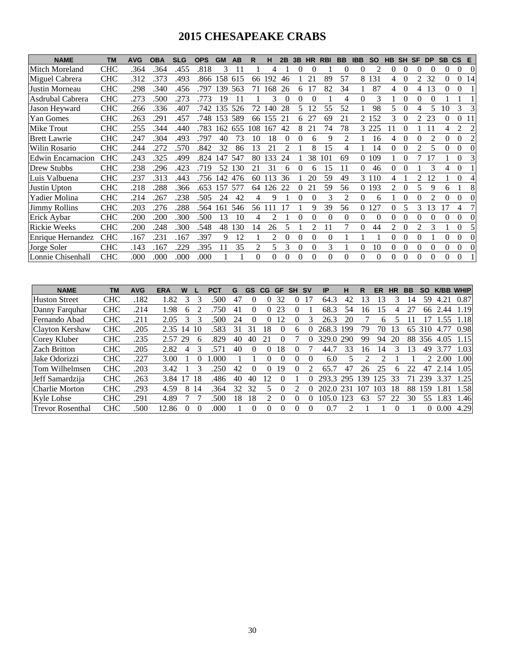### **2015 CHESAPEAKE CRABS**

| <b>NAME</b>              | <b>TM</b>  | <b>AVG</b> | <b>OBA</b> | <b>SLG</b> | <b>OPS</b> | <b>GM</b> | AB  | R   | н   | 2B             | 3B | <b>HR</b>      | <b>RBI</b> | <b>BB</b> | <b>IBB</b> | <b>SO</b>      | <b>HB</b> | <b>SH</b> | SF             | <b>DP</b> | <b>SB</b> | $\mathsf{CS}$ | E        |
|--------------------------|------------|------------|------------|------------|------------|-----------|-----|-----|-----|----------------|----|----------------|------------|-----------|------------|----------------|-----------|-----------|----------------|-----------|-----------|---------------|----------|
| Mitch Moreland           | <b>CHC</b> | .364       | .364       | .455       | .818       | 3         |     |     | 4   |                |    |                |            | 0         | $\theta$   | $\mathfrak{D}$ | 0         |           | 0              | 0         | 0         | $\Omega$      | $\Omega$ |
| Miguel Cabrera           | <b>CHC</b> | .312       | .373       | .493       | .866       | 58        | 615 | 66  | 192 | 46             |    | $\overline{2}$ | 89         | 57        | 8          | 131            |           |           |                | 32        | 0         |               | 14       |
| Justin Morneau           | <b>CHC</b> | .298       | .340       | .456       | .797       | 139       | 563 | 71  | 168 | 26             | 6  |                | 82         | 34        |            | 87             | 4         | 0         | 4              | 13        | $\Omega$  | 0             |          |
| Asdrubal Cabrera         | <b>CHC</b> | .273       | .500       | .273       | .773       | 19        | 11  |     | 3   | 0              | 0  | 0              |            | 4         | 0          | 3              |           |           | 0              | 0         |           |               |          |
| Jason Heyward            | <b>CHC</b> | .266       | .336       | .407       | .742       | 135       | 526 | 72  | 140 | 28             | 5. | 12             | 55         | 52        |            | 98             | 5.        |           |                |           | 10        | 3             |          |
| Yan Gomes                | <b>CHC</b> | .263       | .291       | .457       | .748       | 153       | 589 | 66  | 155 | 21             | 6  | 27             | 69         | 21        | 2          | 152            | 3         |           | $\mathfrak{D}$ | 23        |           | 0             |          |
| Mike Trout               | CHC        | .255       | .344       | .440       | .783       | 162       | 655 | 108 | 167 | 42             | 8  | 21             | 74         | 78        |            | 225            |           |           |                |           |           | 2             | 2        |
| <b>Brett Lawrie</b>      | <b>CHC</b> | .247       | .304       | .493       | .797       | 40        | 73  | 10  | 18  | $\theta$       | 0  | 6              | 9          | 2         |            | 16             | 4         | 0         | $\theta$       | 2         | $\Omega$  | $\Omega$      | 2        |
| Wilin Rosario            | <b>CHC</b> | .244       | .272       | .570       | .842       | 32        | 86  | 13  | 21  | $\mathfrak{D}$ |    | 8              | 15         | 4         |            | 14             |           |           | $\mathfrak{D}$ |           |           |               |          |
| <b>Edwin Encarnacion</b> | <b>CHC</b> | .243       | .325       | .499       | .824       | 47        | 547 | 80  | 133 | 24             |    | 38             | 101        | 69        |            | 109            |           |           |                |           |           | 0             |          |
| Drew Stubbs              | <b>CHC</b> | .238       | .296       | .423       | .719       | 52        | 130 | 21  | 31  | 6              |    |                | 15         |           |            | 46             |           |           |                | 3         | 4         | 0             |          |
| Luis Valbuena            | <b>CHC</b> | .237       | .313       | .443       | .756       | 142       | 476 | 60  | 13  | 36             |    | 20             | 59         | 49        |            | 3 1 1 0        |           |           | $\mathfrak{D}$ | 12        |           | 0             |          |
| Justin Upton             | <b>CHC</b> | .218       | .288       | .366       | .653       | 157       | 577 | 64  | 126 | 22             |    | 21             | 59         | 56        |            | 0 1 9 3        | 2         |           | 5              | 9         | 6         |               | 8        |
| Yadier Molina            | <b>CHC</b> | .214       | .267       | .238       | .505       | 24        | 42  | 4   | 9   |                | 0  |                | 3          | 2         | 0          | 6              |           |           |                |           |           |               |          |
| <b>Jimmy Rollins</b>     | <b>CHC</b> | .203       | .276       | .288       | .564       | 161       | 546 | 56  |     |                |    | 9              | 39         | 56        |            | 127            |           |           | 3              | 13        | 17        | 4             |          |
| Erick Aybar              | CHC        | .200       | .200       | .300       | .500       | 13        | 10  | 4   |     |                |    | 0              | $\Omega$   | 0         | 0          | $\Omega$       |           |           |                | 0         |           | 0             | $\Omega$ |
| <b>Rickie Weeks</b>      | <b>CHC</b> | .200       | .248       | .300       | .548       | 48        | 130 | 14  | 26  | 5              |    | $\mathfrak{D}$ | 11         | 7         | $\Omega$   | 44             | 2         | 0         | $\mathfrak{D}$ | 3         |           | $\Omega$      | 5        |
| <b>Enrique Hernandez</b> | <b>CHC</b> | .167       | .231       | .167       | .397       | 9         | 12  |     | 2   | $\Omega$       |    | $\Omega$       | $\Omega$   |           |            |                | 0         |           |                |           |           |               |          |
| Jorge Soler              | <b>CHC</b> | .143       | .167       | .229       | .395       |           | 35  | 2   | 5.  | 3              |    | $\theta$       | 3          |           |            | 10             | 0         |           | 0              | $\Omega$  | 0         | 0             |          |
| Lonnie Chisenhall        | <b>CHC</b> | .000       | .000       | .000       | .000       |           |     | 0   |     |                |    |                | 0          | 0         |            | 0              |           |           |                | $\Omega$  |           | 0             |          |

| <b>NAME</b>             | <b>TM</b>  | <b>AVG</b> | ERA   | w  |              | PC1  | G  | GS           | CG.           | GF |   | <b>SV</b>    | ΙP         | н   |     | ER  |    | ВB |          | K/BB | <b>WHIP</b> |
|-------------------------|------------|------------|-------|----|--------------|------|----|--------------|---------------|----|---|--------------|------------|-----|-----|-----|----|----|----------|------|-------------|
| <b>Huston Street</b>    | <b>CHC</b> | .182       | .82   | 3  |              | 500  | 47 | $\theta$     | 0             | 32 |   | -7           | 64.3       | 42  | 13  | 13  |    | 14 | 59       | 4.21 | 0.87        |
| Danny Farquhar          | <b>CHC</b> | .214       | .98   | 6  |              | 750  | 41 |              | $^{(1)}$      | 23 |   |              | 68.3       | 54  | Iб  | 15  |    |    | 66       | 2.44 | 1.19        |
| Fernando Abad           | <b>CHC</b> | .211       | 2.05  |    |              | 500  | 24 |              |               |    |   |              | 26.3       | 20  |     | h   |    |    |          | .55  | 1.18        |
| Clayton Kershaw         | <b>CHC</b> | .205       | 2.35  | 14 | 10           | 583  | 31 |              | 8             |    | 6 |              | 268.3      | 199 | 79  | 70  | 13 | 65 | 310      | 4.77 | 0.98        |
| Corey Kluber            | <b>CHC</b> | .235       | 2.57  | 29 | <sub>0</sub> | .829 | 40 | 40           |               |    |   |              | 329.<br>.0 | 290 | 99  | 94  | 20 | 88 | 356      | 4.05 | 1.15        |
| <b>Zach Britton</b>     | <b>CHC</b> | .205       | 2.82  | 4  |              | 571  | 40 |              |               | 18 |   |              | 44         | 33  | Iб  | 14  |    | 13 | 49       |      | 1.03        |
| Jake Odorizzi           | <b>CHC</b> | .227       | 3.00  |    |              | .000 |    |              | 0             |    |   | $\theta$     | 6.0        | 5   |     |     |    |    |          | 2.00 | 1.00        |
| Tom Wilhelmsen          | <b>CHC</b> | .203       | 3.42  |    |              | 250  | 42 | $\mathbf{0}$ | 0             | 19 |   | っ            | 65.        | 47  | 26  | 25  | h  |    | 47       | 2.14 | 1.05        |
| Jeff Samardzija         | <b>CHC</b> | .263       | 3.84  |    | 18           | .486 | 40 | 40           | $\mathcal{D}$ |    |   |              | 293.3      | 295 | 39  | 125 | 33 |    | 239      | 3.37 | 1.25        |
| Charlie Morton          | <b>CHC</b> | .293       | 4.59  | 8  | 14           | 364  | 32 | 32           |               |    |   | $\mathbf{0}$ | 202.0      | 231 | 107 | 103 | 18 | 88 | 159      | .81  | 1.58        |
| <b>Kyle Lohse</b>       | <b>CHC</b> | .291       | 4.89  |    |              | 500  | 8  | 18           |               |    |   |              | 105.0      | 123 | 63  | 57  | 22 | 30 | 55       | .83  | 1.46        |
| <b>Trevor Rosenthal</b> | <b>CHC</b> | .500       | 12.86 |    |              | .000 |    |              | $\theta$      |    |   |              | 0.7        |     |     |     |    |    | $^{(1)}$ | 0.00 | 4.29        |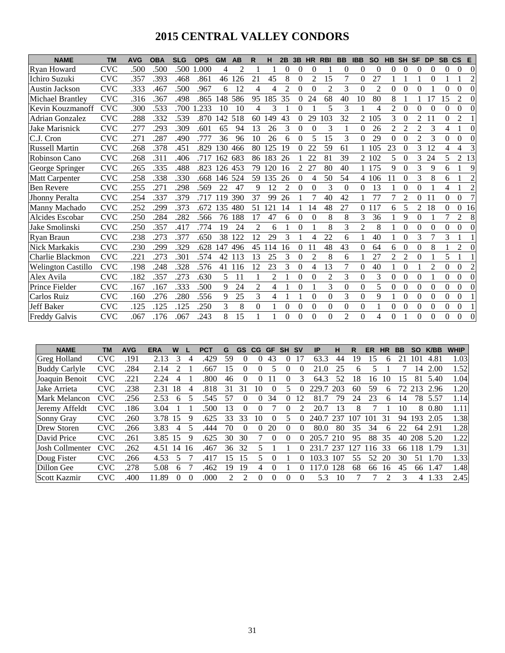# **2015 CENTRAL VALLEY CONDORS**

| <b>NAME</b>               | <b>TM</b>  | <b>AVG</b> | <b>OBA</b> | <b>SLG</b> | <b>OPS</b> | <b>GM</b> | <b>AB</b> | R        | н              | 2B             | 3B             | <b>HR</b>      | <b>RBI</b>     | <b>BB</b>      | <b>IBB</b>     | <b>SO</b>      | <b>HB</b>      | <b>SH</b>      | <b>SF</b>      | <b>DP</b>      | <b>SB</b> | $\mathsf{cs}$  | E              |
|---------------------------|------------|------------|------------|------------|------------|-----------|-----------|----------|----------------|----------------|----------------|----------------|----------------|----------------|----------------|----------------|----------------|----------------|----------------|----------------|-----------|----------------|----------------|
| Ryan Howard               | <b>CVC</b> | .500       | .500       | .500       | .000       | 4         | 2         |          |                | $\Omega$       | 0              | $\theta$       |                | 0              | $\theta$       | $\overline{0}$ | 0              | 0              | $\theta$       | $\theta$       | 0         | 0              | $\Omega$       |
| Ichiro Suzuki             | CVC        | .357       | .393       | .468       | .861       | 46        | 126       | 21       | 45             | 8              | 0              | $\overline{c}$ | 15             | 7              | 0              | 27             |                |                |                | $\theta$       |           |                | 2              |
| <b>Austin Jackson</b>     | <b>CVC</b> | .333       | .467       | .500       | .967       | 6         | 12        | 4        | 4              | $\mathfrak{D}$ | 0              | $\Omega$       | $\overline{c}$ | 3              | $\theta$       | $\overline{c}$ | 0              | $\Omega$       | $\theta$       |                | $\Omega$  | 0              | $\Omega$       |
| Michael Brantley          | <b>CVC</b> | .316       | .367       | .498       | .865       | 148       | 586       | 95       | 185            | 35             | $\theta$       | 24             | 68             | 40             | 10             | 80             | 8              |                |                | 17             | 15        | $\overline{2}$ | $\Omega$       |
| Kevin Kouzmanoff          | <b>CVC</b> | .300       | .533       | .700       | .233       | 10        | 10        | 4        | 3              |                | 0              |                | 5              | 3              |                | 4              | 2              | 0              | 0              | $\theta$       | 0         | 0              |                |
| <b>Adrian Gonzalez</b>    | <b>CVC</b> | .288       | .332       | .539       | .870       | 42        | 518       | 60       | 149            | 43             | 0              | 29             | 103            | 32             | $\overline{2}$ | 105            | 3              | 0              | $\overline{2}$ | 11             | 0         | $\overline{2}$ |                |
| <b>Jake Marisnick</b>     | <b>CVC</b> | .277       | .293       | .309       | .601       | 65        | 94        | 13       | 26             | 3              | $\theta$       | $\theta$       | 3              |                | $\theta$       | 26             | $\overline{c}$ | $\overline{c}$ | $\mathfrak{D}$ | 3              | 4         |                | $\Omega$       |
| C.J. Cron                 | <b>CVC</b> | .271       | .287       | .490       | .777       | 36        | 96        | 10       | 26             | 6              | 0              | 5              | 15             | 3              | $\Omega$       | 29             | $\Omega$       | $\Omega$       | $\mathfrak{D}$ | 3              | 0         | 0              | $\Omega$       |
| <b>Russell Martin</b>     | <b>CVC</b> | .268       | .378       | .451       | .829       | 130       | 466       | 80       | 125            | 19             | 0              | 22             | 59             | 61             |                | 105            | 23             | 0              | 3              | 12             | 4         | 4              | 3              |
| <b>Robinson Cano</b>      | <b>CVC</b> | .268       | .311       | .406       | .717       | 162       | 683       | 86       | 183            | 26             |                | 22             | 81             | 39             | 2              | 102            | 5              | $\Omega$       | 3              | 24             | 5         | 2              | 13             |
| George Springer           | <b>CVC</b> | .265       | .335       | .488       | .823       | 26        | 453       | 79       | 120            | 16             | $\overline{c}$ | 27             | 80             | 40             |                | 175            | 9              | $\Omega$       | 3              | 9              | 6         |                | 9              |
| <b>Matt Carpenter</b>     | <b>CVC</b> | .258       | .338       | .330       | .668       | 146       | 524       | 59       | 135            | 26             | $\Omega$       | 4              | 50             | 54             |                | 4 106          | 11             | $\Omega$       | 3              | 8              | 6         |                | $\overline{c}$ |
| <b>Ben Revere</b>         | <b>CVC</b> | .255       | .271       | .298       | .569       | 22        | 47        | 9        | 12             | 2              | 0              | 0              | 3              | $\Omega$       | 0              | 13             |                | 0              | $\theta$       |                | 4         |                | $\overline{2}$ |
| <b>Jhonny Peralta</b>     | <b>CVC</b> | .254       | .337       | .379       | .717       | 119       | 390       | 37       | 99             | 26             |                |                | 40             | 42             |                | 77             |                | $\mathfrak{D}$ | 0              | 11             | 0         | 0              | 7              |
| Manny Machado             | <b>CVC</b> | .252       | .299       | .373       | .672       | 35        | 480       | 51       | 21             | 14             |                | 14             | 48             | 27             | $\theta$       | 17             | 6              | 5              | 2              | 18             | $\Omega$  | 0              | 16             |
| Alcides Escobar           | <b>CVC</b> | .250       | .284       | .282       | .566       | 76        | 188       | 17       | 47             | 6              | 0              | $\Omega$       | 8              | 8              | 3              | 36             |                | 9              | $\theta$       |                |           | $\overline{2}$ | 8              |
| Jake Smolinski            | <b>CVC</b> | .250       | .357       | .417       | .774       | 19        | 24        | 2        | 6              |                | 0              |                | 8              | 3              | $\overline{2}$ | 8              |                | $\Omega$       | $\theta$       | $\theta$       | 0         | 0              | $\Omega$       |
| Ryan Braun                | <b>CVC</b> | .238       | .273       | .377       | .650       | 38        | 122       | 12       | 29             | 3              |                |                | 22             | 6              |                | 40             |                | 0              | 3              |                | 3         |                |                |
| Nick Markakis             | <b>CVC</b> | .230       | .299       | .329       | .628       | 47        | 496       | 45       | 14             | 6              | 0              |                | 48             | 43             | $\Omega$       | 64             | 6              | 0              | $\theta$       | 8              |           | $\overline{2}$ | $\theta$       |
| Charlie Blackmon          | <b>CVC</b> | .221       | .273       | .301       | .574       | 42        | 113       | 13       | 25             | 3              | 0              | $\overline{2}$ | 8              | 6              |                | 27             | 2              | $\overline{c}$ | $\theta$       |                | 5         |                |                |
| <b>Welington Castillo</b> | <b>CVC</b> | .198       | .248       | .328       | .576       | 41        | 116       | 12       | 23             | 3              | 0              | 4              | 13             |                | 0              | 40             |                | $\Omega$       |                | $\overline{2}$ | 0         | 0              | 2              |
| Alex Avila                | <b>CVC</b> | .182       | .357       | .273       | .630       | 5         | 11        |          | $\overline{c}$ |                | 0              | $\Omega$       | 2              | 3              | $\Omega$       | 3              | 0              | $\Omega$       | $\theta$       |                | 0         | 0              | $\Omega$       |
| Prince Fielder            | <b>CVC</b> | .167       | .167       | .333       | .500       | 9         | 24        | 2        | 4              |                | 0              |                | 3              | 0              | $\theta$       | 5              | 0              | $\Omega$       | $\theta$       | $\theta$       | 0         | $\theta$       | $\Omega$       |
| Carlos Ruiz               | <b>CVC</b> | .160       | .276       | .280       | .556       | 9         | 25        | 3        | 4              |                |                | $\Omega$       | $\theta$       | 3              | $\Omega$       | 9              |                | $\Omega$       | $\theta$       | $\theta$       | $\Omega$  | $\theta$       |                |
| <b>Jeff Baker</b>         | <b>CVC</b> | .125       | .125       | .125       | .250       | 3         | 8         | $\theta$ |                | $\Omega$       | 0              | $\Omega$       | 0              | $\theta$       | $\Omega$       |                | 0              | $\theta$       | $\Omega$       | $\theta$       | 0         | $\theta$       |                |
| Freddy Galvis             | <b>CVC</b> | .067       | .176       | .067       | .243       | 8         | 15        |          |                | $\Omega$       | 0              | $\Omega$       | 0              | $\overline{c}$ | 0              | 4              | 0              |                | $\Omega$       | $\Omega$       | 0         | $\Omega$       | $\Omega$       |

| <b>NAME</b>          | ТM         | <b>AVG</b> | <b>ERA</b> | W        |          | PCT  | G             | GS       | CG | GF       | <b>SH</b> | <b>SV</b> | <b>IP</b> | н   | R            | ER  | HR            | BВ | SO  | K/BB | <b>WHIP</b> |
|----------------------|------------|------------|------------|----------|----------|------|---------------|----------|----|----------|-----------|-----------|-----------|-----|--------------|-----|---------------|----|-----|------|-------------|
| Greg Holland         | <b>CVC</b> | 191        | 2.13       | 3        | 4        | .429 | 59            | $^{(1)}$ |    | 43       | O         |           | 63.3      | 44  | 19           | 15  | h             |    | 101 | 4.81 | 1.03        |
| <b>Buddy Carlyle</b> | <b>CVC</b> | .284       | 2.14       |          |          | .667 | 15            | $^{(1)}$ |    |          |           |           | 21<br>.0  | 25  | <sub>b</sub> |     |               |    | 4   | 2.00 | 1.52        |
| Joaquin Benoit       | <b>CVC</b> | 221        | 2.24       |          |          | .800 | 46            | 0        |    |          |           |           | 3<br>64.  | 52  | 18           | 16  | 10            | 15 | 81  | 5.40 | 1.04        |
| Jake Arrieta         | <b>CVC</b> | 238        | 2.31       | 18       |          | .818 | 31            | 31       | 10 | $\theta$ | 5         |           | 229.7     | 203 | 60           | 59  | 6             | 72 | 213 | 2.96 | l.20        |
| Mark Melancon        | <b>CVC</b> | 256        | 2.53       | 6        |          | 545  | 57            | 0        |    | 34       |           | 12        | 81.7      | 79  | 24           | 23  | 6             | 14 | 78  | 5.57 | 1.14        |
| Jeremy Affeldt       | <b>CVC</b> | .186       | 3.04       |          |          | .500 | 13            | 0        |    |          |           |           | 20.       | 13  | 8            |     |               | 10 | 8   | 0.80 | 1.11        |
| Sonny Gray           | <b>CVC</b> | .260       | 3.78       | 15       | 9        | .625 | 33            | 33       | 10 | $^{(1)}$ |           |           | 240.      | 237 |              | 101 | 31            | 94 | 193 | 2.05 | 1.38        |
| Drew Storen          | <b>CVC</b> | 266        | 3.83       | 4        |          | .444 | 70            | $\theta$ |    | 20       | $\theta$  |           | 80.0      | 80  | 35           | 34  | <sub>6</sub>  | 22 | 64  | 2.91 | 1.28        |
| David Price          | <b>CVC</b> | .261       | 3.85       | 15       |          | .625 | 30            | 30       |    | $\theta$ | 0         | $^{(1)}$  | 205.7     | 210 | 95           | 88  | 35            | 40 | 208 | 5.20 | 1.22        |
| Josh Collmenter      | <b>CVC</b> | .262       | 4.51       | 14       | 16       | .467 | 36            | 32       |    |          |           |           | 231       | 237 |              | 16  | 33            | 66 | 118 | 1.79 | 1.31        |
| Doug Fister          | <b>CVC</b> | 266        | 4.53       |          |          | .417 | 15            | 15       |    |          |           | 0         | 03.3      | 107 | 55           | 52  | 20            | 30 | 51  | 1.70 | 1.33        |
| Dillon Gee           | <b>CVC</b> | 278        | 5.08       | h.       |          | .462 | 19            | 19       | 4  |          |           |           |           | 128 | 68           | 66  | 16            | 45 | 66  | 1.47 | 1.48        |
| Scott Kazmir         | <b>CVC</b> | 400        | .89<br>11  | $\theta$ | $\Omega$ | .000 | $\mathcal{D}$ | っ        | 0  | 0        | 0         | $_{0}$    | 5.3       | 10  |              |     | $\mathcal{D}$ | 3  | 4   | .33  | 2.45        |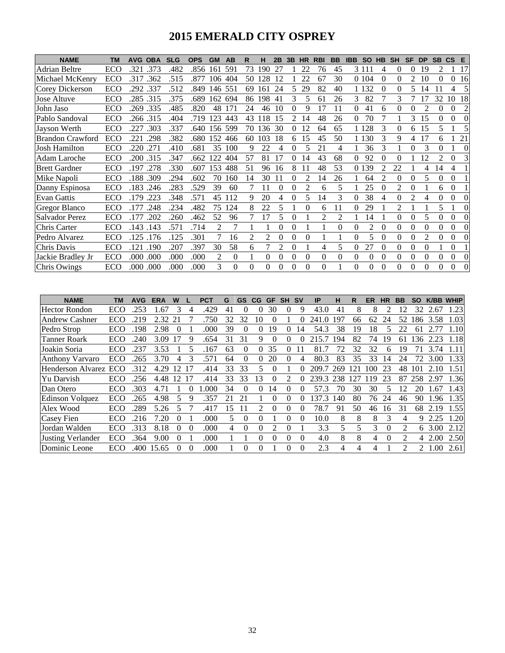## **2015 EMERALD CITY OSPREY**

| <b>NAME</b>             | <b>TM</b> | <b>AVG</b> | <b>OBA</b> | <b>SLG</b> | <b>OPS</b> | <b>GM</b> | AB       | R        | н   | 2B       | 3B       | <b>HR</b> | <b>RBI</b> | <b>BB</b>                | <b>IBB</b> | <b>SO</b>      | <b>HB</b> | <b>SH</b>     | <b>SF</b>      | <b>DP</b>      | <b>SB</b>      | CS       | E        |
|-------------------------|-----------|------------|------------|------------|------------|-----------|----------|----------|-----|----------|----------|-----------|------------|--------------------------|------------|----------------|-----------|---------------|----------------|----------------|----------------|----------|----------|
| Adrian Beltre           | ECO       | .321       | .373       | .482       | .856       | 161       | 591      | 73       | 190 | 27       |          | 22        | 76         | 45                       |            | 3 1 1 1        | 4         | $\Omega$      | 0              | 19             | 2              |          | 17       |
| Michael McKenry         | ECO       | .317       | .362       | .515       | .877       | 106       | 404      | 50       | 128 | 12       |          | 22        | 67         | 30                       |            | 0 1 0 4        | 0         | $\Omega$      | 2              | 10             | $\Omega$       | $\Omega$ | 16       |
| Corey Dickerson         | ECO       | .292       | .337       | .512       | .849       | 146       | 551      | 69       | 161 | 24       | 5        | 29        | 82         | 40                       |            | 1 1 3 2        | 0         | 0             | 5              | 14             |                | 4        | 5        |
| Jose Altuve             | ECO       | .285 .315  |            | .375       | .689       | 162       | 694      | 86       | 198 | 41       | 3        | 5         | 61         | 26                       | 3          | 82             |           | 3             |                | 7              | 32             | 10       | 18       |
| John Jaso               | ECO       | .269       | .335       | .485       | .820       | 48        | 171      | 24       | 46  | 10       | 0        | 9         | 17         | 11                       | 0          | 41             | 6         | 0             |                |                | $\theta$       | $\theta$ | 2        |
| Pablo Sandoval          | ECO       | 266        | .315       | .404       | .719       | 123       | 443      | 43       | 118 | 15       | 2        | 14        | 48         | 26                       | 0          | 70             |           |               | 3              | 15             | $\Omega$       | $\Omega$ | 0        |
| Jayson Werth            | ECO       | .227       | .303       | .337       | .640       | 156       | 599      | 70       | 136 | 30       | 0        | 12        | 64         | 65                       |            | 1 1 2 8        | 3         | 0             | 6              | 15             | 5.             |          |          |
| <b>Brandon Crawford</b> | ECO       | 221        | .298       | .382       | .680       | 152       | 466      | 60       | 103 | 18       | 6        | 15        | 45         | 50                       |            | 130            | 3         | 9             | 4              | 17             | 6              |          | 21       |
| Josh Hamilton           | ECO       | .220       | .271       | .410       | .681       | 35        | 100      | 9        | 22  | 4        | 0        | 5         | 21         | 4                        |            | 36             | 3         |               | 0              | 3              | $\Omega$       |          | $\theta$ |
| Adam Laroche            | ECO       | .200       | .315       | .347       | .662       | 122       | 404      | 57       | 81  | 17       | 0        | 14        | 43         | 68                       | 0          | 92             |           | 0             |                | 12             | $\mathfrak{D}$ |          |          |
| <b>Brett Gardner</b>    | ECO       | 197        | .278       | .330       | .607       | 153       | 488      | 51       | 96  | 16       | 8        |           | 48         | 53                       | 0          | 139            |           | 22            |                | 4              | 14             | 4        |          |
| Mike Napoli             | ECO       | 188        | .309       | .294       | .602       | 70        | 160      | 14       | 30  | 11       | 0        |           | 14         | 26                       |            | 64             | 2         | $\Omega$      | $\Omega$       | 5              | 0              | $\Omega$ |          |
| Danny Espinosa          | ECO       | .183       | .246       | .283       | .529       | 39        | 60       |          |     | $\Omega$ | 0        |           | 6          | 5                        |            | 25             | 0         | 2             |                |                | 6              | $\Omega$ |          |
| <b>Evan Gattis</b>      | ECO       | 179        | .223       | .348       | .571       | 45        | 112      | 9        | 20  | 4        | 0        | 5         | 14         | 3                        | 0          | 38             | 4         | $\Omega$      | $\overline{2}$ | 4              | $\Omega$       |          |          |
| <b>Gregor Blanco</b>    | ECO       | 177        | .248       | .234       | .482       | 75        | 124      | 8        | 22  | 5        |          |           | 6          | 11                       | 0          | 29             |           | $\mathcal{L}$ |                |                | 5              |          | 0        |
| Salvador Perez          | ECO       | .177       | .202       | .260       | .462       | 52        | 96       |          |     | 5        | $\Omega$ |           | 2          | $\overline{\mathcal{L}}$ |            | 14             |           | $\Omega$      | 0              | 5              | $\Omega$       | $\Omega$ | 0        |
| Chris Carter            | ECO       | 143        | .143       | .571       | .714       | 2         | 7        |          |     | $\theta$ | $\theta$ |           |            | $\theta$                 | $\theta$   | $\overline{c}$ | 0         | $\theta$      | $\Omega$       | $\theta$       | $\Omega$       | $\Omega$ |          |
| Pedro Alvarez           | ECO       | 125        | .176       | .125       | .301       | 7         | 16       | 2        | 2   | $\Omega$ | 0        | 0         |            |                          | $\theta$   | 5              | 0         | $\theta$      | 0              | $\overline{c}$ | $\theta$       | $\Omega$ | $\Omega$ |
| Chris Davis             | ECO       | 121        | .190       | .207       | .397       | 30        | 58       | 6        |     | 2        | $\theta$ |           | 4          | 5                        | 0          | 27             | 0         | $\Omega$      | 0              | $\theta$       |                | $\Omega$ |          |
| Jackie Bradley Jr       | ECO       | .000       | .000       | .000       | .000       | 2         | $\theta$ |          | 0   | $\Omega$ | $\Omega$ | $\Omega$  | 0          | $\Omega$                 | 0          | $\Omega$       | 0         | $\Omega$      | $\Omega$       | $\Omega$       | $\Omega$       | $\Omega$ | $\Omega$ |
| Chris Owings            | ECO       | .000       | .000       | .000       | .000       | 3         | $\Omega$ | $\Omega$ | 0   | $\Omega$ | $\Omega$ | $\Omega$  | 0          |                          | 0          | $\Omega$       | 0         | $\Omega$      | $\Omega$       | $\Omega$       | $\Omega$       | $\Omega$ | $\Omega$ |

| <b>NAME</b>              | ΤM  | <b>AVG</b> | <b>ERA</b> | W        |          | PCT  | G  | <b>GS</b> | CG | <b>GF</b>      | <b>SH</b> | <b>SV</b> | IP               | н   | R   | ER  | <b>HR</b> | <b>BB</b>     | SΟ             |      | <b>K/BB WHIP</b> |
|--------------------------|-----|------------|------------|----------|----------|------|----|-----------|----|----------------|-----------|-----------|------------------|-----|-----|-----|-----------|---------------|----------------|------|------------------|
| Hector Rondon            | ECO | 253        | .67        |          |          | .429 | 41 | 0         |    | 30             |           | 9         | 43.0             | 41  | 8   | 8   | っ         |               | 32             | 2.67 | l.23             |
| <b>Andrew Cashner</b>    | ECO | .219       | 2.32       | 21       |          | .750 | 32 | 32        | 10 | $\Omega$       |           | 0         | 241.0            | 197 | 66  | 62  | 24        | 52            | 186            | 3.58 | 1.03             |
| Pedro Strop              | ECO | 198        | 2.98       | 0        |          | .000 | 39 | $\Omega$  |    | 19             | 0         | 14        | 54.3             | 38  | 19  | 18  | 5         | つつ            | 61             | 2.77 | 1.10             |
| <b>Tanner Roark</b>      | ECO | 240        | 3.09       |          | 9        | .654 | 31 | 31        |    | 0              |           | 0         | 215.7            | 194 | 82  | 74  | 19        | 61            | 36             | 2.23 | 1.18             |
| Joakin Soria             | ECO | 237        | 3.53       |          |          | 167  | 63 | 0         |    | 35             | $\Omega$  |           | 81.7             | 72  | 32  | 32  | 6         | 19            | 71             | 3.74 |                  |
| <b>Anthony Varvaro</b>   | ECO | 265        | 3.70       | 4        | 3        | .571 | 64 | 0         |    | 20             | 0         | 4         | 80.3             | 83  | 35  | 33  | 14        | 24            | 72             | 3.00 | 1.33             |
| <b>Henderson Alvarez</b> | ECO | .312       | 4.29       |          |          | .414 | 33 | 33        |    |                |           | 0         | 209.7            | 269 | 121 | 100 | 23        | 48            | 101            | 2.10 | 1.51             |
| Yu Darvish               | ECO | 256        | 4.48       | 12       | 17       | .414 | 33 | 33        | 13 | 0              | 2         | 0         | 239.3            | 238 | 127 | 19  | 23        | 87            | 258            | 2.97 | 1.36             |
| Dan Otero                | ECO | 303        | 4.71       |          | $\Omega$ | .000 | 34 | 0         |    | 14             | $\theta$  | 0         | 57.3             | 70  | 30  | 30  | 5         | 12            | 20             | .67  | 1.43             |
| Edinson Volquez          | ECO | .265       | 4.98       |          | 9        | .357 | 21 |           |    | 0              | $\theta$  | $^{(1)}$  | 137<br>$\cdot$ 3 | 140 | 80  | 76  | 24        | 46            | 90             | 1.96 | 1.35             |
| Alex Wood                | ECO | .289       | 5.26       |          |          | .417 | 15 |           |    | 0              | 0         | 0         | 78.7             | 91  | 50  | 46  | 16        | 31            | 68             | 2.19 | 1.55             |
| <b>Casey Fien</b>        | ECO | 216        | 7.20       |          |          | .000 | 5  | 0         |    |                |           | $\Omega$  | 10.0             | 8   | 8   | 8   | 3         | 4             | 9              | 2.25 | 1.20             |
| Jordan Walden            | ECO | .313       | 8.18       | $\Omega$ | $\Omega$ | .000 | 4  | $\Omega$  |    | $\mathfrak{D}$ | 0         |           | 3.3              | 5   | 5.  | 3   | $\Omega$  | $\mathcal{L}$ | 6              | 3.00 | 2.12             |
| <b>Justing Verlander</b> | ECO | .364       | 9.00       |          |          | .000 |    |           |    | 0              | 0         | 0         | 4.0              | 8   | 8   | 4   | 0         | $\mathcal{L}$ | $\overline{4}$ | 2.00 | 2.50             |
| Dominic Leone            | ECO | .400-      | 15.65      |          | 0        | .000 |    | 0         |    |                |           | 0         | 2.3              | 4   | 4   | 4   |           | າ             | 2              | .00. | 2.61             |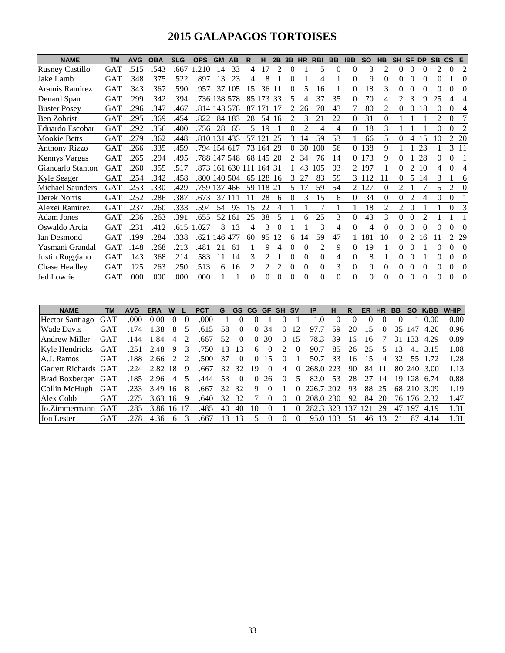# **2015 GALAPAGOS TORTOISES**

| <b>NAME</b>             | ТM         | <b>AVG</b> | <b>OBA</b> | <b>SLG</b> | <b>OPS</b>   | <b>GM</b> | <b>AB</b>    | R              | н      | 2B  | 3B                       | <b>HR</b>      | <b>RBI</b>     | <b>BB</b> | <b>IBB</b>    | <b>SO</b> | <b>HB</b> | <b>SH</b>                | <b>SF</b> | <b>DP</b>      | <b>SB</b> | <b>CS</b> | E              |
|-------------------------|------------|------------|------------|------------|--------------|-----------|--------------|----------------|--------|-----|--------------------------|----------------|----------------|-----------|---------------|-----------|-----------|--------------------------|-----------|----------------|-----------|-----------|----------------|
| <b>Rusney Castillo</b>  | GAT        | .515       | .543       | .667       | .210         | 14        | 33           | 4              | 17     | 2   | $\theta$                 |                | 5              | $\Omega$  | $\Omega$      | 3         | 2         | 0                        | 0         | $\Omega$       | 2         | 0         | $\overline{c}$ |
| Jake Lamb               | GAT        | .348       | .375       | .522       | .897         | 13        | 23           | 4              | 8      |     | 0                        |                | 4              |           | $\theta$      | 9         | 0         | $\Omega$                 | $\Omega$  | $\Omega$       | 0         |           | $\theta$       |
| Aramis Ramirez          | <b>GAT</b> | .343       | .367       | .590       | .957         | 37        | 105          | 15             | 36     | 11  | $\theta$                 | 5              | 16             |           | 0             | 18        | 3         | $\Omega$                 | 0         | 0              |           |           | $\theta$       |
| Denard Span             | <b>GAT</b> | .299       | .342       | .394       | .736         | 138       | 578          | 85             | 173    | 33  | 5                        | 4              | 37             | 35        | 0             | 70        | 4         | $\overline{\mathcal{L}}$ | 3         | Q              | 25        |           | 4              |
| <b>Buster Posey</b>     | <b>GAT</b> | .296       | .347       | .467       | .814 143     |           | 578          | 87             |        |     |                          | 26             | 70             | 43        |               | 80        | 2         | $\theta$                 | 0         | 18             | $\theta$  |           |                |
| <b>Ben Zobrist</b>      | <b>GAT</b> | .295       | .369       | .454       | .822         | 84        | 183          | 28             | 54     | 16  | $\overline{\mathcal{L}}$ |                | 21             | 22        | 0             | 31        | 0         |                          |           |                | 2         | 0         |                |
| Eduardo Escobar         | <b>GAT</b> | .292       | .356       | .400       | .756         | 28        | 65           | 5              | 19     |     | 0                        | $\overline{c}$ | 4              | 4         | 0             | 18        | 3         |                          |           |                | 0         | 0         | $\overline{c}$ |
| Mookie Betts            | <b>GAT</b> | .279       | .362       | .448       | .810 131 433 |           |              | 57             | 121    | 25  | 3                        | 14             | 59             | 53        |               | 66        | 5         | 0                        |           | 15             | 10        |           | 2 20           |
| <b>Anthony Rizzo</b>    | <b>GAT</b> | .266       | .335       | .459       | .794 154     |           | 617          | 73             | 164    | 29  | 0                        | 30             | 100            | 56        | $\Omega$      | 138       | 9         |                          |           | 23             |           | 3         | -11            |
| <b>Kennys Vargas</b>    | <b>GAT</b> | .265       | .294       | .495       | .788 147     |           | 548          |                | 68 145 | -20 | $\mathcal{L}$            | 34             | 76             | 14        | $\Omega$      | 173       | 9         | 0                        |           | 28             | 0         | 0         |                |
| Giancarlo Stanton       | <b>GAT</b> | .260       | .355       | .517       |              |           | .873 161 630 | 111            | 164    | -31 |                          | 43             | 105            | 93        | 2             | 197       |           | 0                        | 2         | 10             | 4         | 0         | 4              |
| <b>Kyle Seager</b>      | <b>GAT</b> | .254       | .342       | .458       | .800 140 504 |           |              |                | 65 128 | 16  | 3                        | 27             | 83             | 59        | 3             | 112       | 11        | 0                        | 5         | 14             | 3         |           | 6              |
| <b>Michael Saunders</b> | <b>GAT</b> | .253       | .330       | .429       | .759 137     |           | 466          | 59             | 118    | 21  | 5                        | 17             | 59             | 54        | $\mathcal{L}$ | 127       | 0         | 2                        |           |                |           |           | $\Omega$       |
| Derek Norris            | <b>GAT</b> | .252       | .286       | .387       | .673         | 37        |              |                | 28     | 6   | 0                        | 3              | 15             | 6         | 0             | 34        | 0         | $\Omega$                 | 2         | Δ              | 0         | 0         |                |
| Alexei Ramirez          | <b>GAT</b> | .237       | .260       | .333       | .594         | 54        | 93           | 15             | 22     | 4   |                          |                |                |           |               | 18        | 2         | 2                        | 0         |                |           | 0         |                |
| <b>Adam Jones</b>       | <b>GAT</b> | .236       | .263       | .391       | .655         | 52        | 161          | 25             | 38     | 5   |                          |                | 25             | 3         | 0             | 43        | 3         | $\theta$                 | 0         | $\mathfrak{D}$ |           |           |                |
| Oswaldo Arcia           | <b>GAT</b> | .231       | .412       | .615       | .027         | 8         | 13           | 4              | 3      | 0   |                          |                | 3              | 4         | $\Omega$      | 4         | 0         | $\Omega$                 | 0         | 0              | 0         | 0         | 0              |
| Ian Desmond             | <b>GAT</b> | 199        | .284       | .338       | .621         | 146       | 477          | 60             | 95     | 12  | 6                        | 14             | 59             | 47        |               | 181       | 10        | $\Omega$                 | 2         | 16             |           |           | 2 2 9          |
| Yasmani Grandal         | <b>GAT</b> | 148        | .268       | .213       | .481         | 21        | 61           |                | 9      | 4   | $\Omega$                 | $\Omega$       | $\overline{2}$ | 9         | $\theta$      | 19        |           | $\theta$                 | 0         |                | $\Omega$  | 0         | $\theta$       |
| Justin Ruggiano         | <b>GAT</b> | 143        | .368       | .214       | .583         | 11        | 14           | 3              | 2      |     | 0                        | $\Omega$       | $\theta$       | 4         | 0             | 8         |           | $\theta$                 | 0         |                | 0         |           | $\Omega$       |
| <b>Chase Headley</b>    | <b>GAT</b> | .125       | .263       | .250       | .513         | 6         | 16           | $\overline{c}$ | 2      | 2   | $\Omega$                 | $\mathbf{0}$   | $\overline{0}$ | 3         | 0             | 9         | $\Omega$  | 0                        | 0         | $\Omega$       | 0         | 0         | $\Omega$       |
| <b>Jed Lowrie</b>       | <b>GAT</b> | .000       | .000       | .000       | .000         |           |              | $\Omega$       | 0      | 0   | 0                        | $\Omega$       | $\Omega$       | $\Omega$  | 0             | $\Omega$  | 0         | $\Omega$                 | 0         | $\Omega$       | 0         | 0         | $\Omega$       |

| <b>NAME</b>            | ΤM         | <b>AVG</b> | <b>ERA</b> |    |   | PC1  | G  | GS       | <b>CG</b> | GF       | <b>SH</b> | <b>SV</b> | ΙP    | н   | R              | ER  | НR | вв  |     | K/BB | <b>WHIP</b> |
|------------------------|------------|------------|------------|----|---|------|----|----------|-----------|----------|-----------|-----------|-------|-----|----------------|-----|----|-----|-----|------|-------------|
| <b>Hector Santiago</b> | <b>GAT</b> | .000       | 0.00       |    |   | .000 |    |          |           |          |           |           | .0    |     |                |     |    |     |     | 0.00 | 0.00        |
| <b>Wade Davis</b>      | <b>GAT</b> |            | .38        |    |   | 615  | 58 |          | $\theta$  | 34       | U         | 12        |       | 59  | 20             | 15  |    | 35  | 147 | 4.20 | 0.96        |
| Andrew Miller          | <b>GAT</b> | 144        | l .84      | 4  |   | .667 | 52 | $\theta$ | 0         | 30       | 0         | 15        | 78.3  | 39  | 16             | I6  |    |     | 133 | 4.29 | 0.89        |
| Kyle Hendricks         | <b>GAT</b> | .251       | 2.48       | 9  |   | 750  | 13 | 13       | h.        |          |           | $\theta$  | 90.7  | 85  | 26             | 25  |    | 13  | 41  | 3.15 | 1.08        |
| A.J. Ramos             | <b>GAT</b> | 188        | 2.66       |    |   | .500 | 37 | 0        |           |          |           |           | 50.7  | 33  | $\mathfrak{h}$ | 15  | 4  | 32  | 55  |      | 1.28        |
| Garrett Richards GAT   |            | .224       | 2.82       | 18 | 9 | .667 | 32 | 32       | 19        | $\theta$ | 4         |           | 268.0 | 223 | 90             | 84  |    | 80. | 240 | 3.00 | 1.13        |
| <b>Brad Boxberger</b>  | <b>GAT</b> | .185       | 2.96       | 4  |   | 444. | 53 | $\theta$ | $\theta$  | 26       |           |           | 82.0  | 53  | 28             |     | 14 | 19  | 128 | 6.74 | 0.88        |
| Collin McHugh          | <b>GAT</b> | .233       | 3.49       | 16 |   | .667 | 32 | 32       | 9         | $\theta$ |           |           | 226.  | 202 | 93             | 88  | 25 | 68  | 210 | 3.09 | 1.19        |
| Alex Cobb              | GAT        | 275        | 3.63       | 16 |   | .640 | 32 | 32       |           |          |           |           | 208.0 | 230 | 92             | 84  | 20 | 76  | 176 | 2.32 | 1.47        |
| Jo.Zimmermann          | <b>GAT</b> | 285        | 3.86       | 16 |   | .485 | 40 | 40       | 10        |          |           | 0         | 282.3 | 323 | 13'            | 12, | 29 | 47  | 197 | 4.19 | 1.31        |
| Jon Lester             | GAT        | 278        | 4.36       | h. |   | .667 | 13 |          |           |          |           |           | 95.0  | 103 |                | 46  |    |     | 87  | 4.14 | 1.31        |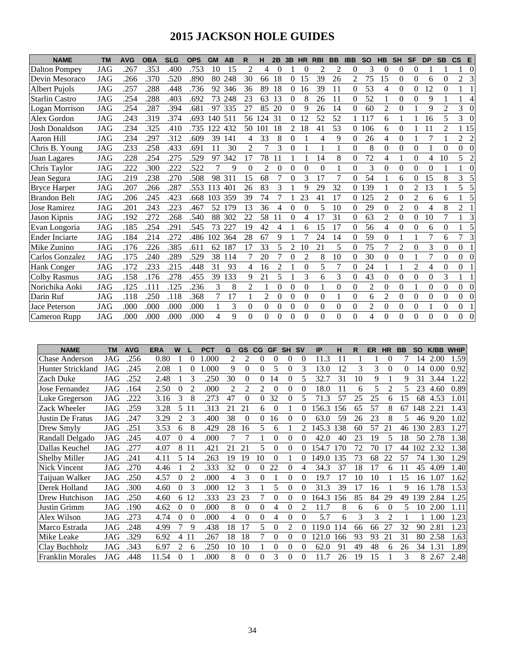# **2015 JACKSON HOLE GUIDES**

| <b>NAME</b>           | <b>TM</b> | <b>AVG</b> | <b>OBA</b> | <b>SLG</b> | <b>OPS</b> | <b>GM</b> | AB  | R              | н              | 2B       | 3B             | <b>HR</b>      | <b>RBI</b> | <b>BB</b> | <b>IBB</b>     | <b>SO</b>      | <b>HB</b>      | <b>SH</b>      | <b>SF</b>      | <b>DP</b>      | <b>SB</b>      | $\mathsf{cs}$<br>E           |
|-----------------------|-----------|------------|------------|------------|------------|-----------|-----|----------------|----------------|----------|----------------|----------------|------------|-----------|----------------|----------------|----------------|----------------|----------------|----------------|----------------|------------------------------|
| <b>Dalton Pompey</b>  | JAG       | .267       | .353       | .400       | .753       | 10        | 15  | $\overline{c}$ | 4              | 0        |                | 0              | 2          | 2         | $\theta$       | 3              | $\Omega$       | $\Omega$       | $\Omega$       |                |                | 0                            |
| Devin Mesoraco        | JAG       | .266       | .370       | .520       | .890       | 80        | 248 | 30             | 66             | 18       | 0              | 15             | 39         | 26        | $\overline{2}$ | 75             | 15             | $\theta$       | $\theta$       | 6              | $\theta$       | $\overline{2}$<br>3          |
| <b>Albert Pujols</b>  | JAG       | .257       | .288       | .448       | .736       | 92        | 346 | 36             | 89             | 18       | 0              | 16             | 39         | 11        | $\Omega$       | 53             | 4              | $\Omega$       | $\Omega$       | 12             | $\Omega$       |                              |
| <b>Starlin Castro</b> | JAG       | .254       | .288       | .403       | .692       | 73        | 248 | 23             | 63             | 13       | 0              | 8              | 26         | 11        | $\Omega$       | 52             |                | $\Omega$       | $\Omega$       | 9              |                | 4                            |
| <b>Logan Morrison</b> | JAG       | .254       | .287       | 394        | .681       | 97        | 335 | 27             | 85             | 20       | 0              | 9              | 26         | 14        | $\Omega$       | 60             | 2              | $\theta$       |                | 9              | $\overline{2}$ | 3                            |
| Alex Gordon           | JAG       | .243       | .319       | .374       | .693       | 140       | 511 | 56             | 124            | 31       | 0              | 12             | 52         | 52        |                | 17             | 6              |                |                | 16             | 5              | 3                            |
| <b>Josh Donaldson</b> | JAG       | .234       | 325        | .410       | .735       | 122       | 432 | 50             | 101            | 18       | 2              | 18             | 41         | 53        | $\Omega$       | 106            | 6              | $\theta$       |                | 11             | $\overline{2}$ | 1 15                         |
| Aaron Hill            | JAG       | .234       | .297       | 312        | .609       | 39        | 141 | 4              | 33             | 8        | 0              |                | 4          | 9         | $\theta$       | 26             | 4              | $\theta$       |                | 7              |                | 2<br>$\overline{2}$          |
| Chris B. Young        | JAG       | .233       | .258       | .433       | .691       | 11        | 30  | $\overline{c}$ |                | 3        | 0              |                |            |           | $\theta$       | 8              | $\Omega$       | $\theta$       | $\Omega$       |                | $\Omega$       | $\boldsymbol{0}$<br>$\Omega$ |
| Juan Lagares          | JAG       | .228       | .254       | .275       | .529       | 97        | 342 | 17             | 78             | 11       |                |                | 14         | 8         | $\theta$       | 72             | 4              |                | $\theta$       | 4              | 10             | 5<br>$\overline{c}$          |
| Chris Taylor          | JAG       | .222       | 300        | .222       | .522       | 7         | 9   | $\Omega$       | $\overline{c}$ | $\theta$ | 0              | $\Omega$       | $\Omega$   |           | $\theta$       | 3              | $\Omega$       | $\theta$       | $\Omega$       | $\theta$       |                | $\Omega$                     |
| Jean Segura           | JAG       | .219       | .238       | .270       | .508       | 98        | 311 | 15             | 68             |          | 0              | 3              | 17         | 7         | $\theta$       | 54             |                | 6              | 0              | 15             | 8              | 3<br>5                       |
| <b>Bryce Harper</b>   | JAG       | .207       | .266       | .287       | .553       | 113       | 401 | 26             | 83             | 3        |                | 9              | 29         | 32        | $\Omega$       | 139            |                | $\Omega$       | $\overline{2}$ | 13             |                | 5                            |
| <b>Brandon Belt</b>   | JAG       | .206       | .245       | .423       | .668       | 103       | 359 | 39             | 74             |          |                | 23             | 41         | 17        | $\Omega$       | 125            | $\overline{c}$ | $\theta$       | $\overline{2}$ | 6              | 6              |                              |
| <b>Jose Ramirez</b>   | JAG       | .201       | .243       | .223       | .467       | 52        | 179 | 13             | 36             | 4        | 0              | $\Omega$       | 5          | 10        | $\Omega$       | 29             | $\Omega$       | $\mathfrak{D}$ | $\Omega$       | 4              | 8              | $\overline{2}$               |
| Jason Kipnis          | JAG       | .192       | .272       | .268       | .540       | 88        | 302 | 22             | 58             | 11       | 0              | 4              | 17         | 31        | $\Omega$       | 63             | $\overline{2}$ | $\Omega$       | $\Omega$       | 10             | 7              | 3                            |
| Evan Longoria         | JAG       | .185       | .254       | .291       | .545       | 73        | 227 | 19             | 42             | 4        |                | 6              | 15         | 17        | $\Omega$       | 56             | 4              | $\Omega$       | $\Omega$       | 6              | 0              | 5                            |
| Ender Inciarte        | JAG       | .184       | .214       | .272       | .486       | 102       | 364 | 28             | 67             | 9        |                |                | 24         | 14        | $\Omega$       | 59             | $\Omega$       |                |                | 7              | 6              | 7<br>3                       |
| Mike Zunino           | JAG       | .176       | .226       | .385       | .611       | 62        | 187 | 17             | 33             | 5        | $\overline{c}$ | 10             | 21         | 5         | $\theta$       | 75             | 7              | $\mathfrak{D}$ | $\Omega$       | 3              | $\theta$       | $\Omega$                     |
| Carlos Gonzalez       | JAG       | .175       | .240       | .289       | .529       | 38        | 114 | 7              | 20             | 7        | 0              | $\overline{2}$ | 8          | 10        | $\Omega$       | 30             | $\Omega$       | $\theta$       |                | $\overline{7}$ | $\theta$       | $\overline{0}$<br>$\Omega$   |
| <b>Hank Conger</b>    | JAG       | .172       | .233       | .215       | .448       | 31        | 93  | 4              | 16             | 2        |                | 0              | 5          |           | $\theta$       | 24             |                |                | $\overline{2}$ | 4              | $\theta$       | $\Omega$                     |
| <b>Colby Rasmus</b>   | JAG       | .158       | .176       | .278       | .455       | 39        | 133 | 9              | 21             | 5        |                | 3              | 6          | 3         | $\theta$       | 43             | $\Omega$       | $\theta$       | $\theta$       | $\theta$       | 3              |                              |
| Norichika Aoki        | JAG       | .125       | .111       | .125       | .236       | 3         | 8   | $\overline{2}$ |                | 0        | $\theta$       | $\theta$       |            | $\theta$  | $\theta$       | $\overline{2}$ | $\Omega$       | $\theta$       |                | $\theta$       | $\theta$       | $\overline{0}$<br>$\Omega$   |
| Darin Ruf             | JAG       | .118       | .250       | .118       | .368       | 7         | 17  |                | $\overline{2}$ | 0        | $\theta$       | $\theta$       | $\theta$   |           | $\theta$       | 6              | 2              | $\theta$       | $\theta$       | $\theta$       | $\theta$       | $\overline{0}$<br>$\Omega$   |
| Jace Peterson         | JAG       | .000       | .000       | .000       | .000       |           | 3   | $\Omega$       | $\Omega$       | 0        | 0              | $\Omega$       | 0          | $\Omega$  | $\theta$       | $\overline{2}$ | $\Omega$       | $\theta$       | $\Omega$       |                | $\theta$       | $\overline{0}$               |
| Cameron Rupp          | JAG       | .000       | .000       | .000       | .000       | 4         | 9   | 0              | $\Omega$       | 0        | 0              | 0              | 0          | 0         | $\theta$       | 4              | $\Omega$       | $\Omega$       | $\Omega$       | $\Omega$       | $\Omega$       | $\Omega$<br>$\Omega$         |

| <b>NAME</b>              | ТM  | <b>AVG</b> | <b>ERA</b> | W        |          | <b>PCT</b> | G  | <b>GS</b> | CG       | <b>GF</b> | <b>SH</b> | <b>SV</b>      | IP              | н   | R  | ER | <b>HR</b>                | <b>BB</b> | <b>SO</b> | K/BB | <b>WHIP</b> |
|--------------------------|-----|------------|------------|----------|----------|------------|----|-----------|----------|-----------|-----------|----------------|-----------------|-----|----|----|--------------------------|-----------|-----------|------|-------------|
| <b>Chase Anderson</b>    | JAG | .256       | 0.80       |          | 0        | 1.000      | 2  | 2         | 0        | 0         | 0         | $\overline{0}$ | 11.3            | 11  |    |    | 0                        |           | 14        | 2.00 | 1.59        |
| <b>Hunter Strickland</b> | JAG | .245       | 2.08       |          | 0        | .000       | 9  | $\Omega$  | $\Omega$ | 5         | 0         | 3              | 13.0            | 12  | 3  | 3  | $\Omega$                 | 0         | 14        | 0.00 | 0.92        |
| Zach Duke                | JAG | .252       | 2.48       |          | 3        | .250       | 30 | $\Omega$  | $\Omega$ | 14        | 0         | 5              | 32.7            | 31  | 10 | 9  |                          | 9         | 31        | 3.44 | 1.22        |
| Jose Fernandez           | JAG | .164       | 2.50       | $\Omega$ | 2        | .000       | 2  | 2         | 2        | $\Omega$  | 0         | $\Omega$       | 18.0            | 11  | 6  | 5. | $\overline{\mathcal{L}}$ | 5.        | 23        | 4.60 | 0.89        |
| Luke Gregerson           | JAG | .222       | 3.16       | 3        | 8        | .273       | 47 | $\theta$  | 0        | 32        | 0         | 5              | 71.3            | 57  | 25 | 25 | 6                        | 15        | 68        | 4.53 | 1.01        |
| Zack Wheeler             | JAG | .259       | 3.28       | 5        | 11       | .313       | 21 | 21        | 6        | $\theta$  |           | 0              | 156.3           | 156 | 65 | 57 | 8                        | 67        | 148       | 2.21 | 1.43        |
| Justin De Fratus         | JAG | .247       | 3.29       | 2        | 3        | .400       | 38 | $\Omega$  | $\Omega$ | 16        | $\Omega$  | $\Omega$       | 63.0            | 59  | 26 | 23 | 8                        | 5.        | 46        | 9.20 | 1.02        |
| Drew Smyly               | JAG | .251       | 3.53       | 6        | 8        | .429       | 28 | 16        | 5        | 6         |           | $\mathfrak{D}$ | 145.3           | 138 | 60 | 57 | 21                       | 46        | 130       | 2.83 | 1.27        |
| Randall Delgado          | JAG | .245       | 4.07       | 0        | 4        | .000       |    |           |          | 0         | 0         | 0              | 42.0            | 40  | 23 | 19 | 5                        | 18        | 50        | 2.78 | 1.38        |
| Dallas Keuchel           | JAG | .277       | 4.07       | 8        | -11      | .421       | 21 | 21        | 5        | $\Omega$  | 0         | 0              | 154.7           | 170 | 72 | 70 | 17                       | 44        | 102       | 2.32 | 1.38        |
| <b>Shelby Miller</b>     | JAG | .241       | 4.11       | 5.       | 14       | .263       | 19 | 19        | 10       | $\Omega$  |           | 0              | 149<br>$\Omega$ | 135 | 73 | 68 | 22                       | 57        | 74        | 1.30 | 1.29        |
| Nick Vincent             | JAG | .270       | 4.46       |          | 2        | .333       | 32 | $\theta$  | 0        | 22        | 0         | 4              | 34.3            | 37  | 18 | 17 | 6                        | 11        | 45        | 4.09 | 1.40        |
| Taijuan Walker           | JAG | .250       | 4.57       | 0        | 2        | .000       | 4  | 3         | $\Omega$ |           | 0         | $\Omega$       | 19.7            | 17  | 10 | 10 |                          | 15        | 16        | 1.07 | 1.62        |
| Derek Holland            | JAG | .300       | 4.60       | 0        | 3        | .000       | 12 | 3         |          | 5         | 0         | $\Omega$       | 31.3            | 39  | 17 | 16 |                          | 9         | 16        | 1.78 | 1.53        |
| Drew Hutchison           | JAG | .250       | 4.60       | 6        | 12       | .333       | 23 | 23        |          | $\Omega$  | 0         | $\theta$       | 164.3           | 156 | 85 | 84 | 29                       | 49        | 139       | 2.84 | 1.25        |
| Justin Grimm             | JAG | .190       | 4.62       | 0        | 0        | .000       | 8  | 0         | 0        | 4         | 0         | $\mathfrak{D}$ | 11.7            | 8   | 6  | 6  | $\Omega$                 | 5         | 10        | 2.00 | 1.11        |
| Alex Wilson              | JAG | .273       | 4.74       | $\Omega$ | $\Omega$ | .000       | 4  | $\theta$  | 0        | 4         | $\Omega$  | $\Omega$       | 5.7             | 6   | 3  | 3  | 2                        |           |           | .00  | 1.23        |
| Marco Estrada            | JAG | .248       | 4.99       |          | 9        | .438       | 18 | 17        | 5        | 0         | 2         | $\theta$       | 119.0           | 114 | 66 | 66 | 27                       | 32        | 90        | 2.81 | 1.23        |
| Mike Leake               | JAG | .329       | 6.92       | 4        | 11       | .267       | 18 | 18        |          | $\Omega$  | 0         | $\Omega$       | 121<br>$\Omega$ | 166 | 93 | 93 | 21                       | 31        | 80        | 2.58 | 1.63        |
| Clay Buchholz            | JAG | .343       | 6.97       | 2        | 6        | .250       | 10 | 10        |          | $\Omega$  | 0         | $\Omega$       | 62.0            | 91  | 49 | 48 | 6                        | 26        | 34        | 1.31 | 1.89        |
| Franklin Morales         | JAG | .448       | 11.54      | 0        |          | .000       | 8  | $\Omega$  | 0        | 3         | 0         | $\Omega$       | 11.7            | 26  | 19 | 15 |                          | 3         | 8         | 2.67 | 2.48        |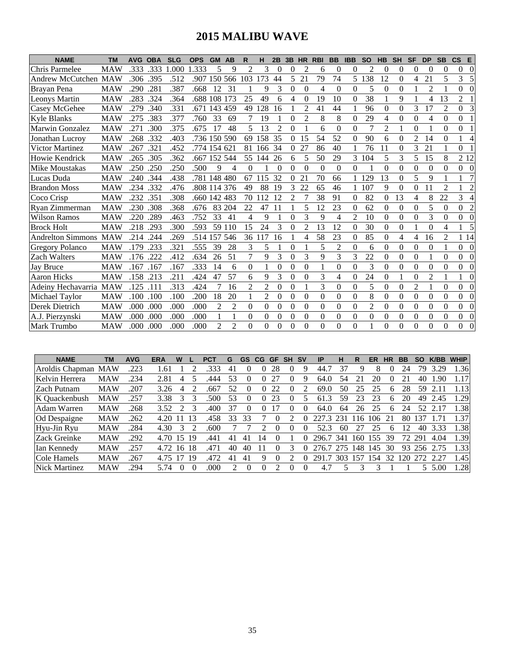# **2015 MALIBU WAVE**

| <b>NAME</b>              | <b>TM</b>  | <b>AVG</b> | <b>OBA</b> | <b>SLG</b> | <b>OPS</b>   | <b>GM</b>      | AB             | R              | н              | 2B             | 3B             | <b>HR</b>      | <b>RBI</b> | <b>BB</b>      | <b>IBB</b>     | <b>SO</b>      | <b>HB</b>      | <b>SH</b>      | <b>SF</b>      | <b>DP</b>      | <b>SB</b>      | $\mathsf{cs}$  | Е              |
|--------------------------|------------|------------|------------|------------|--------------|----------------|----------------|----------------|----------------|----------------|----------------|----------------|------------|----------------|----------------|----------------|----------------|----------------|----------------|----------------|----------------|----------------|----------------|
| Chris Parmelee           | <b>MAW</b> | .333       | .333       | 1.000      | 1.333        | 5              | 9              | $\overline{c}$ | 3              | $\Omega$       | 0              | 2              | 6          | $\theta$       | $\theta$       | $\overline{c}$ | $\theta$       | 0              | $\theta$       | $\theta$       | $\theta$       | $\Omega$       | $\theta$       |
| Andrew McCutchen MAW     |            | .306       | .395       | .512       | .907         |                | 150 566        | 103            | 173            | 44             | 5              | 21             | 79         | 74             | 5.             | 138            | 12             | $\theta$       | $\overline{4}$ | 21             | 5              | 3              | 5              |
| Brayan Pena              | <b>MAW</b> | .290       | .281       | .387       | .668         | 12             | 31             |                | 9              | 3              | $\theta$       | $\Omega$       | 4          | $\Omega$       | $\theta$       | 5              | $\Omega$       | $\theta$       |                | $\overline{2}$ |                | $\Omega$       | $\Omega$       |
| <b>Leonys Martin</b>     | <b>MAW</b> | .283       | .324       | .364       | .688         | 108            | 173            | 25             | 49             | 6              | 4              | $\Omega$       | 19         | 10             | $\theta$       | 38             |                | 9              |                | 4              | 13             | $\overline{2}$ |                |
| <b>Casey McGehee</b>     | <b>MAW</b> | .279       | .340       | .331       | .671         | 143            | 459            | 49             | 128            | 16             |                | $\mathfrak{D}$ | 41         | 44             | $\mathbf{1}$   | 96             | $\Omega$       | $\theta$       | 3              | 17             | $\overline{2}$ | $\overline{0}$ | 3              |
| <b>Kyle Blanks</b>       | <b>MAW</b> | .275       | .383       | .377       | .760         | 33             | 69             | 7              | 19             |                | 0              | $\overline{c}$ | 8          | 8              | $\theta$       | 29             | 4              | $\overline{0}$ | $\mathbf{0}$   | $\overline{4}$ | $\theta$       | $\Omega$       |                |
| Marwin Gonzalez          | <b>MAW</b> | .271       | .300       | .375       | .675         | 17             | 48             | 5              | 13             | $\overline{2}$ | 0              |                | 6          | $\theta$       | $\theta$       | 7              | $\overline{2}$ |                | $\theta$       |                | $\theta$       | $\theta$       |                |
| Jonathan Lucroy          | <b>MAW</b> | .268       | .332       | .403       | .736 150     |                | 590            | 69             | 158            | 35             | $\Omega$       | 15             | 54         | 52             | $\theta$       | 90             | 6              | $\theta$       | $\overline{2}$ | 14             | $\theta$       | 1              | 4              |
| Victor Martinez          | <b>MAW</b> | .267       | .321       | .452       | .774 154     |                | 621            | 81             | 166            | 34             | $\overline{0}$ | 27             | 86         | 40             |                | 76             | 11             | $\theta$       | 3              | 21             |                | 0              |                |
| Howie Kendrick           | <b>MAW</b> | .265       | .305       | .362       | .667         | 152            | 544            | 55             | 144            | 26             | 6              | 5              | 50         | 29             | 3              | 104            | 5              | 3              | 5              | 15             | 8              | 2 1 2          |                |
| Mike Moustakas           | <b>MAW</b> | .250       | .250       | .250       | .500         | 9              | 4              | $\Omega$       |                | $\theta$       | $\Omega$       | $\Omega$       | $\Omega$   | $\Omega$       | $\Omega$       | 1              | $\Omega$       | $\theta$       | $\Omega$       | $\theta$       | $\Omega$       | $\overline{0}$ | $\theta$       |
| Lucas Duda               | <b>MAW</b> | .240       | .344       | .438       | .781 148 480 |                |                | 67             | 115            | 32             | 0              | 21             | 70         | 66             |                | 129            | 13             | $\Omega$       | 5              | 9              |                |                |                |
| <b>Brandon Moss</b>      | <b>MAW</b> | .234       | .332       | .476       | .808         | 114            | 376            | 49             | 88             | 19             | 3              | 22             | 65         | 46             |                | 107            | 9              | $\theta$       | $\theta$       | 11             | $\overline{2}$ |                | $\overline{2}$ |
| Coco Crisp               | <b>MAW</b> | .232       | .351       | .308       | .660 142 483 |                |                | 70             | 112            | 12             | 2              | 7              | 38         | 91             | $\Omega$       | 82             | $\theta$       | 13             | 4              | 8              | 22             | 3              | 4              |
| Ryan Zimmerman           | <b>MAW</b> | .230       | .308       | .368       | .676         | 83             | 204            | 22             | 47             | 11             |                | 5              | 12         | 23             | $\Omega$       | 62             | $\Omega$       | $\theta$       | $\theta$       | 5              | $\theta$       | $\Omega$       | $\overline{c}$ |
| <b>Wilson Ramos</b>      | <b>MAW</b> | .220       | .289       | .463       | .752         | 33             | 41             | 4              | 9              |                | $\theta$       | 3              | 9          | 4              | $\overline{2}$ | 10             | $\theta$       | $\overline{0}$ | $\theta$       | 3              | $\theta$       | $\Omega$       | $\Omega$       |
| <b>Brock Holt</b>        | <b>MAW</b> | .218       | .293       | .300       | .593         | 59             | 110            | 15             | 24             | 3              | $\Omega$       | $\overline{2}$ | 13         | 12             | $\theta$       | 30             | $\Omega$       | $\theta$       |                | $\theta$       | 4              |                | 5              |
| <b>Andrelton Simmons</b> | <b>MAW</b> | .214       | .244       | .269       | .514         | 157            | 546            | 36             | 117            | 16             |                | 4              | 58         | 23             | $\theta$       | 85             | $\mathbf{0}$   | 4              | 4              | 16             | 2              | 1 14           |                |
| <b>Gregory Polanco</b>   | <b>MAW</b> | .179       | .233       | .321       | .555         | 39             | 28             | 3              | 5              |                | $\theta$       |                | 5          | $\overline{c}$ | $\theta$       | 6              | $\Omega$       | $\theta$       | $\theta$       | $\theta$       |                | $0 \quad 0$    |                |
| <b>Zach Walters</b>      | <b>MAW</b> | .176       | .222       | .412       | .634         | 26             | 51             | 7              | 9              | 3              | $\theta$       | 3              | 9          | 3              | 3              | 22             | $\Omega$       | $\theta$       | $\Omega$       | 1              | $\theta$       | $\Omega$       | $\theta$       |
| <b>Jay Bruce</b>         | <b>MAW</b> | .167       | .167       | .167       | .333         | 14             | 6              | $\Omega$       |                | 0              | 0              | $\theta$       | 1          | $\theta$       | $\theta$       | 3              | $\Omega$       | $\theta$       | $\theta$       | 0              | 0              | $\overline{0}$ | $\Omega$       |
| <b>Aaron Hicks</b>       | <b>MAW</b> | .158       | .213       | .211       | .424         | 47             | 57             | 6              | 9              | 3              | $\theta$       | $\theta$       | 3          | 4              | $\theta$       | 24             | $\theta$       |                | $\theta$       | $\overline{2}$ |                |                | $\Omega$       |
| Adeiny Hechavarria MAW   |            | .125       | .111       | .313       | .424         |                | 16             | $\mathcal{L}$  | $\overline{c}$ | $\Omega$       | $\Omega$       |                | 3          | $\Omega$       | $\Omega$       | 5              | $\Omega$       | $\theta$       | $\overline{2}$ |                | $\Omega$       | $\overline{0}$ | $\Omega$       |
| Michael Taylor           | <b>MAW</b> | .100       | .100       | .100       | .200         | 18             | 20             |                | 2              | 0              | 0              | $\Omega$       | $\theta$   | $\theta$       | $\theta$       | 8              | $\theta$       | $\theta$       | $\theta$       | 0              | 0              | $\overline{0}$ | $\Omega$       |
| Derek Dietrich           | <b>MAW</b> | .000       | .000       | .000       | .000         | $\overline{2}$ | $\overline{2}$ | $\Omega$       | $\overline{0}$ | $\overline{0}$ | $\theta$       | $\theta$       | $\Omega$   | $\overline{0}$ | $\Omega$       | $\overline{c}$ | $\theta$       | $\overline{0}$ | $\overline{0}$ | $\overline{0}$ | $\Omega$       | $\overline{0}$ | $\Omega$       |
| A.J. Pierzynski          | <b>MAW</b> | .000       | .000       | .000       | .000         |                | 1              | $\Omega$       | $\theta$       | $\Omega$       | $\Omega$       | $\Omega$       | 0          | $\Omega$       | $\Omega$       | $\theta$       | $\mathbf{0}$   | $\theta$       | $\Omega$       | 0              | $\Omega$       | $\overline{0}$ | $\Omega$       |
| <b>Mark Trumbo</b>       | <b>MAW</b> | .000       | .000       | .000       | .000         | 2              | $\overline{2}$ | 0              | $\theta$       | 0              | $\Omega$       | 0              | 0          | $\Omega$       | $\theta$       | 1              | $\Omega$       | $\Omega$       | $\Omega$       | $\theta$       | $\theta$       | $\Omega$       | $\Omega$       |

| <b>NAME</b>        | TМ         | <b>AVG</b> | <b>ERA</b> | W               |          | <b>PCT</b> | G  | <b>GS</b> | CG.            | <b>GF</b>    | <b>SH</b> | <b>SV</b> | IP    | н   | R    | ER  | <b>HR</b>    | BB | <b>SO</b> | <b>K/BB</b> | <b>WHIP</b> |
|--------------------|------------|------------|------------|-----------------|----------|------------|----|-----------|----------------|--------------|-----------|-----------|-------|-----|------|-----|--------------|----|-----------|-------------|-------------|
| Aroldis Chapman    | <b>MAW</b> | .223       | .61        |                 |          | .333       | 41 |           |                | 28           | U         | Q,        | 44.   |     | Ч    | 8   |              | 24 | 79        | 3.29        | l.36        |
| Kelvin Herrera     | <b>MAW</b> | 234        | 2.81       | 4               |          | .444       | 53 |           |                |              | 0         |           | 64.0  | 54  |      | 20  |              |    | 40        | .90         | 1.17        |
| <b>Zach Putnam</b> | <b>MAW</b> | .207       | 3.26       | 4               |          | .667       | 52 |           | $\theta$       | 22           | 0         |           | 69.0  | 50  | 25   | 25  | h.           | 28 | 59        |             | l.13        |
| K Ouackenbush      | <b>MAW</b> | 257        | 3.38       | 3               |          | 500        | 53 |           | $\theta$       | 23           |           |           | 61.3  | 59  | 23   | 23  | 6            | 20 | 49        | 2.45        | .29         |
| Adam Warren        | <b>MAW</b> | 268        | 3.52       |                 |          | .400       | 37 |           |                |              | 0         |           | 64.0  | 64  | 26   | 25  | 6            | 24 | 52        |             | 1.38        |
| Od Despaigne       | <b>MAW</b> | 262        | 4.20       |                 | 13       | .458       | 33 | 33        |                | $\theta$     |           |           |       | 231 | -16  | 106 |              | 80 | 137       |             | 1.37        |
| Hyu-Jin Ryu        | <b>MAW</b> | 284        | 4.30       | 3               |          | .600       |    |           |                | $\mathbf{0}$ | $\Omega$  |           | 52.3  | 60  |      | 25  | <sub>n</sub> |    | 40        | 3.33        | .38         |
| Zack Greinke       | <b>MAW</b> | 292        | 4.70       | 15              | 19       | .441       | 41 | 4         | $\overline{4}$ |              |           |           | 296.7 | 341 | l 60 | 55  | 39           | 72 | 291       | 4.04        | 1.39        |
| Ian Kennedy        | MAW        | 257        | 4.72       | 16 <sup>2</sup> | -18      | .471       | 40 | 40        | Ħ              |              |           |           | 276.7 | 275 | 148. | 145 | 30           | 93 | 256       |             | 1.33        |
| Cole Hamels        | <b>MAW</b> | 267        | 4.75       | 17              | 19       | .472       | 41 | 41        | Q              | $^{(1)}$     |           |           | 291.7 | 303 | 157  | 54  | 32           | 20 | 272       | 2.27        | 1.45        |
| Nick Martinez      | <b>MAW</b> | 294        | 5.74       |                 | $\Omega$ | .000       |    |           |                |              | $^{(1)}$  | $\theta$  | 4.7   |     |      |     |              |    | 5.        | 5.00        | .28         |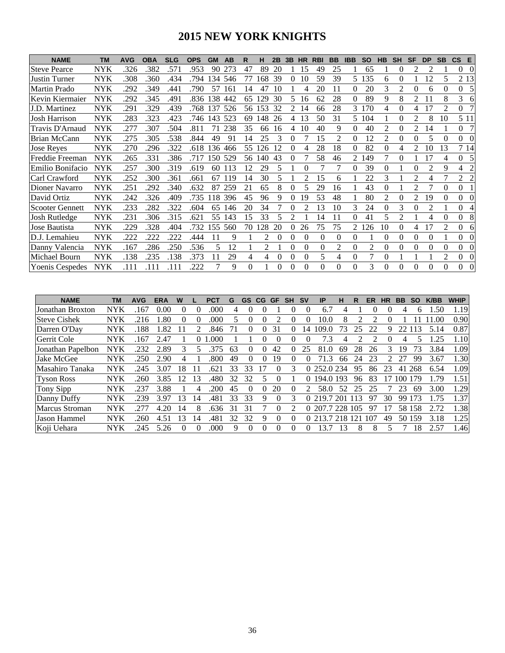### **2015 NEW YORK KNIGHTS**

| <b>NAME</b>            | <b>TM</b>  | <b>AVG</b> | <b>OBA</b> | <b>SLG</b> | <b>OPS</b> | <b>GM</b> | AB  | R        | н   | 2Β | 3B       | <b>HR</b> | <b>RBI</b> | <b>BB</b> | <b>IBB</b>   | <b>SO</b> | <b>HB</b> | <b>SH</b> | <b>SF</b> | <b>DP</b>      | <b>SB</b>      | $\mathsf{CS}$  | E              |
|------------------------|------------|------------|------------|------------|------------|-----------|-----|----------|-----|----|----------|-----------|------------|-----------|--------------|-----------|-----------|-----------|-----------|----------------|----------------|----------------|----------------|
| <b>Steve Pearce</b>    | <b>NYK</b> | .326       | .382       | .571       | .953       | 90        | 273 | 47       | 89  | 20 |          | 15        | 49         | 25        |              | 65        |           | $\theta$  |           | $\mathfrak{D}$ |                | $\Omega$       | $\Omega$       |
| Justin Turner          | <b>NYK</b> | .308       | .360       | .434       | .794       | 134       | 546 | 77       | 168 | 39 | 0        | 10        | 59         | 39        | 5.           | 135       | 6         | $\Omega$  |           | 2              | 5              |                | 2 1 3          |
| Martin Prado           | <b>NYK</b> | .292       | 349        | .441       | .790       | 57        | 161 | 14       | 47  | 10 |          | 4         | 20         | 11        | $\Omega$     | 20        | 3         | 2         |           | 6              | 0              | $\overline{0}$ | 5              |
| Kevin Kiermaier        | <b>NYK</b> | .292       | .345       | .491       | .836       | 138       | 442 | 65       | 129 | 30 | 5.       | 16        | 62         | 28        | 0            | 89        | 9         | 8         | 2         |                | 8              | 3              | 6              |
| J.D. Martinez          | <b>NYK</b> | .291       | 329        | .439       | .768       | 137       | 526 | 56       | 153 | 32 | 2        | 14        | 66         | 28        | 3            | 170       | 4         | $\Omega$  | 4         | 17             | $\mathfrak{D}$ | $\overline{0}$ | 7              |
| Josh Harrison          | <b>NYK</b> | .283       | .323       | .423       | .746       | 143       | 523 | 69       | 148 | 26 | 4        | 13        | 50         | 31        | 5.           | 104       |           | $\Omega$  | 2         | 8              | 10             |                | 5 1 1          |
| Travis D'Arnaud        | <b>NYK</b> | .277       | .307       | .504       | .811       | 71        | 238 | 35       | 66  | 16 | 4        | 10        | 40         | 9         | $\Omega$     | 40        | 2         | $\Omega$  |           | 14             |                | $\overline{0}$ | 7              |
| <b>Brian McCann</b>    | <b>NYK</b> | .275       | .305       | .538       | .844       | 49        | 91  | 14       | 25  | 3  | 0        |           | 15         | 2         | $\theta$     | 12        | 2         | $\theta$  |           | 5              | $\Omega$       | $\Omega$       | $\Omega$       |
| <b>Jose Reyes</b>      | <b>NYK</b> | .270       | 296        | .322       | .618       | 136       | 466 | 55       | 126 | 12 | 0        |           | 28         | 18        | 0            | 82        | 0         | 4         | 2         | 10             | 13             |                | 7 14           |
| Freddie Freeman        | <b>NYK</b> | .265       | .331       | .386       | .717       | 150       | 529 | 56       | 140 | 43 | $^{(1)}$ |           | 58         | 46        | 2            | 149       |           | $\Omega$  |           | ۱7             | 4              | $\Omega$       | 5              |
| Emilio Bonifacio       | <b>NYK</b> | .257       | 300        | .319       | .619       | 60        | 113 | 12       | 29  | 5  |          | 0         |            |           | $\Omega$     | 39        | $\Omega$  |           |           | $\overline{c}$ | 9              | 4              | 2              |
| Carl Crawford          | <b>NYK</b> | .252       | .300       | .361       | .661       | 67        | 119 | 14       | 30  | 5  |          | 2         | 15         | 6         |              | 22        | 3         |           | 2         | 4              |                | 2              | $\overline{c}$ |
| Dioner Navarro         | <b>NYK</b> | .251       | 292        | .340       | .632       | 87        | 259 | 21       | 65  | 8  | 0        | 5         | 29         | 16        |              | 43        | $\Omega$  |           |           |                | 0              | $\Omega$       |                |
| David Ortiz            | <b>NYK</b> | .242       | 326        | .409       | .735       | 18        | 396 | 45       | 96  | 9  | 0        | 19        | 53         | 48        |              | 80        | 2         | $\Omega$  | 2         | 19             | $\Omega$       | $\Omega$       | $\Omega$       |
| <b>Scooter Gennett</b> | <b>NYK</b> | .233       | 282        | .322       | .604       | 65        | 146 | 20       | 34  |    | 0        |           | 13         | 10        | 3            | 24        | $\Omega$  | 3         | $\theta$  | $\overline{c}$ |                | $\Omega$       | 4              |
| Josh Rutledge          | <b>NYK</b> | .231       | .306       | .315       | .621       | 55        | 143 | 15       | 33  | 5  | 2        |           | 14         | 11        | 0            | 41        |           | 2         |           | 4              |                | $\Omega$       | 8              |
| Jose Bautista          | <b>NYK</b> | .229       | .328       | .404       | .732       | 155       | 560 | 70       | 28  | 20 | 0        | 26        | 75         | 75        | 2            | 126       | 10        | $\theta$  | 4         | 17             | $\mathfrak{D}$ | $\overline{0}$ | 6              |
| D.J. Lemahieu          | <b>NYK</b> | .222       | 222        | 222        | .444       |           | 9   |          | 2   | 0  | $^{(1)}$ | 0         | 0          | $\theta$  | 0            |           | $\Omega$  | $\Omega$  | 0         | $\Omega$       |                | $\overline{0}$ | $\Omega$       |
| Danny Valencia         | <b>NYK</b> | .167       | .286       | .250       | .536       | 5         | 12  |          |     |    | 0        | $\Omega$  | 0          | 2         | $\Omega$     | 2         | $\Omega$  | $\Omega$  |           | $\Omega$       | 0              | $\overline{0}$ | $\Omega$       |
| Michael Bourn          | <b>NYK</b> | .138       | .235       | .138       | .373       | 11        | 29  | 4        | 4   | 0  | 0        | $\theta$  | 5          | 4         | $\mathbf{0}$ | 7         | $\theta$  |           |           |                | $\mathfrak{D}$ | $\overline{0}$ | $\Omega$       |
| <b>Yoenis Cespedes</b> | <b>NYK</b> | .111       | .111       | .111       | 222        |           | 9   | $\Omega$ |     | 0  | 0        | $\Omega$  | 0          | $\Omega$  | $\Omega$     | 3         | $\Omega$  | $\Omega$  |           | $\Omega$       | $\Omega$       | $\Omega$       | $\Omega$       |

| <b>NAME</b>           | ТM         | <b>AVG</b> | ERA  | W        |                             | PC1  |    | GS | CG | GF       | <b>SH</b> | S٧       | ΙP            | н   |     | ER  | HR | ВB   | <b>SO</b> | <b>K/BB</b> | <b>WHIP</b> |
|-----------------------|------------|------------|------|----------|-----------------------------|------|----|----|----|----------|-----------|----------|---------------|-----|-----|-----|----|------|-----------|-------------|-------------|
| Jonathan Broxton      | NYK        | 167        | 0.00 | $\theta$ | 0                           | .000 | 4  | 0  |    |          |           | 0        | 6.7           | 4   |     | O   |    | 4    | h.        | .50         | 1.19        |
| <b>Steve Cishek</b>   | NYK        | .216       | .80  | 0        | 0                           | .000 |    | 0  |    |          |           | O        | 10.0          | 8   |     |     |    |      |           |             | 0.90        |
| Darren O'Dav          | NYK        | 188        | 1.82 |          | $\mathcal{D}_{\mathcal{L}}$ | .846 |    | 0  |    | 31       |           | 14       | 109.<br>.0    |     | 25  | 22  | q  |      | 3         | 5.14        | 0.87        |
| Gerrit Cole           | <b>NYK</b> | 167        | 2.47 |          | 0                           | .000 |    |    |    |          |           |          | 7.3           | 4   |     |     |    | 4    |           | 25          | 1.10        |
| Jonathan Papelbon     | <b>NYK</b> | 232        | 2.89 | 3        |                             | 375  | 63 | 0  | 0  | 42       |           | 25       | 81.0          | 69  | 28  | 26  | 3  | 19   | 3         | 3.84        | 1.09        |
| Jake McGee            | <b>NYK</b> | 250        | 2.90 | 4        |                             | .800 | 49 | 0  | O  | 19       | $\Omega$  |          | 71.           | 66  | 24  | 23  |    |      | 99        | 3.67        | 1.30        |
| Masahiro Tanaka       | <b>NYK</b> | 245        | 3.07 | 18       |                             | .62  | 33 | 33 |    | $^{(1)}$ | 3         | 0        | 252.0 234     |     | 95  | 86  | 23 | 41   | 268       | 6.54        | 1.09        |
| <b>Tyson Ross</b>     | <b>NYK</b> | 260        | 3.85 | 12       | 3                           | .480 | 32 | 32 |    | 0        |           | $^{(1)}$ | 194.0 193     |     | 96  | 83  |    | 100. | 179       | 79          | 1.51        |
| Tony Sipp             | <b>NYK</b> | .237       | 3.88 |          |                             | .200 | 45 | 0  | 0  | 20       | $\theta$  |          | 58.0          | 52  | 25  | 25  |    | 23   | 69        | 3.00        | 1.29        |
| Danny Duffy           | <b>NYK</b> | 239        | 3.97 | 13       | 14                          | .481 | 33 | 33 | 9  | 0        | 3         | $\Omega$ | 219.7         |     | 13  | 97  | 30 | 99   | רי        |             | 1.37        |
| <b>Marcus Stroman</b> | <b>NYK</b> |            | 4.20 | 14       | 8                           | .636 | 31 | 31 |    | 0        |           | $\Omega$ | 207.7 228 105 |     |     | 97  |    | 58.  | 158       | 2.72        | 1.38        |
| <b>Jason Hammel</b>   | NYK        | 260        | 4.51 | 13       | 4                           | .481 | 32 | 32 | 9  |          | $\Omega$  |          | 213.7         | 218 | 121 | 107 | 49 | 50   | 159       | 3.18        | 1.25        |
| Koji Uehara           | <b>NYK</b> | 245        | 5.26 | 0        | 0                           | .000 | 9  | 0  | 0  | 0        | 0         |          | 3.7           | 3   | 8   | 8   |    |      | 18        | 2.57        | 1.46        |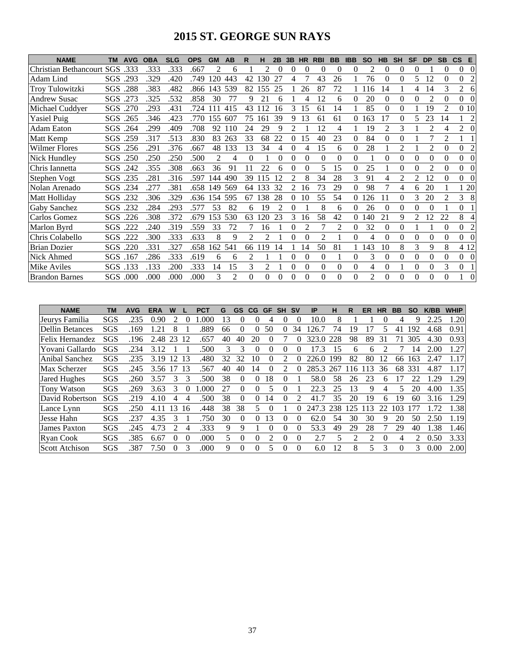### **2015 ST. GEORGE SUN RAYS**

| <b>NAME</b>                  | <b>TM</b>  | <b>AVG</b> | <b>OBA</b> | <b>SLG</b> | <b>OPS</b> | <b>GM</b> | AB             | R              | н   | 2B | 3B            | <b>HR</b>      | <b>RBI</b>     | <b>BB</b> | <b>IBB</b> | <b>SO</b>      | <b>HB</b> | <b>SH</b>      | <b>SF</b> | <b>DP</b>      | <b>SB</b>                   | $\mathsf{CS}$ | E              |
|------------------------------|------------|------------|------------|------------|------------|-----------|----------------|----------------|-----|----|---------------|----------------|----------------|-----------|------------|----------------|-----------|----------------|-----------|----------------|-----------------------------|---------------|----------------|
| <b>Christian Bethancourt</b> | SGS        | .333       | .333       | .333       | .667       |           | 6              |                | 2   | 0  | 0             | $\Omega$       | 0              | $\Omega$  | 0          | 2              | $\Omega$  | 0              | $\Omega$  |                | $\Omega$                    | $\Omega$      | $\Omega$       |
| Adam Lind                    |            | SGS .293   | .329       | .420       | .749       | 120       | 443            | 42             | 130 | 27 | 4             |                | 43             | 26        |            | 76             | 0         | 0              | 5.        | 12             | $\Omega$                    | $\Omega$      | $\overline{c}$ |
| Troy Tulowitzki              |            | SGS .288   | .383       | .482       | .866       | 143       | 539            | 82             | 155 | 25 |               | 26             | 87             | 72        |            | 116            | 14        |                | 4         | 14             | 3                           | 2             | 6              |
| <b>Andrew Susac</b>          | SGS        | .273       | .325       | .532       | .858       | 30        | 77             | 9              | 21  | 6  |               | 4              | 12             | 6         | 0          | 20             | 0         | $\theta$       | 0         | $\mathfrak{D}$ | $\Omega$                    | $\Omega$      | $\Omega$       |
| Michael Cuddyer              | SGS        | .270       | .293       | .431       | .724       |           | 415            | 43             | 12  | 16 | 3             | 15             | 61             | 14        |            | 85             | $\theta$  | 0              |           | 19             | $\mathfrak{D}$              | 0 10          |                |
| <b>Yasiel Puig</b>           | SGS.       | .265       | .346       | .423       | .770       | 155       | 607            | 75             | 161 | 39 | 9             | 13             | 61             | 61        | 0          | 163            | 17        | $\Omega$       | 5         | 23             | 14                          |               | $\overline{c}$ |
| <b>Adam Eaton</b>            | SGS.       | .264       | .299       | .409       | .708       | 92        | 110            | 24             | 29  | 9  | 2             |                | 12             | 4         |            | 19             | 2         | 3              |           | $\mathfrak{D}$ | 4                           | 2             | $\Omega$       |
| Matt Kemp                    |            | SGS .259   | .317       | .513       | .830       | 83        | 263            | 33             | 68  | 22 | 0             | 15             | 40             | 23        | 0          | 84             | 0         | 0              |           |                | $\mathcal{D}_{\mathcal{L}}$ |               |                |
| <b>Wilmer Flores</b>         | SGS        | .256       | .291       | .376       | .667       | 48        | 133            | 13             | 34  | 4  | $\Omega$      | 4              | 15             | 6         | $\Omega$   | 28             |           | $\mathfrak{D}$ |           | $\mathfrak{D}$ | $\Omega$                    | $\Omega$      | $\overline{2}$ |
| Nick Hundley                 | <b>SGS</b> | .250       | .250       | .250       | .500       | 2         | 4              | $\theta$       |     | 0  | 0             | $\Omega$       | $\Omega$       | 0         | 0          |                | 0         | 0              |           | $\Omega$       | 0                           | $\Omega$      | $\Omega$       |
| Chris Iannetta               |            | SGS .242   | .355       | .308       | .663       | 36        | 91             |                | 22  | 6  |               | 0              | 5              | 15        | 0          | 25             |           | 0              | 0         | $\mathfrak{D}$ | $\Omega$                    | $\Omega$      | $\Omega$       |
| Stephen Vogt                 |            | SGS .235   | .281       | .316       | .597       | 144       | 490            | 39             | 115 | 12 | 2             | 8              | 34             | 28        | 3          | 91             | 4         | 2              |           | 12             | $\Omega$                    | $\Omega$      | $\Omega$       |
| Nolan Arenado                | SGS        | .234       | .277       | .381       | .658       | 149       | 569            | 64             | 133 | 32 | $\mathcal{L}$ | 16             | 73             | 29        | $\Omega$   | 98             |           | 4              | 6         | 20             |                             |               | 20             |
| Matt Holliday                | SGS        | .232       | .306       | .329       | .636       | 154       | 595            | 67             | 138 | 28 | 0             | 10             | 55             | 54        | 0          | 26             | 11        | $\Omega$       | 3         | 20             | $\mathfrak{D}$              | 3             | 8              |
| <b>Gaby Sanchez</b>          | SGS.       | .232       | .284       | .293       | .577       | 53        | 82             | 6              | 19  | 2  | 0             |                | 8              | 6         | 0          | 26             | 0         | $\theta$       | 0         | $\Omega$       |                             | $\Omega$      |                |
| Carlos Gomez                 |            | SGS .226   | .308       | .372       | .679       | 153       | 530            | 63             | 120 | 23 | 3             | 16             | 58             | 42        | 0          | 140            | 21        | 9              | 2         | 12             | 22                          | 8             | $\overline{4}$ |
| Marlon Byrd                  |            | SGS .222   | .240       | .319       | .559       | 33        | 72             |                | 16  |    | 0             | $\mathfrak{D}$ |                | 2         | 0          | 32             | 0         | $\theta$       |           |                | $\Omega$                    | $\Omega$      | $\overline{c}$ |
| Chris Colabello              | SGS        | .222       | .300       | .333       | .633       | 8         | 9              | $\mathfrak{D}$ | 2   |    |               | 0              | $\mathfrak{D}$ |           | 0          | 4              | 0         | 0              |           | 0              | $\Omega$                    | $\Omega$      | $\Omega$       |
| <b>Brian Dozier</b>          | SGS        | .220       | .331       | .327       | .658       | 162       | 541            | 66             | 19  | 14 |               | 14             | 50             | 81        |            | 143            | 10        | 8              | 3         | 9              | 8                           |               | 4 12           |
| Nick Ahmed                   | SGS.       | .167       | .286       | .333       | .619       | 6         | 6              | 2              |     |    | $\theta$      | $\Omega$       | $\theta$       |           | $\Omega$   | 3              | 0         | 0              | 0         | $\theta$       | $\Omega$                    | $\Omega$      | $\theta$       |
| Mike Aviles                  |            | SGS .133   | .133       | .200       | .333       | 14        | 15             | 3              | 2   |    | $\Omega$      | $\Omega$       | $\Omega$       | 0         | $\Omega$   | 4              | $\theta$  |                | $\Omega$  | $\Omega$       | 3                           | $\theta$      |                |
| <b>Brandon Barnes</b>        | SGS        | .000       | .000       | .000       | .000       | 3         | $\mathfrak{D}$ | $\Omega$       | 0   | 0  | $\Omega$      | $\Omega$       | $\Omega$       | 0         | 0          | $\overline{c}$ | 0         | $\Omega$       | 0         | $\Omega$       | 0                           |               | $\Omega$       |

| <b>NAME</b>           | ΤM  | <b>AVG</b> | <b>ERA</b>    | W             |    | PCT  | G  | GS           | CG             | <b>GF</b> | <b>SH</b> | <b>SV</b> | IP        | н   | R  | ER | ΗR       | <b>BB</b> | SΟ             | K/BB | <b>WHIP</b> |
|-----------------------|-----|------------|---------------|---------------|----|------|----|--------------|----------------|-----------|-----------|-----------|-----------|-----|----|----|----------|-----------|----------------|------|-------------|
| Jeurys Familia        | SGS | .235       | 0.90          |               |    | .000 | 13 | $\mathbf{0}$ |                |           |           |           | 10.0      | 8   |    |    |          |           |                |      | .20         |
| Dellin Betances       | SGS | 169        | $\mathcal{L}$ |               |    | .889 | 66 | $\theta$     | $\Omega$       | 50        | 0         | 34        | 126.7     | 74  | 19 |    |          | 41        | 192            | 4.68 | 0.91        |
| Felix Hernandez       | SGS | .196       | 2.48          | 23            | 12 | .657 | 40 | 40           | 20             |           |           |           | 323.0     | 228 | 98 | 89 | 31       |           | 305            | 4.30 | 0.93        |
| Yovani Gallardo       | SGS | .234       | 3.12          |               |    | .500 | 3  | 3            | $\theta$       | 0         | 0         | 0         | 17.3      | 15  | 6  | 6  |          |           | $\overline{4}$ | 2.00 | 1.27        |
| Anibal Sanchez        | SGS | .235       | 3.19          | 12            | 13 | .480 | 32 | 32           | 10             |           |           |           | 226.0     | 199 | 82 | 80 | 12       | 66        | 163            | 2.47 | 1.17        |
| Max Scherzer          | SGS | .245       | 3.56          |               | 13 | 567  | 40 | 40           | $\overline{4}$ |           |           |           | 285.3     | 267 | 16 | 3  | 36       | 68        | 331            | 4.87 | 1.17        |
| Jared Hughes          | SGS | .260       | 3.57          |               |    | .500 | 38 | $\theta$     | 0              | 18        | 0         |           | 58.0      | 58  | 26 | 23 | h        |           | 22             | .29  | 1.29        |
| <b>Tony Watson</b>    | SGS | .269       | 3.63          | 3             |    | .000 | 27 | $\theta$     |                |           | 0         |           | 22.3      | 25  | 13 | 9  |          | 5         | 20             | 4.00 | 1.35        |
| David Robertson       | SGS | .219       | 4.10          |               |    | .500 | 38 | $\Omega$     | $\Omega$       | 14        | 0         |           | 41        | 35  | 20 | 19 | h        | 19        | 60             | 3.16 | 1.29        |
| Lance Lynn            | SGS | 250        | 4.1           | $\mathcal{R}$ | 16 | .448 | 38 | 38           |                |           |           |           | 247.<br>3 | 238 | 25 | 3  |          |           |                | .72  | 1.38        |
| Jesse Hahn            | SGS | .237       | 4.35          |               |    | .750 | 30 | $\Omega$     | $\Omega$       | 13        | 0         |           | 62.0      | 54  | 30 | 30 | 9        | 20        | 50             | 2.50 | 1.19        |
| <b>James Paxton</b>   | SGS | .245       | 4.73          |               |    | 333  | 9  | 9            |                | $\Omega$  | 0         |           | 53.3      | 49  | 29 | 28 |          | 29        | 40             | l.38 | 1.46        |
| <b>Ryan Cook</b>      | SGS | 385        | 6.67          | 0             |    | .000 |    | 0            |                |           | 0         | 0         | 2.7       |     |    | 2  | $\Omega$ | 4         |                | 0.50 | 3.33        |
| <b>Scott Atchison</b> | SGS | 387        | 7.50          |               |    | .000 | 9  | $\Omega$     |                |           | 0         | $\Omega$  | 6.0       | 12  | 8  | 5  | 3        | $\Omega$  | 3              | 0.00 | 2.00        |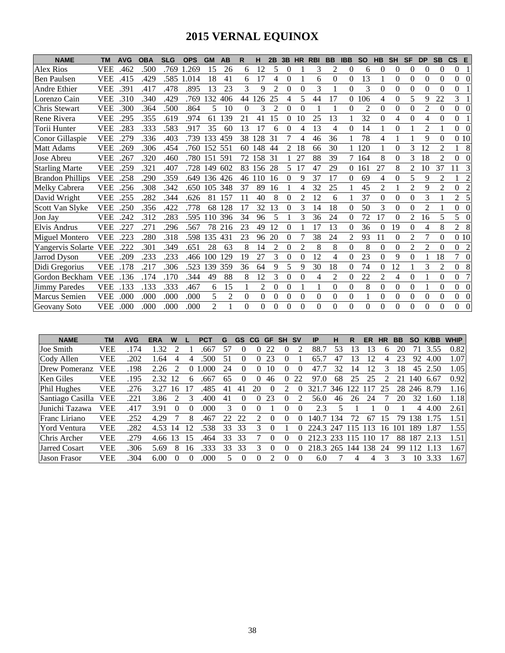# **2015 VERNAL EQUINOX**

| <b>NAME</b>             | <b>TM</b>  | <b>AVG</b> | <b>OBA</b> | <b>SLG</b> | <b>OPS</b> | <b>GM</b>       | AB  | R        | н   | 2B             | 3B       | <b>HR</b>      | <b>RBI</b> | <b>BB</b>      | <b>IBB</b> | <b>SO</b> | <b>HB</b>      | <b>SH</b>      | <b>SF</b>      | <b>DP</b>      | <b>SB</b>      | $\mathsf{cs}$<br>E         |
|-------------------------|------------|------------|------------|------------|------------|-----------------|-----|----------|-----|----------------|----------|----------------|------------|----------------|------------|-----------|----------------|----------------|----------------|----------------|----------------|----------------------------|
| <b>Alex Rios</b>        | <b>VEE</b> | .462       | .500       | .769       | .269       | 15              | 26  | 6        | 12  | 5              | 0        |                | 3          | $\overline{c}$ | $\theta$   | 6         | $\theta$       | 0              | $\Omega$       | $\theta$       | $\theta$       | 0                          |
| <b>Ben Paulsen</b>      | <b>VEE</b> | .415       | .429       | .585       | 1.014      | 18              | 41  | 6        | 17  | 4              | 0        |                | 6          | $\theta$       | 0          | 13        |                | 0              | 0              | $\Omega$       | $\theta$       | $\overline{0}$<br>0        |
| Andre Ethier            | <b>VEE</b> | .391       | .417       | .478       | .895       | 13              | 23  | 3        | 9   | 2              | 0        | 0              | 3          |                | $\theta$   | 3         | $\theta$       | 0              | $\Omega$       | 0              | 0              | $\Omega$                   |
| Lorenzo Cain            | <b>VEE</b> | .310       | .340       | .429       | .769       | 132             | 406 | 44       | 26  | 25             | 4        | 5              | 44         | 17             | $\theta$   | 106       | 4              | 0              | 5              | 9              | 22             | 3                          |
| Chris Stewart           | <b>VEE</b> | .300       | .364       | .500       | .864       | 5               | 10  | $\Omega$ | 3   | $\mathfrak{D}$ | $\Omega$ | $\theta$       |            |                | $\Omega$   | 2         | $\theta$       | 0              | $\Omega$       | 2              | $\Omega$       | $\overline{0}$<br>$\Omega$ |
| Rene Rivera             | <b>VEE</b> | .295       | .355       | .619       | .974       | 61              | 139 | 21       | 41  | 15             | $\Omega$ | 10             | 25         | 13             | 1          | 32        | $\Omega$       | 4              | $\Omega$       | 4              | $\theta$       | $\overline{0}$             |
| Torii Hunter            | <b>VEE</b> | .283       | .333       | .583       | .917       | 35              | 60  | 13       | 17  | 6              | 0        | 4              | 13         | 4              | $\theta$   | 14        |                | 0              |                | $\mathfrak{D}$ |                | $\Omega$<br>$\Omega$       |
| Conor Gillaspie         | <b>VEE</b> | .279       | .336       | .403       | .739       | 133             | 459 | 38       | 128 | 31             |          | 4              | 46         | 36             |            | 78        | 4              |                |                | 9              | $\theta$       | 010                        |
| Matt Adams              | <b>VEE</b> | .269       | .306       | .454       | .760       | 152             | 551 | 60       | 148 | 44             | 2        | 18             | 66         | 30             |            | 120       |                | 0              | 3              | 12             | 2              | 8                          |
| Jose Abreu              | <b>VEE</b> | .267       | .320       | .460       | .780       | 151             | 591 | 72       | 158 | 31             |          | 27             | 88         | 39             | 7          | 164       | 8              | 0              | 3              | 18             | $\mathfrak{D}$ | $\Omega$                   |
| <b>Starling Marte</b>   | <b>VEE</b> | .259       | .321       | .407       | .728       | 149             | 602 | 83       | 156 | 28             | 5        |                | 47         | 29             | $\theta$   | 161       | 27             | 8              | $\overline{c}$ | 10             | 37             | 3                          |
| <b>Brandon Phillips</b> | <b>VEE</b> | .258       | .290       | .359       | .649       | 136             | 426 | 46       | -10 | 16             | 0        | Q              | 37         | 17             | $\Omega$   | 69        | 4              | 0              | 5              | 9              | $\overline{c}$ | $\overline{c}$             |
| Melky Cabrera           | <b>VEE</b> | .256       | .308       | .342       | .650       | 105             | 348 | 37       | 89  | 16             |          | 4              | 32         | 25             |            | 45        | $\overline{2}$ |                | $\overline{2}$ | 9              | $\overline{2}$ | $\overline{2}$<br>$\theta$ |
| David Wright            | <b>VEE</b> | .255       | .282       | .344       | .626       | 81              | 157 | 11       | 40  | 8              | $\Omega$ | 2              | 12         | 6              |            | 37        | $\theta$       | 0              | $\theta$       | 3              |                | 5<br>2                     |
| Scott Van Slyke         | <b>VEE</b> | .250       | .356       | .422       | .778       | 68              | 128 | 17       | 32  | 13             | $\theta$ | 3              | 14         | 18             | $\Omega$   | 50        | 3              | 0              | $\theta$       | 2              |                | $\Omega$<br>0              |
| Jon Jay                 | <b>VEE</b> | .242       | .312       | .283       | .595       | $\overline{10}$ | 396 | 34       | 96  | 5              |          | 3              | 36         | 24             | $\theta$   | 72        | 17             | 0              | 2              | 16             | 5              | 5<br>0                     |
| Elvis Andrus            | <b>VEE</b> | .227       | .271       | .296       | .567       | 78              | 216 | 23       | 49  | 12             | 0        |                | 17         | 13             | 0          | 36        | $\theta$       | 19             | $\Omega$       | 4              | 8              | $\overline{2}$<br>8        |
| <b>Miguel Montero</b>   | VEE        | .223       | .280       | .318       | .598       | 135             | 431 | 23       | 96  | 20             | 0        |                | 38         | 24             | 2          | 93        | 11             | 0              | $\overline{c}$ | 7              | $\theta$       | 0 10                       |
| Yangervis Solarte       | <b>VEE</b> | .222       | .301       | .349       | .651       | 28              | 63  | 8        | 14  | $\overline{c}$ | $\theta$ | $\overline{2}$ | 8          | 8              | $\theta$   | 8         | $\theta$       | $\overline{0}$ | $\overline{2}$ | $\overline{2}$ | $\theta$       | $\Omega$<br>$\overline{2}$ |
| <b>Jarrod Dyson</b>     | <b>VEE</b> | .209       | .233       | .233       | .466       | 100             | 29  | 19       | 27  | 3              | $\theta$ | $\theta$       | 12         | 4              | $\Omega$   | 23        | $\theta$       | 9              | $\theta$       |                | 18             | 7<br>$\Omega$              |
| Didi Gregorius          | <b>VEE</b> | .178       | .217       | .306       | .523       | 139             | 359 | 36       | 64  | 9              | 5        | 9              | 30         | 18             | $\Omega$   | 74        | $\theta$       | 12             |                | 3              | $\mathfrak{D}$ | 8<br>$\overline{0}$        |
| Gordon Beckham          | <b>VEE</b> | 136        | .174       | .170       | .344       | 49              | 88  | 8        | 12  | 3              | $\theta$ | $\theta$       | 4          | $\overline{c}$ | $\Omega$   | 22        | $\overline{c}$ | 4              | $\Omega$       |                | $\theta$       | 7<br>$\theta$              |
| <b>Jimmy Paredes</b>    | <b>VEE</b> | .133       | .133       | .333       | .467       | 6               | 15  |          | 2   | $\Omega$       | $\theta$ |                |            | $\theta$       | $\theta$   | 8         | $\theta$       | $\overline{0}$ | $\Omega$       |                | $\Omega$       | $\overline{0}$<br>$\Omega$ |
| Marcus Semien           | <b>VEE</b> | .000       | .000       | .000       | .000       | 5               | 2   | $\theta$ | 0   | $\theta$       | $\theta$ | $\theta$       | $\Omega$   | $\theta$       | $\theta$   |           | $\Omega$       | 0              | $\theta$       | 0              | $\Omega$       | $\overline{0}$<br>$\theta$ |
| Geovany Soto            | <b>VEE</b> | .000       | .000       | .000       | .000       | $\mathfrak{D}$  |     | 0        | 0   | 0              | 0        | $\Omega$       | $\Omega$   | 0              | $\Omega$   | 0         | $\theta$       | 0              | $\theta$       | 0              | $\Omega$       | 0<br>0                     |

| <b>NAME</b>          | TМ         | <b>AVG</b> | <b>ERA</b> | W                           |    | <b>PCT</b> | G  | <b>GS</b> | <b>CG</b> | <b>GF</b> | <b>SH</b> | <b>SV</b> | IP    | н   | R   | ER  | НR | <b>BB</b> | <b>SO</b> | K/BB | <b>WHIP</b> |
|----------------------|------------|------------|------------|-----------------------------|----|------------|----|-----------|-----------|-----------|-----------|-----------|-------|-----|-----|-----|----|-----------|-----------|------|-------------|
| Joe Smith            | <b>VEE</b> | .174       | .32        | ◠                           |    | .667       | 57 |           |           | 22        |           |           | 88.7  | 53  | 13  |     |    | 20        |           | 3.55 | 0.82        |
| Cody Allen           | <b>VEE</b> | 202        | .64        | 4                           |    | 500        | 51 | $_{0}$    |           | 23        |           |           | 65.7  | 47  | 13  | 12  |    |           | 92        | 4.00 | 1.07        |
| <b>Drew Pomeranz</b> | <b>VEE</b> | 198        | 2.26       | $\mathcal{D}_{\mathcal{L}}$ |    | .000       | 24 | $\theta$  |           | 10        | $\theta$  |           | 47    | 32  | 14  | 12  |    | 18        | 45        | 2.50 | 1.05        |
| <b>Ken Giles</b>     | <b>VEE</b> | 195        | 2.32       | 12                          |    | .667       | 65 |           | $\Omega$  | 46        |           | 22        | 97    | 68  | 25  | 25  |    |           | 40        | 6.67 | 0.92        |
| Phil Hughes          | <b>VEE</b> | .276       | 3.27       | 16                          |    | 485        | 41 |           | 20        |           |           |           | 321   | 346 | 122 |     | 25 | 28        | 246       | 8.79 | 1.16        |
| Santiago Casilla     | <b>VEE</b> | .221       | 3.86       |                             |    | .400       |    | 0         |           | 23        |           |           | 56.0  | 46  | 26  | 24  |    | 20        | 32        | .60  | 1.18        |
| Junichi Tazawa       | <b>VEE</b> | .417       | 3.91       | $\theta$                    |    | .000       | 3  | $\theta$  |           |           |           |           | 2.3   |     |     |     |    |           | 4         | 4.00 | 2.61        |
| Franc Liriano        | <b>VEE</b> | .252       | 4.29       |                             | 8  | .467       | 22 | 22        |           | $^{(1)}$  | $\theta$  |           | 140.7 | 34  | 72  | 67  | 5  | 79        | 38        |      | 1.51        |
| <b>Yord Ventura</b>  | <b>VEE</b> | .282       | 4.53       | 14                          | 12 | 538        | 33 | 33        | 3         |           |           |           | 224.3 | 247 | 15  | 13  | 16 | -101-     | 189       | .87  | 1.55        |
| Chris Archer         | <b>VEE</b> | .279       | 4.66       | 13                          | 15 | .464       | 33 | 33        |           | $\theta$  | 0         |           | 212.3 | 233 | 15  | 10  |    | 88        | 187       | 2.13 | 1.51        |
| Jarred Cosart        | <b>VEE</b> | .306       | 5.69       | 8                           | 16 | 333        | 33 | 33        | 3         | $\theta$  | $\theta$  |           | 218.3 | 265 | 144 | 138 | 24 | 99        |           | -13  | 1.67        |
| <b>Jason Frasor</b>  | <b>VEE</b> | 304        | 6.00       | $\Omega$                    |    | .000       |    | $\theta$  | 0         | 2         | $\Omega$  |           | 6.0   |     | 4   | 4   |    | 3         | 10        | 3.33 | 1.67        |